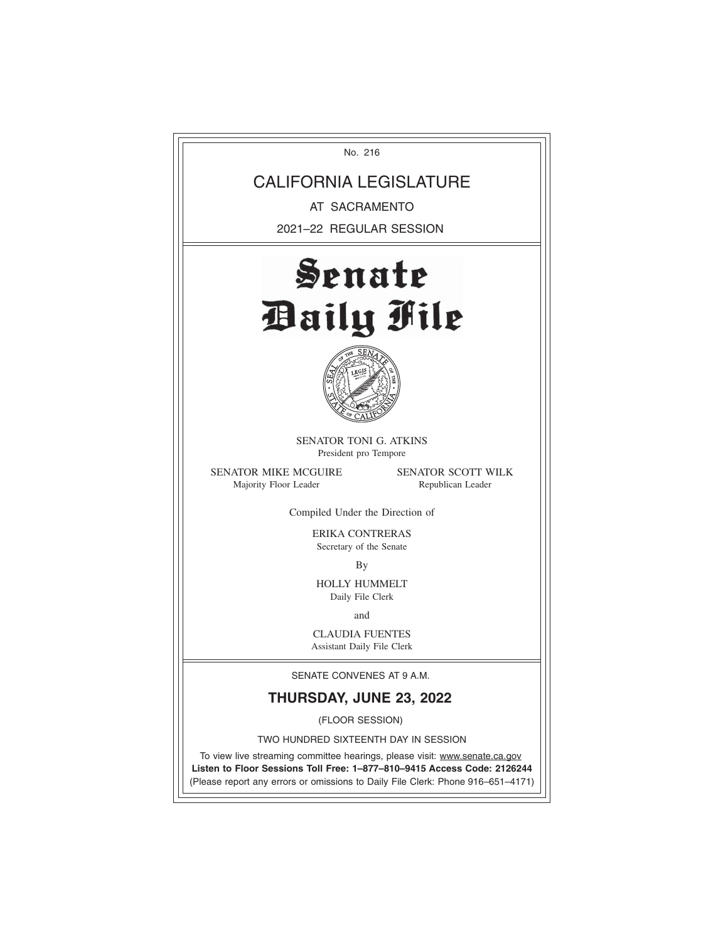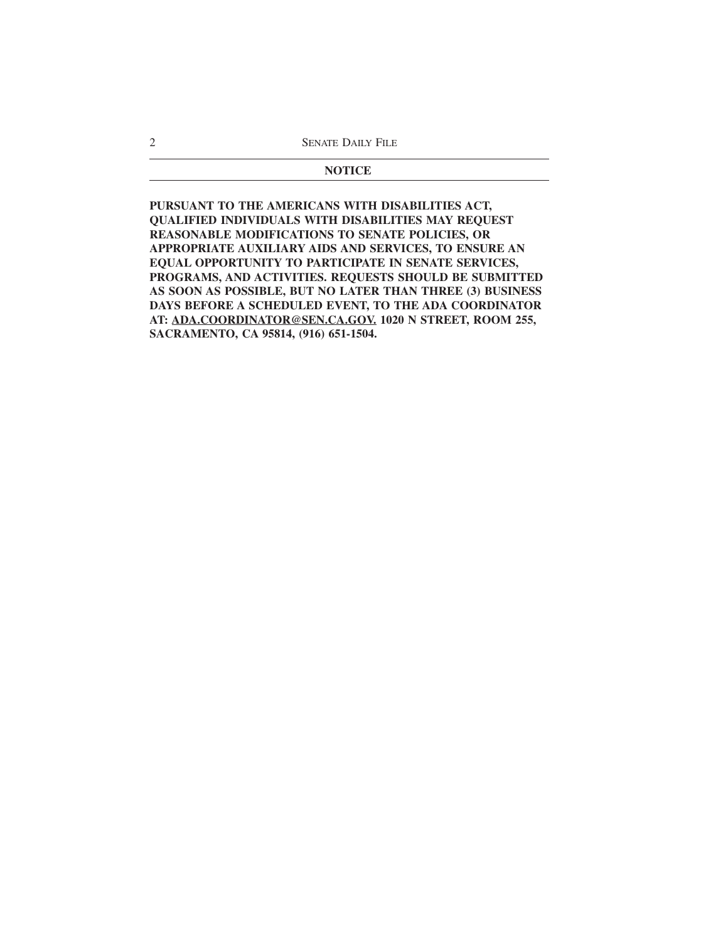### **NOTICE**

**PURSUANT TO THE AMERICANS WITH DISABILITIES ACT, QUALIFIED INDIVIDUALS WITH DISABILITIES MAY REQUEST REASONABLE MODIFICATIONS TO SENATE POLICIES, OR APPROPRIATE AUXILIARY AIDS AND SERVICES, TO ENSURE AN EQUAL OPPORTUNITY TO PARTICIPATE IN SENATE SERVICES, PROGRAMS, AND ACTIVITIES. REQUESTS SHOULD BE SUBMITTED AS SOON AS POSSIBLE, BUT NO LATER THAN THREE (3) BUSINESS DAYS BEFORE A SCHEDULED EVENT, TO THE ADA COORDINATOR AT: ADA.COORDINATOR@SEN.CA.GOV. 1020 N STREET, ROOM 255, SACRAMENTO, CA 95814, (916) 651-1504.**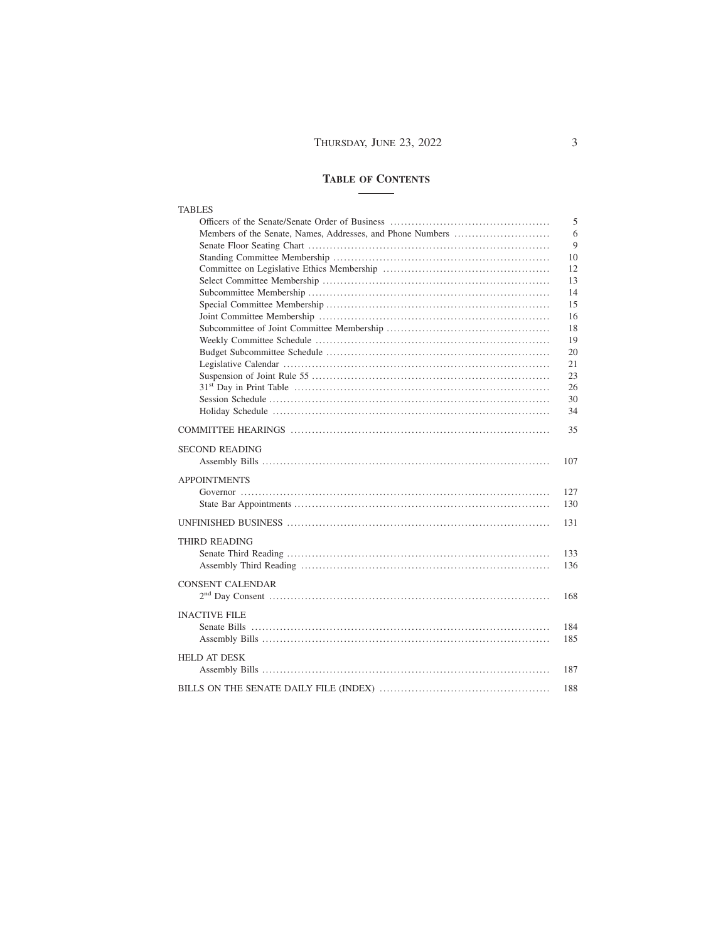### **TABLE OF CONTENTS**

 $\overline{a}$ 

| <b>TABLES</b>           |     |
|-------------------------|-----|
|                         | 5   |
|                         | 6   |
|                         | 9   |
|                         | 10  |
|                         | 12  |
|                         | 13  |
|                         | 14  |
|                         | 15  |
|                         | 16  |
|                         | 18  |
|                         | 19  |
|                         | 20  |
|                         | 21  |
|                         | 23  |
|                         | 26  |
|                         | 30  |
|                         | 34  |
|                         | 35  |
| <b>SECOND READING</b>   |     |
|                         | 107 |
|                         |     |
| <b>APPOINTMENTS</b>     |     |
|                         | 127 |
|                         | 130 |
|                         | 131 |
| THIRD READING           |     |
|                         | 133 |
|                         | 136 |
|                         |     |
| <b>CONSENT CALENDAR</b> |     |
|                         | 168 |
| <b>INACTIVE FILE</b>    |     |
|                         | 184 |
|                         | 185 |
|                         |     |
| <b>HELD AT DESK</b>     |     |
|                         | 187 |
|                         | 188 |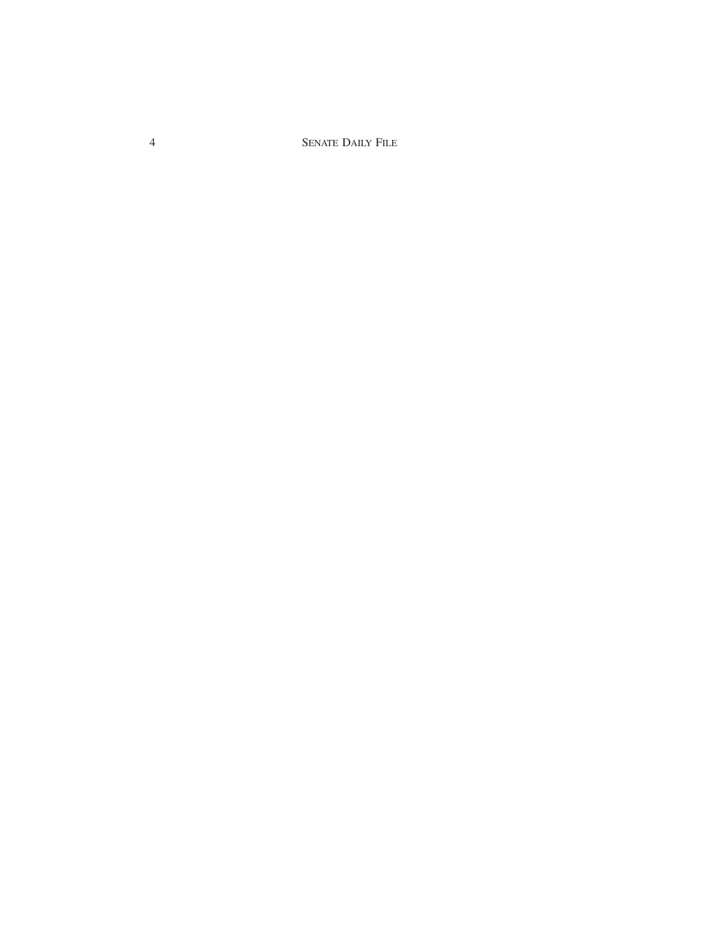# 4 SENATE DAILY FILE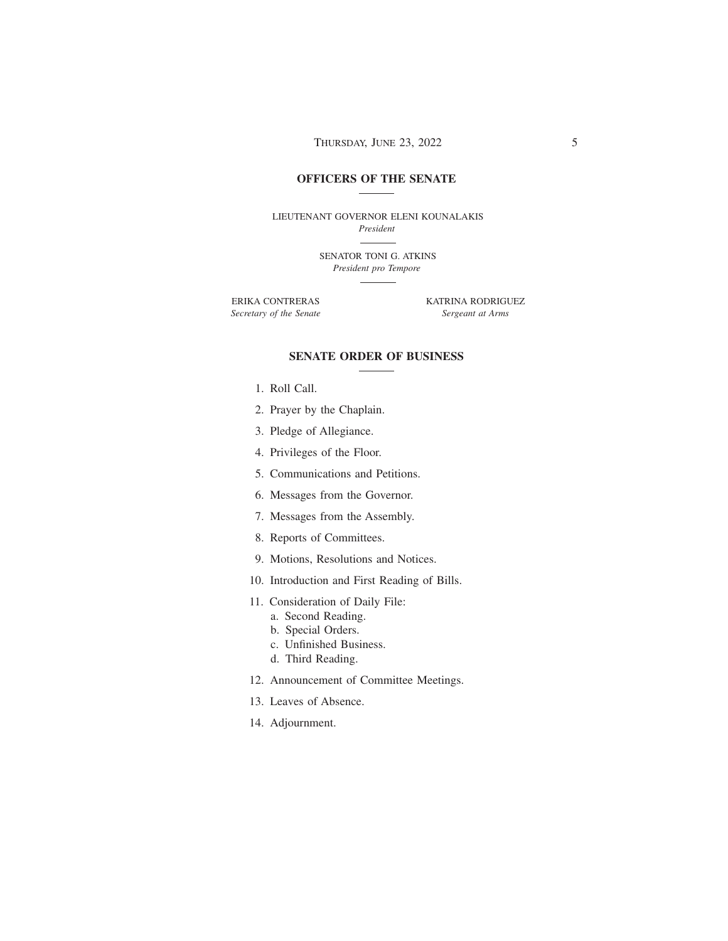### **OFFICERS OF THE SENATE**

LIEUTENANT GOVERNOR ELENI KOUNALAKIS *President*

> SENATOR TONI G. ATKINS *President pro Tempore*

ERIKA CONTRERAS *Secretary of the Senate* KATRINA RODRIGUEZ *Sergeant at Arms*

### **SENATE ORDER OF BUSINESS**

- 1. Roll Call.
- 2. Prayer by the Chaplain.
- 3. Pledge of Allegiance.
- 4. Privileges of the Floor.
- 5. Communications and Petitions.
- 6. Messages from the Governor.
- 7. Messages from the Assembly.
- 8. Reports of Committees.
- 9. Motions, Resolutions and Notices.
- 10. Introduction and First Reading of Bills.
- 11. Consideration of Daily File:
	- a. Second Reading.
	- b. Special Orders.
	- c. Unfinished Business.
	- d. Third Reading.
- 12. Announcement of Committee Meetings.
- 13. Leaves of Absence.
- 14. Adjournment.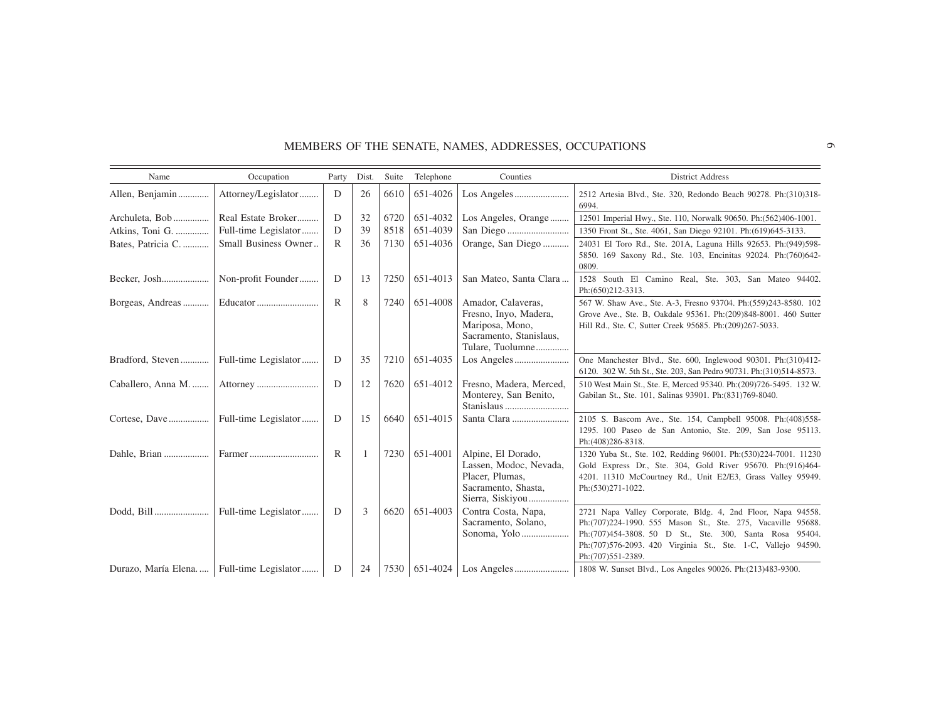# MEMBERS OF THE SENATE, NAMES, ADDRESSES, OCCUPATIONS

| Name                | Occupation           | Party        | Dist. | Suite | Telephone | Counties                                                                                                      | <b>District Address</b>                                                                                                                                                                                                                                                    |
|---------------------|----------------------|--------------|-------|-------|-----------|---------------------------------------------------------------------------------------------------------------|----------------------------------------------------------------------------------------------------------------------------------------------------------------------------------------------------------------------------------------------------------------------------|
| Allen, Benjamin     | Attorney/Legislator  | D            | 26    | 6610  | 651-4026  |                                                                                                               | 2512 Artesia Blvd., Ste. 320, Redondo Beach 90278. Ph:(310)318-<br>6994.                                                                                                                                                                                                   |
| Archuleta, Bob      | Real Estate Broker   | D            | 32    | 6720  | 651-4032  | Los Angeles, Orange                                                                                           | 12501 Imperial Hwy., Ste. 110, Norwalk 90650. Ph: (562)406-1001.                                                                                                                                                                                                           |
| Atkins, Toni G.     | Full-time Legislator | D            | 39    | 8518  | 651-4039  |                                                                                                               | 1350 Front St., Ste. 4061, San Diego 92101. Ph:(619)645-3133.                                                                                                                                                                                                              |
| Bates, Patricia C.  | Small Business Owner | R            | 36    | 7130  | 651-4036  | Orange, San Diego                                                                                             | 24031 El Toro Rd., Ste. 201A, Laguna Hills 92653. Ph:(949)598-<br>5850. 169 Saxony Rd., Ste. 103, Encinitas 92024. Ph:(760)642-<br>0809.                                                                                                                                   |
| Becker, Josh        | Non-profit Founder   | D            | 13    | 7250  | 651-4013  | San Mateo, Santa Clara                                                                                        | 1528 South El Camino Real, Ste. 303, San Mateo 94402.<br>Ph:(650)212-3313.                                                                                                                                                                                                 |
| Borgeas, Andreas    |                      | $\mathbb{R}$ | 8     | 7240  | 651-4008  | Amador, Calaveras,<br>Fresno, Inyo, Madera,<br>Mariposa, Mono,<br>Sacramento, Stanislaus,<br>Tulare, Tuolumne | 567 W. Shaw Ave., Ste. A-3, Fresno 93704. Ph:(559)243-8580. 102<br>Grove Ave., Ste. B, Oakdale 95361. Ph:(209)848-8001. 460 Sutter<br>Hill Rd., Ste. C, Sutter Creek 95685. Ph:(209)267-5033.                                                                              |
| Bradford, Steven    | Full-time Legislator | D            | 35    | 7210  | 651-4035  |                                                                                                               | One Manchester Blvd., Ste. 600, Inglewood 90301. Ph:(310)412-<br>6120. 302 W. 5th St., Ste. 203, San Pedro 90731. Ph: (310) 514-8573.                                                                                                                                      |
| Caballero, Anna M.  |                      | D            | 12    | 7620  | 651-4012  | Fresno, Madera, Merced,<br>Monterey, San Benito,                                                              | 510 West Main St., Ste. E, Merced 95340. Ph:(209)726-5495. 132 W.<br>Gabilan St., Ste. 101, Salinas 93901. Ph:(831)769-8040.                                                                                                                                               |
|                     | Full-time Legislator | D            | 15    | 6640  | 651-4015  | Santa Clara                                                                                                   | 2105 S. Bascom Ave., Ste. 154, Campbell 95008. Ph:(408)558-<br>1295. 100 Paseo de San Antonio, Ste. 209, San Jose 95113.<br>Ph:(408)286-8318.                                                                                                                              |
| Dahle, Brian        |                      | $\mathbb{R}$ |       | 7230  | 651-4001  | Alpine, El Dorado,<br>Lassen, Modoc, Nevada,<br>Placer, Plumas,<br>Sacramento, Shasta,<br>Sierra, Siskiyou    | 1320 Yuba St., Ste. 102, Redding 96001. Ph:(530)224-7001. 11230<br>Gold Express Dr., Ste. 304, Gold River 95670. Ph: (916)464-<br>4201. 11310 McCourtney Rd., Unit E2/E3, Grass Valley 95949.<br>Ph:(530)271-1022.                                                         |
|                     | Full-time Legislator | D            | 3     | 6620  | 651-4003  | Contra Costa, Napa,<br>Sacramento, Solano,<br>Sonoma, Yolo                                                    | 2721 Napa Valley Corporate, Bldg. 4, 2nd Floor, Napa 94558.<br>Ph:(707)224-1990. 555 Mason St., Ste. 275, Vacaville 95688.<br>Ph:(707)454-3808. 50 D St., Ste. 300, Santa Rosa 95404.<br>Ph:(707)576-2093. 420 Virginia St., Ste. 1-C, Vallejo 94590.<br>Ph:(707)551-2389. |
| Durazo, María Elena | Full-time Legislator | D            | 24    | 7530  | 651-4024  |                                                                                                               | 1808 W. Sunset Blvd., Los Angeles 90026. Ph:(213)483-9300.                                                                                                                                                                                                                 |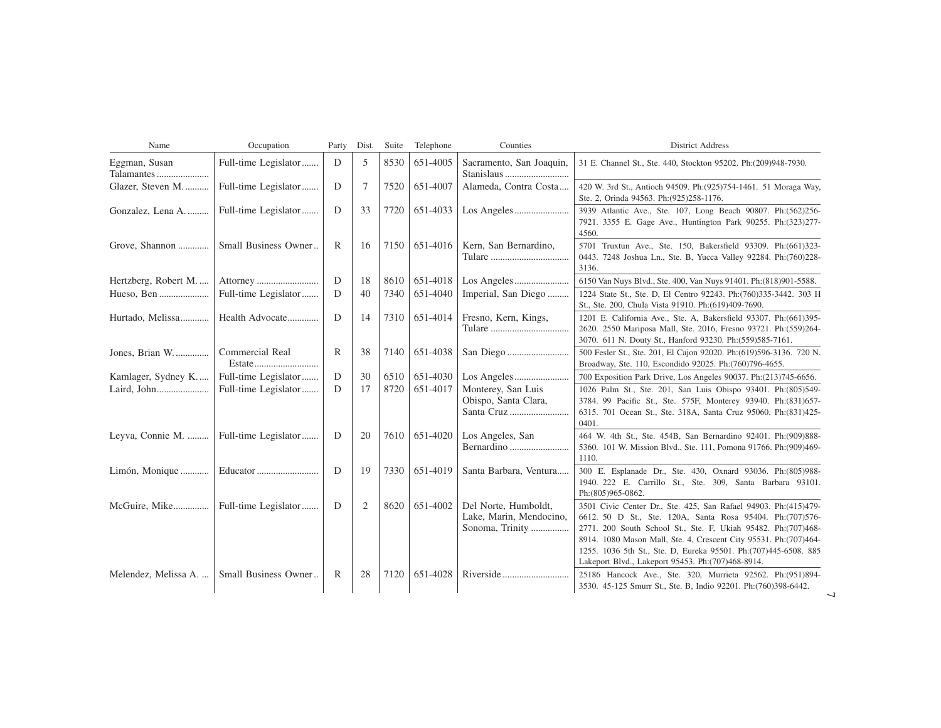| Name                        | Occupation                | Party | Dist. | Suite | Telephone | Counties                                                           | <b>District Address</b>                                                                                                                                                                                                                                                                                                                                                                   |
|-----------------------------|---------------------------|-------|-------|-------|-----------|--------------------------------------------------------------------|-------------------------------------------------------------------------------------------------------------------------------------------------------------------------------------------------------------------------------------------------------------------------------------------------------------------------------------------------------------------------------------------|
| Eggman, Susan<br>Talamantes | Full-time Legislator      | D     | 5     | 8530  | 651-4005  | Sacramento, San Joaquin,                                           | 31 E. Channel St., Ste. 440, Stockton 95202. Ph:(209)948-7930.                                                                                                                                                                                                                                                                                                                            |
| Glazer, Steven M.           | Full-time Legislator      | D     | 7     | 7520  | 651-4007  | Alameda, Contra Costa                                              | 420 W. 3rd St., Antioch 94509. Ph:(925)754-1461. 51 Moraga Way,<br>Ste. 2, Orinda 94563. Ph: (925) 258-1176.                                                                                                                                                                                                                                                                              |
| Gonzalez, Lena A.           | Full-time Legislator      | D     | 33    | 7720  | 651-4033  |                                                                    | 3939 Atlantic Ave., Ste. 107, Long Beach 90807. Ph:(562)256-<br>7921. 3355 E. Gage Ave., Huntington Park 90255. Ph:(323)277-<br>4560.                                                                                                                                                                                                                                                     |
| Grove, Shannon              | Small Business Owner      | R     | 16    | 7150  | 651-4016  | Kern, San Bernardino,                                              | 5701 Truxtun Ave., Ste. 150, Bakersfield 93309. Ph:(661)323-<br>0443. 7248 Joshua Ln., Ste. B, Yucca Valley 92284. Ph:(760)228-<br>3136.                                                                                                                                                                                                                                                  |
| Hertzberg, Robert M         |                           | D     | 18    | 8610  | 651-4018  |                                                                    | 6150 Van Nuys Blvd., Ste. 400, Van Nuys 91401. Ph: (818) 901-5588.                                                                                                                                                                                                                                                                                                                        |
| Hueso, Ben                  | Full-time Legislator      | D     | 40    | 7340  | 651-4040  | Imperial, San Diego                                                | 1224 State St., Ste. D, El Centro 92243. Ph:(760)335-3442. 303 H<br>St., Ste. 200, Chula Vista 91910. Ph:(619)409-7690.                                                                                                                                                                                                                                                                   |
| Hurtado, Melissa            | Health Advocate           | D     | 14    | 7310  | 651-4014  | Fresno, Kern, Kings,                                               | 1201 E. California Ave., Ste. A, Bakersfield 93307. Ph:(661)395-<br>2620. 2550 Mariposa Mall, Ste. 2016, Fresno 93721. Ph:(559)264-<br>3070. 611 N. Douty St., Hanford 93230. Ph:(559)585-7161.                                                                                                                                                                                           |
| Jones, Brian W.             | Commercial Real<br>Estate | R     | 38    | 7140  | 651-4038  | San Diego                                                          | 500 Fesler St., Ste. 201, El Cajon 92020. Ph: (619) 596-3136. 720 N.<br>Broadway, Ste. 110, Escondido 92025. Ph:(760)796-4655.                                                                                                                                                                                                                                                            |
| Kamlager, Sydney K          | Full-time Legislator      | D     | 30    | 6510  | 651-4030  |                                                                    | 700 Exposition Park Drive, Los Angeles 90037. Ph:(213)745-6656.                                                                                                                                                                                                                                                                                                                           |
|                             | Full-time Legislator      | D     | 17    | 8720  | 651-4017  | Monterey, San Luis<br>Obispo, Santa Clara,<br>Santa Cruz           | 1026 Palm St., Ste. 201, San Luis Obispo 93401. Ph:(805)549-<br>3784. 99 Pacific St., Ste. 575F, Monterey 93940. Ph:(831)657-<br>6315. 701 Ocean St., Ste. 318A, Santa Cruz 95060. Ph:(831)425-<br>0401.                                                                                                                                                                                  |
| Leyva, Connie M.            | Full-time Legislator      | D     | 20    | 7610  | 651-4020  | Los Angeles, San<br>Bernardino                                     | 464 W. 4th St., Ste. 454B, San Bernardino 92401. Ph:(909)888-<br>5360. 101 W. Mission Blvd., Ste. 111, Pomona 91766. Ph:(909)469-<br>1110.                                                                                                                                                                                                                                                |
| Limón, Monique              |                           | D     | 19    | 7330  | 651-4019  | Santa Barbara, Ventura                                             | 300 E. Esplanade Dr., Ste. 430, Oxnard 93036. Ph:(805)988-<br>1940. 222 E. Carrillo St., Ste. 309, Santa Barbara 93101.<br>Ph:(805)965-0862.                                                                                                                                                                                                                                              |
| McGuire, Mike               | Full-time Legislator      | D     | 2     | 8620  | 651-4002  | Del Norte, Humboldt,<br>Lake, Marin, Mendocino,<br>Sonoma, Trinity | 3501 Civic Center Dr., Ste. 425, San Rafael 94903. Ph:(415)479-<br>6612. 50 D St., Ste. 120A, Santa Rosa 95404. Ph:(707)576-<br>2771. 200 South School St., Ste. F, Ukiah 95482. Ph:(707)468-<br>8914. 1080 Mason Mall, Ste. 4, Crescent City 95531. Ph:(707)464-<br>1255. 1036 5th St., Ste. D, Eureka 95501. Ph:(707)445-6508. 885<br>Lakeport Blvd., Lakeport 95453. Ph:(707)468-8914. |
| Melendez, Melissa A.        | Small Business Owner      | R     | 28    | 7120  | 651-4028  |                                                                    | 25186 Hancock Ave., Ste. 320, Murrieta 92562. Ph: (951) 894-<br>3530. 45-125 Smurr St., Ste. B, Indio 92201. Ph:(760)398-6442.                                                                                                                                                                                                                                                            |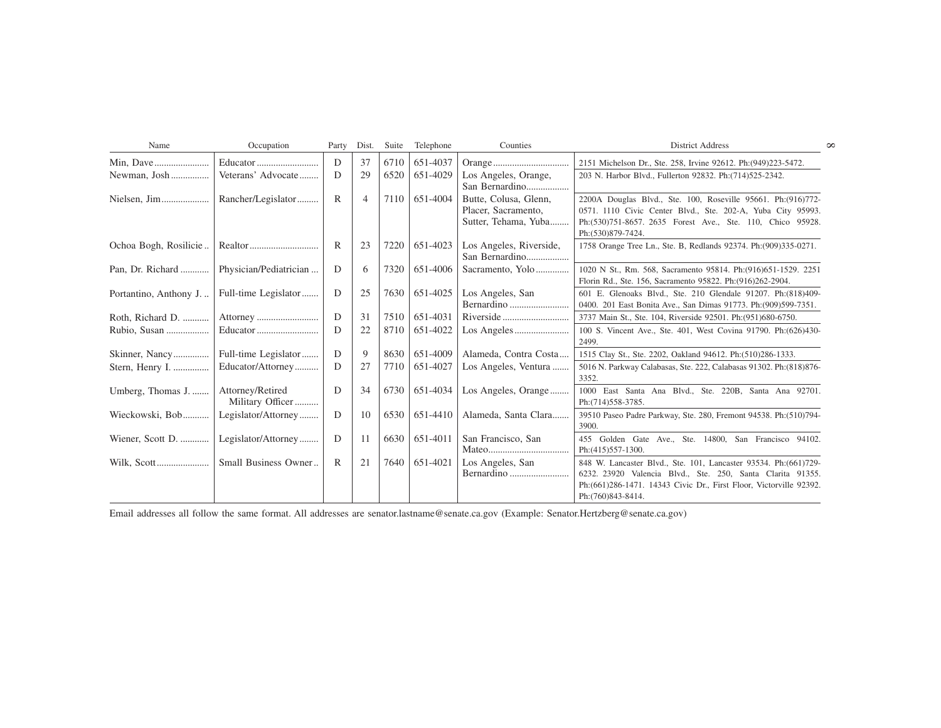| Name                   | Occupation                           | Party        | Dist.          | Suite | Telephone | Counties                                                             | <b>District Address</b>                                                                                                                                                                                                   |
|------------------------|--------------------------------------|--------------|----------------|-------|-----------|----------------------------------------------------------------------|---------------------------------------------------------------------------------------------------------------------------------------------------------------------------------------------------------------------------|
| Min, Dave              |                                      | D            | 37             | 6710  | 651-4037  |                                                                      | 2151 Michelson Dr., Ste. 258, Irvine 92612. Ph: (949) 223-5472.                                                                                                                                                           |
| Newman, Josh           | Veterans' Advocate                   | D            | 29             | 6520  | 651-4029  | Los Angeles, Orange,<br>San Bernardino                               | 203 N. Harbor Blvd., Fullerton 92832. Ph:(714)525-2342.                                                                                                                                                                   |
|                        | Rancher/Legislator                   | $\mathbb{R}$ | $\overline{4}$ | 7110  | 651-4004  | Butte, Colusa, Glenn,<br>Placer, Sacramento,<br>Sutter, Tehama, Yuba | 2200A Douglas Blvd., Ste. 100, Roseville 95661. Ph: (916)772-<br>0571. 1110 Civic Center Blvd., Ste. 202-A, Yuba City 95993.<br>Ph: (530) 751-8657. 2635 Forest Ave., Ste. 110, Chico 95928.<br>Ph:(530)879-7424.         |
| Ochoa Bogh, Rosilicie  |                                      | R            | 23             | 7220  | 651-4023  | Los Angeles, Riverside,<br>San Bernardino                            | 1758 Orange Tree Ln., Ste. B, Redlands 92374. Ph: (909) 335-0271.                                                                                                                                                         |
| Pan, Dr. Richard       | Physician/Pediatrician               | D            | 6              | 7320  | 651-4006  | Sacramento, Yolo                                                     | 1020 N St., Rm. 568, Sacramento 95814. Ph: (916) 651-1529. 2251<br>Florin Rd., Ste. 156, Sacramento 95822. Ph:(916)262-2904.                                                                                              |
| Portantino, Anthony J. | Full-time Legislator                 | D            | 25             | 7630  | 651-4025  | Los Angeles, San                                                     | 601 E. Glenoaks Blvd., Ste. 210 Glendale 91207. Ph: (818) 409-<br>0400. 201 East Bonita Ave., San Dimas 91773. Ph: (909) 599-7351.                                                                                        |
| Roth, Richard D.       |                                      | D            | 31             | 7510  | 651-4031  |                                                                      | 3737 Main St., Ste. 104, Riverside 92501. Ph:(951)680-6750.                                                                                                                                                               |
| Rubio, Susan           |                                      | D            | 22             | 8710  | 651-4022  |                                                                      | 100 S. Vincent Ave., Ste. 401, West Covina 91790. Ph: (626)430-<br>2499.                                                                                                                                                  |
| Skinner, Nancy         | Full-time Legislator                 | D            | 9              | 8630  | 651-4009  | Alameda, Contra Costa                                                | 1515 Clay St., Ste. 2202, Oakland 94612. Ph: (510) 286-1333.                                                                                                                                                              |
| Stern, Henry I.        | Educator/Attorney                    | D            | 27             | 7710  | 651-4027  | Los Angeles, Ventura                                                 | 5016 N. Parkway Calabasas, Ste. 222, Calabasas 91302. Ph:(818)876-<br>3352.                                                                                                                                               |
| Umberg, Thomas J.      | Attorney/Retired<br>Military Officer | D            | 34             | 6730  | 651-4034  | Los Angeles, Orange                                                  | 1000 East Santa Ana Blvd., Ste. 220B, Santa Ana 92701.<br>Ph:(714)558-3785.                                                                                                                                               |
| Wieckowski, Bob        | Legislator/Attorney                  | D            | 10             | 6530  | 651-4410  | Alameda, Santa Clara                                                 | 39510 Paseo Padre Parkway, Ste. 280, Fremont 94538. Ph:(510)794-<br>3900.                                                                                                                                                 |
| Wiener, Scott D.       | Legislator/Attorney                  | D            | -11            | 6630  | 651-4011  | San Francisco, San                                                   | 455 Golden Gate Ave., Ste. 14800, San Francisco 94102.<br>Ph:(415)557-1300.                                                                                                                                               |
|                        | Small Business Owner                 | R            | 21             | 7640  | 651-4021  | Los Angeles, San<br>Bernardino                                       | 848 W. Lancaster Blvd., Ste. 101, Lancaster 93534. Ph: (661)729-<br>6232. 23920 Valencia Blvd., Ste. 250, Santa Clarita 91355.<br>Ph:(661)286-1471. 14343 Civic Dr., First Floor, Victorville 92392.<br>Ph:(760)843-8414. |

 $8$ 

Email addresses all follow the same format. All addresses are senator.lastname@senate.ca.gov (Example: Senator.Hertzberg@senate.ca.gov)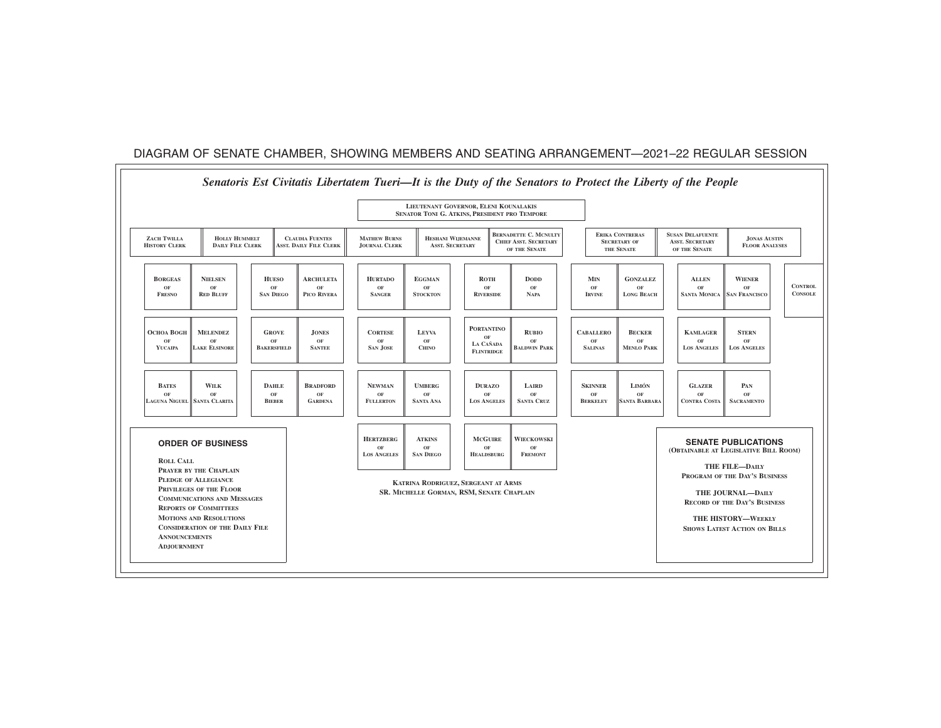# DIAGRAM OF SENATE CHAMBER, SHOWING MEMBERS AND SEATING ARRANGEMENT—2021–22 REGULAR SESSION

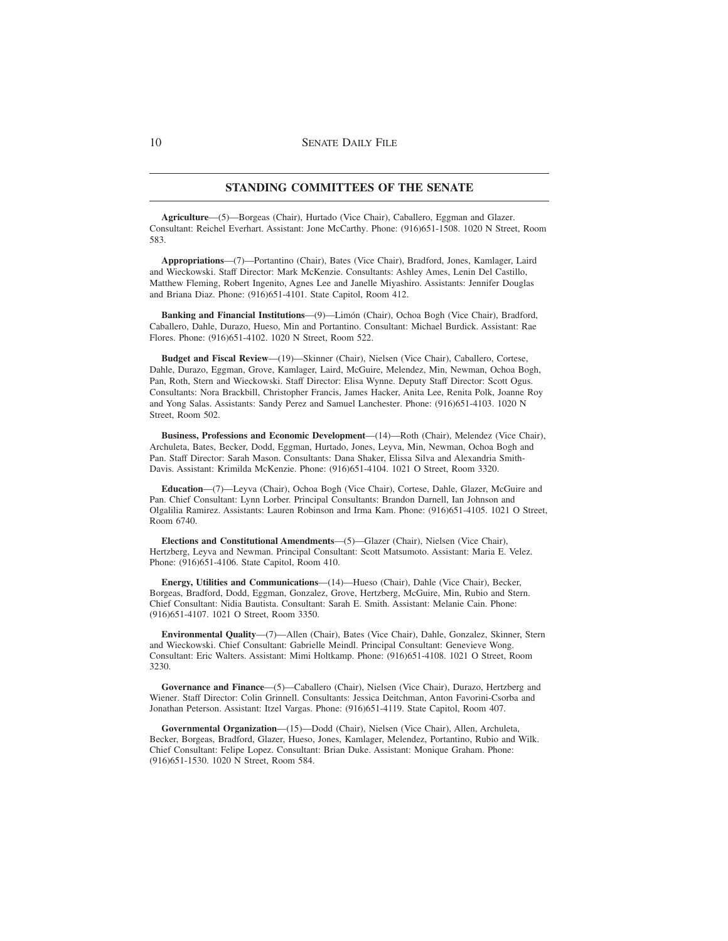### **STANDING COMMITTEES OF THE SENATE**

**Agriculture**—(5)—Borgeas (Chair), Hurtado (Vice Chair), Caballero, Eggman and Glazer. Consultant: Reichel Everhart. Assistant: Jone McCarthy. Phone: (916)651-1508. 1020 N Street, Room 583.

**Appropriations**—(7)—Portantino (Chair), Bates (Vice Chair), Bradford, Jones, Kamlager, Laird and Wieckowski. Staff Director: Mark McKenzie. Consultants: Ashley Ames, Lenin Del Castillo, Matthew Fleming, Robert Ingenito, Agnes Lee and Janelle Miyashiro. Assistants: Jennifer Douglas and Briana Diaz. Phone: (916)651-4101. State Capitol, Room 412.

**Banking and Financial Institutions**—(9)—Limón (Chair), Ochoa Bogh (Vice Chair), Bradford, Caballero, Dahle, Durazo, Hueso, Min and Portantino. Consultant: Michael Burdick. Assistant: Rae Flores. Phone: (916)651-4102. 1020 N Street, Room 522.

**Budget and Fiscal Review**—(19)—Skinner (Chair), Nielsen (Vice Chair), Caballero, Cortese, Dahle, Durazo, Eggman, Grove, Kamlager, Laird, McGuire, Melendez, Min, Newman, Ochoa Bogh, Pan, Roth, Stern and Wieckowski. Staff Director: Elisa Wynne. Deputy Staff Director: Scott Ogus. Consultants: Nora Brackbill, Christopher Francis, James Hacker, Anita Lee, Renita Polk, Joanne Roy and Yong Salas. Assistants: Sandy Perez and Samuel Lanchester. Phone: (916)651-4103. 1020 N Street, Room 502.

**Business, Professions and Economic Development**—(14)—Roth (Chair), Melendez (Vice Chair), Archuleta, Bates, Becker, Dodd, Eggman, Hurtado, Jones, Leyva, Min, Newman, Ochoa Bogh and Pan. Staff Director: Sarah Mason. Consultants: Dana Shaker, Elissa Silva and Alexandria Smith-Davis. Assistant: Krimilda McKenzie. Phone: (916)651-4104. 1021 O Street, Room 3320.

**Education**—(7)—Leyva (Chair), Ochoa Bogh (Vice Chair), Cortese, Dahle, Glazer, McGuire and Pan. Chief Consultant: Lynn Lorber. Principal Consultants: Brandon Darnell, Ian Johnson and Olgalilia Ramirez. Assistants: Lauren Robinson and Irma Kam. Phone: (916)651-4105. 1021 O Street, Room 6740.

**Elections and Constitutional Amendments**—(5)—Glazer (Chair), Nielsen (Vice Chair), Hertzberg, Leyva and Newman. Principal Consultant: Scott Matsumoto. Assistant: Maria E. Velez. Phone: (916)651-4106. State Capitol, Room 410.

**Energy, Utilities and Communications**—(14)—Hueso (Chair), Dahle (Vice Chair), Becker, Borgeas, Bradford, Dodd, Eggman, Gonzalez, Grove, Hertzberg, McGuire, Min, Rubio and Stern. Chief Consultant: Nidia Bautista. Consultant: Sarah E. Smith. Assistant: Melanie Cain. Phone: (916)651-4107. 1021 O Street, Room 3350.

**Environmental Quality**—(7)—Allen (Chair), Bates (Vice Chair), Dahle, Gonzalez, Skinner, Stern and Wieckowski. Chief Consultant: Gabrielle Meindl. Principal Consultant: Genevieve Wong. Consultant: Eric Walters. Assistant: Mimi Holtkamp. Phone: (916)651-4108. 1021 O Street, Room 3230.

**Governance and Finance**—(5)—Caballero (Chair), Nielsen (Vice Chair), Durazo, Hertzberg and Wiener. Staff Director: Colin Grinnell. Consultants: Jessica Deitchman, Anton Favorini-Csorba and Jonathan Peterson. Assistant: Itzel Vargas. Phone: (916)651-4119. State Capitol, Room 407.

**Governmental Organization**—(15)—Dodd (Chair), Nielsen (Vice Chair), Allen, Archuleta, Becker, Borgeas, Bradford, Glazer, Hueso, Jones, Kamlager, Melendez, Portantino, Rubio and Wilk. Chief Consultant: Felipe Lopez. Consultant: Brian Duke. Assistant: Monique Graham. Phone: (916)651-1530. 1020 N Street, Room 584.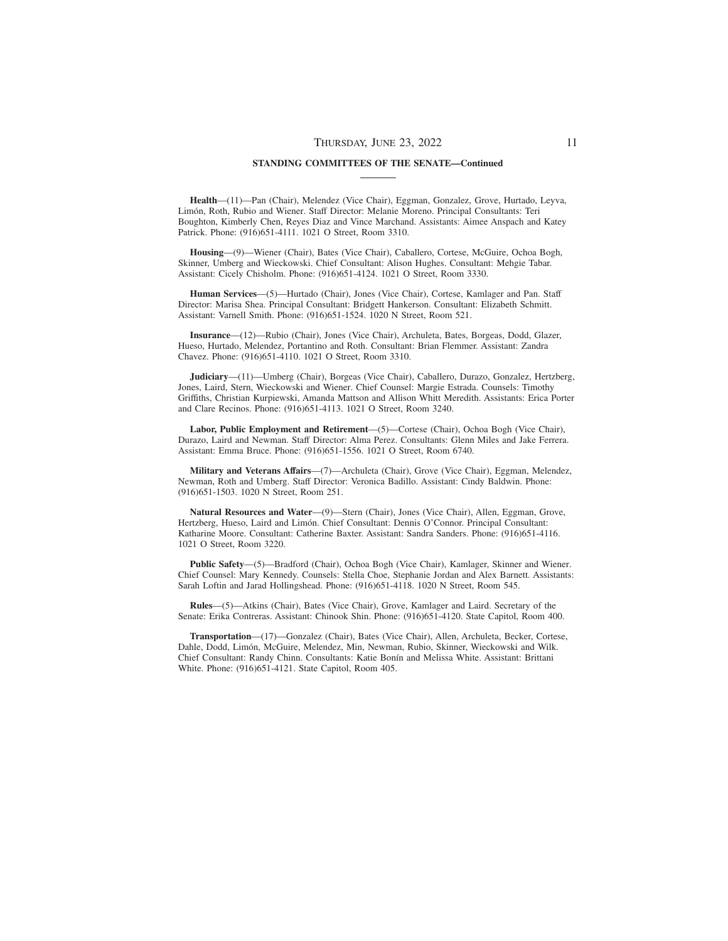### **STANDING COMMITTEES OF THE SENATE—Continued**

**Health**—(11)—Pan (Chair), Melendez (Vice Chair), Eggman, Gonzalez, Grove, Hurtado, Leyva, Limón, Roth, Rubio and Wiener. Staff Director: Melanie Moreno. Principal Consultants: Teri Boughton, Kimberly Chen, Reyes Diaz and Vince Marchand. Assistants: Aimee Anspach and Katey Patrick. Phone: (916)651-4111. 1021 O Street, Room 3310.

**Housing**—(9)—Wiener (Chair), Bates (Vice Chair), Caballero, Cortese, McGuire, Ochoa Bogh, Skinner, Umberg and Wieckowski. Chief Consultant: Alison Hughes. Consultant: Mehgie Tabar. Assistant: Cicely Chisholm. Phone: (916)651-4124. 1021 O Street, Room 3330.

**Human Services**—(5)—Hurtado (Chair), Jones (Vice Chair), Cortese, Kamlager and Pan. Staff Director: Marisa Shea. Principal Consultant: Bridgett Hankerson. Consultant: Elizabeth Schmitt. Assistant: Varnell Smith. Phone: (916)651-1524. 1020 N Street, Room 521.

**Insurance**—(12)—Rubio (Chair), Jones (Vice Chair), Archuleta, Bates, Borgeas, Dodd, Glazer, Hueso, Hurtado, Melendez, Portantino and Roth. Consultant: Brian Flemmer. Assistant: Zandra Chavez. Phone: (916)651-4110. 1021 O Street, Room 3310.

**Judiciary**—(11)—Umberg (Chair), Borgeas (Vice Chair), Caballero, Durazo, Gonzalez, Hertzberg, Jones, Laird, Stern, Wieckowski and Wiener. Chief Counsel: Margie Estrada. Counsels: Timothy Griffiths, Christian Kurpiewski, Amanda Mattson and Allison Whitt Meredith. Assistants: Erica Porter and Clare Recinos. Phone: (916)651-4113. 1021 O Street, Room 3240.

**Labor, Public Employment and Retirement**—(5)—Cortese (Chair), Ochoa Bogh (Vice Chair), Durazo, Laird and Newman. Staff Director: Alma Perez. Consultants: Glenn Miles and Jake Ferrera. Assistant: Emma Bruce. Phone: (916)651-1556. 1021 O Street, Room 6740.

**Military and Veterans Affairs**—(7)—Archuleta (Chair), Grove (Vice Chair), Eggman, Melendez, Newman, Roth and Umberg. Staff Director: Veronica Badillo. Assistant: Cindy Baldwin. Phone: (916)651-1503. 1020 N Street, Room 251.

**Natural Resources and Water**—(9)—Stern (Chair), Jones (Vice Chair), Allen, Eggman, Grove, Hertzberg, Hueso, Laird and Limón. Chief Consultant: Dennis O'Connor. Principal Consultant: Katharine Moore. Consultant: Catherine Baxter. Assistant: Sandra Sanders. Phone: (916)651-4116. 1021 O Street, Room 3220.

**Public Safety**—(5)—Bradford (Chair), Ochoa Bogh (Vice Chair), Kamlager, Skinner and Wiener. Chief Counsel: Mary Kennedy. Counsels: Stella Choe, Stephanie Jordan and Alex Barnett. Assistants: Sarah Loftin and Jarad Hollingshead. Phone: (916)651-4118. 1020 N Street, Room 545.

**Rules**—(5)—Atkins (Chair), Bates (Vice Chair), Grove, Kamlager and Laird. Secretary of the Senate: Erika Contreras. Assistant: Chinook Shin. Phone: (916)651-4120. State Capitol, Room 400.

**Transportation**—(17)—Gonzalez (Chair), Bates (Vice Chair), Allen, Archuleta, Becker, Cortese, Dahle, Dodd, Limón, McGuire, Melendez, Min, Newman, Rubio, Skinner, Wieckowski and Wilk. Chief Consultant: Randy Chinn. Consultants: Katie Bonín and Melissa White. Assistant: Brittani White. Phone: (916)651-4121. State Capitol, Room 405.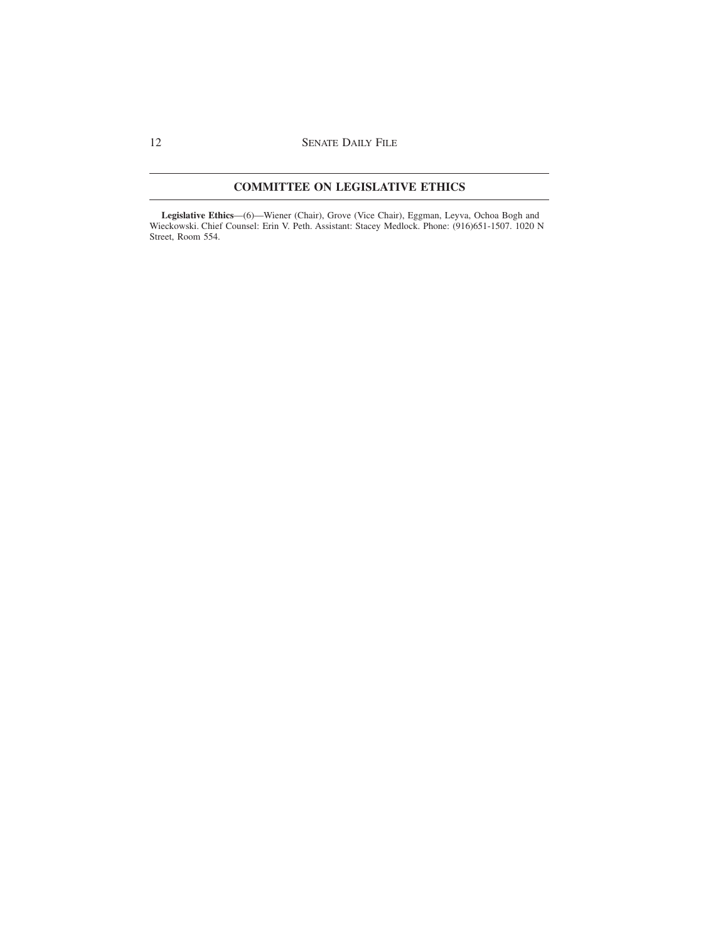## **COMMITTEE ON LEGISLATIVE ETHICS**

**Legislative Ethics**—(6)—Wiener (Chair), Grove (Vice Chair), Eggman, Leyva, Ochoa Bogh and Wieckowski. Chief Counsel: Erin V. Peth. Assistant: Stacey Medlock. Phone: (916)651-1507. 1020 N Street, Room 554.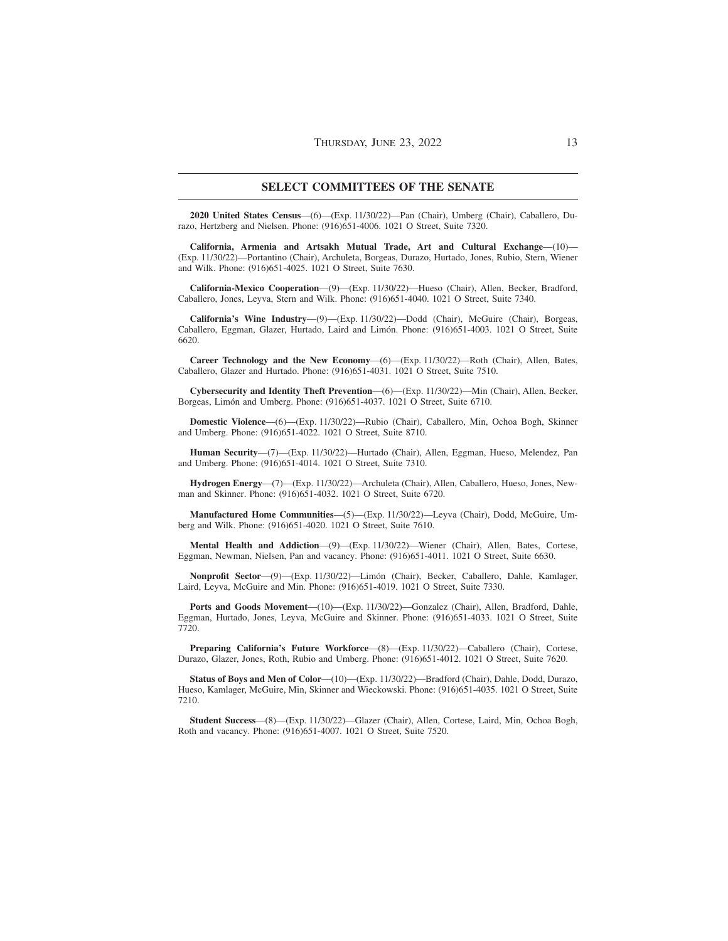### **SELECT COMMITTEES OF THE SENATE**

**2020 United States Census**—(6)—(Exp. 11/30/22)—Pan (Chair), Umberg (Chair), Caballero, Durazo, Hertzberg and Nielsen. Phone: (916)651-4006. 1021 O Street, Suite 7320.

**California, Armenia and Artsakh Mutual Trade, Art and Cultural Exchange**—(10)— (Exp. 11/30/22)—Portantino (Chair), Archuleta, Borgeas, Durazo, Hurtado, Jones, Rubio, Stern, Wiener and Wilk. Phone: (916)651-4025. 1021 O Street, Suite 7630.

**California-Mexico Cooperation**—(9)—(Exp. 11/30/22)—Hueso (Chair), Allen, Becker, Bradford, Caballero, Jones, Leyva, Stern and Wilk. Phone: (916)651-4040. 1021 O Street, Suite 7340.

**California's Wine Industry**—(9)—(Exp. 11/30/22)—Dodd (Chair), McGuire (Chair), Borgeas, Caballero, Eggman, Glazer, Hurtado, Laird and Limón. Phone: (916)651-4003. 1021 O Street, Suite 6620.

**Career Technology and the New Economy**—(6)—(Exp. 11/30/22)—Roth (Chair), Allen, Bates, Caballero, Glazer and Hurtado. Phone: (916)651-4031. 1021 O Street, Suite 7510.

**Cybersecurity and Identity Theft Prevention**—(6)—(Exp. 11/30/22)—Min (Chair), Allen, Becker, Borgeas, Limón and Umberg. Phone: (916)651-4037. 1021 O Street, Suite 6710.

**Domestic Violence**—(6)—(Exp. 11/30/22)—Rubio (Chair), Caballero, Min, Ochoa Bogh, Skinner and Umberg. Phone: (916)651-4022. 1021 O Street, Suite 8710.

**Human Security**—(7)—(Exp. 11/30/22)—Hurtado (Chair), Allen, Eggman, Hueso, Melendez, Pan and Umberg. Phone: (916)651-4014. 1021 O Street, Suite 7310.

**Hydrogen Energy**—(7)—(Exp. 11/30/22)—Archuleta (Chair), Allen, Caballero, Hueso, Jones, Newman and Skinner. Phone: (916)651-4032. 1021 O Street, Suite 6720.

**Manufactured Home Communities**—(5)—(Exp. 11/30/22)—Leyva (Chair), Dodd, McGuire, Umberg and Wilk. Phone: (916)651-4020. 1021 O Street, Suite 7610.

**Mental Health and Addiction**—(9)—(Exp. 11/30/22)—Wiener (Chair), Allen, Bates, Cortese, Eggman, Newman, Nielsen, Pan and vacancy. Phone: (916)651-4011. 1021 O Street, Suite 6630.

**Nonprofit Sector**—(9)—(Exp. 11/30/22)—Limón (Chair), Becker, Caballero, Dahle, Kamlager, Laird, Leyva, McGuire and Min. Phone: (916)651-4019. 1021 O Street, Suite 7330.

**Ports and Goods Movement**—(10)—(Exp. 11/30/22)—Gonzalez (Chair), Allen, Bradford, Dahle, Eggman, Hurtado, Jones, Leyva, McGuire and Skinner. Phone: (916)651-4033. 1021 O Street, Suite 7720.

**Preparing California's Future Workforce**—(8)—(Exp. 11/30/22)—Caballero (Chair), Cortese, Durazo, Glazer, Jones, Roth, Rubio and Umberg. Phone: (916)651-4012. 1021 O Street, Suite 7620.

**Status of Boys and Men of Color**—(10)—(Exp. 11/30/22)—Bradford (Chair), Dahle, Dodd, Durazo, Hueso, Kamlager, McGuire, Min, Skinner and Wieckowski. Phone: (916)651-4035. 1021 O Street, Suite 7210.

**Student Success**—(8)—(Exp. 11/30/22)—Glazer (Chair), Allen, Cortese, Laird, Min, Ochoa Bogh, Roth and vacancy. Phone: (916)651-4007. 1021 O Street, Suite 7520.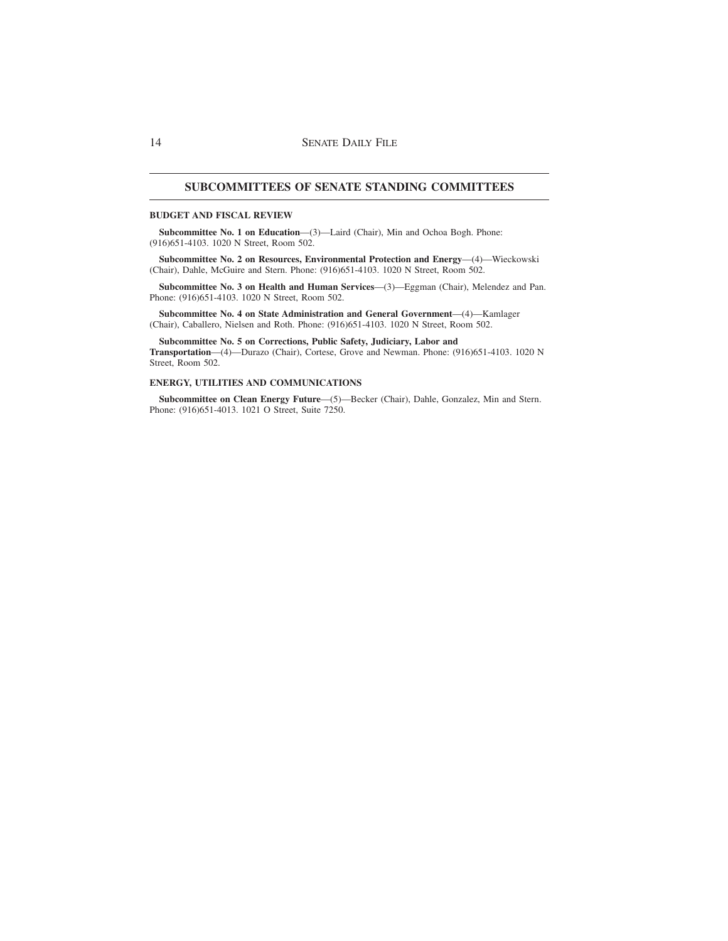### **SUBCOMMITTEES OF SENATE STANDING COMMITTEES**

### **BUDGET AND FISCAL REVIEW**

**Subcommittee No. 1 on Education**—(3)—Laird (Chair), Min and Ochoa Bogh. Phone: (916)651-4103. 1020 N Street, Room 502.

**Subcommittee No. 2 on Resources, Environmental Protection and Energy**—(4)—Wieckowski (Chair), Dahle, McGuire and Stern. Phone: (916)651-4103. 1020 N Street, Room 502.

**Subcommittee No. 3 on Health and Human Services**—(3)—Eggman (Chair), Melendez and Pan. Phone: (916)651-4103. 1020 N Street, Room 502.

**Subcommittee No. 4 on State Administration and General Government**—(4)—Kamlager (Chair), Caballero, Nielsen and Roth. Phone: (916)651-4103. 1020 N Street, Room 502.

**Subcommittee No. 5 on Corrections, Public Safety, Judiciary, Labor and Transportation**—(4)—Durazo (Chair), Cortese, Grove and Newman. Phone: (916)651-4103. 1020 N Street, Room 502.

#### **ENERGY, UTILITIES AND COMMUNICATIONS**

**Subcommittee on Clean Energy Future**—(5)—Becker (Chair), Dahle, Gonzalez, Min and Stern. Phone: (916)651-4013. 1021 O Street, Suite 7250.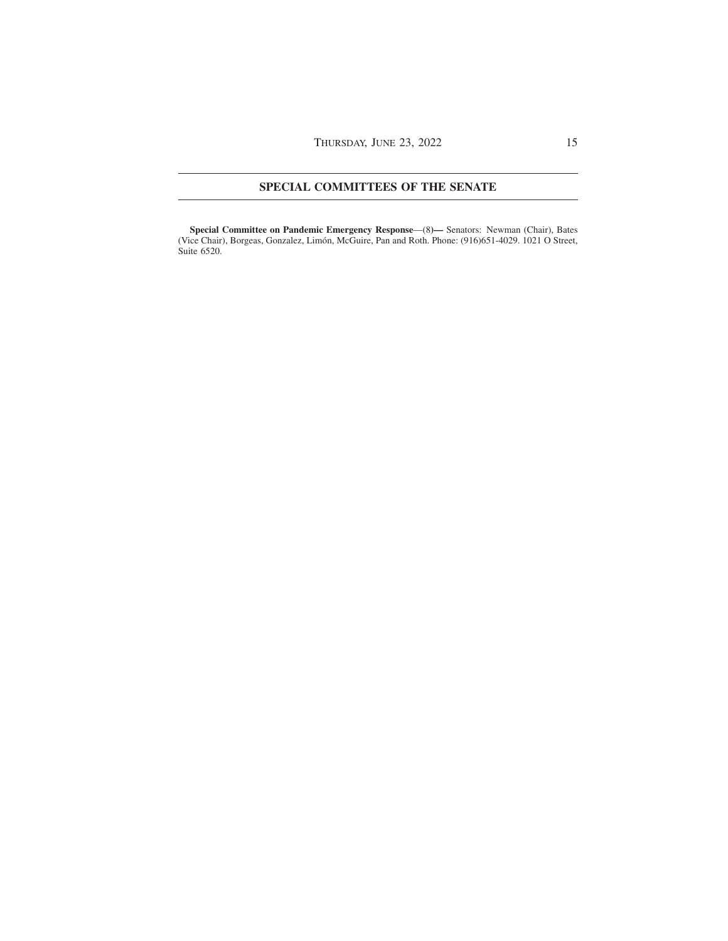## **SPECIAL COMMITTEES OF THE SENATE**

**Special Committee on Pandemic Emergency Response**—(8**)—** Senators: Newman (Chair), Bates (Vice Chair), Borgeas, Gonzalez, Limón, McGuire, Pan and Roth. Phone: (916)651-4029. 1021 O Street, Suite **6520**.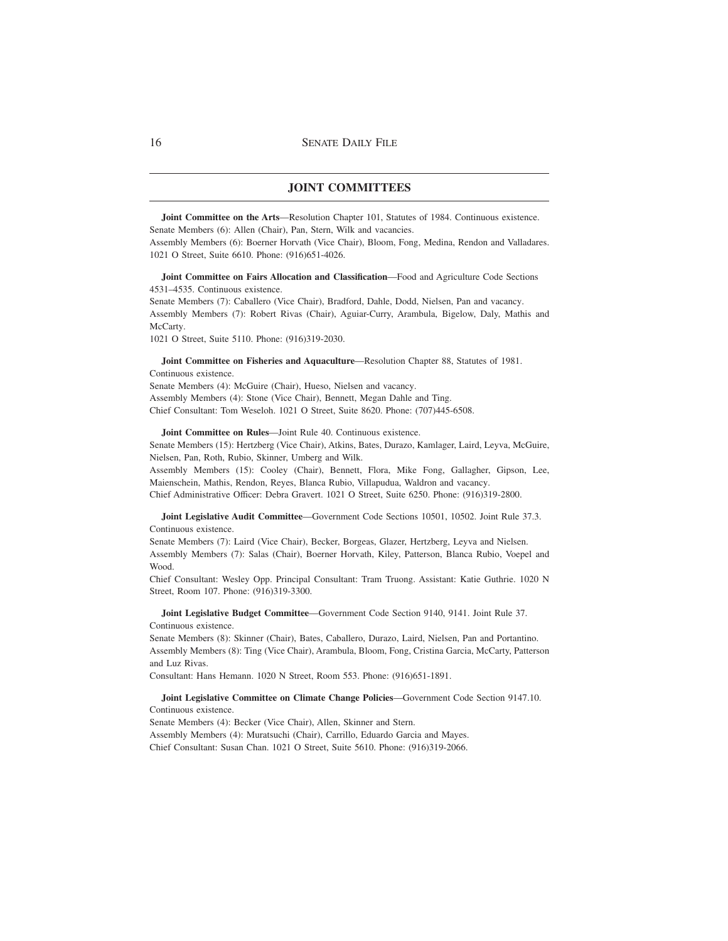## **JOINT COMMITTEES**

**Joint Committee on the Arts—Resolution Chapter 101, Statutes of 1984. Continuous existence.** Senate Members (6): Allen (Chair), Pan, Stern, Wilk and vacancies. Assembly Members (6): Boerner Horvath (Vice Chair), Bloom, Fong, Medina, Rendon and Valladares. 1021 O Street, Suite 6610. Phone: (916)651-4026.

**Joint Committee on Fairs Allocation and Classification**—Food and Agriculture Code Sections 4531–4535. Continuous existence.

Senate Members (7): Caballero (Vice Chair), Bradford, Dahle, Dodd, Nielsen, Pan and vacancy. Assembly Members (7): Robert Rivas (Chair), Aguiar-Curry, Arambula, Bigelow, Daly, Mathis and McCarty.

1021 O Street, Suite 5110. Phone: (916)319-2030.

**Joint Committee on Fisheries and Aquaculture—Resolution Chapter 88, Statutes of 1981.** Continuous existence.

Senate Members (4): McGuire (Chair), Hueso, Nielsen and vacancy. Assembly Members (4): Stone (Vice Chair), Bennett, Megan Dahle and Ting.

Chief Consultant: Tom Weseloh. 1021 O Street, Suite 8620. Phone: (707)445-6508.

**Joint Committee on Rules**—Joint Rule 40. Continuous existence.

Senate Members (15): Hertzberg (Vice Chair), Atkins, Bates, Durazo, Kamlager, Laird, Leyva, McGuire, Nielsen, Pan, Roth, Rubio, Skinner, Umberg and Wilk.

Assembly Members (15): Cooley (Chair), Bennett, Flora, Mike Fong, Gallagher, Gipson, Lee, Maienschein, Mathis, Rendon, Reyes, Blanca Rubio, Villapudua, Waldron and vacancy. Chief Administrative Officer: Debra Gravert. 1021 O Street, Suite 6250. Phone: (916)319-2800.

**Joint Legislative Audit Committee**—Government Code Sections 10501, 10502. Joint Rule 37.3. Continuous existence.

Senate Members (7): Laird (Vice Chair), Becker, Borgeas, Glazer, Hertzberg, Leyva and Nielsen. Assembly Members (7): Salas (Chair), Boerner Horvath, Kiley, Patterson, Blanca Rubio, Voepel and Wood.

Chief Consultant: Wesley Opp. Principal Consultant: Tram Truong. Assistant: Katie Guthrie. 1020 N Street, Room 107. Phone: (916)319-3300.

**Joint Legislative Budget Committee**—Government Code Section 9140, 9141. Joint Rule 37. Continuous existence.

Senate Members (8): Skinner (Chair), Bates, Caballero, Durazo, Laird, Nielsen, Pan and Portantino. Assembly Members (8): Ting (Vice Chair), Arambula, Bloom, Fong, Cristina Garcia, McCarty, Patterson and Luz Rivas.

Consultant: Hans Hemann. 1020 N Street, Room 553. Phone: (916)651-1891.

### **Joint Legislative Committee on Climate Change Policies**—Government Code Section 9147.10. Continuous existence.

Senate Members (4): Becker (Vice Chair), Allen, Skinner and Stern.

Assembly Members (4): Muratsuchi (Chair), Carrillo, Eduardo Garcia and Mayes.

Chief Consultant: Susan Chan. 1021 O Street, Suite 5610. Phone: (916)319-2066.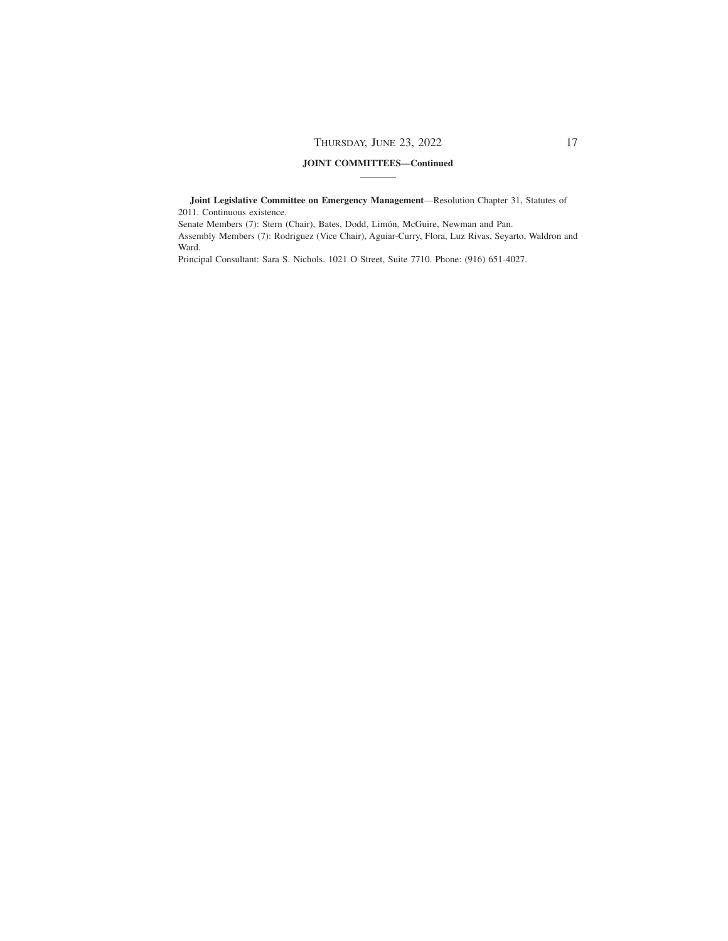### **JOINT COMMITTEES—Continued**

**Joint Legislative Committee on Emergency Management**—Resolution Chapter 31, Statutes of 2011. Continuous existence.

Senate Members (7): Stern (Chair), Bates, Dodd, Limón, McGuire, Newman and Pan.

Assembly Members (7): Rodriguez (Vice Chair), Aguiar-Curry, Flora, Luz Rivas, Seyarto, Waldron and Ward.

Principal Consultant: Sara S. Nichols. 1021 O Street, Suite 7710. Phone: (916) 651-4027.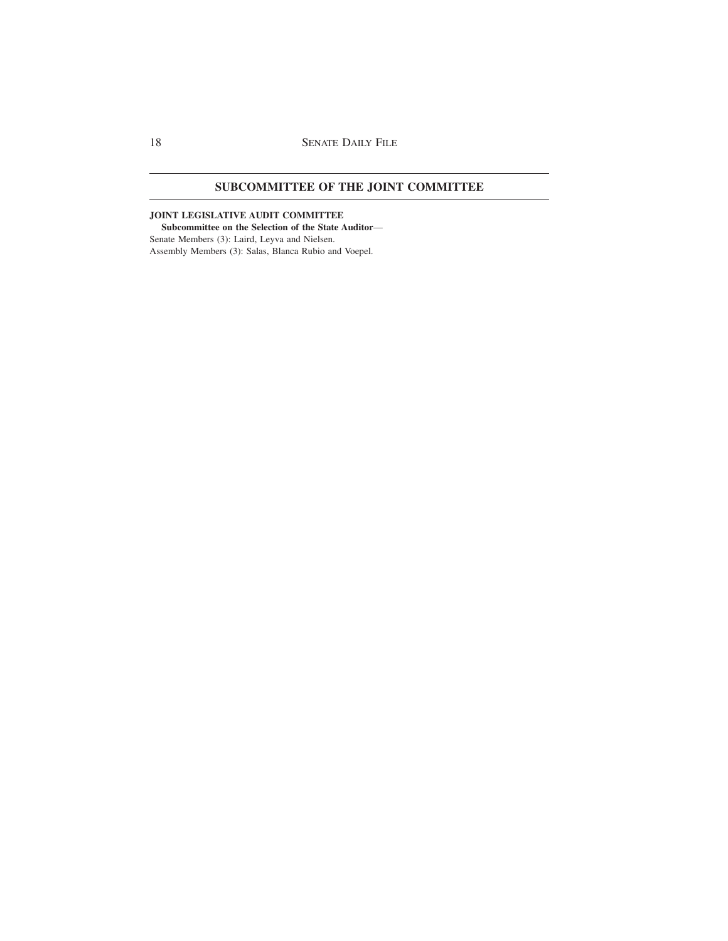# **SUBCOMMITTEE OF THE JOINT COMMITTEE**

## **JOINT LEGISLATIVE AUDIT COMMITTEE**

**Subcommittee on the Selection of the State Auditor**— Senate Members (3): Laird, Leyva and Nielsen. Assembly Members (3): Salas, Blanca Rubio and Voepel.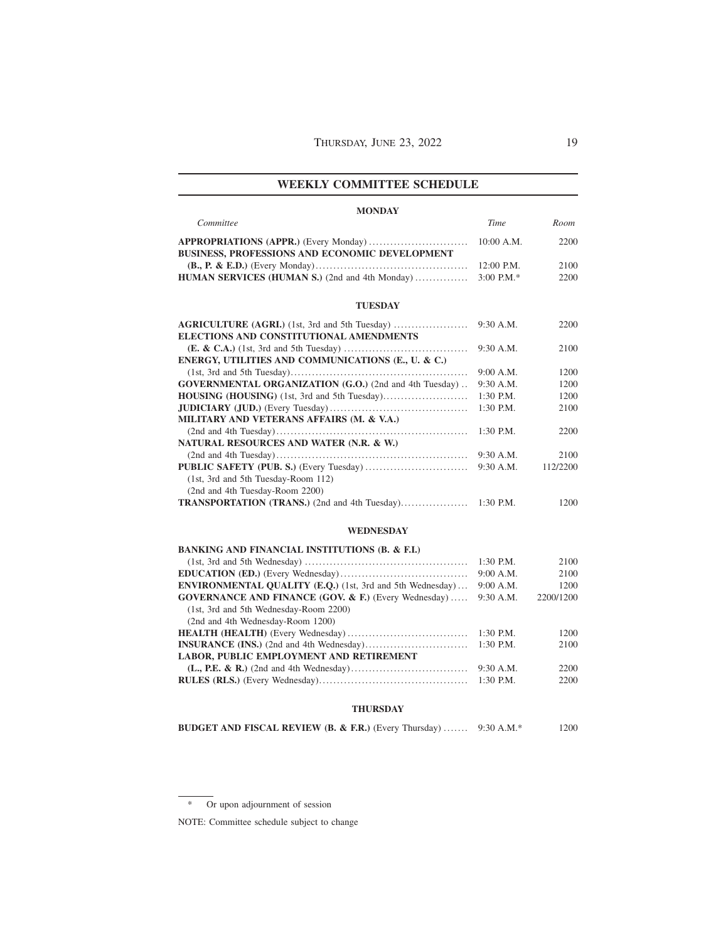## **WEEKLY COMMITTEE SCHEDULE**

### **MONDAY**

| Committee                                             | Time | Room |
|-------------------------------------------------------|------|------|
|                                                       |      | 2200 |
| <b>BUSINESS, PROFESSIONS AND ECONOMIC DEVELOPMENT</b> |      |      |
|                                                       |      | 2100 |
|                                                       |      | 2200 |

### **TUESDAY**

| <b>AGRICULTURE</b> ( <b>AGRI.</b> ) (1st, 3rd and 5th Tuesday) | $9:30$ A.M. | 2200     |
|----------------------------------------------------------------|-------------|----------|
| ELECTIONS AND CONSTITUTIONAL AMENDMENTS                        |             |          |
|                                                                | $9:30$ A.M. | 2100     |
| ENERGY, UTILITIES AND COMMUNICATIONS (E., U. & C.)             |             |          |
|                                                                | 9:00 A.M.   | 1200     |
| <b>GOVERNMENTAL ORGANIZATION (G.O.) (2nd and 4th Tuesday)</b>  | $9:30$ A.M. | 1200     |
|                                                                | $1:30$ P.M. | 1200     |
|                                                                | $1:30$ P.M. | 2100     |
| MILITARY AND VETERANS AFFAIRS (M. & V.A.)                      |             |          |
|                                                                | $1:30$ P.M. | 2200     |
| NATURAL RESOURCES AND WATER (N.R. & W.)                        |             |          |
|                                                                | $9:30$ A.M. | 2100     |
|                                                                | $9:30$ A.M. | 112/2200 |
| (1st, 3rd and 5th Tuesday-Room 112)                            |             |          |
| (2nd and 4th Tuesday-Room 2200)                                |             |          |
|                                                                |             | 1200     |

### **WEDNESDAY**

| <b>BANKING AND FINANCIAL INSTITUTIONS (B. &amp; F.I.)</b>        |             |           |
|------------------------------------------------------------------|-------------|-----------|
|                                                                  | $1:30$ P.M. | 2100      |
|                                                                  | 9:00 A.M.   | 2100      |
| <b>ENVIRONMENTAL QUALITY (E.Q.)</b> (1st, 3rd and 5th Wednesday) | 9:00 A.M.   | 1200      |
| <b>GOVERNANCE AND FINANCE (GOV. &amp; F.) (Every Wednesday)</b>  | 9:30 A.M.   | 2200/1200 |
| (1st, 3rd and 5th Wednesday-Room 2200)                           |             |           |
| (2nd and 4th Wednesday-Room 1200)                                |             |           |
|                                                                  |             | 1200      |
|                                                                  |             | 2100      |
| LABOR, PUBLIC EMPLOYMENT AND RETIREMENT                          |             |           |
|                                                                  |             | 2200      |
|                                                                  |             | 2200      |

### **THURSDAY**

**BUDGET AND FISCAL REVIEW (B. & F.R.)** (Every Thursday) ....... 9:30 A.M.\* 1200

\* Or upon adjournment of session

NOTE: Committee schedule subject to change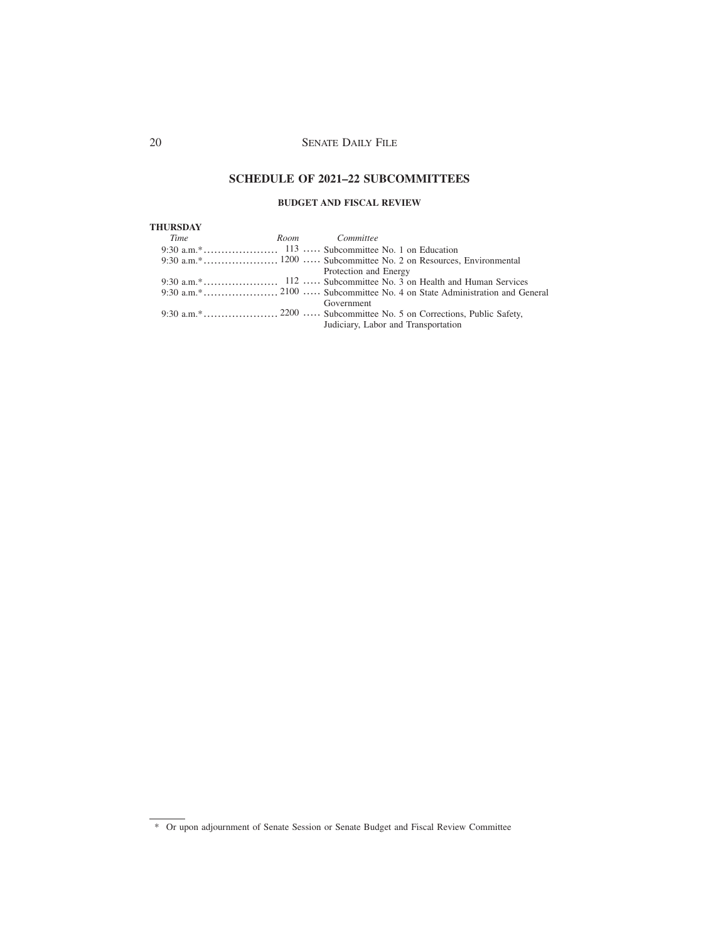# **SCHEDULE OF 2021–22 SUBCOMMITTEES**

## **BUDGET AND FISCAL REVIEW**

### **THURSDAY**

| <b>Time</b> | Room Committee                      |  |
|-------------|-------------------------------------|--|
|             |                                     |  |
|             |                                     |  |
|             | Protection and Energy               |  |
|             |                                     |  |
|             |                                     |  |
|             | Government                          |  |
|             |                                     |  |
|             | Judiciary, Labor and Transportation |  |
|             |                                     |  |

 <sup>\*</sup> Or upon adjournment of Senate Session or Senate Budget and Fiscal Review Committee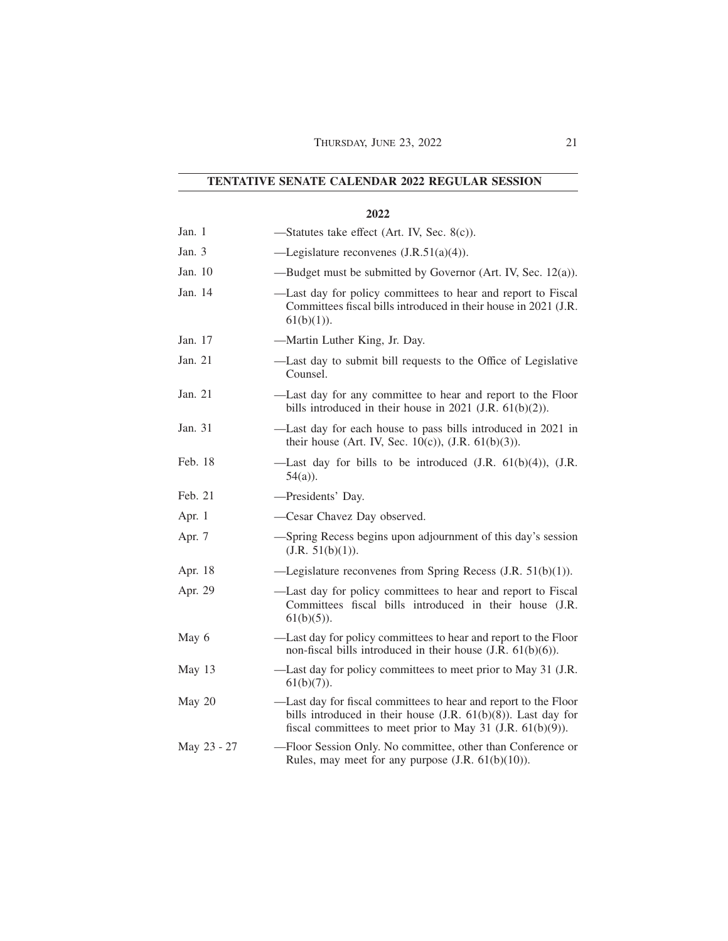## **TENTATIVE SENATE CALENDAR 2022 REGULAR SESSION**

# **2022** Jan. 1 -Statutes take effect (Art. IV, Sec. 8(c)). Jan. 3 —Legislature reconvenes (J.R.51(a)(4)). Jan. 10 —Budget must be submitted by Governor (Art. IV, Sec. 12(a)). Jan. 14 —Last day for policy committees to hear and report to Fiscal Committees fiscal bills introduced in their house in 2021 (J.R.  $61(b)(1)$ ). Jan. 17 — Martin Luther King, Jr. Day. Jan. 21 —Last day to submit bill requests to the Office of Legislative Counsel. Jan. 21 —Last day for any committee to hear and report to the Floor bills introduced in their house in 2021 (J.R. 61(b)(2)). Jan. 31 —Last day for each house to pass bills introduced in 2021 in their house (Art. IV, Sec.  $10(c)$ ), (J.R.  $61(b)(3)$ ). Feb. 18 – Last day for bills to be introduced  $(J.R. 61(b)(4))$ ,  $(J.R. 61(b)(4))$ 54(a)). Feb. 21 — Presidents' Day. Apr. 1 — Cesar Chavez Day observed. Apr. 7 -Spring Recess begins upon adjournment of this day's session  $(J.R. 51(b)(1)).$ Apr. 18 — Legislature reconvenes from Spring Recess (J.R. 51(b)(1)). Apr. 29 —Last day for policy committees to hear and report to Fiscal Committees fiscal bills introduced in their house (J.R.  $61(b)(5)$ ). May 6 — — Last day for policy committees to hear and report to the Floor non-fiscal bills introduced in their house (J.R. 61(b)(6)). May 13 —Last day for policy committees to meet prior to May 31 (J.R.  $61(b)(7)$ ). May 20 —Last day for fiscal committees to hear and report to the Floor bills introduced in their house (J.R. 61(b)(8)). Last day for fiscal committees to meet prior to May 31 (J.R. 61(b)(9)). May 23 - 27 — Floor Session Only. No committee, other than Conference or Rules, may meet for any purpose (J.R. 61(b)(10)).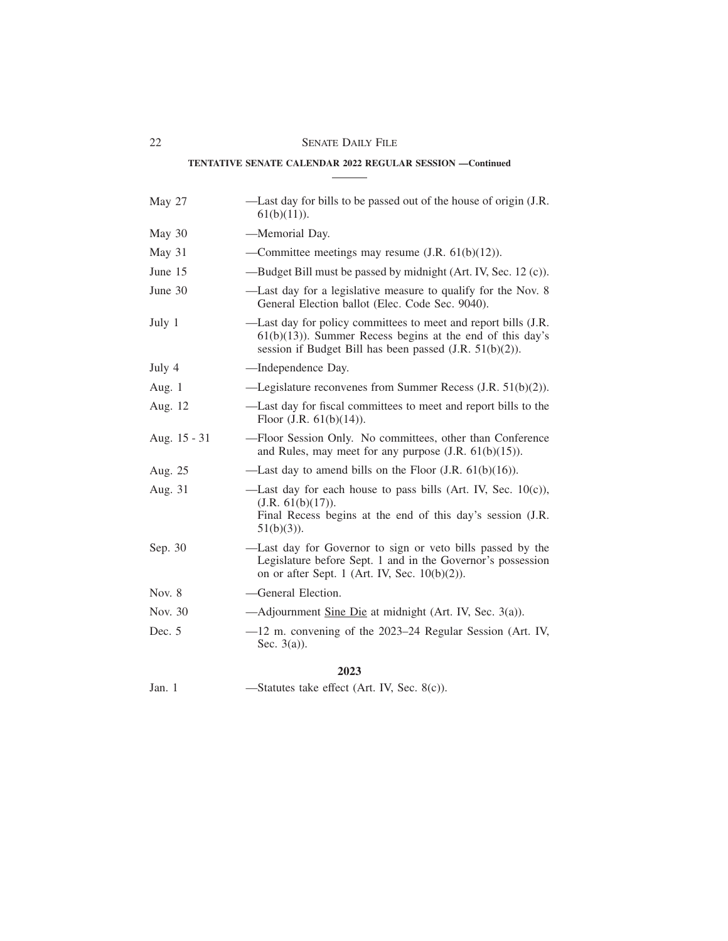# 22 **SENATE DAILY FILE**

## **TENTATIVE SENATE CALENDAR 2022 REGULAR SESSION —Continued**

| May 27       | —Last day for bills to be passed out of the house of origin (J.R.<br>$61(b)(11)$ ).                                                                                                          |
|--------------|----------------------------------------------------------------------------------------------------------------------------------------------------------------------------------------------|
| May $30$     | -Memorial Day.                                                                                                                                                                               |
| May 31       | —Committee meetings may resume $(J.R. 61(b)(12))$ .                                                                                                                                          |
| June 15      | —Budget Bill must be passed by midnight (Art. IV, Sec. 12 (c)).                                                                                                                              |
| June 30      | —Last day for a legislative measure to qualify for the Nov. 8<br>General Election ballot (Elec. Code Sec. 9040).                                                                             |
| July 1       | —Last day for policy committees to meet and report bills (J.R.<br>$61(b)(13)$ ). Summer Recess begins at the end of this day's<br>session if Budget Bill has been passed $(J.R. 51(b)(2))$ . |
| July 4       | —Independence Day.                                                                                                                                                                           |
| Aug. 1       | —Legislature reconvenes from Summer Recess $(J.R. 51(b)(2))$ .                                                                                                                               |
| Aug. 12      | -Last day for fiscal committees to meet and report bills to the<br>Floor (J.R. $61(b)(14)$ ).                                                                                                |
| Aug. 15 - 31 | -Floor Session Only. No committees, other than Conference<br>and Rules, may meet for any purpose $(J.R. 61(b)(15))$ .                                                                        |
| Aug. 25      | —Last day to amend bills on the Floor $(J.R. 61(b)(16))$ .                                                                                                                                   |
| Aug. 31      | —Last day for each house to pass bills (Art. IV, Sec. $10(c)$ ),<br>(J.R. 61(b)(17)).<br>Final Recess begins at the end of this day's session (J.R.<br>$51(b)(3)$ ).                         |
| Sep. 30      | —Last day for Governor to sign or veto bills passed by the<br>Legislature before Sept. 1 and in the Governor's possession<br>on or after Sept. 1 (Art. IV, Sec. $10(b)(2)$ ).                |
| Nov. 8       | -General Election.                                                                                                                                                                           |
| Nov. 30      | —Adjournment Sine Die at midnight (Art. IV, Sec. 3(a)).                                                                                                                                      |
| Dec. 5       | -12 m. convening of the 2023-24 Regular Session (Art. IV,<br>Sec. $3(a)$ ).                                                                                                                  |
|              | 2023                                                                                                                                                                                         |

Jan. 1 -Statutes take effect (Art. IV, Sec. 8(c)).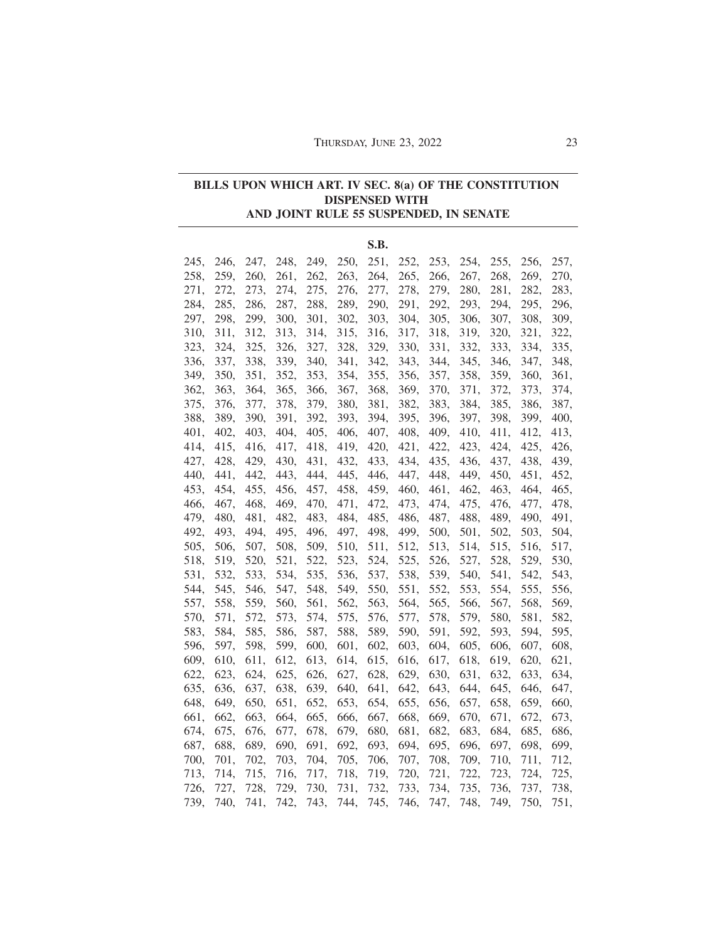# **BILLS UPON WHICH ART. IV SEC. 8(a) OF THE CONSTITUTION DISPENSED WITH AND JOINT RULE 55 SUSPENDED, IN SENATE**

|      |      |      |      |      |      | S.B. |      |      |      |      |      |      |
|------|------|------|------|------|------|------|------|------|------|------|------|------|
| 245. | 246, | 247, | 248, | 249, | 250. | 251, | 252, | 253, | 254, | 255, | 256, | 257, |
| 258. | 259. | 260, | 261, | 262, | 263. | 264, | 265, | 266, | 267, | 268, | 269, | 270, |
| 271, | 272, | 273, | 274, | 275, | 276, | 277, | 278, | 279, | 280, | 281, | 282, | 283, |
| 284, | 285, | 286, | 287, | 288, | 289, | 290, | 291, | 292, | 293, | 294, | 295, | 296, |
| 297, | 298, | 299, | 300, | 301, | 302, | 303, | 304, | 305, | 306, | 307, | 308, | 309, |
| 310, | 311, | 312, | 313, | 314, | 315, | 316, | 317, | 318, | 319, | 320, | 321, | 322, |
| 323, | 324, | 325, | 326, | 327, | 328, | 329, | 330, | 331, | 332, | 333, | 334, | 335, |
| 336, | 337, | 338, | 339, | 340, | 341, | 342, | 343, | 344, | 345, | 346, | 347, | 348, |
| 349, | 350, | 351, | 352, | 353, | 354, | 355, | 356, | 357, | 358, | 359, | 360, | 361, |
| 362, | 363, | 364, | 365, | 366, | 367, | 368, | 369, | 370, | 371, | 372, | 373, | 374, |
| 375, | 376, | 377, | 378, | 379, | 380, | 381, | 382, | 383, | 384, | 385, | 386, | 387, |
| 388, | 389, | 390, | 391, | 392, | 393, | 394, | 395, | 396, | 397, | 398, | 399, | 400, |
| 401, | 402, | 403, | 404, | 405, | 406, | 407, | 408, | 409, | 410, | 411, | 412, | 413, |
| 414, | 415, | 416, | 417, | 418, | 419, | 420, | 421, | 422, | 423, | 424, | 425, | 426, |
| 427, | 428, | 429, | 430, | 431, | 432, | 433, | 434, | 435, | 436, | 437, | 438, | 439, |
| 440, | 441, | 442, | 443, | 444, | 445, | 446, | 447, | 448, | 449, | 450, | 451, | 452, |
| 453, | 454, | 455, | 456, | 457, | 458, | 459, | 460, | 461, | 462, | 463, | 464, | 465, |
| 466, | 467, | 468, | 469, | 470, | 471, | 472, | 473, | 474, | 475, | 476, | 477, | 478, |
| 479, | 480, | 481, | 482, | 483, | 484, | 485, | 486, | 487, | 488, | 489, | 490, | 491, |
| 492, | 493, | 494, | 495, | 496, | 497, | 498, | 499, | 500, | 501, | 502, | 503, | 504, |
| 505, | 506, | 507, | 508, | 509, | 510, | 511, | 512, | 513, | 514, | 515, | 516, | 517, |
| 518, | 519, | 520, | 521, | 522, | 523, | 524, | 525, | 526, | 527, | 528, | 529, | 530, |
| 531, | 532, | 533, | 534, | 535, | 536, | 537, | 538, | 539, | 540, | 541, | 542, | 543, |
| 544, | 545, | 546, | 547, | 548, | 549, | 550, | 551, | 552, | 553, | 554, | 555, | 556, |
| 557, | 558, | 559, | 560, | 561, | 562, | 563, | 564, | 565, | 566, | 567, | 568, | 569, |
| 570, | 571, | 572, | 573, | 574, | 575, | 576, | 577, | 578, | 579, | 580, | 581, | 582, |
| 583, | 584, | 585, | 586, | 587, | 588, | 589, | 590, | 591, | 592, | 593, | 594, | 595, |
| 596, | 597, | 598, | 599, | 600, | 601, | 602, | 603, | 604, | 605, | 606, | 607, | 608, |
| 609, | 610, | 611, | 612, | 613, | 614, | 615, | 616, | 617, | 618, | 619, | 620, | 621, |
| 622, | 623, | 624, | 625, | 626, | 627, | 628, | 629, | 630, | 631, | 632, | 633, | 634, |
| 635, | 636, | 637, | 638, | 639, | 640, | 641, | 642, | 643, | 644, | 645, | 646, | 647, |
| 648, | 649, | 650, | 651, | 652, | 653, | 654, | 655, | 656, | 657, | 658, | 659, | 660, |
| 661, | 662, | 663, | 664, | 665, | 666, | 667, | 668, | 669, | 670, | 671, | 672, | 673, |
| 674, | 675, | 676, | 677, | 678, | 679, | 680, | 681, | 682, | 683, | 684, | 685, | 686, |
| 687, | 688, | 689, | 690, | 691, | 692, | 693, | 694, | 695, | 696, | 697, | 698, | 699, |
| 700, | 701, | 702, | 703, | 704, | 705, | 706, | 707, | 708, | 709, | 710, | 711, | 712, |
| 713, | 714, | 715, | 716, | 717, | 718, | 719, | 720, | 721, | 722, | 723, | 724, | 725, |
| 726, | 727, | 728, | 729, | 730, | 731, | 732, | 733, | 734, | 735, | 736, | 737, | 738, |
| 739, | 740, | 741, | 742, | 743, | 744, | 745, | 746, | 747, | 748, | 749, | 750, | 751, |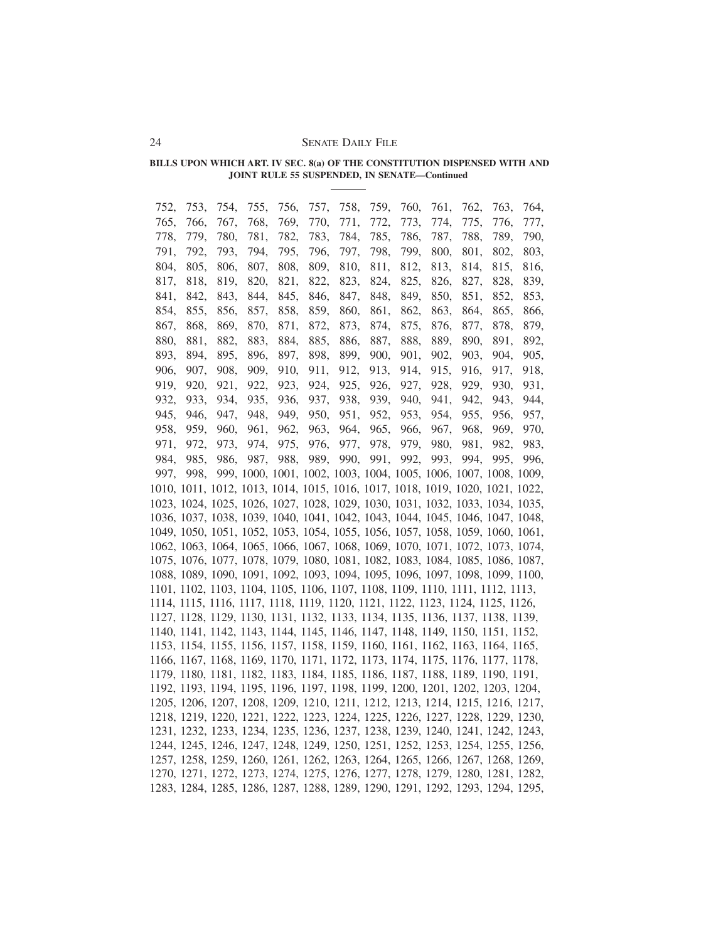## 24 SENATE DAILY FILE

## **BILLS UPON WHICH ART. IV SEC. 8(a) OF THE CONSTITUTION DISPENSED WITH AND JOINT RULE 55 SUSPENDED, IN SENATE—Continued**

| 752. | 753, | 754, | 755, | 756, | 757,                                                                                                                                                           | 758, | 759, | 760, | 761, | 762, | 763, | 764. |
|------|------|------|------|------|----------------------------------------------------------------------------------------------------------------------------------------------------------------|------|------|------|------|------|------|------|
| 765, | 766, | 767, | 768, | 769, | 770,                                                                                                                                                           | 771, | 772, | 773, | 774, | 775, | 776, | 777, |
| 778, | 779, | 780, | 781, | 782, | 783,                                                                                                                                                           | 784, | 785, | 786, | 787, | 788, | 789, | 790, |
| 791, | 792, | 793, | 794, | 795, | 796,                                                                                                                                                           | 797, | 798, | 799, | 800, | 801, | 802, | 803, |
| 804, | 805, | 806, | 807, | 808, | 809,                                                                                                                                                           | 810, | 811, | 812, | 813, | 814, | 815, | 816, |
| 817, | 818, | 819, | 820, | 821, | 822,                                                                                                                                                           | 823, | 824, | 825, | 826, | 827, | 828, | 839, |
| 841. | 842, | 843, | 844, | 845, | 846,                                                                                                                                                           | 847, | 848, | 849, | 850, | 851, | 852, | 853. |
| 854, | 855, | 856, | 857, | 858, | 859,                                                                                                                                                           | 860, | 861, | 862, | 863, | 864, | 865, | 866, |
| 867, | 868, | 869, | 870, | 871, | 872,                                                                                                                                                           | 873, | 874. | 875, | 876. | 877, | 878, | 879. |
| 880, | 881, | 882, | 883, | 884, | 885,                                                                                                                                                           | 886, | 887, | 888. | 889, | 890, | 891, | 892, |
| 893. | 894, | 895, | 896, | 897, | 898,                                                                                                                                                           | 899, | 900, | 901, | 902, | 903, | 904. | 905, |
| 906, | 907, | 908, | 909, | 910, | 911,                                                                                                                                                           | 912, | 913, | 914, | 915, | 916, | 917, | 918, |
| 919, | 920, | 921, | 922, | 923, | 924,                                                                                                                                                           | 925, | 926, | 927, | 928, | 929, | 930. | 931, |
| 932, | 933, | 934, | 935, | 936, | 937,                                                                                                                                                           | 938, | 939, | 940, | 941. | 942, | 943, | 944, |
| 945, | 946, | 947, | 948, | 949, | 950,                                                                                                                                                           | 951, | 952, | 953, | 954, | 955, | 956, | 957, |
| 958, | 959, | 960, | 961, | 962, | 963,                                                                                                                                                           | 964, | 965, | 966, | 967, | 968, | 969, | 970, |
| 971, | 972, | 973, | 974, | 975, | 976,                                                                                                                                                           | 977, | 978, | 979, | 980, | 981, | 982, | 983, |
| 984, | 985, | 986, | 987, | 988, | 989,                                                                                                                                                           | 990, | 991, | 992, | 993, | 994, | 995, | 996, |
| 997. | 998. |      |      |      | 999, 1000, 1001, 1002, 1003, 1004, 1005, 1006, 1007, 1008, 1009,                                                                                               |      |      |      |      |      |      |      |
|      |      |      |      |      | 1010, 1011, 1012, 1013, 1014, 1015, 1016, 1017, 1018, 1019, 1020, 1021, 1022,                                                                                  |      |      |      |      |      |      |      |
|      |      |      |      |      | 1023, 1024, 1025, 1026, 1027, 1028, 1029, 1030, 1031, 1032, 1033, 1034, 1035,                                                                                  |      |      |      |      |      |      |      |
|      |      |      |      |      | 1036, 1037, 1038, 1039, 1040, 1041, 1042, 1043, 1044, 1045, 1046, 1047, 1048,                                                                                  |      |      |      |      |      |      |      |
|      |      |      |      |      | 1049, 1050, 1051, 1052, 1053, 1054, 1055, 1056, 1057, 1058, 1059, 1060, 1061,                                                                                  |      |      |      |      |      |      |      |
|      |      |      |      |      | 1062, 1063, 1064, 1065, 1066, 1067, 1068, 1069, 1070, 1071, 1072, 1073, 1074,                                                                                  |      |      |      |      |      |      |      |
|      |      |      |      |      | 1075, 1076, 1077, 1078, 1079, 1080, 1081, 1082, 1083, 1084, 1085, 1086, 1087,                                                                                  |      |      |      |      |      |      |      |
|      |      |      |      |      | 1088, 1089, 1090, 1091, 1092, 1093, 1094, 1095, 1096, 1097, 1098, 1099, 1100,                                                                                  |      |      |      |      |      |      |      |
|      |      |      |      |      | 1101, 1102, 1103, 1104, 1105, 1106, 1107, 1108, 1109, 1110, 1111, 1112, 1113,                                                                                  |      |      |      |      |      |      |      |
|      |      |      |      |      | 1114, 1115, 1116, 1117, 1118, 1119, 1120, 1121, 1122, 1123, 1124, 1125, 1126,                                                                                  |      |      |      |      |      |      |      |
|      |      |      |      |      | 1127, 1128, 1129, 1130, 1131, 1132, 1133, 1134, 1135, 1136, 1137, 1138, 1139,                                                                                  |      |      |      |      |      |      |      |
|      |      |      |      |      | 1140, 1141, 1142, 1143, 1144, 1145, 1146, 1147, 1148, 1149, 1150, 1151, 1152,<br>1153, 1154, 1155, 1156, 1157, 1158, 1159, 1160, 1161, 1162, 1163, 1164, 1165, |      |      |      |      |      |      |      |
|      |      |      |      |      | 1166, 1167, 1168, 1169, 1170, 1171, 1172, 1173, 1174, 1175, 1176, 1177, 1178,                                                                                  |      |      |      |      |      |      |      |
|      |      |      |      |      | 1179, 1180, 1181, 1182, 1183, 1184, 1185, 1186, 1187, 1188, 1189, 1190, 1191,                                                                                  |      |      |      |      |      |      |      |
|      |      |      |      |      | 1192, 1193, 1194, 1195, 1196, 1197, 1198, 1199, 1200, 1201, 1202, 1203, 1204,                                                                                  |      |      |      |      |      |      |      |
|      |      |      |      |      | 1205, 1206, 1207, 1208, 1209, 1210, 1211, 1212, 1213, 1214, 1215, 1216, 1217,                                                                                  |      |      |      |      |      |      |      |
|      |      |      |      |      | 1218, 1219, 1220, 1221, 1222, 1223, 1224, 1225, 1226, 1227, 1228, 1229, 1230,                                                                                  |      |      |      |      |      |      |      |
|      |      |      |      |      | 1231, 1232, 1233, 1234, 1235, 1236, 1237, 1238, 1239, 1240, 1241, 1242, 1243,                                                                                  |      |      |      |      |      |      |      |
|      |      |      |      |      | 1244, 1245, 1246, 1247, 1248, 1249, 1250, 1251, 1252, 1253, 1254, 1255, 1256,                                                                                  |      |      |      |      |      |      |      |
|      |      |      |      |      | 1257, 1258, 1259, 1260, 1261, 1262, 1263, 1264, 1265, 1266, 1267, 1268, 1269,                                                                                  |      |      |      |      |      |      |      |
|      |      |      |      |      | 1270, 1271, 1272, 1273, 1274, 1275, 1276, 1277, 1278, 1279, 1280, 1281, 1282,                                                                                  |      |      |      |      |      |      |      |
|      |      |      |      |      | 1283, 1284, 1285, 1286, 1287, 1288, 1289, 1290, 1291, 1292, 1293, 1294, 1295,                                                                                  |      |      |      |      |      |      |      |
|      |      |      |      |      |                                                                                                                                                                |      |      |      |      |      |      |      |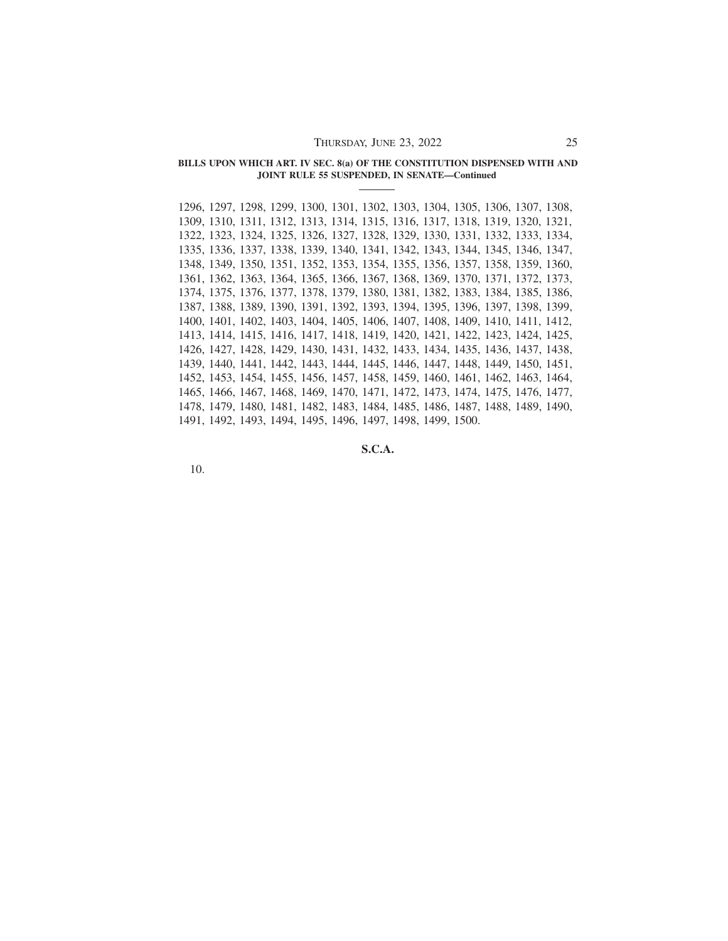#### THURSDAY, JUNE 23, 2022 25

### **BILLS UPON WHICH ART. IV SEC. 8(a) OF THE CONSTITUTION DISPENSED WITH AND JOINT RULE 55 SUSPENDED, IN SENATE—Continued**

1296, 1297, 1298, 1299, 1300, 1301, 1302, 1303, 1304, 1305, 1306, 1307, 1308, 1309, 1310, 1311, 1312, 1313, 1314, 1315, 1316, 1317, 1318, 1319, 1320, 1321, 1322, 1323, 1324, 1325, 1326, 1327, 1328, 1329, 1330, 1331, 1332, 1333, 1334, 1335, 1336, 1337, 1338, 1339, 1340, 1341, 1342, 1343, 1344, 1345, 1346, 1347, 1348, 1349, 1350, 1351, 1352, 1353, 1354, 1355, 1356, 1357, 1358, 1359, 1360, 1361, 1362, 1363, 1364, 1365, 1366, 1367, 1368, 1369, 1370, 1371, 1372, 1373, 1374, 1375, 1376, 1377, 1378, 1379, 1380, 1381, 1382, 1383, 1384, 1385, 1386, 1387, 1388, 1389, 1390, 1391, 1392, 1393, 1394, 1395, 1396, 1397, 1398, 1399, 1400, 1401, 1402, 1403, 1404, 1405, 1406, 1407, 1408, 1409, 1410, 1411, 1412, 1413, 1414, 1415, 1416, 1417, 1418, 1419, 1420, 1421, 1422, 1423, 1424, 1425, 1426, 1427, 1428, 1429, 1430, 1431, 1432, 1433, 1434, 1435, 1436, 1437, 1438, 1439, 1440, 1441, 1442, 1443, 1444, 1445, 1446, 1447, 1448, 1449, 1450, 1451, 1452, 1453, 1454, 1455, 1456, 1457, 1458, 1459, 1460, 1461, 1462, 1463, 1464, 1465, 1466, 1467, 1468, 1469, 1470, 1471, 1472, 1473, 1474, 1475, 1476, 1477, 1478, 1479, 1480, 1481, 1482, 1483, 1484, 1485, 1486, 1487, 1488, 1489, 1490, 1491, 1492, 1493, 1494, 1495, 1496, 1497, 1498, 1499, 1500.

**S.C.A.**

10.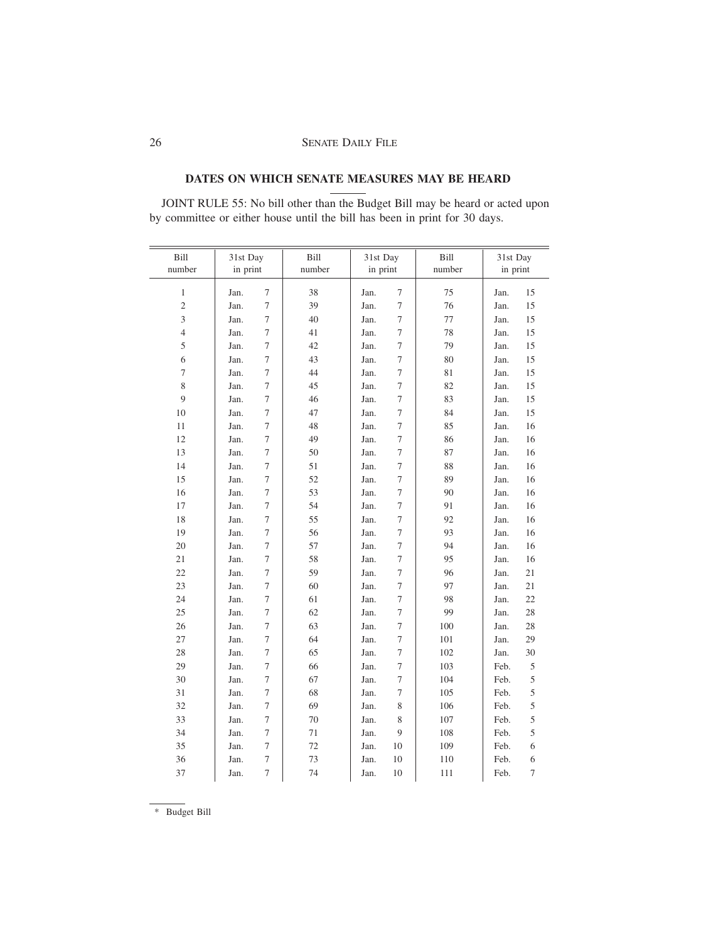# **DATES ON WHICH SENATE MEASURES MAY BE HEARD**

JOINT RULE 55: No bill other than the Budget Bill may be heard or acted upon by committee or either house until the bill has been in print for 30 days.

| Bill<br>number   | 31st Day<br>in print |                  | Bill<br>number | 31st Day<br>in print |                  | Bill<br>number | 31st Day<br>in print |                |
|------------------|----------------------|------------------|----------------|----------------------|------------------|----------------|----------------------|----------------|
|                  |                      |                  |                |                      |                  |                |                      |                |
| $\mathbf{1}$     | Jan.                 | 7                | 38             | Jan.                 | 7                | 75             | Jan.                 | 15             |
| $\overline{c}$   | Jan.                 | $\sqrt{ }$       | 39             | Jan.                 | $\boldsymbol{7}$ | 76             | Jan.                 | 15             |
| 3                | Jan.                 | $\tau$           | 40             | Jan.                 | 7                | 77             | Jan.                 | 15             |
| $\overline{4}$   | Jan.                 | $\tau$           | 41             | Jan.                 | 7                | 78             | Jan.                 | 15             |
| 5                | Jan.                 | 7                | 42             | Jan.                 | 7                | 79             | Jan.                 | 15             |
| 6                | Jan.                 | 7                | 43             | Jan.                 | 7                | 80             | Jan.                 | 15             |
| $\boldsymbol{7}$ | Jan.                 | $\overline{7}$   | 44             | Jan.                 | $\overline{7}$   | 81             | Jan.                 | 15             |
| 8                | Jan.                 | $\boldsymbol{7}$ | 45             | Jan.                 | $\tau$           | 82             | Jan.                 | 15             |
| 9                | Jan.                 | $\overline{7}$   | 46             | Jan.                 | 7                | 83             | Jan.                 | 15             |
| 10               | Jan.                 | $\tau$           | 47             | Jan.                 | 7                | 84             | Jan.                 | 15             |
| 11               | Jan.                 | $\boldsymbol{7}$ | 48             | Jan.                 | 7                | 85             | Jan.                 | 16             |
| 12               | Jan.                 | $\tau$           | 49             | Jan.                 | 7                | 86             | Jan.                 | 16             |
| 13               | Jan.                 | $\tau$           | 50             | Jan.                 | 7                | 87             | Jan.                 | 16             |
| 14               | Jan.                 | $\tau$           | 51             | Jan.                 | 7                | 88             | Jan.                 | 16             |
| 15               | Jan.                 | $\boldsymbol{7}$ | 52             | Jan.                 | $\tau$           | 89             | Jan.                 | 16             |
| 16               | Jan.                 | $\boldsymbol{7}$ | 53             | Jan.                 | 7                | 90             | Jan.                 | 16             |
| 17               | Jan.                 | $\sqrt{ }$       | 54             | Jan.                 | 7                | 91             | Jan.                 | 16             |
| 18               | Jan.                 | 7                | 55             | Jan.                 | 7                | 92             | Jan.                 | 16             |
| 19               | Jan.                 | $\overline{7}$   | 56             | Jan.                 | 7                | 93             | Jan.                 | 16             |
| 20               | Jan.                 | 7                | 57             | Jan.                 | 7                | 94             | Jan.                 | 16             |
| 21               | Jan.                 | 7                | 58             | Jan.                 | 7                | 95             | Jan.                 | 16             |
| 22               | Jan.                 | $\overline{7}$   | 59             | Jan.                 | $\overline{7}$   | 96             | Jan.                 | 21             |
| 23               | Jan.                 | $\overline{7}$   | 60             | Jan.                 | $\overline{7}$   | 97             | Jan.                 | 21             |
| 24               | Jan.                 | $\boldsymbol{7}$ | 61             | Jan.                 | 7                | 98             | Jan.                 | 22             |
| 25               | Jan.                 | $\tau$           | 62             | Jan.                 | 7                | 99             | Jan.                 | 28             |
| 26               | Jan.                 | $\tau$           | 63             | Jan.                 | 7                | 100            | Jan.                 | 28             |
| 27               | Jan.                 | $\tau$           | 64             | Jan.                 | 7                | 101            | Jan.                 | 29             |
| 28               | Jan.                 | $\tau$           | 65             | Jan.                 | $\tau$           | 102            | Jan.                 | 30             |
| 29               | Jan.                 | $\overline{7}$   | 66             | Jan.                 | 7                | 103            | Feb.                 | 5              |
| 30               | Jan.                 | $\boldsymbol{7}$ | 67             | Jan.                 | $\overline{7}$   | 104            | Feb.                 | 5              |
| 31               | Jan.                 | $\overline{7}$   | 68             | Jan.                 | 7                | 105            | Feb.                 | 5              |
| 32               | Jan.                 | $\sqrt{ }$       | 69             | Jan.                 | 8                | 106            | Feb.                 | 5              |
| 33               | Jan.                 | $\tau$           | 70             | Jan.                 | 8                | 107            | Feb.                 | 5              |
| 34               | Jan.                 | $\overline{7}$   | 71             | Jan.                 | 9                | 108            | Feb.                 | 5              |
| 35               | Jan.                 | 7                | 72             | Jan.                 | 10               | 109            | Feb.                 | 6              |
| 36               | Jan.                 | $\sqrt{ }$       | 73             | Jan.                 | 10               | 110            | Feb.                 | 6              |
| 37               | Jan.                 | $\overline{7}$   | 74             | Jan.                 | 10               | 111            | Feb.                 | $\overline{7}$ |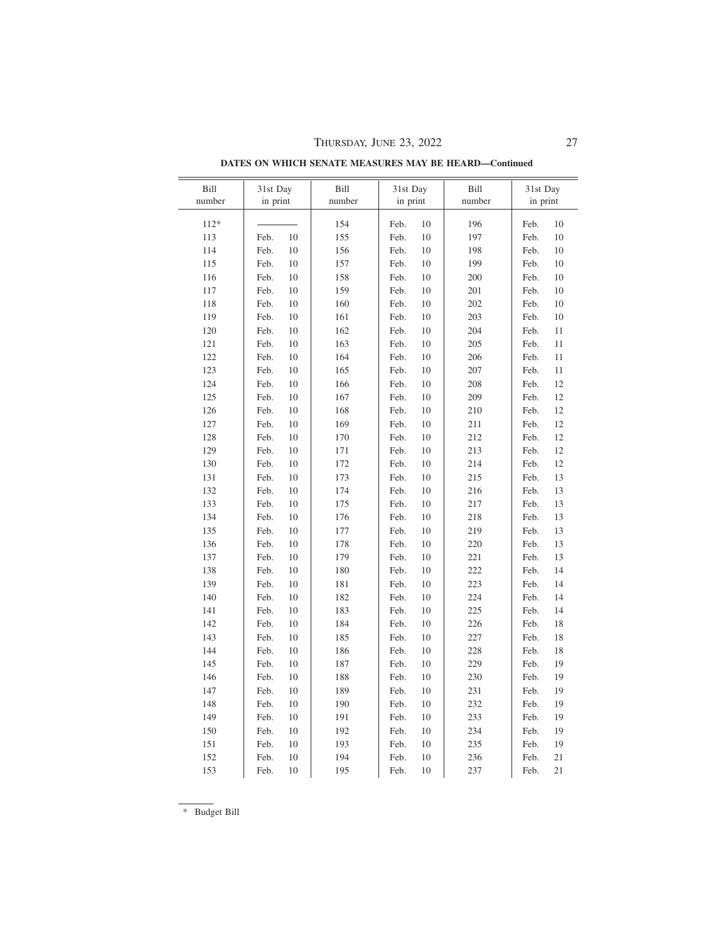# **DATES ON WHICH SENATE MEASURES MAY BE HEARD—Continued**

| Bill   | 31st Day   | Bill   | 31st Day   | Bill   | 31st Day   |
|--------|------------|--------|------------|--------|------------|
| number | in print   | number | in print   | number | in print   |
| 112*   |            | 154    | 10<br>Feb. | 196    | Feb.<br>10 |
| 113    | Feb.<br>10 | 155    | Feb.<br>10 | 197    | Feb.<br>10 |
| 114    | 10<br>Feb. | 156    | 10<br>Feb. | 198    | 10<br>Feb. |
| 115    | 10<br>Feb. | 157    | Feb.<br>10 | 199    | Feb.<br>10 |
| 116    | Feb.<br>10 | 158    | 10<br>Feb. | 200    | 10<br>Feb. |
| 117    | Feb.<br>10 | 159    | Feb.<br>10 | 201    | 10<br>Feb. |
| 118    | Feb.<br>10 | 160    | 10<br>Feb. | 202    | 10<br>Feb. |
| 119    | 10<br>Feb. | 161    | 10<br>Feb. | 203    | Feb.<br>10 |
| 120    | 10<br>Feb. | 162    | 10<br>Feb. | 204    | 11<br>Feb. |
| 121    | Feb.<br>10 | 163    | Feb.<br>10 | 205    | 11<br>Feb. |
| 122    | 10<br>Feb. | 164    | Feb.<br>10 | 206    | 11<br>Feb. |
| 123    | Feb.<br>10 | 165    | Feb.<br>10 | 207    | 11<br>Feb. |
| 124    | 10<br>Feb. | 166    | Feb.<br>10 | 208    | 12<br>Feb. |
| 125    | Feb.<br>10 | 167    | Feb.<br>10 | 209    | 12<br>Feb. |
| 126    | Feb.<br>10 | 168    | 10<br>Feb. | 210    | 12<br>Feb. |
| 127    | Feb.<br>10 | 169    | Feb.<br>10 | 211    | 12<br>Feb. |
| 128    | Feb.<br>10 | 170    | Feb.<br>10 | 212    | 12<br>Feb. |
| 129    | 10<br>Feb. | 171    | Feb.<br>10 | 213    | 12<br>Feb. |
| 130    | 10<br>Feb. | 172    | Feb.<br>10 | 214    | 12<br>Feb. |
| 131    | Feb.<br>10 | 173    | Feb.<br>10 | 215    | Feb.<br>13 |
| 132    | 10<br>Feb. | 174    | 10<br>Feb. | 216    | 13<br>Feb. |
| 133    | Feb.<br>10 | 175    | Feb.<br>10 | 217    | Feb.<br>13 |
| 134    | 10<br>Feb. | 176    | 10<br>Feb. | 218    | 13<br>Feb. |
| 135    | 10<br>Feb. | 177    | Feb.<br>10 | 219    | Feb.<br>13 |
| 136    | Feb.<br>10 | 178    | Feb.<br>10 | 220    | 13<br>Feb. |
| 137    | Feb.<br>10 | 179    | Feb.<br>10 | 221    | Feb.<br>13 |
| 138    | 10<br>Feb. | 180    | 10<br>Feb. | 222    | 14<br>Feb. |
| 139    | Feb.<br>10 | 181    | Feb.<br>10 | 223    | Feb.<br>14 |
| 140    | 10<br>Feb. | 182    | Feb.<br>10 | 224    | 14<br>Feb. |
| 141    | 10<br>Feb. | 183    | Feb.<br>10 | 225    | Feb.<br>14 |
| 142    | Feb.<br>10 | 184    | Feb.<br>10 | 226    | 18<br>Feb. |
| 143    | Feb.<br>10 | 185    | Feb.<br>10 | 227    | Feb.<br>18 |
| 144    | 10<br>Feb. | 186    | 10<br>Feb. | 228    | 18<br>Feb. |
| 145    | Feb.<br>10 | 187    | Feb.<br>10 | 229    | Feb.<br>19 |
| 146    | Feb.<br>10 | 188    | 10<br>Feb. | 230    | 19<br>Feb. |
| 147    | 10<br>Feb. | 189    | Feb.<br>10 | 231    | 19<br>Feb. |
| 148    | Feb.<br>10 | 190    | Feb.<br>10 | 232    | 19<br>Feb. |
| 149    | Feb.<br>10 | 191    | Feb.<br>10 | 233    | 19<br>Feb. |
| 150    | 10<br>Feb. | 192    | 10<br>Feb. | 234    | 19<br>Feb. |
| 151    | Feb.<br>10 | 193    | Feb.<br>10 | 235    | Feb.<br>19 |
| 152    | Feb.<br>10 | 194    | Feb.<br>10 | 236    | 21<br>Feb. |
| 153    | 10<br>Feb. | 195    | Feb.<br>10 | 237    | 21<br>Feb. |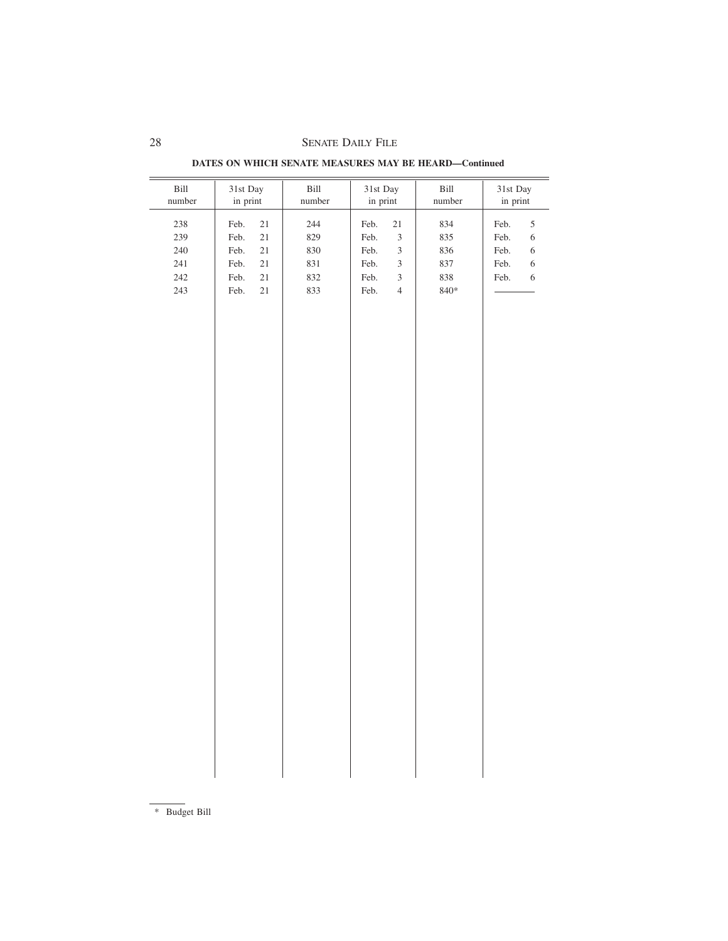# 28 SENATE DAILY FILE

**DATES ON WHICH SENATE MEASURES MAY BE HEARD—Continued** 

| $_{\rm{Bill}}$                                   | 31st Day                                                                                                             | $\operatorname{Bill}$                                     | 31st Day                                                                                                                                                     | $_{\rm{Bill}}$                                      | 31st Day                                                                                                               |
|--------------------------------------------------|----------------------------------------------------------------------------------------------------------------------|-----------------------------------------------------------|--------------------------------------------------------------------------------------------------------------------------------------------------------------|-----------------------------------------------------|------------------------------------------------------------------------------------------------------------------------|
| number<br>238<br>239<br>240<br>241<br>242<br>243 | in print<br>Feb.<br>$21\,$<br>Feb.<br>$21\,$<br>Feb.<br>$21\,$<br>$21\,$<br>Feb.<br>Feb.<br>$21\,$<br>$21\,$<br>Feb. | $\hbox{number}$<br>244<br>829<br>830<br>831<br>832<br>833 | in print<br>Feb.<br>$21\,$<br>Feb.<br>$\overline{3}$<br>Feb.<br>$\mathfrak{Z}$<br>$\overline{3}$<br>Feb.<br>Feb.<br>$\mathfrak{Z}$<br>$\overline{4}$<br>Feb. | number<br>834<br>835<br>836<br>837<br>838<br>$840*$ | in print<br>Feb.<br>$\sqrt{5}$<br>Feb.<br>$\sqrt{6}$<br>Feb.<br>$\sqrt{6}$<br>Feb.<br>$\sqrt{6}$<br>Feb.<br>$\sqrt{6}$ |
|                                                  |                                                                                                                      |                                                           |                                                                                                                                                              |                                                     |                                                                                                                        |

\* Budget Bill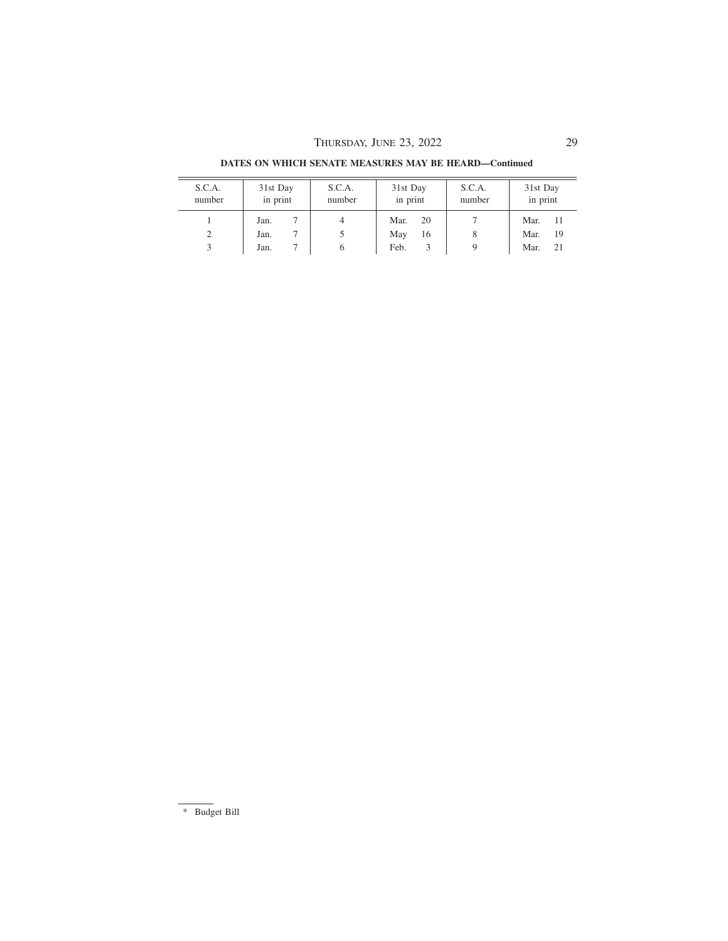| S.C.A.<br>number | 31st Day<br>in print | S.C.A.<br>number | 31st Day<br>in print |    | S.C.A.<br>number | 31st Day<br>in print |    |
|------------------|----------------------|------------------|----------------------|----|------------------|----------------------|----|
|                  | Jan.                 |                  | Mar.                 | 20 |                  | Mar.                 | 11 |
|                  | Jan.                 |                  | May                  | 16 | 8                | Mar.                 | 19 |
|                  | Jan.                 |                  | Feb.                 |    |                  | Mar.                 | 21 |

**DATES ON WHICH SENATE MEASURES MAY BE HEARD—Continued** 

<sup>\*</sup> Budget Bill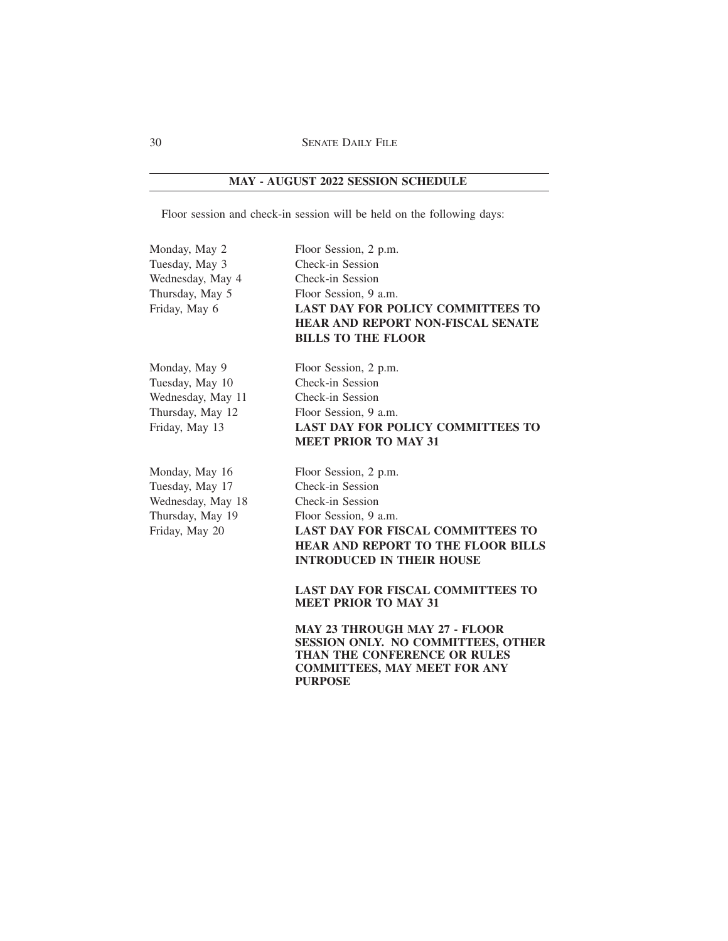# **MAY - AUGUST 2022 SESSION SCHEDULE**

Floor session and check-in session will be held on the following days:

| Monday, May 2     | Floor Session, 2 p.m.                                                                                                                                               |
|-------------------|---------------------------------------------------------------------------------------------------------------------------------------------------------------------|
| Tuesday, May 3    | Check-in Session                                                                                                                                                    |
| Wednesday, May 4  | Check-in Session                                                                                                                                                    |
| Thursday, May 5   | Floor Session, 9 a.m.                                                                                                                                               |
| Friday, May 6     | <b>LAST DAY FOR POLICY COMMITTEES TO</b>                                                                                                                            |
|                   | <b>HEAR AND REPORT NON-FISCAL SENATE</b>                                                                                                                            |
|                   | <b>BILLS TO THE FLOOR</b>                                                                                                                                           |
| Monday, May 9     | Floor Session, 2 p.m.                                                                                                                                               |
| Tuesday, May 10   | Check-in Session                                                                                                                                                    |
| Wednesday, May 11 | Check-in Session                                                                                                                                                    |
| Thursday, May 12  | Floor Session, 9 a.m.                                                                                                                                               |
| Friday, May 13    | <b>LAST DAY FOR POLICY COMMITTEES TO</b>                                                                                                                            |
|                   | <b>MEET PRIOR TO MAY 31</b>                                                                                                                                         |
| Monday, May 16    | Floor Session, 2 p.m.                                                                                                                                               |
| Tuesday, May 17   | Check-in Session                                                                                                                                                    |
| Wednesday, May 18 | Check-in Session                                                                                                                                                    |
| Thursday, May 19  | Floor Session, 9 a.m.                                                                                                                                               |
| Friday, May 20    | <b>LAST DAY FOR FISCAL COMMITTEES TO</b>                                                                                                                            |
|                   | <b>HEAR AND REPORT TO THE FLOOR BILLS</b>                                                                                                                           |
|                   | <b>INTRODUCED IN THEIR HOUSE</b>                                                                                                                                    |
|                   | <b>LAST DAY FOR FISCAL COMMITTEES TO</b><br><b>MEET PRIOR TO MAY 31</b>                                                                                             |
|                   | <b>MAY 23 THROUGH MAY 27 - FLOOR</b><br>SESSION ONLY. NO COMMITTEES, OTHER<br>THAN THE CONFERENCE OR RULES<br><b>COMMITTEES, MAY MEET FOR ANY</b><br><b>PURPOSE</b> |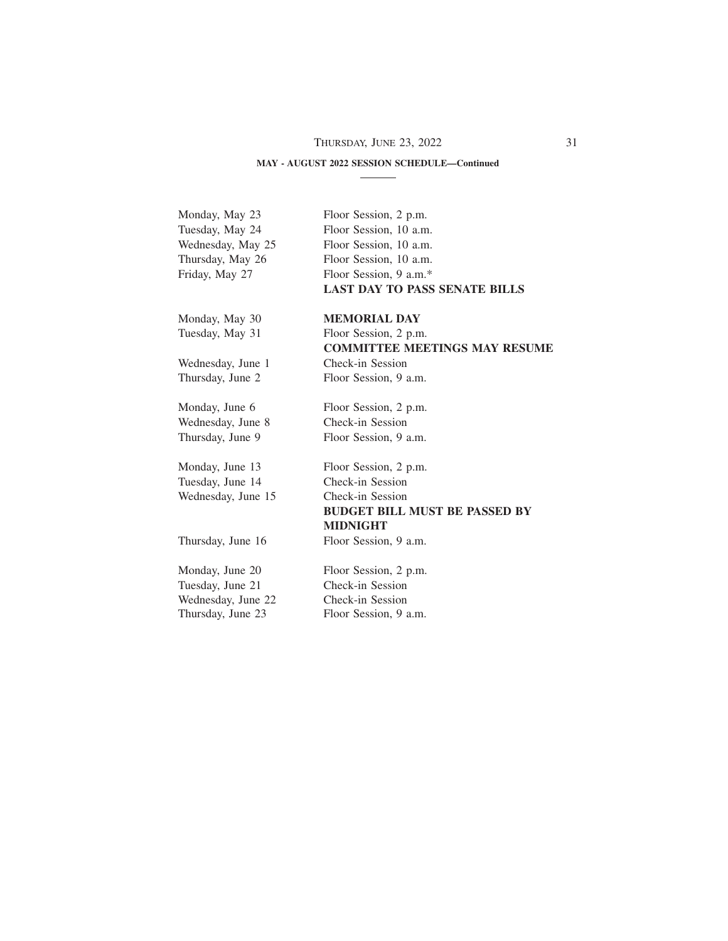### THURSDAY, JUNE 23, 2022 31

### **MAY - AUGUST 2022 SESSION SCHEDULE—Continued**

Monday, May 23 Floor Session, 2 p.m.

Wednesday, June 1 Check-in Session

Wednesday, June 8 Check-in Session

Tuesday, June 14 Check-in Session Wednesday, June 15 Check-in Session

Thursday, June 16 Floor Session, 9 a.m.

Monday, June 20 Floor Session, 2 p.m. Tuesday, June 21 Check-in Session Wednesday, June 22 Check-in Session

- Tuesday, May 24 Floor Session, 10 a.m. Wednesday, May 25 Floor Session, 10 a.m. Thursday, May 26 Floor Session, 10 a.m. Friday, May 27 Floor Session, 9 a.m.\* **LAST DAY TO PASS SENATE BILLS**
- Monday, May 30 **MEMORIAL DAY** Tuesday, May 31 Floor Session, 2 p.m. **COMMITTEE MEETINGS MAY RESUME** Thursday, June 2 Floor Session, 9 a.m.

Monday, June 6 Floor Session, 2 p.m. Thursday, June 9 Floor Session, 9 a.m.

Monday, June 13 Floor Session, 2 p.m. **BUDGET BILL MUST BE PASSED BY MIDNIGHT**

Thursday, June 23 Floor Session, 9 a.m.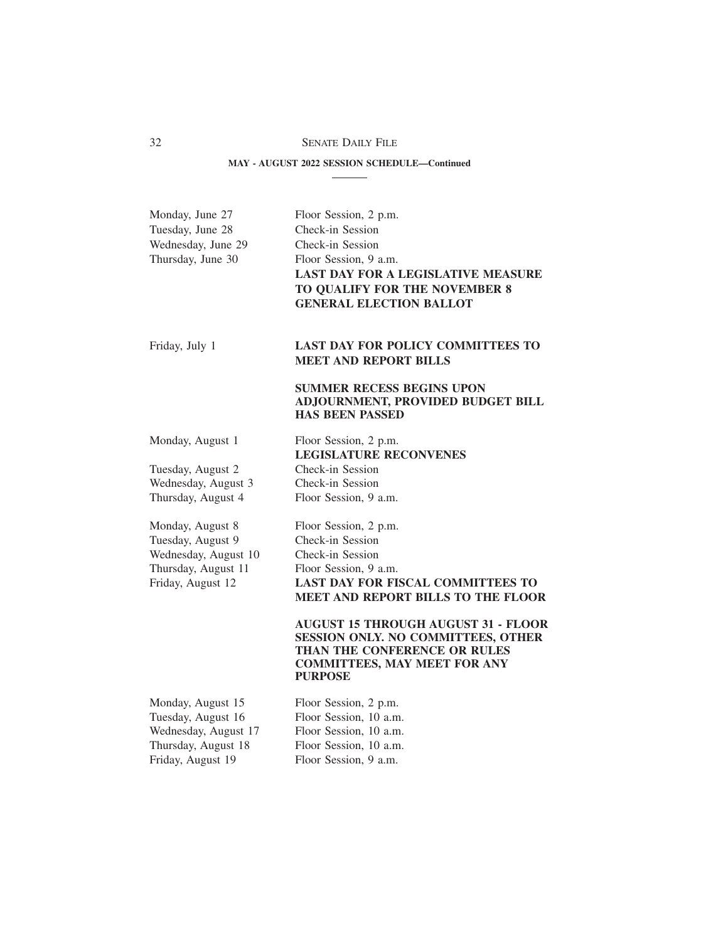# 32 SENATE DAILY FILE

**MAY - AUGUST 2022 SESSION SCHEDULE—Continued**

 $\overline{a}$ 

| Monday, June 27<br>Tuesday, June 28<br>Wednesday, June 29<br>Thursday, June 30 | Floor Session, 2 p.m.<br>Check-in Session<br>Check-in Session<br>Floor Session, 9 a.m.<br><b>LAST DAY FOR A LEGISLATIVE MEASURE</b><br>TO QUALIFY FOR THE NOVEMBER 8<br><b>GENERAL ELECTION BALLOT</b> |
|--------------------------------------------------------------------------------|--------------------------------------------------------------------------------------------------------------------------------------------------------------------------------------------------------|
| Friday, July 1                                                                 | <b>LAST DAY FOR POLICY COMMITTEES TO</b><br><b>MEET AND REPORT BILLS</b>                                                                                                                               |
|                                                                                | <b>SUMMER RECESS BEGINS UPON</b><br>ADJOURNMENT, PROVIDED BUDGET BILL<br><b>HAS BEEN PASSED</b>                                                                                                        |
| Monday, August 1                                                               | Floor Session, 2 p.m.                                                                                                                                                                                  |
|                                                                                | <b>LEGISLATURE RECONVENES</b>                                                                                                                                                                          |
| Tuesday, August 2                                                              | Check-in Session                                                                                                                                                                                       |
| Wednesday, August 3                                                            | Check-in Session                                                                                                                                                                                       |
| Thursday, August 4                                                             | Floor Session, 9 a.m.                                                                                                                                                                                  |
| Monday, August 8                                                               | Floor Session, 2 p.m.                                                                                                                                                                                  |
| Tuesday, August 9                                                              | Check-in Session                                                                                                                                                                                       |
| Wednesday, August 10                                                           | Check-in Session                                                                                                                                                                                       |
| Thursday, August 11                                                            | Floor Session, 9 a.m.                                                                                                                                                                                  |
| Friday, August 12                                                              | <b>LAST DAY FOR FISCAL COMMITTEES TO</b>                                                                                                                                                               |
|                                                                                | MEET AND REPORT BILLS TO THE FLOOR                                                                                                                                                                     |
|                                                                                | <b>AUGUST 15 THROUGH AUGUST 31 - FLOOR</b><br><b>SESSION ONLY. NO COMMITTEES, OTHER</b><br>THAN THE CONFERENCE OR RULES<br><b>COMMITTEES, MAY MEET FOR ANY</b><br><b>PURPOSE</b>                       |
| Monday, August 15                                                              | Floor Session, 2 p.m.                                                                                                                                                                                  |
| Tuesday, August 16                                                             | Floor Session, 10 a.m.                                                                                                                                                                                 |
| Wednesday, August 17                                                           | Floor Session, 10 a.m.                                                                                                                                                                                 |
| Thursday, August 18                                                            | Floor Session, 10 a.m.                                                                                                                                                                                 |
| Friday, August 19                                                              | Floor Session, 9 a.m.                                                                                                                                                                                  |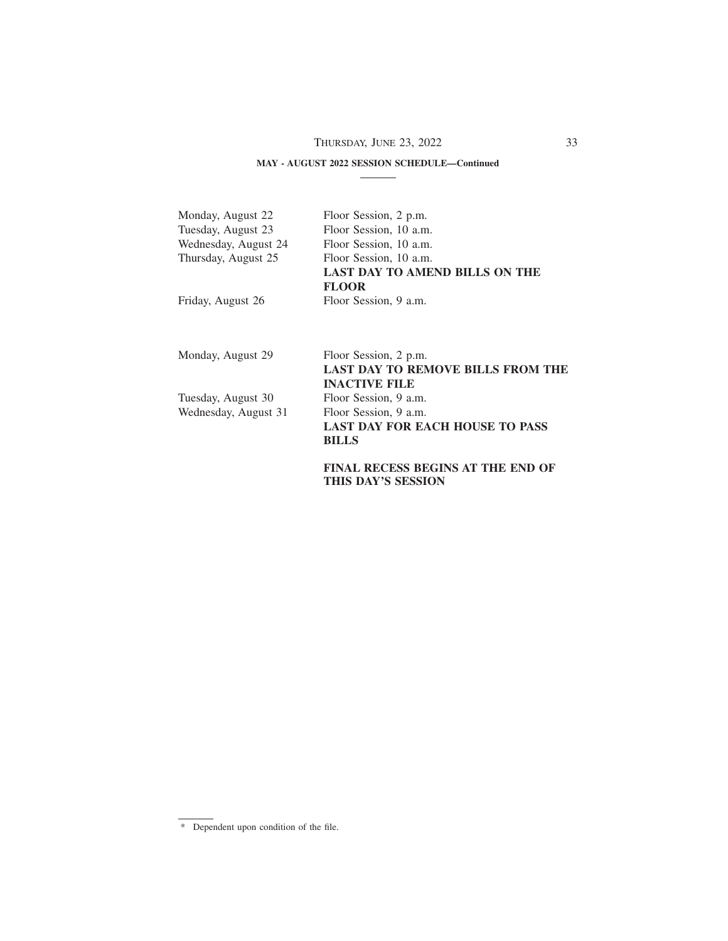# THURSDAY, JUNE 23, 2022 33

## **MAY - AUGUST 2022 SESSION SCHEDULE—Continued**

| Monday, August 22    | Floor Session, 2 p.m.                 |
|----------------------|---------------------------------------|
| Tuesday, August 23   | Floor Session, 10 a.m.                |
| Wednesday, August 24 | Floor Session, 10 a.m.                |
| Thursday, August 25  | Floor Session, 10 a.m.                |
|                      | <b>LAST DAY TO AMEND BILLS ON THE</b> |
|                      | <b>FLOOR</b>                          |
| Friday, August 26    | Floor Session, 9 a.m.                 |
|                      |                                       |
|                      |                                       |

| Monday, August 29                          | Floor Session, 2 p.m.<br><b>LAST DAY TO REMOVE BILLS FROM THE</b><br><b>INACTIVE FILE</b>                |
|--------------------------------------------|----------------------------------------------------------------------------------------------------------|
| Tuesday, August 30<br>Wednesday, August 31 | Floor Session, 9 a.m.<br>Floor Session, 9 a.m.<br><b>LAST DAY FOR EACH HOUSE TO PASS</b><br><b>BILLS</b> |

**FINAL RECESS BEGINS AT THE END OF THIS DAY'S SESSION**

<sup>\*</sup> Dependent upon condition of the file.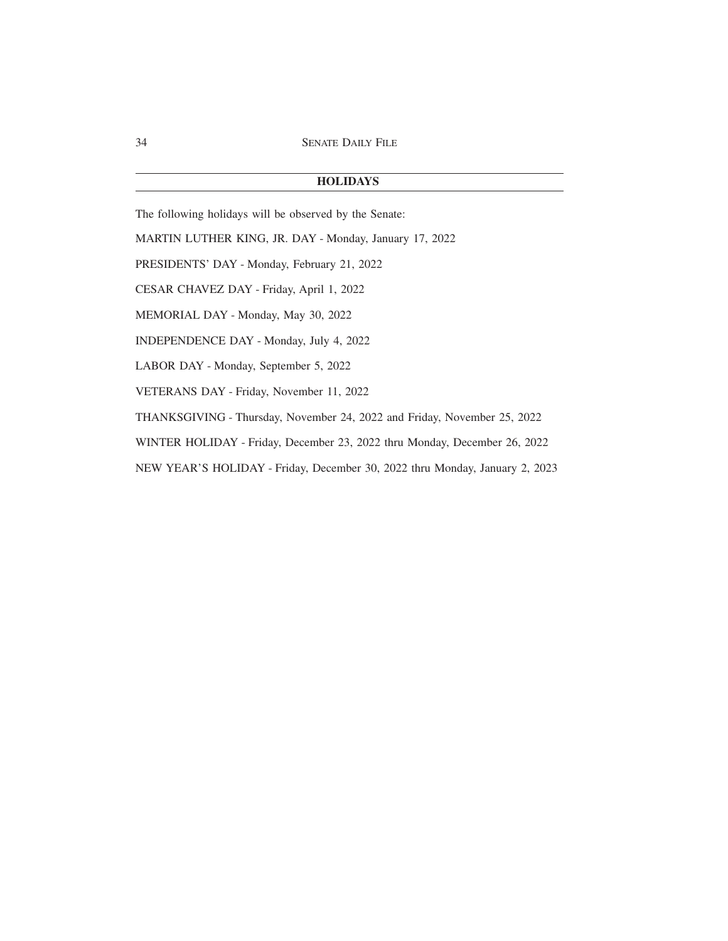# **HOLIDAYS**

- The following holidays will be observed by the Senate:
- MARTIN LUTHER KING, JR. DAY Monday, January 17, 2022
- PRESIDENTS' DAY Monday, February 21, 2022
- CESAR CHAVEZ DAY Friday, April 1, 2022
- MEMORIAL DAY Monday, May 30, 2022
- INDEPENDENCE DAY Monday, July 4, 2022
- LABOR DAY Monday, September 5, 2022
- VETERANS DAY Friday, November 11, 2022
- THANKSGIVING Thursday, November 24, 2022 and Friday, November 25, 2022
- WINTER HOLIDAY Friday, December 23, 2022 thru Monday, December 26, 2022
- NEW YEAR'S HOLIDAY Friday, December 30, 2022 thru Monday, January 2, 2023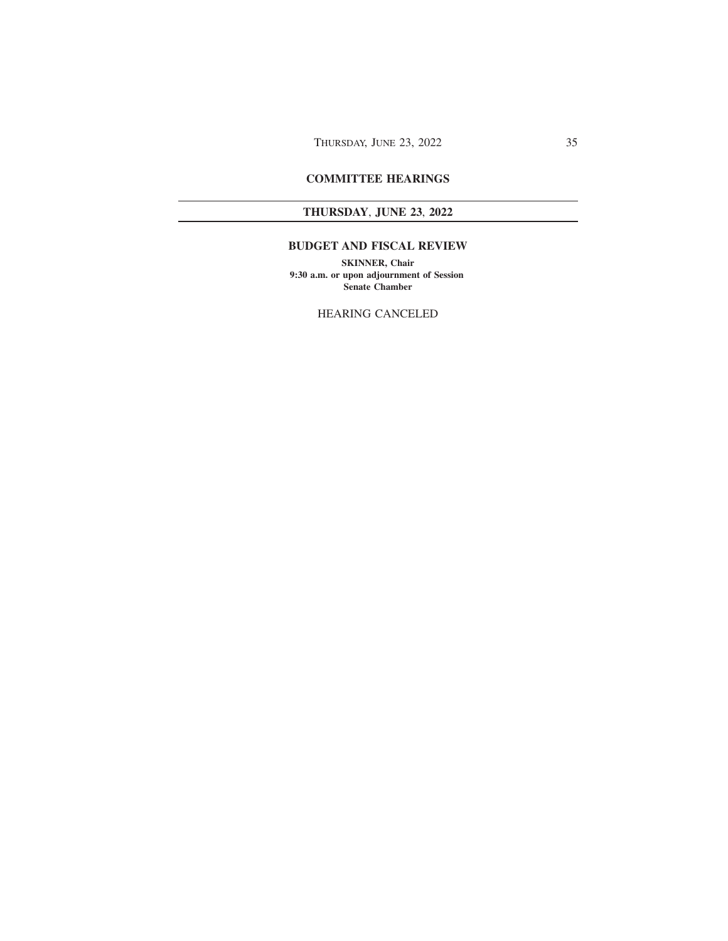## **COMMITTEE HEARINGS**

# **THURSDAY**, **JUNE 23**, **2022**

### **BUDGET AND FISCAL REVIEW**

**SKINNER, Chair 9:30 a.m. or upon adjournment of Session Senate Chamber**

HEARING CANCELED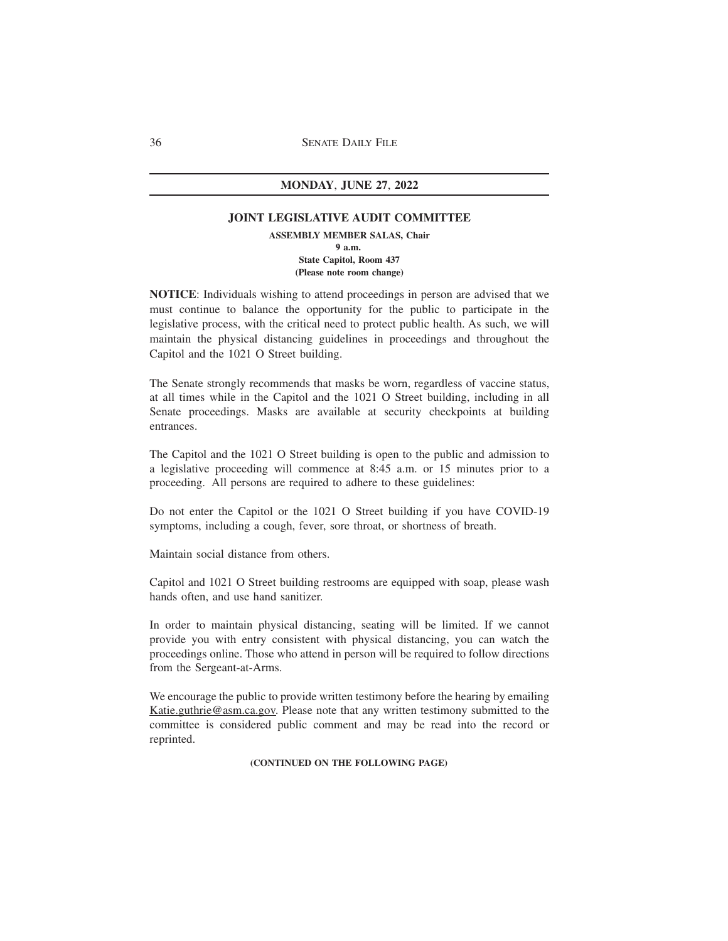## **MONDAY**, **JUNE 27**, **2022**

### **JOINT LEGISLATIVE AUDIT COMMITTEE**

## **ASSEMBLY MEMBER SALAS, Chair 9 a.m. State Capitol, Room 437 (Please note room change)**

**NOTICE**: Individuals wishing to attend proceedings in person are advised that we must continue to balance the opportunity for the public to participate in the legislative process, with the critical need to protect public health. As such, we will maintain the physical distancing guidelines in proceedings and throughout the Capitol and the 1021 O Street building.

The Senate strongly recommends that masks be worn, regardless of vaccine status, at all times while in the Capitol and the 1021 O Street building, including in all Senate proceedings. Masks are available at security checkpoints at building entrances.

The Capitol and the 1021 O Street building is open to the public and admission to a legislative proceeding will commence at 8:45 a.m. or 15 minutes prior to a proceeding. All persons are required to adhere to these guidelines:

Do not enter the Capitol or the 1021 O Street building if you have COVID-19 symptoms, including a cough, fever, sore throat, or shortness of breath.

Maintain social distance from others.

Capitol and 1021 O Street building restrooms are equipped with soap, please wash hands often, and use hand sanitizer.

In order to maintain physical distancing, seating will be limited. If we cannot provide you with entry consistent with physical distancing, you can watch the proceedings online. Those who attend in person will be required to follow directions from the Sergeant-at-Arms.

We encourage the public to provide written testimony before the hearing by emailing Katie.guthrie@asm.ca.gov. Please note that any written testimony submitted to the committee is considered public comment and may be read into the record or reprinted.

### **(CONTINUED ON THE FOLLOWING PAGE)**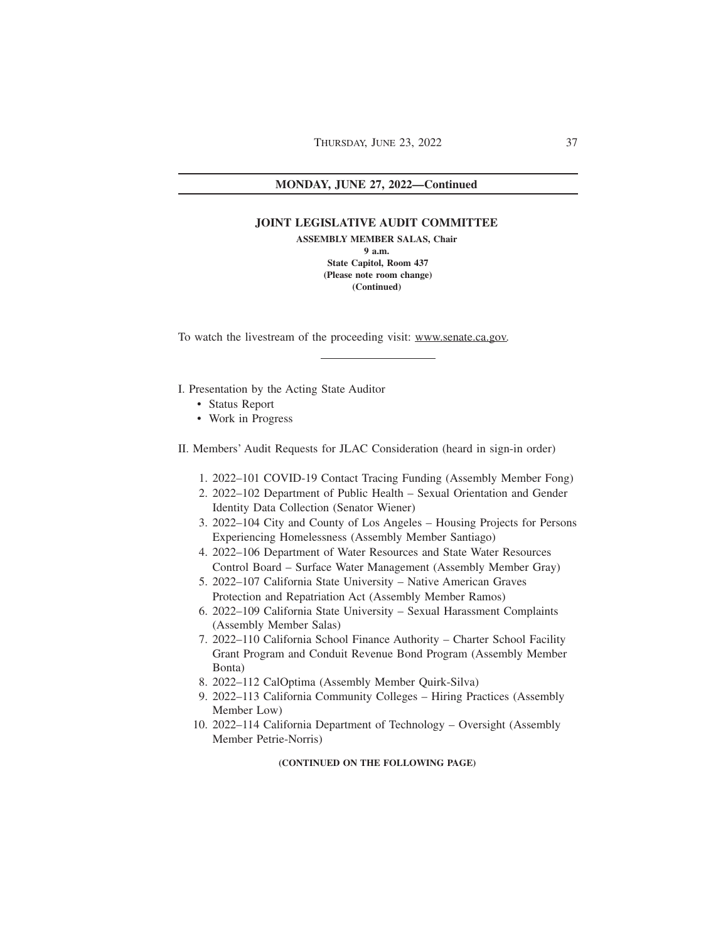#### **JOINT LEGISLATIVE AUDIT COMMITTEE**

**ASSEMBLY MEMBER SALAS, Chair 9 a.m. State Capitol, Room 437 (Please note room change) (Continued)** 

To watch the livestream of the proceeding visit: www.senate.ca.gov.

- I. Presentation by the Acting State Auditor
	- Status Report
	- Work in Progress

II. Members' Audit Requests for JLAC Consideration (heard in sign-in order)

- 1. 2022–101 COVID-19 Contact Tracing Funding (Assembly Member Fong)
- 2. 2022–102 Department of Public Health Sexual Orientation and Gender Identity Data Collection (Senator Wiener)
- 3. 2022–104 City and County of Los Angeles Housing Projects for Persons Experiencing Homelessness (Assembly Member Santiago)
- 4. 2022–106 Department of Water Resources and State Water Resources Control Board – Surface Water Management (Assembly Member Gray)
- 5. 2022–107 California State University Native American Graves Protection and Repatriation Act (Assembly Member Ramos)
- 6. 2022–109 California State University Sexual Harassment Complaints (Assembly Member Salas)
- 7. 2022–110 California School Finance Authority Charter School Facility Grant Program and Conduit Revenue Bond Program (Assembly Member Bonta)
- 8. 2022–112 CalOptima (Assembly Member Quirk-Silva)
- 9. 2022–113 California Community Colleges Hiring Practices (Assembly Member Low)
- 10. 2022–114 California Department of Technology Oversight (Assembly Member Petrie-Norris)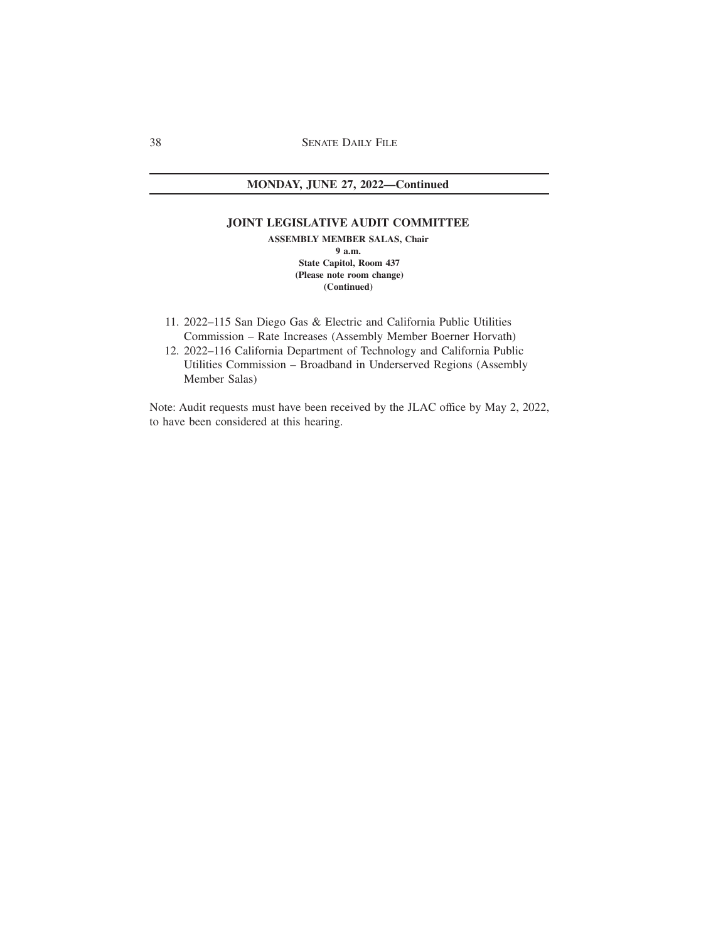#### **JOINT LEGISLATIVE AUDIT COMMITTEE**

**ASSEMBLY MEMBER SALAS, Chair 9 a.m. State Capitol, Room 437 (Please note room change) (Continued)** 

- 11. 2022–115 San Diego Gas & Electric and California Public Utilities Commission – Rate Increases (Assembly Member Boerner Horvath)
- 12. 2022–116 California Department of Technology and California Public Utilities Commission – Broadband in Underserved Regions (Assembly Member Salas)

Note: Audit requests must have been received by the JLAC office by May 2, 2022, to have been considered at this hearing.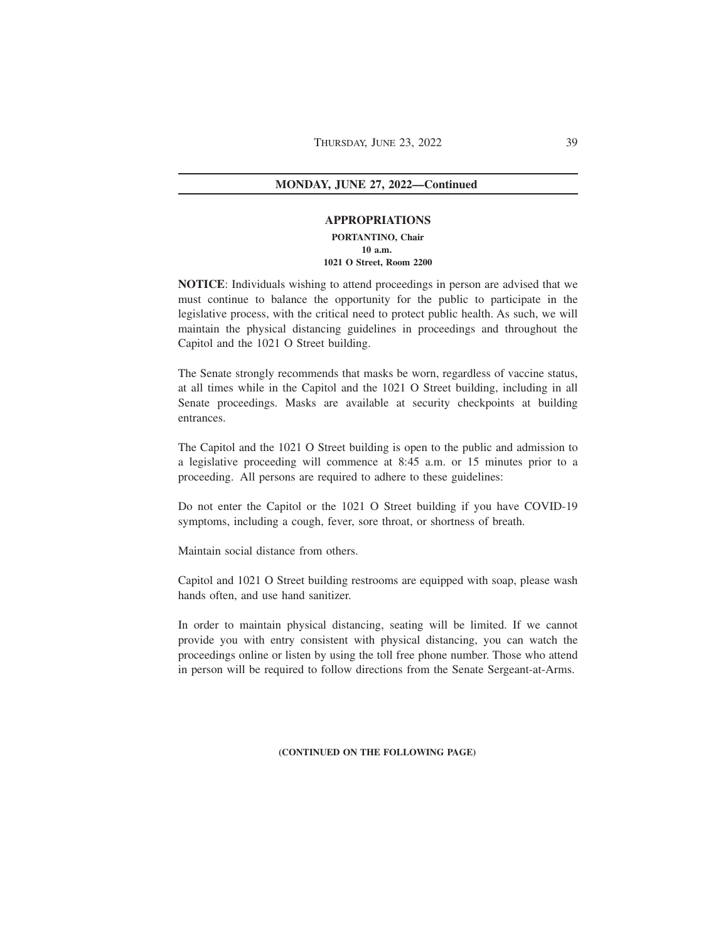### **APPROPRIATIONS**

### **PORTANTINO, Chair 10 a.m. 1021 O Street, Room 2200**

**NOTICE**: Individuals wishing to attend proceedings in person are advised that we must continue to balance the opportunity for the public to participate in the legislative process, with the critical need to protect public health. As such, we will maintain the physical distancing guidelines in proceedings and throughout the Capitol and the 1021 O Street building.

The Senate strongly recommends that masks be worn, regardless of vaccine status, at all times while in the Capitol and the 1021 O Street building, including in all Senate proceedings. Masks are available at security checkpoints at building entrances.

The Capitol and the 1021 O Street building is open to the public and admission to a legislative proceeding will commence at 8:45 a.m. or 15 minutes prior to a proceeding. All persons are required to adhere to these guidelines:

Do not enter the Capitol or the 1021 O Street building if you have COVID-19 symptoms, including a cough, fever, sore throat, or shortness of breath.

Maintain social distance from others.

Capitol and 1021 O Street building restrooms are equipped with soap, please wash hands often, and use hand sanitizer.

In order to maintain physical distancing, seating will be limited. If we cannot provide you with entry consistent with physical distancing, you can watch the proceedings online or listen by using the toll free phone number. Those who attend in person will be required to follow directions from the Senate Sergeant-at-Arms.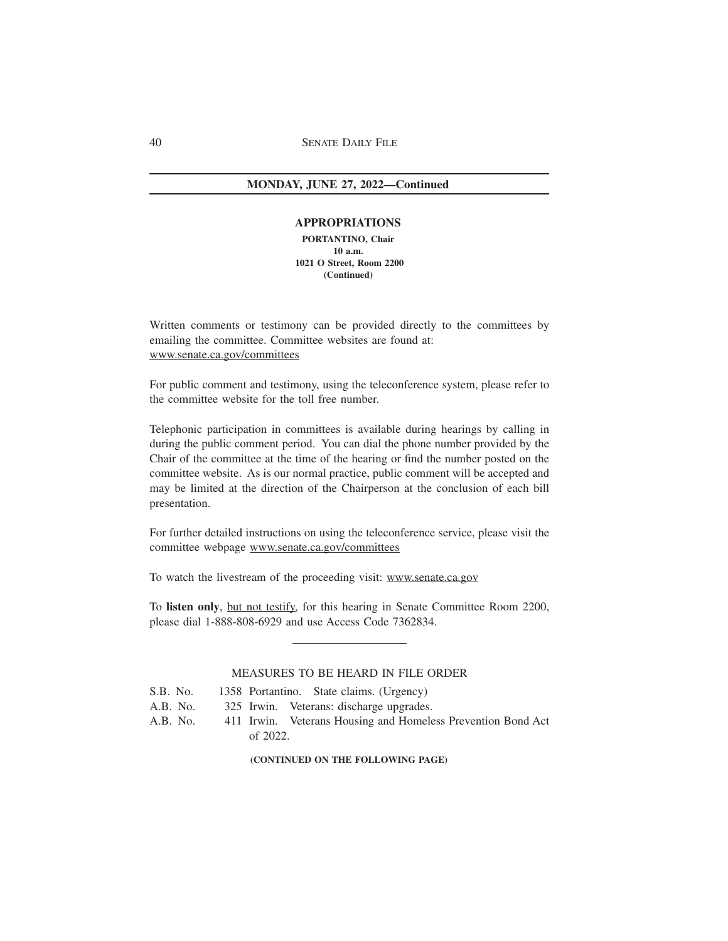#### **APPROPRIATIONS**

**PORTANTINO, Chair 10 a.m. 1021 O Street, Room 2200 (Continued)** 

Written comments or testimony can be provided directly to the committees by emailing the committee. Committee websites are found at: www.senate.ca.gov/committees

For public comment and testimony, using the teleconference system, please refer to the committee website for the toll free number.

Telephonic participation in committees is available during hearings by calling in during the public comment period. You can dial the phone number provided by the Chair of the committee at the time of the hearing or find the number posted on the committee website. As is our normal practice, public comment will be accepted and may be limited at the direction of the Chairperson at the conclusion of each bill presentation.

For further detailed instructions on using the teleconference service, please visit the committee webpage www.senate.ca.gov/committees

To watch the livestream of the proceeding visit: www.senate.ca.gov

To **listen only**, but not testify, for this hearing in Senate Committee Room 2200, please dial 1-888-808-6929 and use Access Code 7362834.

### MEASURES TO BE HEARD IN FILE ORDER

| S.B. No. |             | 1358 Portantino. State claims. (Urgency)                     |
|----------|-------------|--------------------------------------------------------------|
| A.B. No. |             | 325 Irwin. Veterans: discharge upgrades.                     |
| A.B. No. |             | 411 Irwin. Veterans Housing and Homeless Prevention Bond Act |
|          | of $2022$ . |                                                              |
|          |             |                                                              |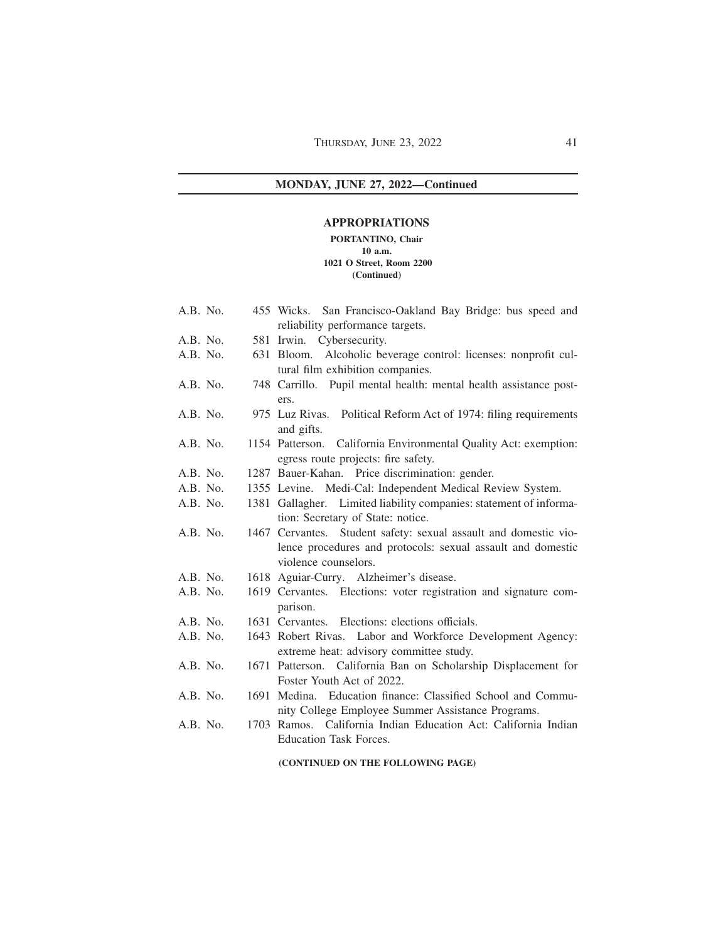# **APPROPRIATIONS**

### **PORTANTINO, Chair 10 a.m. 1021 O Street, Room 2200 (Continued)**

| A.B. No. |  | 455 Wicks. San Francisco-Oakland Bay Bridge: bus speed and<br>reliability performance targets.                    |
|----------|--|-------------------------------------------------------------------------------------------------------------------|
| A.B. No. |  | 581 Irwin. Cybersecurity.                                                                                         |
| A.B. No. |  | 631 Bloom. Alcoholic beverage control: licenses: nonprofit cul-                                                   |
|          |  | tural film exhibition companies.                                                                                  |
| A.B. No. |  | 748 Carrillo. Pupil mental health: mental health assistance post-<br>ers.                                         |
| A.B. No. |  | 975 Luz Rivas. Political Reform Act of 1974: filing requirements<br>and gifts.                                    |
| A.B. No. |  | 1154 Patterson. California Environmental Quality Act: exemption:                                                  |
|          |  | egress route projects: fire safety.                                                                               |
| A.B. No. |  | 1287 Bauer-Kahan. Price discrimination: gender.                                                                   |
| A.B. No. |  | 1355 Levine. Medi-Cal: Independent Medical Review System.                                                         |
| A.B. No. |  | 1381 Gallagher. Limited liability companies: statement of informa-                                                |
|          |  | tion: Secretary of State: notice.                                                                                 |
| A.B. No. |  | 1467 Cervantes. Student safety: sexual assault and domestic vio-                                                  |
|          |  | lence procedures and protocols: sexual assault and domestic                                                       |
|          |  | violence counselors.                                                                                              |
| A.B. No. |  | 1618 Aguiar-Curry. Alzheimer's disease.                                                                           |
| A.B. No. |  | 1619 Cervantes. Elections: voter registration and signature com-<br>parison.                                      |
| A.B. No. |  | 1631 Cervantes. Elections: elections officials.                                                                   |
| A.B. No. |  | 1643 Robert Rivas. Labor and Workforce Development Agency:<br>extreme heat: advisory committee study.             |
| A.B. No. |  | 1671 Patterson. California Ban on Scholarship Displacement for<br>Foster Youth Act of 2022.                       |
| A.B. No. |  | 1691 Medina. Education finance: Classified School and Commu-<br>nity College Employee Summer Assistance Programs. |
| A.B. No. |  | California Indian Education Act: California Indian<br>1703 Ramos.<br><b>Education Task Forces.</b>                |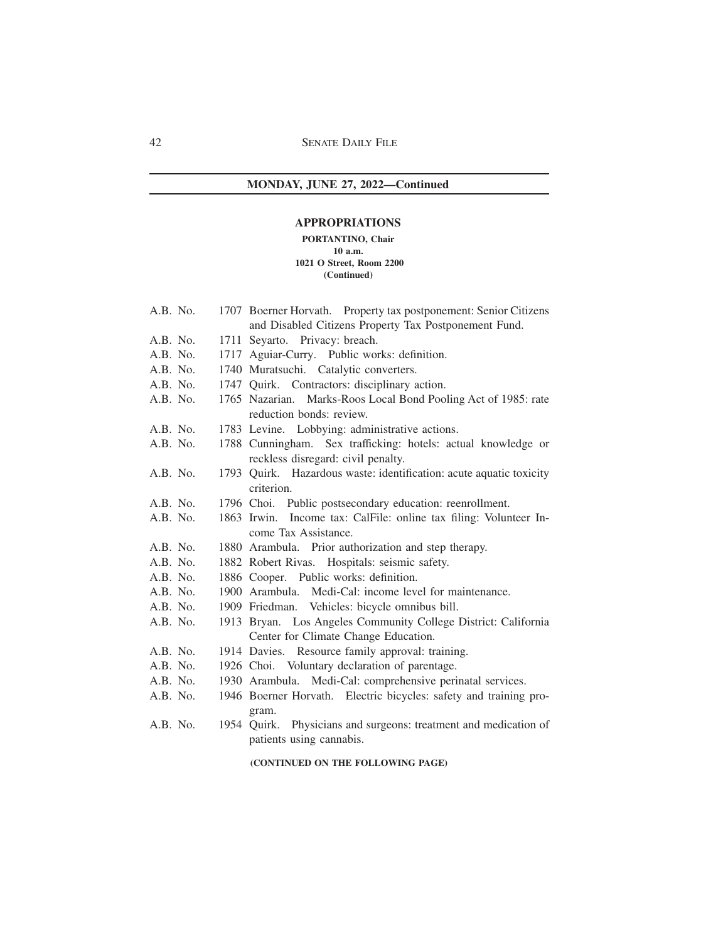# **APPROPRIATIONS**

### **PORTANTINO, Chair 10 a.m. 1021 O Street, Room 2200 (Continued)**

| A.B. No. | 1707 Boerner Horvath. Property tax postponement: Senior Citizens    |
|----------|---------------------------------------------------------------------|
|          | and Disabled Citizens Property Tax Postponement Fund.               |
| A.B. No. | 1711 Seyarto. Privacy: breach.                                      |
| A.B. No. | 1717 Aguiar-Curry. Public works: definition.                        |
| A.B. No. | 1740 Muratsuchi. Catalytic converters.                              |
| A.B. No. | 1747 Quirk. Contractors: disciplinary action.                       |
| A.B. No. | 1765 Nazarian. Marks-Roos Local Bond Pooling Act of 1985: rate      |
|          | reduction bonds: review.                                            |
| A.B. No. | 1783 Levine. Lobbying: administrative actions.                      |
| A.B. No. | 1788 Cunningham. Sex trafficking: hotels: actual knowledge or       |
|          | reckless disregard: civil penalty.                                  |
| A.B. No. | 1793 Quirk. Hazardous waste: identification: acute aquatic toxicity |
|          | criterion.                                                          |
| A.B. No. | 1796 Choi. Public postsecondary education: reenrollment.            |
| A.B. No. | 1863 Irwin. Income tax: CalFile: online tax filing: Volunteer In-   |
|          | come Tax Assistance.                                                |
| A.B. No. | 1880 Arambula. Prior authorization and step therapy.                |
| A.B. No. | 1882 Robert Rivas. Hospitals: seismic safety.                       |
| A.B. No. | 1886 Cooper. Public works: definition.                              |
| A.B. No. | 1900 Arambula. Medi-Cal: income level for maintenance.              |
| A.B. No. | 1909 Friedman. Vehicles: bicycle omnibus bill.                      |
| A.B. No. | 1913 Bryan. Los Angeles Community College District: California      |
|          | Center for Climate Change Education.                                |
| A.B. No. | 1914 Davies. Resource family approval: training.                    |
| A.B. No. | 1926 Choi. Voluntary declaration of parentage.                      |
| A.B. No. | 1930 Arambula. Medi-Cal: comprehensive perinatal services.          |
| A.B. No. | 1946 Boerner Horvath. Electric bicycles: safety and training pro-   |
|          | gram.                                                               |
| A.B. No. | 1954 Quirk. Physicians and surgeons: treatment and medication of    |
|          | patients using cannabis.                                            |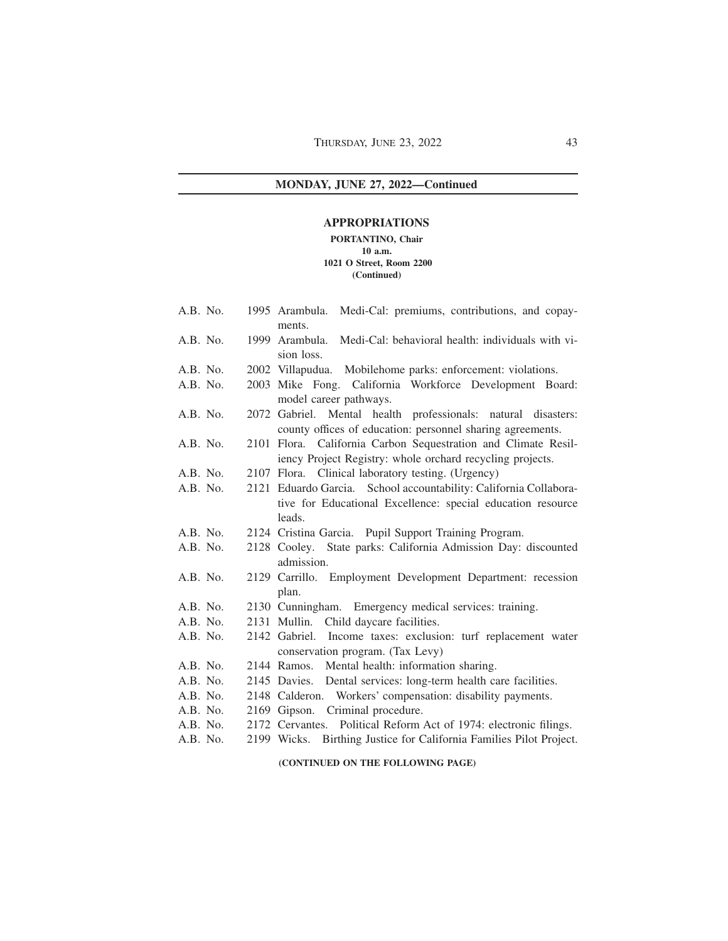#### **APPROPRIATIONS**

#### **PORTANTINO, Chair 10 a.m. 1021 O Street, Room 2200 (Continued)**

A.B. No. 1995 Arambula. Medi-Cal: premiums, contributions, and copayments. A.B. No. 1999 Arambula. Medi-Cal: behavioral health: individuals with vision loss. A.B. No. 2002 Villapudua. Mobilehome parks: enforcement: violations. A.B. No. 2003 Mike Fong. California Workforce Development Board: model career pathways. A.B. No. 2072 Gabriel. Mental health professionals: natural disasters: county offices of education: personnel sharing agreements. A.B. No. 2101 Flora. California Carbon Sequestration and Climate Resiliency Project Registry: whole orchard recycling projects. A.B. No. 2107 Flora. Clinical laboratory testing. (Urgency) A.B. No. 2121 Eduardo Garcia. School accountability: California Collaborative for Educational Excellence: special education resource leads. A.B. No. 2124 Cristina Garcia. Pupil Support Training Program. A.B. No. 2128 Cooley. State parks: California Admission Day: discounted admission. A.B. No. 2129 Carrillo. Employment Development Department: recession plan. A.B. No. 2130 Cunningham. Emergency medical services: training. A.B. No. 2131 Mullin. Child daycare facilities. A.B. No. 2142 Gabriel. Income taxes: exclusion: turf replacement water conservation program. (Tax Levy) A.B. No. 2144 Ramos. Mental health: information sharing. A.B. No. 2145 Davies. Dental services: long-term health care facilities. A.B. No. 2148 Calderon. Workers' compensation: disability payments. A.B. No. 2169 Gipson. Criminal procedure. A.B. No. 2172 Cervantes. Political Reform Act of 1974: electronic filings. A.B. No. 2199 Wicks. Birthing Justice for California Families Pilot Project.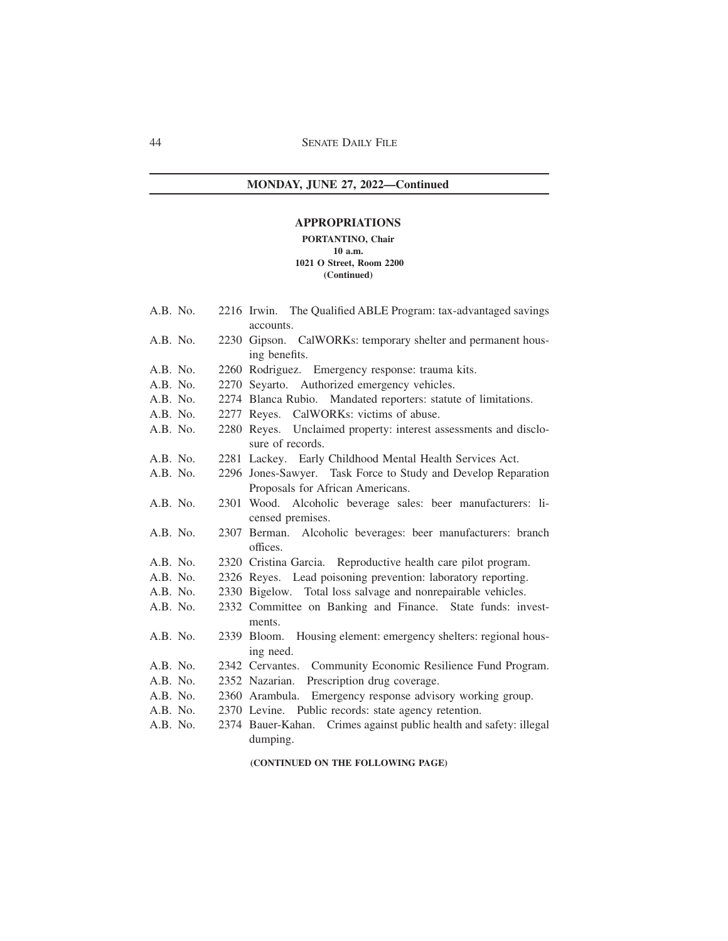#### **APPROPRIATIONS**

### **PORTANTINO, Chair 10 a.m. 1021 O Street, Room 2200 (Continued)**

A.B. No. 2216 Irwin. The Qualified ABLE Program: tax-advantaged savings accounts. A.B. No. 2230 Gipson. CalWORKs: temporary shelter and permanent housing benefits. A.B. No. 2260 Rodriguez. Emergency response: trauma kits. A.B. No. 2270 Seyarto. Authorized emergency vehicles. A.B. No. 2274 Blanca Rubio. Mandated reporters: statute of limitations. A.B. No. 2277 Reyes. CalWORKs: victims of abuse. A.B. No. 2280 Reyes. Unclaimed property: interest assessments and disclosure of records. A.B. No. 2281 Lackey. Early Childhood Mental Health Services Act. A.B. No. 2296 Jones-Sawyer. Task Force to Study and Develop Reparation Proposals for African Americans. A.B. No. 2301 Wood. Alcoholic beverage sales: beer manufacturers: licensed premises. A.B. No. 2307 Berman. Alcoholic beverages: beer manufacturers: branch offices. A.B. No. 2320 Cristina Garcia. Reproductive health care pilot program. A.B. No. 2326 Reyes. Lead poisoning prevention: laboratory reporting. A.B. No. 2330 Bigelow. Total loss salvage and nonrepairable vehicles. A.B. No. 2332 Committee on Banking and Finance. State funds: investments. A.B. No. 2339 Bloom. Housing element: emergency shelters: regional housing need. A.B. No. 2342 Cervantes. Community Economic Resilience Fund Program. A.B. No. 2352 Nazarian. Prescription drug coverage. A.B. No. 2360 Arambula. Emergency response advisory working group. A.B. No. 2370 Levine. Public records: state agency retention. A.B. No. 2374 Bauer-Kahan. Crimes against public health and safety: illegal dumping.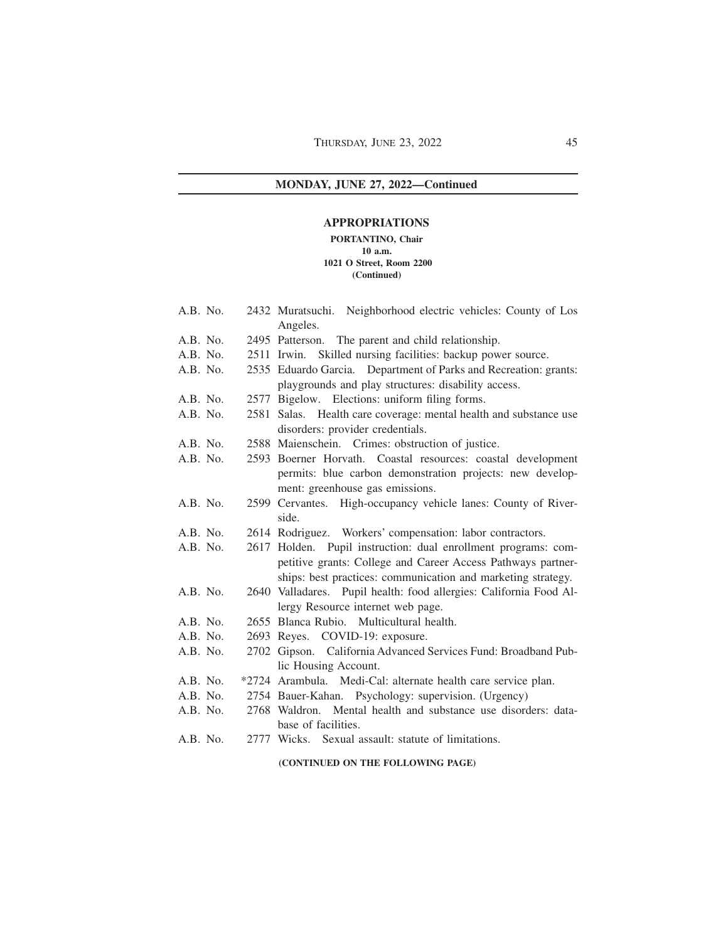# **APPROPRIATIONS**

### **PORTANTINO, Chair 10 a.m. 1021 O Street, Room 2200 (Continued)**

| A.B. No. |  | 2432 Muratsuchi. Neighborhood electric vehicles: County of Los<br>Angeles.                                                                                                                     |
|----------|--|------------------------------------------------------------------------------------------------------------------------------------------------------------------------------------------------|
| A.B. No. |  | 2495 Patterson. The parent and child relationship.                                                                                                                                             |
| A.B. No. |  | 2511 Irwin. Skilled nursing facilities: backup power source.                                                                                                                                   |
| A.B. No. |  | 2535 Eduardo Garcia. Department of Parks and Recreation: grants:<br>playgrounds and play structures: disability access.                                                                        |
| A.B. No. |  | 2577 Bigelow. Elections: uniform filing forms.                                                                                                                                                 |
| A.B. No. |  | 2581 Salas. Health care coverage: mental health and substance use<br>disorders: provider credentials.                                                                                          |
| A.B. No. |  | 2588 Maienschein. Crimes: obstruction of justice.                                                                                                                                              |
| A.B. No. |  | 2593 Boerner Horvath. Coastal resources: coastal development<br>permits: blue carbon demonstration projects: new develop-                                                                      |
|          |  | ment: greenhouse gas emissions.                                                                                                                                                                |
| A.B. No. |  | 2599 Cervantes. High-occupancy vehicle lanes: County of River-<br>side.                                                                                                                        |
| A.B. No. |  | 2614 Rodriguez. Workers' compensation: labor contractors.                                                                                                                                      |
| A.B. No. |  | 2617 Holden. Pupil instruction: dual enrollment programs: com-<br>petitive grants: College and Career Access Pathways partner-<br>ships: best practices: communication and marketing strategy. |
| A.B. No. |  | 2640 Valladares. Pupil health: food allergies: California Food Al-<br>lergy Resource internet web page.                                                                                        |
| A.B. No. |  | 2655 Blanca Rubio. Multicultural health.                                                                                                                                                       |
| A.B. No. |  | 2693 Reyes. COVID-19: exposure.                                                                                                                                                                |
| A.B. No. |  | 2702 Gipson. California Advanced Services Fund: Broadband Pub-                                                                                                                                 |
|          |  | lic Housing Account.                                                                                                                                                                           |
| A.B. No. |  | *2724 Arambula. Medi-Cal: alternate health care service plan.                                                                                                                                  |
| A.B. No. |  | 2754 Bauer-Kahan. Psychology: supervision. (Urgency)                                                                                                                                           |
| A.B. No. |  | 2768 Waldron. Mental health and substance use disorders: data-<br>base of facilities.                                                                                                          |
| A.B. No. |  | 2777 Wicks. Sexual assault: statute of limitations.                                                                                                                                            |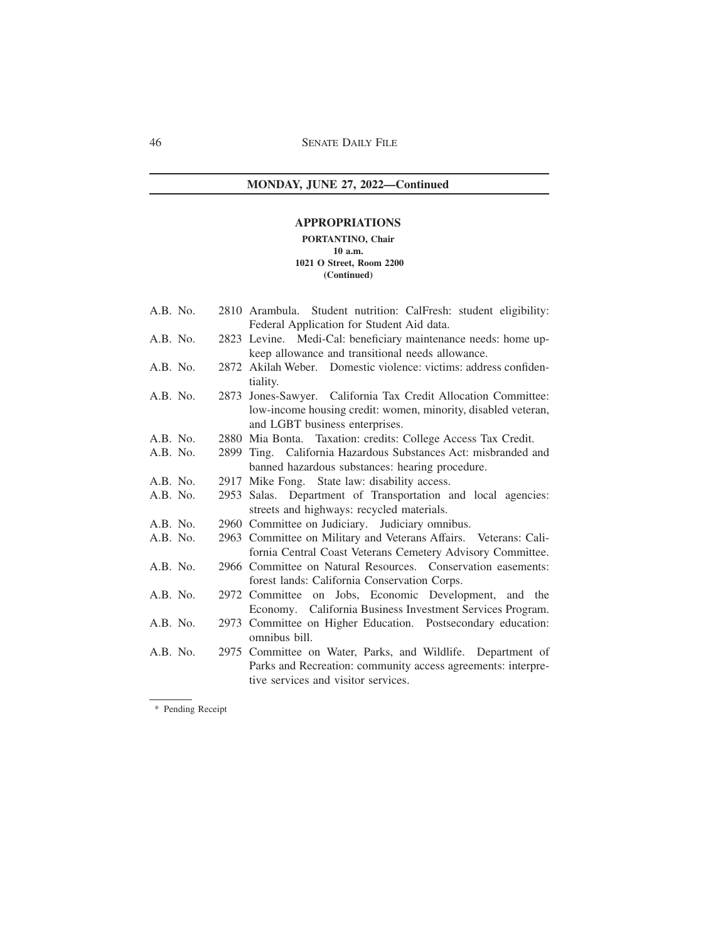# **APPROPRIATIONS**

### **PORTANTINO, Chair 10 a.m. 1021 O Street, Room 2200 (Continued)**

| A.B. No. |      | 2810 Arambula. Student nutrition: CalFresh: student eligibility:                                                   |
|----------|------|--------------------------------------------------------------------------------------------------------------------|
|          |      | Federal Application for Student Aid data.                                                                          |
| A.B. No. |      | 2823 Levine. Medi-Cal: beneficiary maintenance needs: home up-<br>keep allowance and transitional needs allowance. |
|          |      |                                                                                                                    |
| A.B. No. |      | 2872 Akilah Weber. Domestic violence: victims: address confiden-<br>tiality.                                       |
| A.B. No. |      | 2873 Jones-Sawyer. California Tax Credit Allocation Committee:                                                     |
|          |      | low-income housing credit: women, minority, disabled veteran,<br>and LGBT business enterprises.                    |
| A.B. No. |      | 2880 Mia Bonta. Taxation: credits: College Access Tax Credit.                                                      |
| A.B. No. | 2899 | Ting. California Hazardous Substances Act: misbranded and                                                          |
|          |      | banned hazardous substances: hearing procedure.                                                                    |
| A.B. No. |      | 2917 Mike Fong. State law: disability access.                                                                      |
| A.B. No. |      | 2953 Salas. Department of Transportation and local agencies:                                                       |
|          |      | streets and highways: recycled materials.                                                                          |
| A.B. No. |      | 2960 Committee on Judiciary. Judiciary omnibus.                                                                    |
| A.B. No. |      | 2963 Committee on Military and Veterans Affairs. Veterans: Cali-                                                   |
|          |      | fornia Central Coast Veterans Cemetery Advisory Committee.                                                         |
| A.B. No. |      | 2966 Committee on Natural Resources. Conservation easements:                                                       |
|          |      | forest lands: California Conservation Corps.                                                                       |
| A.B. No. |      | 2972 Committee on Jobs, Economic Development, and the                                                              |
|          |      | Economy. California Business Investment Services Program.                                                          |
| A.B. No. |      | 2973 Committee on Higher Education. Postsecondary education:                                                       |
|          |      | omnibus bill.                                                                                                      |
| A.B. No. |      | 2975 Committee on Water, Parks, and Wildlife. Department of                                                        |
|          |      | Parks and Recreation: community access agreements: interpre-                                                       |
|          |      | tive services and visitor services.                                                                                |
|          |      |                                                                                                                    |

\* Pending Receipt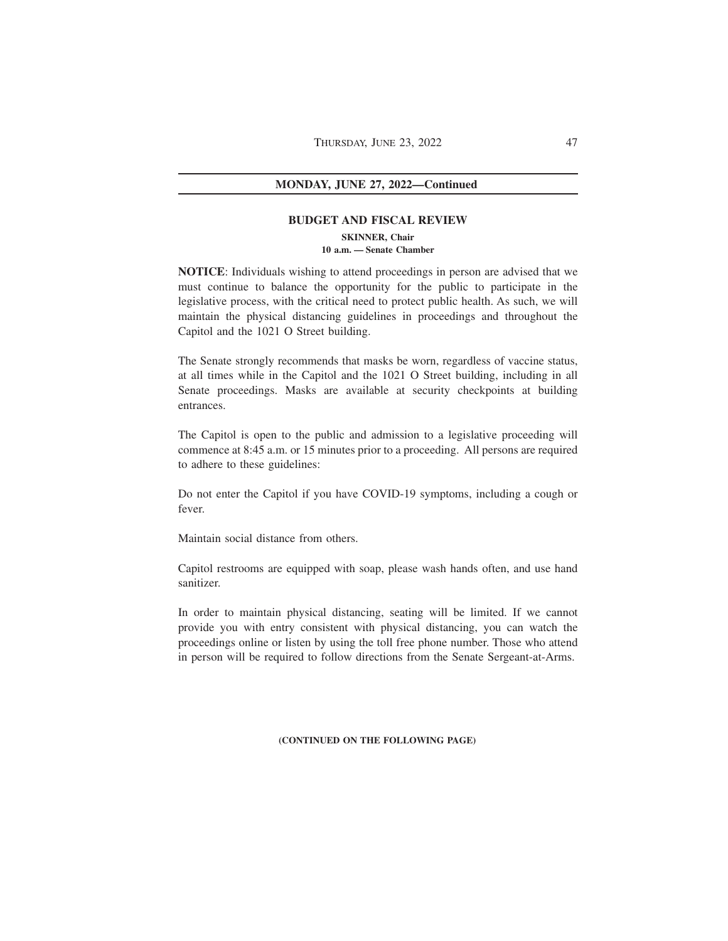#### **BUDGET AND FISCAL REVIEW**

#### **SKINNER, Chair 10 a.m. — Senate Chamber**

**NOTICE**: Individuals wishing to attend proceedings in person are advised that we must continue to balance the opportunity for the public to participate in the legislative process, with the critical need to protect public health. As such, we will maintain the physical distancing guidelines in proceedings and throughout the Capitol and the 1021 O Street building.

The Senate strongly recommends that masks be worn, regardless of vaccine status, at all times while in the Capitol and the 1021 O Street building, including in all Senate proceedings. Masks are available at security checkpoints at building entrances.

The Capitol is open to the public and admission to a legislative proceeding will commence at 8:45 a.m. or 15 minutes prior to a proceeding. All persons are required to adhere to these guidelines:

Do not enter the Capitol if you have COVID-19 symptoms, including a cough or fever.

Maintain social distance from others.

Capitol restrooms are equipped with soap, please wash hands often, and use hand sanitizer.

In order to maintain physical distancing, seating will be limited. If we cannot provide you with entry consistent with physical distancing, you can watch the proceedings online or listen by using the toll free phone number. Those who attend in person will be required to follow directions from the Senate Sergeant-at-Arms.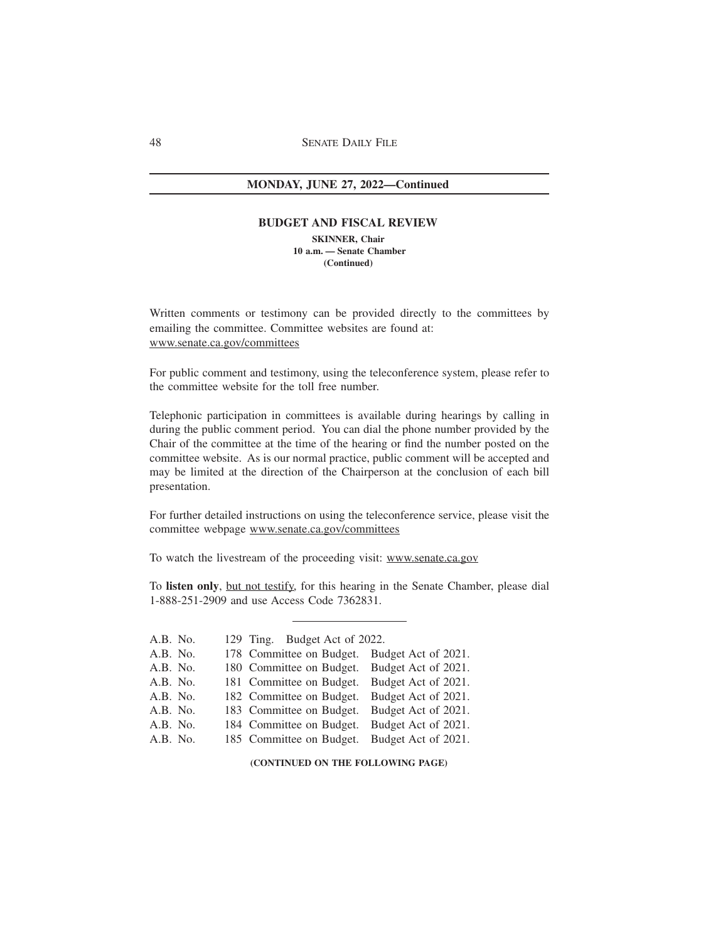#### **BUDGET AND FISCAL REVIEW**

**SKINNER, Chair 10 a.m. — Senate Chamber (Continued)** 

Written comments or testimony can be provided directly to the committees by emailing the committee. Committee websites are found at: www.senate.ca.gov/committees

For public comment and testimony, using the teleconference system, please refer to the committee website for the toll free number.

Telephonic participation in committees is available during hearings by calling in during the public comment period. You can dial the phone number provided by the Chair of the committee at the time of the hearing or find the number posted on the committee website. As is our normal practice, public comment will be accepted and may be limited at the direction of the Chairperson at the conclusion of each bill presentation.

For further detailed instructions on using the teleconference service, please visit the committee webpage www.senate.ca.gov/committees

To watch the livestream of the proceeding visit: www.senate.ca.gov

To **listen only**, but not testify, for this hearing in the Senate Chamber, please dial 1-888-251-2909 and use Access Code 7362831.

| A.B. No. | 129 Ting. Budget Act of 2022.                |  |
|----------|----------------------------------------------|--|
| A.B. No. | 178 Committee on Budget. Budget Act of 2021. |  |
| A.B. No. | 180 Committee on Budget. Budget Act of 2021. |  |
| A.B. No. | 181 Committee on Budget. Budget Act of 2021. |  |
| A.B. No. | 182 Committee on Budget. Budget Act of 2021. |  |
| A.B. No. | 183 Committee on Budget. Budget Act of 2021. |  |
| A.B. No. | 184 Committee on Budget. Budget Act of 2021. |  |
| A.B. No. | 185 Committee on Budget. Budget Act of 2021. |  |
|          |                                              |  |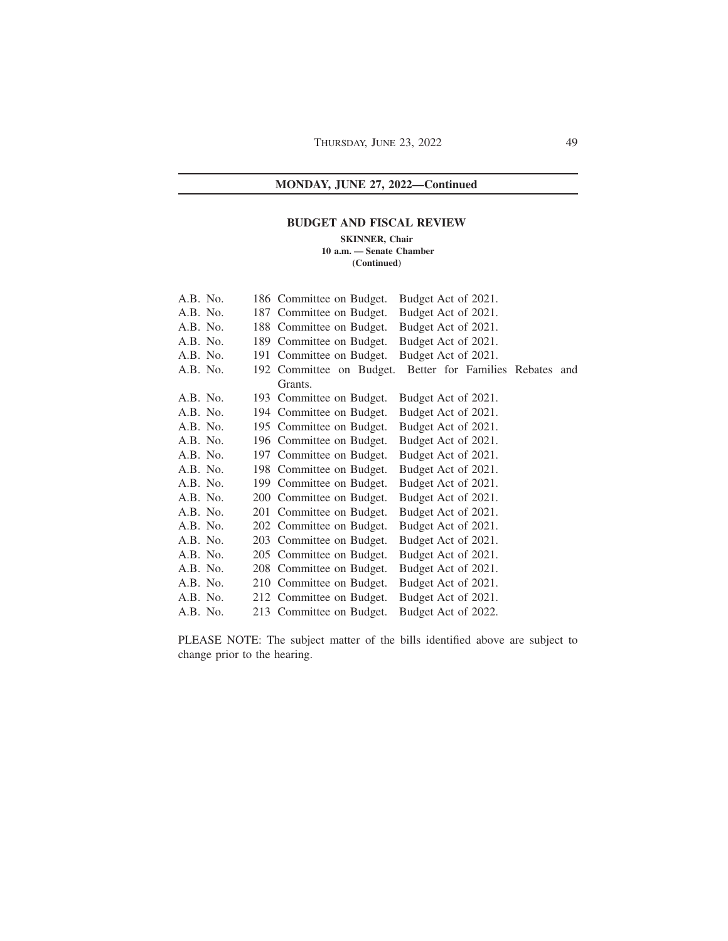# **BUDGET AND FISCAL REVIEW**

**SKINNER, Chair 10 a.m. — Senate Chamber (Continued)** 

| A.B. No. |  | 186 Committee on Budget. | Budget Act of 2021.             |  |  |
|----------|--|--------------------------|---------------------------------|--|--|
| A.B. No. |  | 187 Committee on Budget. | Budget Act of 2021.             |  |  |
| A.B. No. |  | 188 Committee on Budget. | Budget Act of 2021.             |  |  |
| A.B. No. |  | 189 Committee on Budget. | Budget Act of 2021.             |  |  |
| A.B. No. |  | 191 Committee on Budget. | Budget Act of 2021.             |  |  |
| A.B. No. |  | 192 Committee on Budget. | Better for Families Rebates and |  |  |
|          |  | Grants.                  |                                 |  |  |
| A.B. No. |  | 193 Committee on Budget. | Budget Act of 2021.             |  |  |
| A.B. No. |  | 194 Committee on Budget. | Budget Act of 2021.             |  |  |
| A.B. No. |  | 195 Committee on Budget. | Budget Act of 2021.             |  |  |
| A.B. No. |  | 196 Committee on Budget. | Budget Act of 2021.             |  |  |
| A.B. No. |  | 197 Committee on Budget. | Budget Act of 2021.             |  |  |
| A.B. No. |  | 198 Committee on Budget. | Budget Act of 2021.             |  |  |
| A.B. No. |  | 199 Committee on Budget. | Budget Act of 2021.             |  |  |
| A.B. No. |  | 200 Committee on Budget. | Budget Act of 2021.             |  |  |
| A.B. No. |  | 201 Committee on Budget. | Budget Act of 2021.             |  |  |
| A.B. No. |  | 202 Committee on Budget. | Budget Act of 2021.             |  |  |
| A.B. No. |  | 203 Committee on Budget. | Budget Act of 2021.             |  |  |
| A.B. No. |  | 205 Committee on Budget. | Budget Act of 2021.             |  |  |
| A.B. No. |  | 208 Committee on Budget. | Budget Act of 2021.             |  |  |
| A.B. No. |  | 210 Committee on Budget. | Budget Act of 2021.             |  |  |
| A.B. No. |  | 212 Committee on Budget. | Budget Act of 2021.             |  |  |
| A.B. No. |  | 213 Committee on Budget. | Budget Act of 2022.             |  |  |
|          |  |                          |                                 |  |  |

PLEASE NOTE: The subject matter of the bills identified above are subject to change prior to the hearing.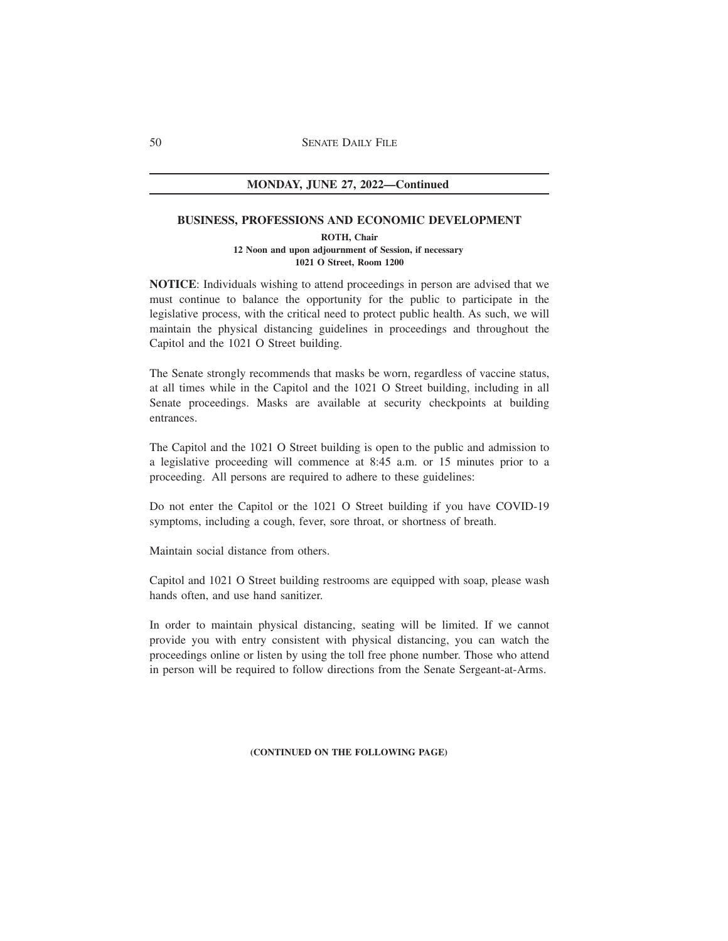# **BUSINESS, PROFESSIONS AND ECONOMIC DEVELOPMENT**

#### **ROTH, Chair 12 Noon and upon adjournment of Session, if necessary 1021 O Street, Room 1200**

**NOTICE**: Individuals wishing to attend proceedings in person are advised that we must continue to balance the opportunity for the public to participate in the legislative process, with the critical need to protect public health. As such, we will maintain the physical distancing guidelines in proceedings and throughout the Capitol and the 1021 O Street building.

The Senate strongly recommends that masks be worn, regardless of vaccine status, at all times while in the Capitol and the 1021 O Street building, including in all Senate proceedings. Masks are available at security checkpoints at building entrances.

The Capitol and the 1021 O Street building is open to the public and admission to a legislative proceeding will commence at 8:45 a.m. or 15 minutes prior to a proceeding. All persons are required to adhere to these guidelines:

Do not enter the Capitol or the 1021 O Street building if you have COVID-19 symptoms, including a cough, fever, sore throat, or shortness of breath.

Maintain social distance from others.

Capitol and 1021 O Street building restrooms are equipped with soap, please wash hands often, and use hand sanitizer.

In order to maintain physical distancing, seating will be limited. If we cannot provide you with entry consistent with physical distancing, you can watch the proceedings online or listen by using the toll free phone number. Those who attend in person will be required to follow directions from the Senate Sergeant-at-Arms.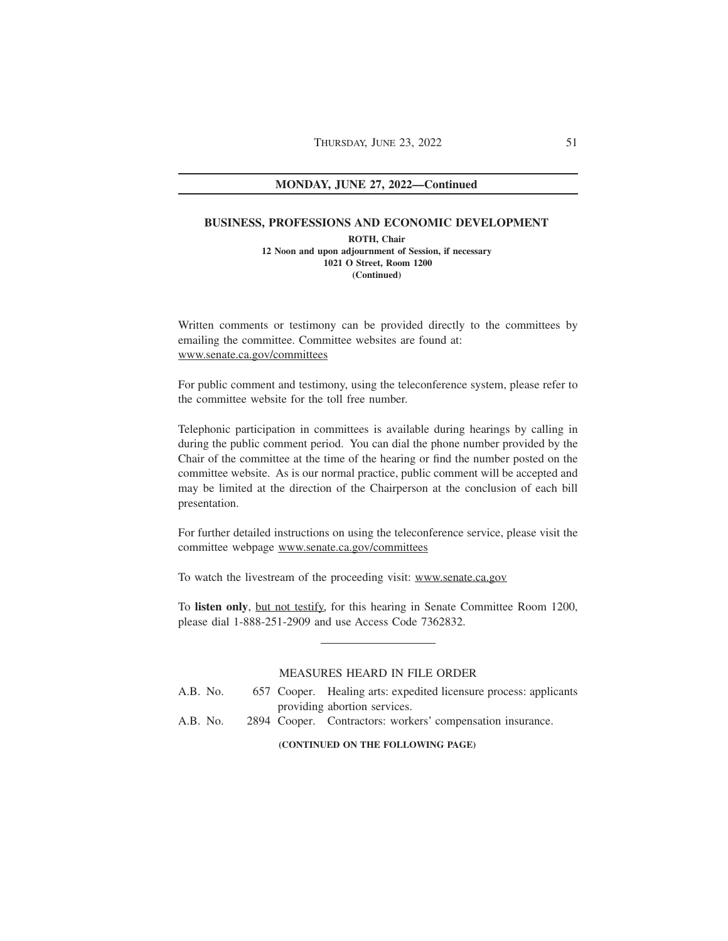# **BUSINESS, PROFESSIONS AND ECONOMIC DEVELOPMENT**

**ROTH, Chair 12 Noon and upon adjournment of Session, if necessary 1021 O Street, Room 1200 (Continued)** 

Written comments or testimony can be provided directly to the committees by emailing the committee. Committee websites are found at: www.senate.ca.gov/committees

For public comment and testimony, using the teleconference system, please refer to the committee website for the toll free number.

Telephonic participation in committees is available during hearings by calling in during the public comment period. You can dial the phone number provided by the Chair of the committee at the time of the hearing or find the number posted on the committee website. As is our normal practice, public comment will be accepted and may be limited at the direction of the Chairperson at the conclusion of each bill presentation.

For further detailed instructions on using the teleconference service, please visit the committee webpage www.senate.ca.gov/committees

To watch the livestream of the proceeding visit: www.senate.ca.gov

To **listen only**, but not testify, for this hearing in Senate Committee Room 1200, please dial 1-888-251-2909 and use Access Code 7362832.

### MEASURES HEARD IN FILE ORDER

| A.B. No. | 657 Cooper. Healing arts: expedited licensure process: applicants |
|----------|-------------------------------------------------------------------|
|          | providing abortion services.                                      |
| A.B. No. | 2894 Cooper. Contractors: workers' compensation insurance.        |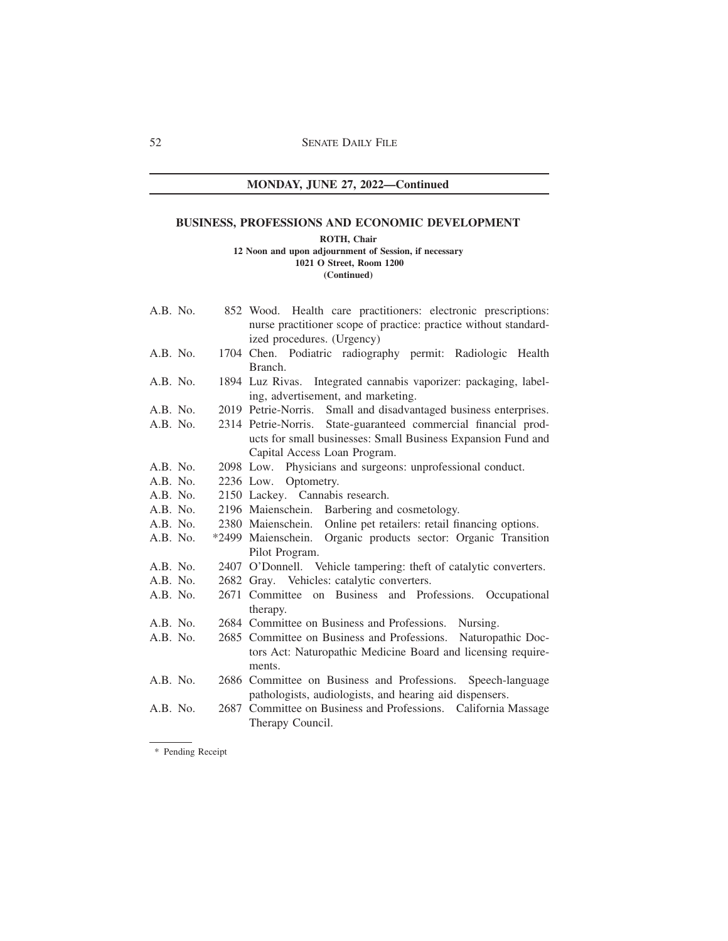# **BUSINESS, PROFESSIONS AND ECONOMIC DEVELOPMENT**

### **ROTH, Chair 12 Noon and upon adjournment of Session, if necessary 1021 O Street, Room 1200 (Continued)**

| A.B. No. |  | 852 Wood. Health care practitioners: electronic prescriptions:    |
|----------|--|-------------------------------------------------------------------|
|          |  | nurse practitioner scope of practice: practice without standard-  |
|          |  | ized procedures. (Urgency)                                        |
| A.B. No. |  | 1704 Chen. Podiatric radiography permit: Radiologic Health        |
|          |  | Branch.                                                           |
| A.B. No. |  | 1894 Luz Rivas. Integrated cannabis vaporizer: packaging, label-  |
|          |  | ing, advertisement, and marketing.                                |
| A.B. No. |  | 2019 Petrie-Norris. Small and disadvantaged business enterprises. |
| A.B. No. |  | 2314 Petrie-Norris. State-guaranteed commercial financial prod-   |
|          |  | ucts for small businesses: Small Business Expansion Fund and      |
|          |  | Capital Access Loan Program.                                      |
| A.B. No. |  | 2098 Low. Physicians and surgeons: unprofessional conduct.        |
| A.B. No. |  | 2236 Low. Optometry.                                              |
| A.B. No. |  | 2150 Lackey. Cannabis research.                                   |
| A.B. No. |  | 2196 Maienschein. Barbering and cosmetology.                      |
| A.B. No. |  | 2380 Maienschein. Online pet retailers: retail financing options. |
| A.B. No. |  | *2499 Maienschein. Organic products sector: Organic Transition    |
|          |  | Pilot Program.                                                    |
| A.B. No. |  | 2407 O'Donnell. Vehicle tampering: theft of catalytic converters. |
| A.B. No. |  | 2682 Gray. Vehicles: catalytic converters.                        |
| A.B. No. |  | 2671 Committee on Business and Professions. Occupational          |
|          |  | therapy.                                                          |
| A.B. No. |  | 2684 Committee on Business and Professions. Nursing.              |
| A.B. No. |  | 2685 Committee on Business and Professions. Naturopathic Doc-     |
|          |  | tors Act: Naturopathic Medicine Board and licensing require-      |
|          |  | ments.                                                            |
| A.B. No. |  | 2686 Committee on Business and Professions. Speech-language       |
|          |  | pathologists, audiologists, and hearing aid dispensers.           |
| A.B. No. |  | 2687 Committee on Business and Professions. California Massage    |
|          |  | Therapy Council.                                                  |
|          |  |                                                                   |

\* Pending Receipt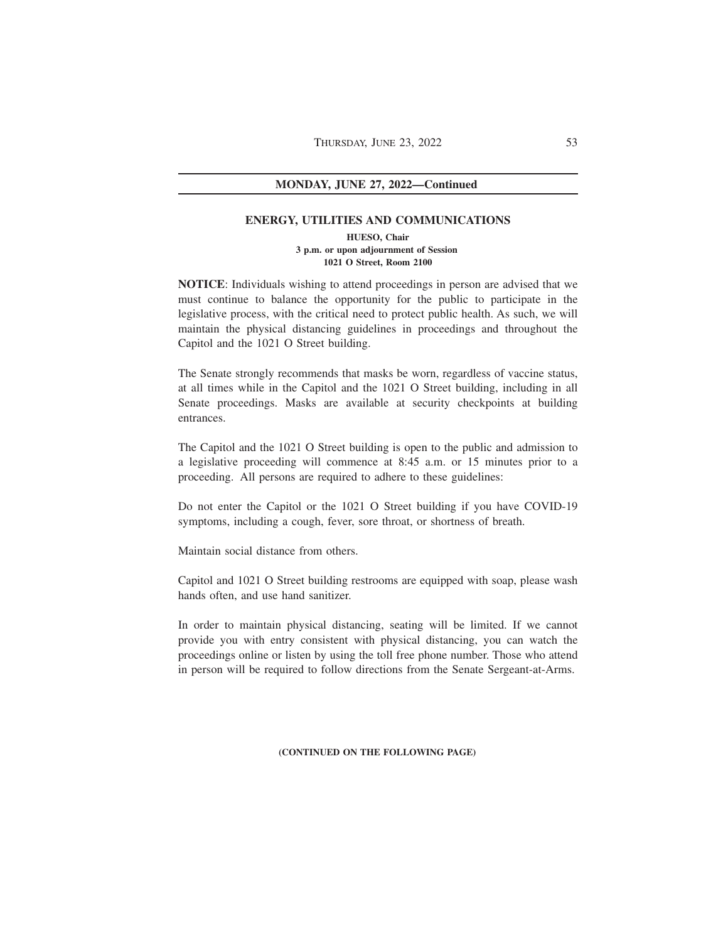# **ENERGY, UTILITIES AND COMMUNICATIONS**

**HUESO, Chair 3 p.m. or upon adjournment of Session 1021 O Street, Room 2100**

**NOTICE**: Individuals wishing to attend proceedings in person are advised that we must continue to balance the opportunity for the public to participate in the legislative process, with the critical need to protect public health. As such, we will maintain the physical distancing guidelines in proceedings and throughout the Capitol and the 1021 O Street building.

The Senate strongly recommends that masks be worn, regardless of vaccine status, at all times while in the Capitol and the 1021 O Street building, including in all Senate proceedings. Masks are available at security checkpoints at building entrances.

The Capitol and the 1021 O Street building is open to the public and admission to a legislative proceeding will commence at 8:45 a.m. or 15 minutes prior to a proceeding. All persons are required to adhere to these guidelines:

Do not enter the Capitol or the 1021 O Street building if you have COVID-19 symptoms, including a cough, fever, sore throat, or shortness of breath.

Maintain social distance from others.

Capitol and 1021 O Street building restrooms are equipped with soap, please wash hands often, and use hand sanitizer.

In order to maintain physical distancing, seating will be limited. If we cannot provide you with entry consistent with physical distancing, you can watch the proceedings online or listen by using the toll free phone number. Those who attend in person will be required to follow directions from the Senate Sergeant-at-Arms.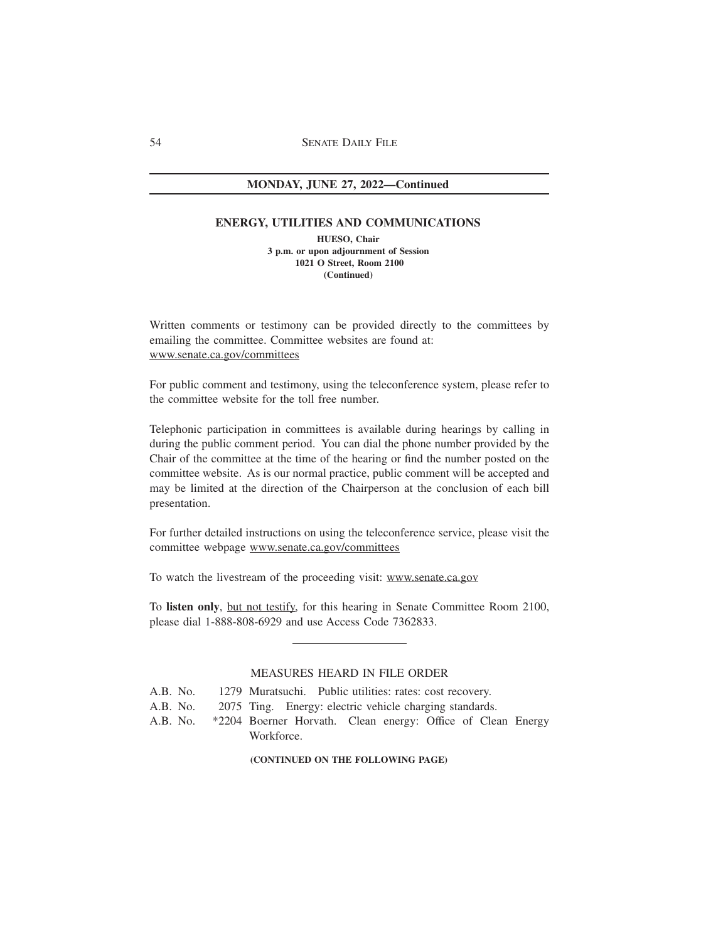# **ENERGY, UTILITIES AND COMMUNICATIONS**

**HUESO, Chair 3 p.m. or upon adjournment of Session 1021 O Street, Room 2100 (Continued)** 

Written comments or testimony can be provided directly to the committees by emailing the committee. Committee websites are found at: www.senate.ca.gov/committees

For public comment and testimony, using the teleconference system, please refer to the committee website for the toll free number.

Telephonic participation in committees is available during hearings by calling in during the public comment period. You can dial the phone number provided by the Chair of the committee at the time of the hearing or find the number posted on the committee website. As is our normal practice, public comment will be accepted and may be limited at the direction of the Chairperson at the conclusion of each bill presentation.

For further detailed instructions on using the teleconference service, please visit the committee webpage www.senate.ca.gov/committees

To watch the livestream of the proceeding visit: www.senate.ca.gov

To **listen only**, but not testify, for this hearing in Senate Committee Room 2100, please dial 1-888-808-6929 and use Access Code 7362833.

# MEASURES HEARD IN FILE ORDER

| A.B. No. 1279 Muratsuchi. Public utilities: rates: cost recovery.    |                                                         |  |  |  |  |
|----------------------------------------------------------------------|---------------------------------------------------------|--|--|--|--|
| A.B. No.                                                             | 2075 Ting. Energy: electric vehicle charging standards. |  |  |  |  |
| A.B. No. *2204 Boerner Horvath. Clean energy: Office of Clean Energy |                                                         |  |  |  |  |
|                                                                      | Workforce.                                              |  |  |  |  |
|                                                                      |                                                         |  |  |  |  |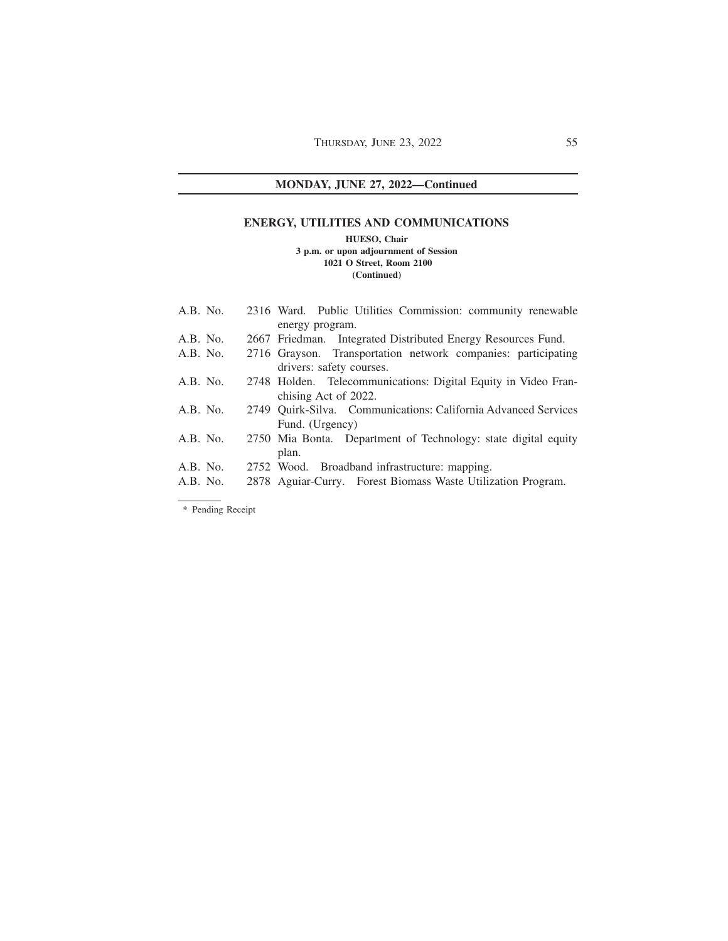# **ENERGY, UTILITIES AND COMMUNICATIONS**

#### **HUESO, Chair 3 p.m. or upon adjournment of Session 1021 O Street, Room 2100 (Continued)**

| A.B. No. | 2316 Ward. Public Utilities Commission: community renewable    |  |
|----------|----------------------------------------------------------------|--|
|          |                                                                |  |
|          | energy program.                                                |  |
| A.B. No. | 2667 Friedman. Integrated Distributed Energy Resources Fund.   |  |
| A.B. No. | 2716 Grayson. Transportation network companies: participating  |  |
|          | drivers: safety courses.                                       |  |
| A.B. No. | 2748 Holden. Telecommunications: Digital Equity in Video Fran- |  |
|          | chising Act of 2022.                                           |  |
| A.B. No. | 2749 Quirk-Silva. Communications: California Advanced Services |  |
|          | Fund. (Urgency)                                                |  |
| A.B. No. | 2750 Mia Bonta. Department of Technology: state digital equity |  |
|          | plan.                                                          |  |
| A.B. No. | 2752 Wood. Broadband infrastructure: mapping.                  |  |
| A.B. No. | 2878 Aguiar-Curry. Forest Biomass Waste Utilization Program.   |  |
|          |                                                                |  |

\* Pending Receipt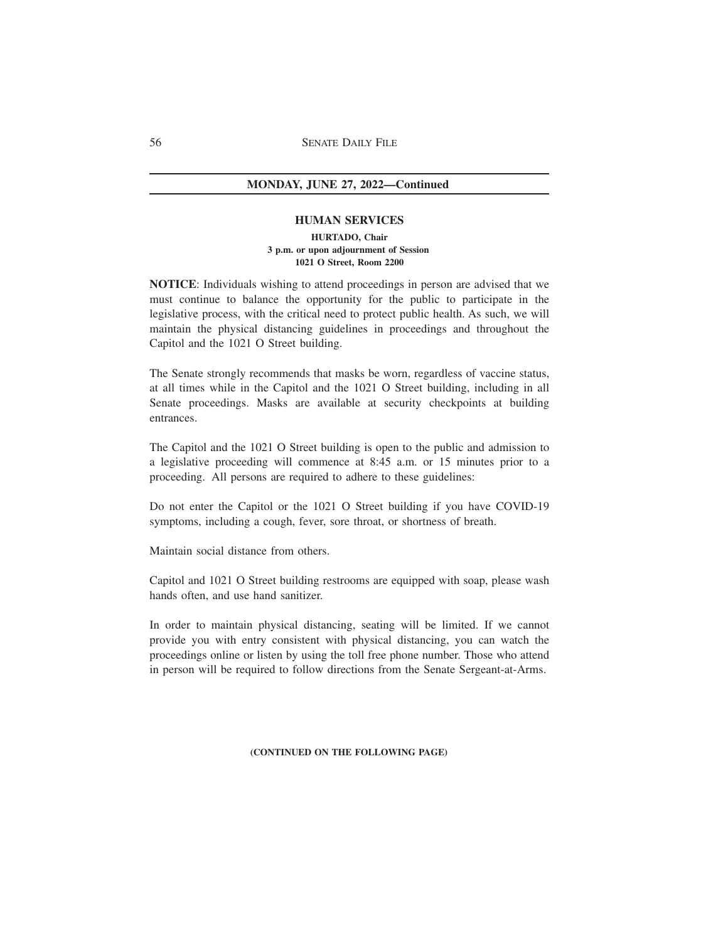#### **HUMAN SERVICES**

## **HURTADO, Chair 3 p.m. or upon adjournment of Session 1021 O Street, Room 2200**

**NOTICE**: Individuals wishing to attend proceedings in person are advised that we must continue to balance the opportunity for the public to participate in the legislative process, with the critical need to protect public health. As such, we will maintain the physical distancing guidelines in proceedings and throughout the Capitol and the 1021 O Street building.

The Senate strongly recommends that masks be worn, regardless of vaccine status, at all times while in the Capitol and the 1021 O Street building, including in all Senate proceedings. Masks are available at security checkpoints at building entrances.

The Capitol and the 1021 O Street building is open to the public and admission to a legislative proceeding will commence at 8:45 a.m. or 15 minutes prior to a proceeding. All persons are required to adhere to these guidelines:

Do not enter the Capitol or the 1021 O Street building if you have COVID-19 symptoms, including a cough, fever, sore throat, or shortness of breath.

Maintain social distance from others.

Capitol and 1021 O Street building restrooms are equipped with soap, please wash hands often, and use hand sanitizer.

In order to maintain physical distancing, seating will be limited. If we cannot provide you with entry consistent with physical distancing, you can watch the proceedings online or listen by using the toll free phone number. Those who attend in person will be required to follow directions from the Senate Sergeant-at-Arms.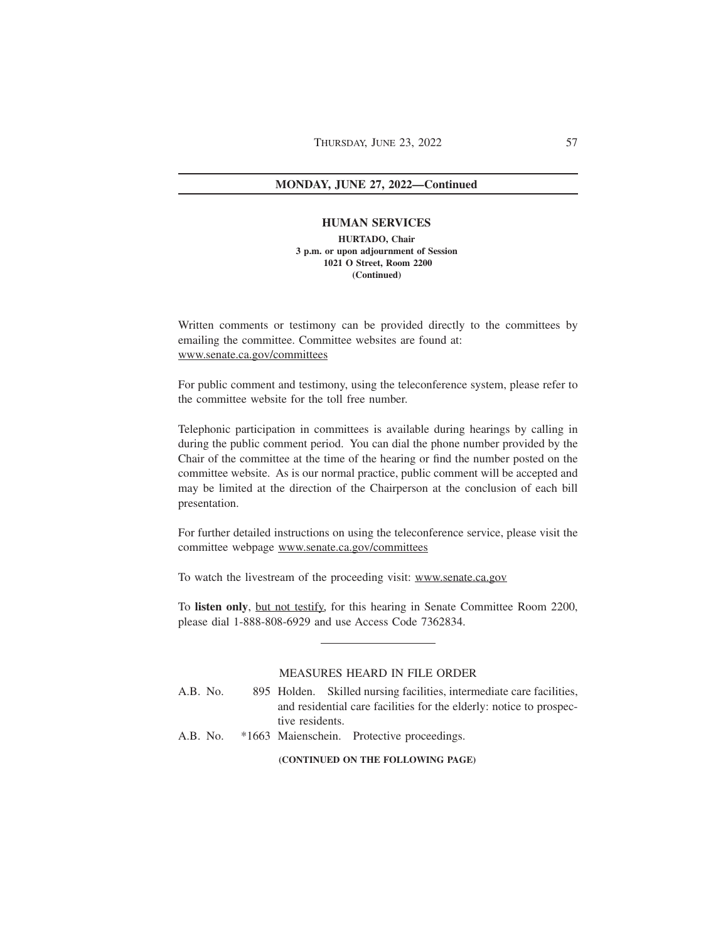# **HUMAN SERVICES**

**HURTADO, Chair 3 p.m. or upon adjournment of Session 1021 O Street, Room 2200 (Continued)** 

Written comments or testimony can be provided directly to the committees by emailing the committee. Committee websites are found at: www.senate.ca.gov/committees

For public comment and testimony, using the teleconference system, please refer to the committee website for the toll free number.

Telephonic participation in committees is available during hearings by calling in during the public comment period. You can dial the phone number provided by the Chair of the committee at the time of the hearing or find the number posted on the committee website. As is our normal practice, public comment will be accepted and may be limited at the direction of the Chairperson at the conclusion of each bill presentation.

For further detailed instructions on using the teleconference service, please visit the committee webpage www.senate.ca.gov/committees

To watch the livestream of the proceeding visit: www.senate.ca.gov

To **listen only**, but not testify, for this hearing in Senate Committee Room 2200, please dial 1-888-808-6929 and use Access Code 7362834.

# MEASURES HEARD IN FILE ORDER

- A.B. No. 895 Holden. Skilled nursing facilities, intermediate care facilities, and residential care facilities for the elderly: notice to prospective residents.
- A.B. No. \*1663 Maienschein. Protective proceedings.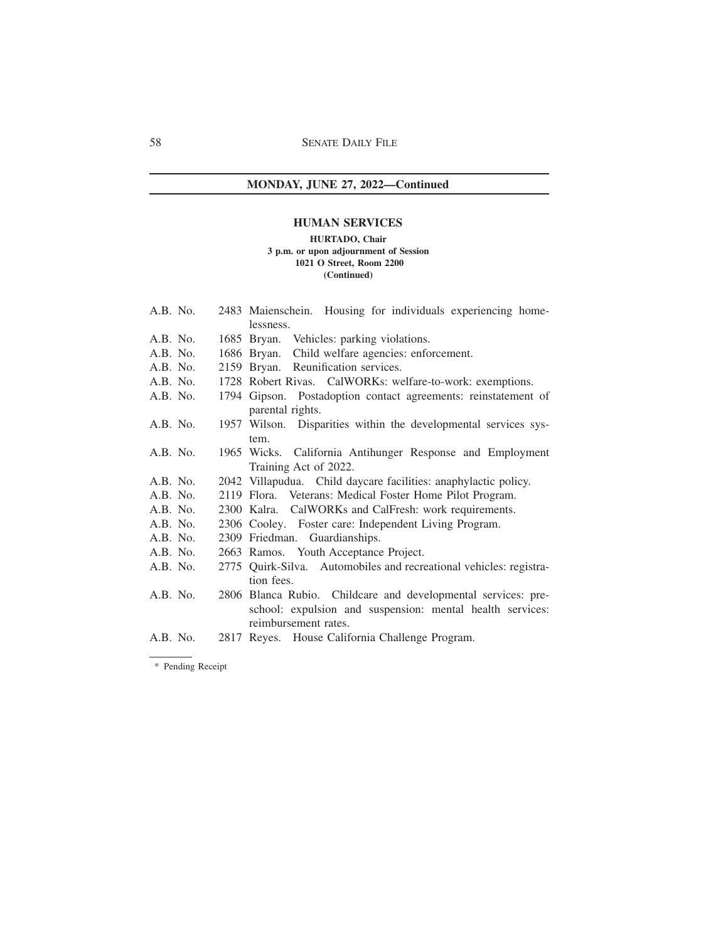# **HUMAN SERVICES**

### **HURTADO, Chair 3 p.m. or upon adjournment of Session 1021 O Street, Room 2200 (Continued)**

| A.B. No. |          | 2483 Maienschein. Housing for individuals experiencing home-                                                                                       |
|----------|----------|----------------------------------------------------------------------------------------------------------------------------------------------------|
|          |          | lessness.                                                                                                                                          |
|          | A.B. No. | 1685 Bryan. Vehicles: parking violations.                                                                                                          |
| A.B. No. |          | 1686 Bryan. Child welfare agencies: enforcement.                                                                                                   |
|          | A.B. No. | 2159 Bryan. Reunification services.                                                                                                                |
|          | A.B. No. | 1728 Robert Rivas. CalWORKs: welfare-to-work: exemptions.                                                                                          |
|          | A.B. No. | 1794 Gipson. Postadoption contact agreements: reinstatement of<br>parental rights.                                                                 |
| A.B. No. |          | 1957 Wilson. Disparities within the developmental services sys-<br>tem.                                                                            |
| A.B. No. |          | 1965 Wicks. California Antihunger Response and Employment<br>Training Act of 2022.                                                                 |
| A.B. No. |          | 2042 Villapudua. Child daycare facilities: anaphylactic policy.                                                                                    |
| A.B. No. |          | 2119 Flora. Veterans: Medical Foster Home Pilot Program.                                                                                           |
|          | A.B. No. | 2300 Kalra. CalWORKs and CalFresh: work requirements.                                                                                              |
|          | A.B. No. | 2306 Cooley. Foster care: Independent Living Program.                                                                                              |
|          | A.B. No. | 2309 Friedman. Guardianships.                                                                                                                      |
|          | A.B. No. | 2663 Ramos. Youth Acceptance Project.                                                                                                              |
| A.B. No. |          | 2775 Quirk-Silva. Automobiles and recreational vehicles: registra-<br>tion fees.                                                                   |
| A.B. No. |          | 2806 Blanca Rubio. Childcare and developmental services: pre-<br>school: expulsion and suspension: mental health services:<br>reimbursement rates. |
|          | A.B. No. | 2817 Reyes. House California Challenge Program.                                                                                                    |
|          |          |                                                                                                                                                    |

\* Pending Receipt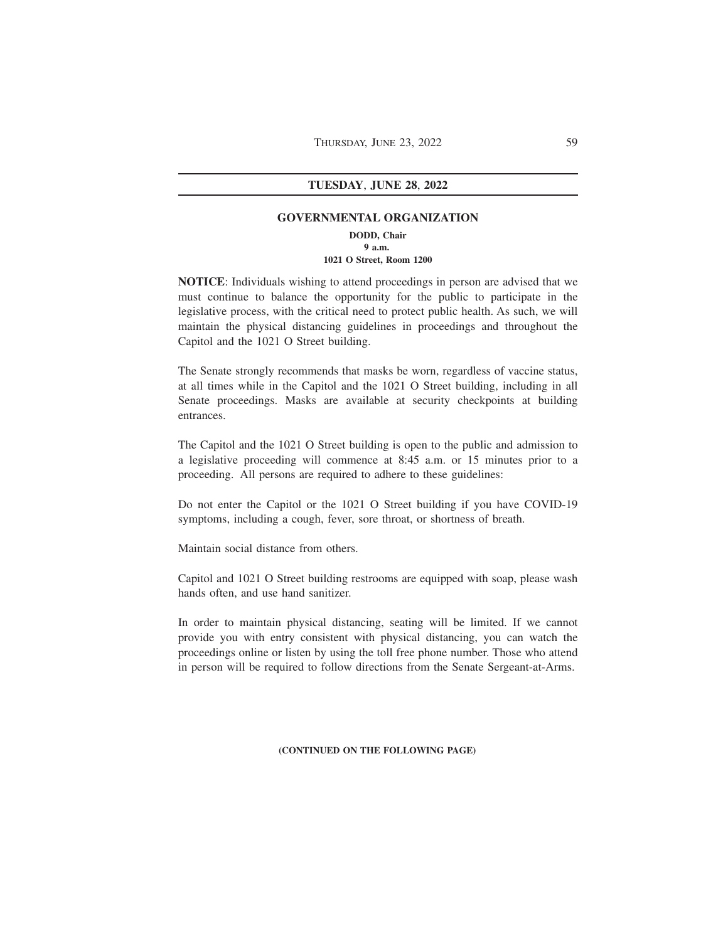# **TUESDAY**, **JUNE 28**, **2022**

#### **GOVERNMENTAL ORGANIZATION**

### **DODD, Chair 9 a.m. 1021 O Street, Room 1200**

**NOTICE**: Individuals wishing to attend proceedings in person are advised that we must continue to balance the opportunity for the public to participate in the legislative process, with the critical need to protect public health. As such, we will maintain the physical distancing guidelines in proceedings and throughout the Capitol and the 1021 O Street building.

The Senate strongly recommends that masks be worn, regardless of vaccine status, at all times while in the Capitol and the 1021 O Street building, including in all Senate proceedings. Masks are available at security checkpoints at building entrances.

The Capitol and the 1021 O Street building is open to the public and admission to a legislative proceeding will commence at 8:45 a.m. or 15 minutes prior to a proceeding. All persons are required to adhere to these guidelines:

Do not enter the Capitol or the 1021 O Street building if you have COVID-19 symptoms, including a cough, fever, sore throat, or shortness of breath.

Maintain social distance from others.

Capitol and 1021 O Street building restrooms are equipped with soap, please wash hands often, and use hand sanitizer.

In order to maintain physical distancing, seating will be limited. If we cannot provide you with entry consistent with physical distancing, you can watch the proceedings online or listen by using the toll free phone number. Those who attend in person will be required to follow directions from the Senate Sergeant-at-Arms.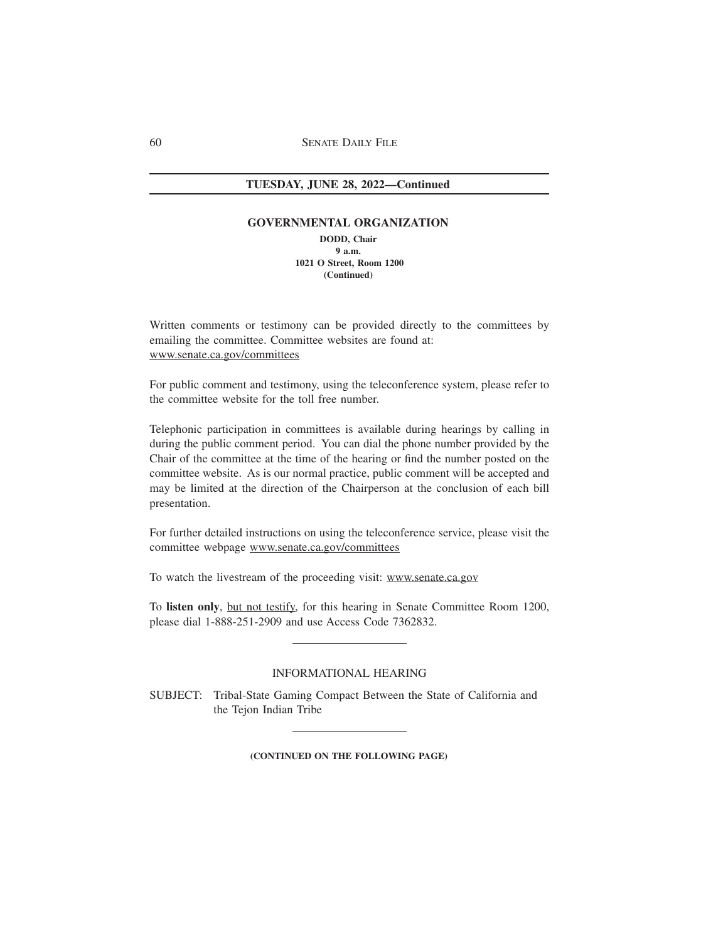### **GOVERNMENTAL ORGANIZATION**

**DODD, Chair 9 a.m. 1021 O Street, Room 1200 (Continued)** 

Written comments or testimony can be provided directly to the committees by emailing the committee. Committee websites are found at: www.senate.ca.gov/committees

For public comment and testimony, using the teleconference system, please refer to the committee website for the toll free number.

Telephonic participation in committees is available during hearings by calling in during the public comment period. You can dial the phone number provided by the Chair of the committee at the time of the hearing or find the number posted on the committee website. As is our normal practice, public comment will be accepted and may be limited at the direction of the Chairperson at the conclusion of each bill presentation.

For further detailed instructions on using the teleconference service, please visit the committee webpage www.senate.ca.gov/committees

To watch the livestream of the proceeding visit: www.senate.ca.gov

To **listen only**, but not testify, for this hearing in Senate Committee Room 1200, please dial 1-888-251-2909 and use Access Code 7362832.

# INFORMATIONAL HEARING

SUBJECT: Tribal-State Gaming Compact Between the State of California and the Tejon Indian Tribe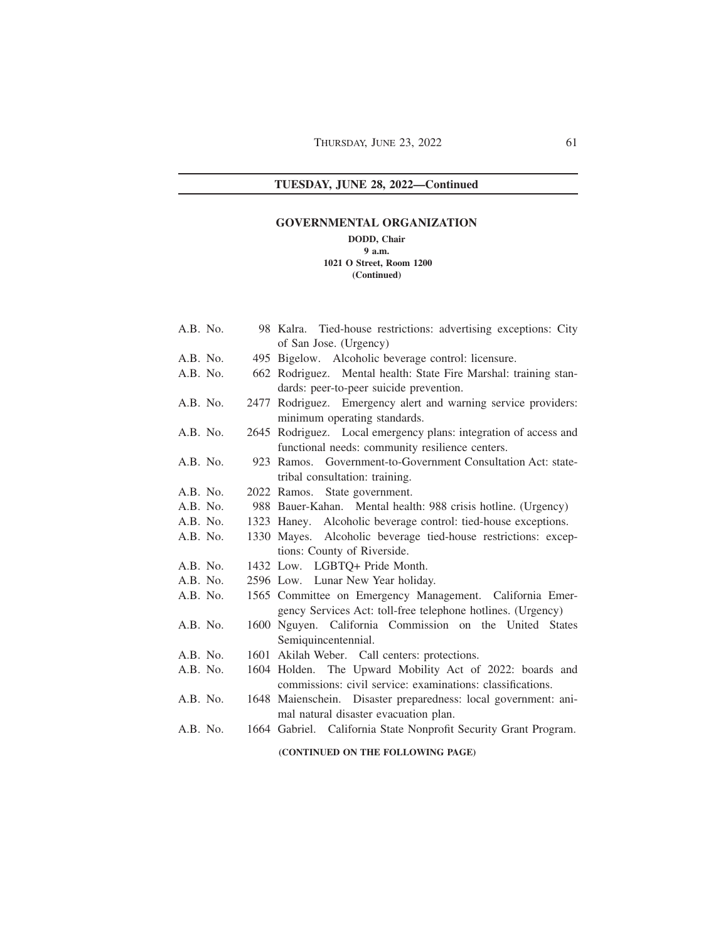# **GOVERNMENTAL ORGANIZATION**

### **DODD, Chair 9 a.m. 1021 O Street, Room 1200 (Continued)**

| A.B. No. |  | 98 Kalra. Tied-house restrictions: advertising exceptions: City  |
|----------|--|------------------------------------------------------------------|
|          |  | of San Jose. (Urgency)                                           |
| A.B. No. |  | 495 Bigelow. Alcoholic beverage control: licensure.              |
| A.B. No. |  | 662 Rodriguez. Mental health: State Fire Marshal: training stan- |
|          |  | dards: peer-to-peer suicide prevention.                          |
| A.B. No. |  | 2477 Rodriguez. Emergency alert and warning service providers:   |
|          |  | minimum operating standards.                                     |
| A.B. No. |  | 2645 Rodriguez. Local emergency plans: integration of access and |
|          |  | functional needs: community resilience centers.                  |
| A.B. No. |  | 923 Ramos. Government-to-Government Consultation Act: state-     |
|          |  | tribal consultation: training.                                   |
| A.B. No. |  | 2022 Ramos. State government.                                    |
| A.B. No. |  | 988 Bauer-Kahan. Mental health: 988 crisis hotline. (Urgency)    |
| A.B. No. |  | 1323 Haney. Alcoholic beverage control: tied-house exceptions.   |
| A.B. No. |  | 1330 Mayes. Alcoholic beverage tied-house restrictions: excep-   |
|          |  | tions: County of Riverside.                                      |
| A.B. No. |  | 1432 Low. LGBTQ+ Pride Month.                                    |
| A.B. No. |  | 2596 Low. Lunar New Year holiday.                                |
| A.B. No. |  | 1565 Committee on Emergency Management. California Emer-         |
|          |  | gency Services Act: toll-free telephone hotlines. (Urgency)      |
| A.B. No. |  | 1600 Nguyen. California Commission on the United States          |
|          |  | Semiquincentennial.                                              |
| A.B. No. |  | 1601 Akilah Weber. Call centers: protections.                    |
| A.B. No. |  | 1604 Holden. The Upward Mobility Act of 2022: boards and         |
|          |  | commissions: civil service: examinations: classifications.       |
| A.B. No. |  | 1648 Maienschein. Disaster preparedness: local government: ani-  |
|          |  | mal natural disaster evacuation plan.                            |
| A.B. No. |  | 1664 Gabriel. California State Nonprofit Security Grant Program. |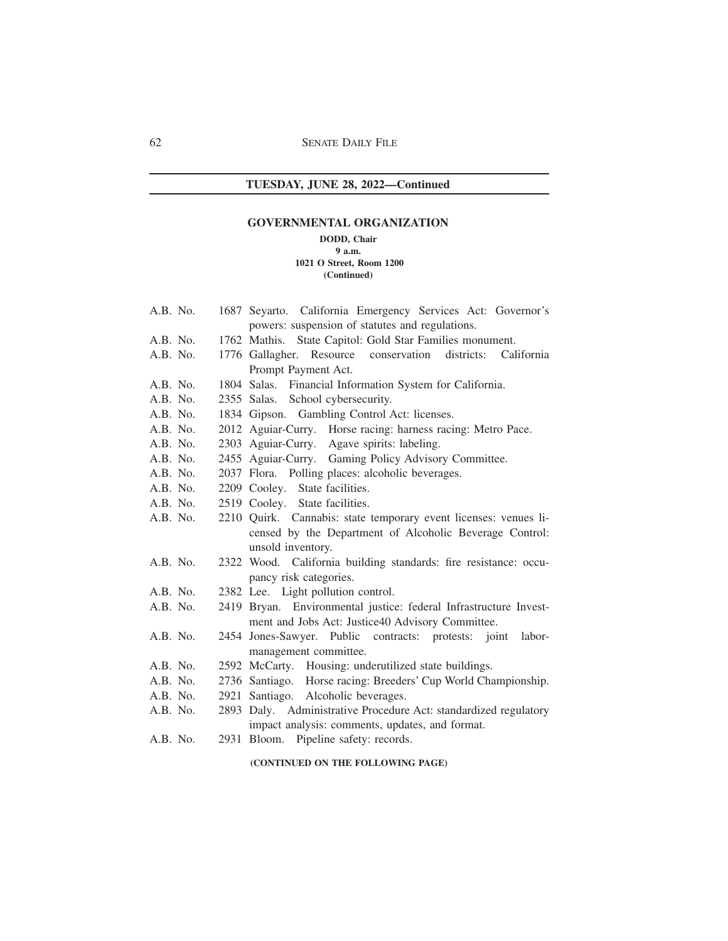# **GOVERNMENTAL ORGANIZATION**

### **DODD, Chair 9 a.m. 1021 O Street, Room 1200 (Continued)**

| A.B. No. | 1687 Seyarto. California Emergency Services Act: Governor's       |
|----------|-------------------------------------------------------------------|
|          | powers: suspension of statutes and regulations.                   |
| A.B. No. | 1762 Mathis. State Capitol: Gold Star Families monument.          |
| A.B. No. | 1776 Gallagher. Resource conservation districts:<br>California    |
|          | Prompt Payment Act.                                               |
| A.B. No. | 1804 Salas. Financial Information System for California.          |
| A.B. No. | 2355 Salas. School cybersecurity.                                 |
| A.B. No. | 1834 Gipson. Gambling Control Act: licenses.                      |
| A.B. No. | 2012 Aguiar-Curry. Horse racing: harness racing: Metro Pace.      |
| A.B. No. | 2303 Aguiar-Curry. Agave spirits: labeling.                       |
| A.B. No. | 2455 Aguiar-Curry. Gaming Policy Advisory Committee.              |
| A.B. No. | 2037 Flora. Polling places: alcoholic beverages.                  |
| A.B. No. | 2209 Cooley. State facilities.                                    |
| A.B. No. | 2519 Cooley. State facilities.                                    |
| A.B. No. | 2210 Quirk. Cannabis: state temporary event licenses: venues li-  |
|          | censed by the Department of Alcoholic Beverage Control:           |
|          | unsold inventory.                                                 |
| A.B. No. | 2322 Wood. California building standards: fire resistance: occu-  |
|          | pancy risk categories.                                            |
| A.B. No. | 2382 Lee. Light pollution control.                                |
| A.B. No. | 2419 Bryan. Environmental justice: federal Infrastructure Invest- |
|          | ment and Jobs Act: Justice40 Advisory Committee.                  |
| A.B. No. | 2454 Jones-Sawyer. Public contracts: protests: joint labor-       |
|          | management committee.                                             |
| A.B. No. | 2592 McCarty. Housing: underutilized state buildings.             |
| A.B. No. | 2736 Santiago. Horse racing: Breeders' Cup World Championship.    |
| A.B. No. | 2921 Santiago. Alcoholic beverages.                               |
| A.B. No. | 2893 Daly. Administrative Procedure Act: standardized regulatory  |
|          | impact analysis: comments, updates, and format.                   |
| A.B. No. | 2931 Bloom. Pipeline safety: records.                             |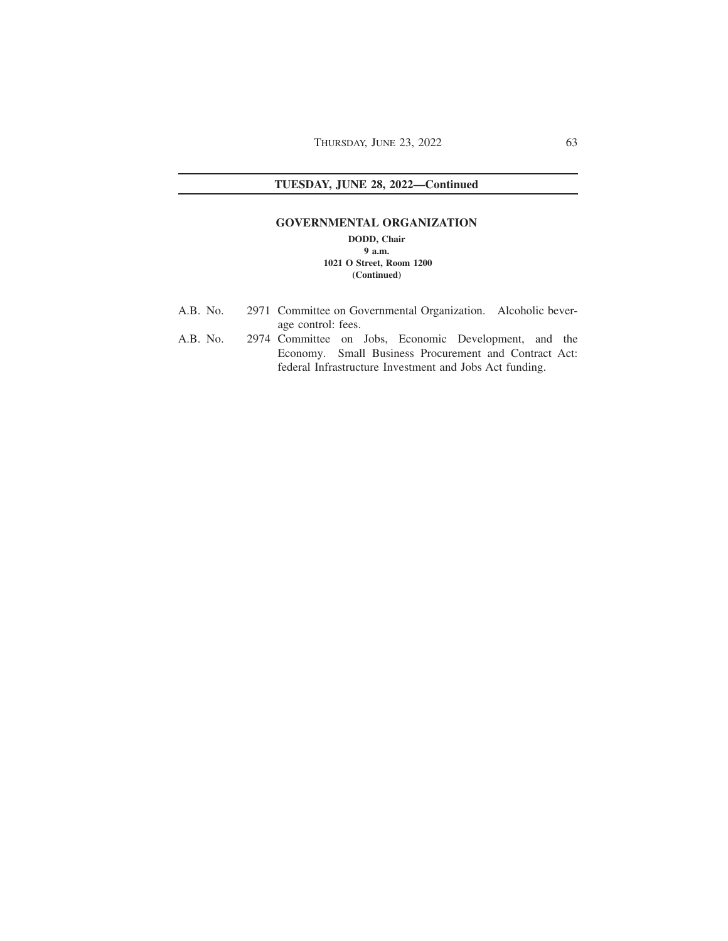# **GOVERNMENTAL ORGANIZATION**

**DODD, Chair 9 a.m. 1021 O Street, Room 1200 (Continued)** 

| A.B. No. | 2971 Committee on Governmental Organization. Alcoholic bever- |  |  |  |  |  |  |
|----------|---------------------------------------------------------------|--|--|--|--|--|--|
|          | age control: fees.                                            |  |  |  |  |  |  |
| A.B. No. | 2974 Committee on Jobs, Economic Development, and the         |  |  |  |  |  |  |
|          | Economy. Small Business Procurement and Contract Act:         |  |  |  |  |  |  |
|          | federal Infrastructure Investment and Jobs Act funding.       |  |  |  |  |  |  |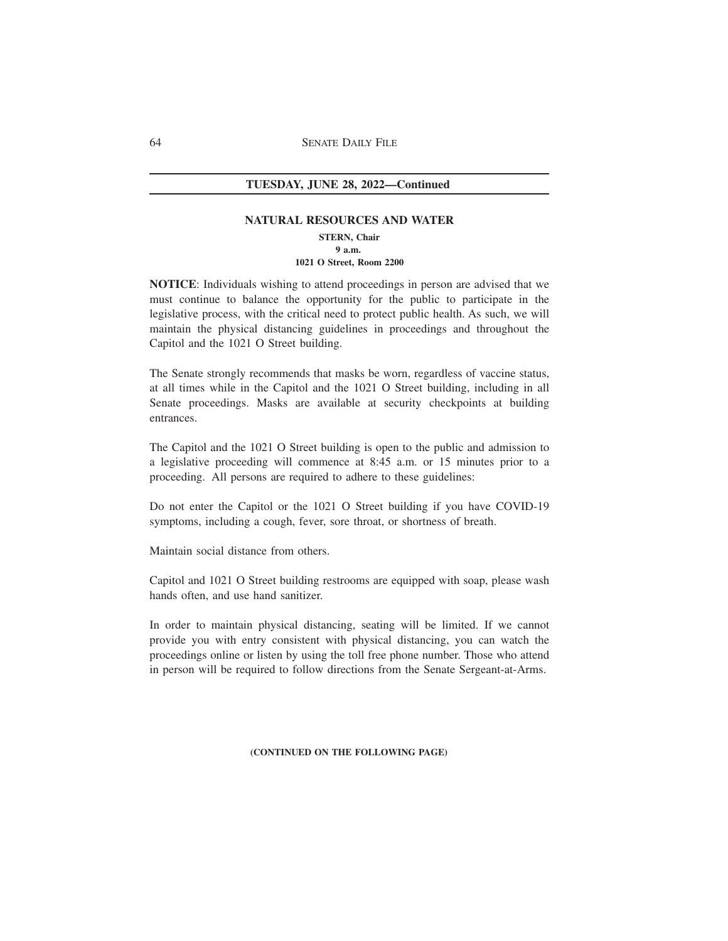#### **NATURAL RESOURCES AND WATER**

### **STERN, Chair 9 a.m. 1021 O Street, Room 2200**

**NOTICE**: Individuals wishing to attend proceedings in person are advised that we must continue to balance the opportunity for the public to participate in the legislative process, with the critical need to protect public health. As such, we will maintain the physical distancing guidelines in proceedings and throughout the Capitol and the 1021 O Street building.

The Senate strongly recommends that masks be worn, regardless of vaccine status, at all times while in the Capitol and the 1021 O Street building, including in all Senate proceedings. Masks are available at security checkpoints at building entrances.

The Capitol and the 1021 O Street building is open to the public and admission to a legislative proceeding will commence at 8:45 a.m. or 15 minutes prior to a proceeding. All persons are required to adhere to these guidelines:

Do not enter the Capitol or the 1021 O Street building if you have COVID-19 symptoms, including a cough, fever, sore throat, or shortness of breath.

Maintain social distance from others.

Capitol and 1021 O Street building restrooms are equipped with soap, please wash hands often, and use hand sanitizer.

In order to maintain physical distancing, seating will be limited. If we cannot provide you with entry consistent with physical distancing, you can watch the proceedings online or listen by using the toll free phone number. Those who attend in person will be required to follow directions from the Senate Sergeant-at-Arms.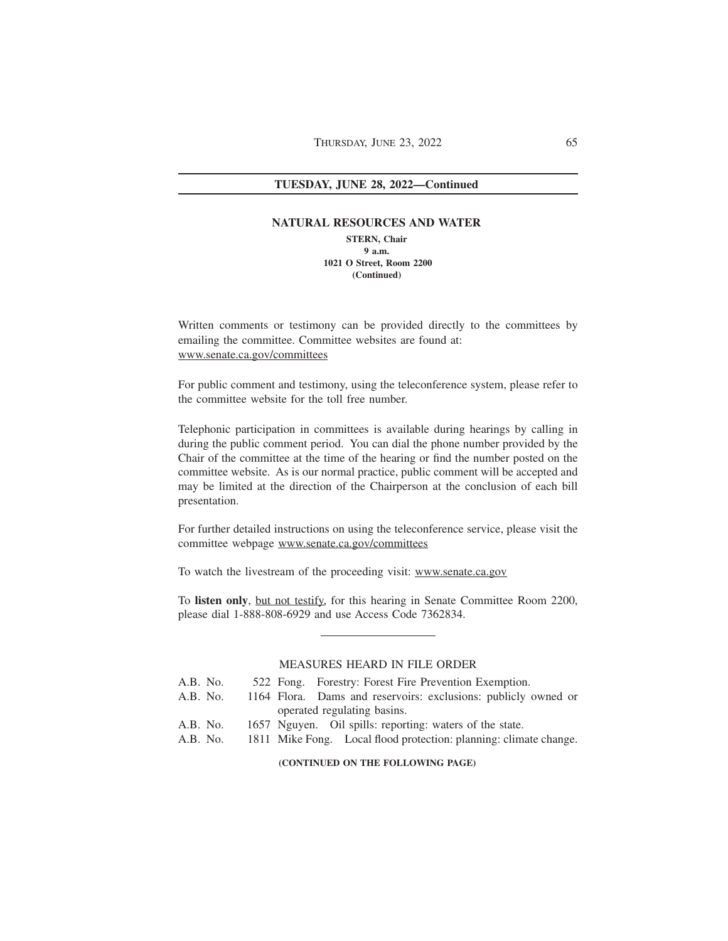### **NATURAL RESOURCES AND WATER**

**STERN, Chair 9 a.m. 1021 O Street, Room 2200 (Continued)** 

Written comments or testimony can be provided directly to the committees by emailing the committee. Committee websites are found at: www.senate.ca.gov/committees

For public comment and testimony, using the teleconference system, please refer to the committee website for the toll free number.

Telephonic participation in committees is available during hearings by calling in during the public comment period. You can dial the phone number provided by the Chair of the committee at the time of the hearing or find the number posted on the committee website. As is our normal practice, public comment will be accepted and may be limited at the direction of the Chairperson at the conclusion of each bill presentation.

For further detailed instructions on using the teleconference service, please visit the committee webpage www.senate.ca.gov/committees

To watch the livestream of the proceeding visit: www.senate.ca.gov

To **listen only**, but not testify, for this hearing in Senate Committee Room 2200, please dial 1-888-808-6929 and use Access Code 7362834.

# MEASURES HEARD IN FILE ORDER

| A.B. No. |  |  |  | 522 Fong. Forestry: Forest Fire Prevention Exemption. |  |
|----------|--|--|--|-------------------------------------------------------|--|
|          |  |  |  |                                                       |  |

- A.B. No. 1164 Flora. Dams and reservoirs: exclusions: publicly owned or operated regulating basins.
- A.B. No. 1657 Nguyen. Oil spills: reporting: waters of the state.
- A.B. No. 1811 Mike Fong. Local flood protection: planning: climate change.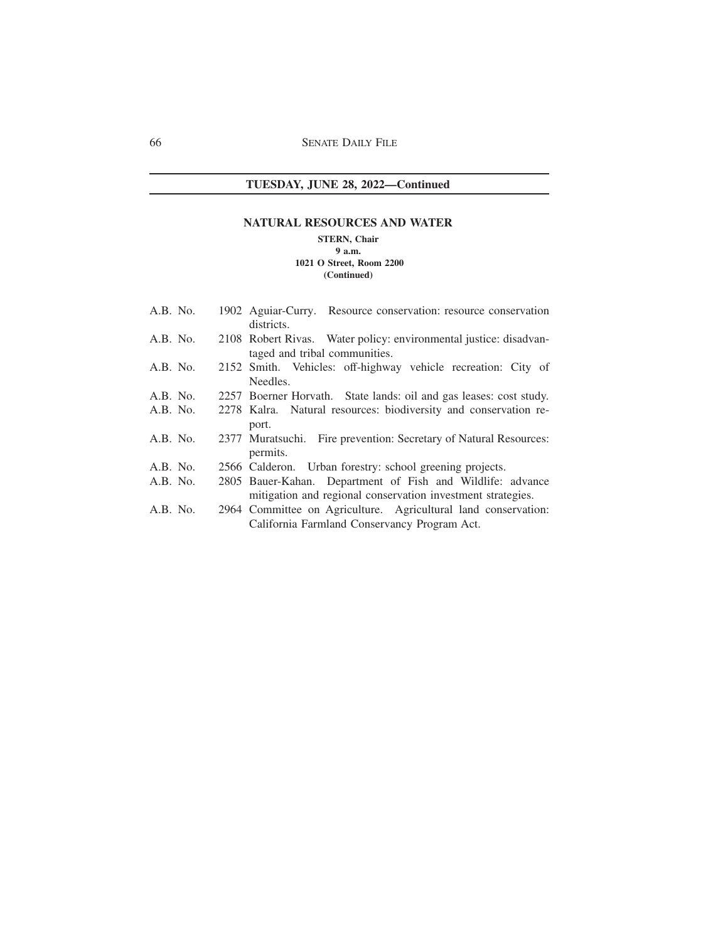# **NATURAL RESOURCES AND WATER**

### **STERN, Chair 9 a.m. 1021 O Street, Room 2200 (Continued)**

| A.B. No. |  | 1902 Aguiar-Curry. Resource conservation: resource conservation    |
|----------|--|--------------------------------------------------------------------|
|          |  | districts.                                                         |
| A.B. No. |  | 2108 Robert Rivas. Water policy: environmental justice: disadvan-  |
|          |  | taged and tribal communities.                                      |
| A.B. No. |  | 2152 Smith. Vehicles: off-highway vehicle recreation: City of      |
|          |  | Needles.                                                           |
| A.B. No. |  | 2257 Boerner Horvath. State lands: oil and gas leases: cost study. |
| A.B. No. |  | 2278 Kalra. Natural resources: biodiversity and conservation re-   |
|          |  | port.                                                              |
| A.B. No. |  | 2377 Muratsuchi. Fire prevention: Secretary of Natural Resources:  |
|          |  | permits.                                                           |
| A.B. No. |  | 2566 Calderon. Urban forestry: school greening projects.           |
| A.B. No. |  | 2805 Bauer-Kahan. Department of Fish and Wildlife: advance         |
|          |  | mitigation and regional conservation investment strategies.        |
| A.B. No. |  | 2964 Committee on Agriculture. Agricultural land conservation:     |
|          |  | California Farmland Conservancy Program Act.                       |
|          |  |                                                                    |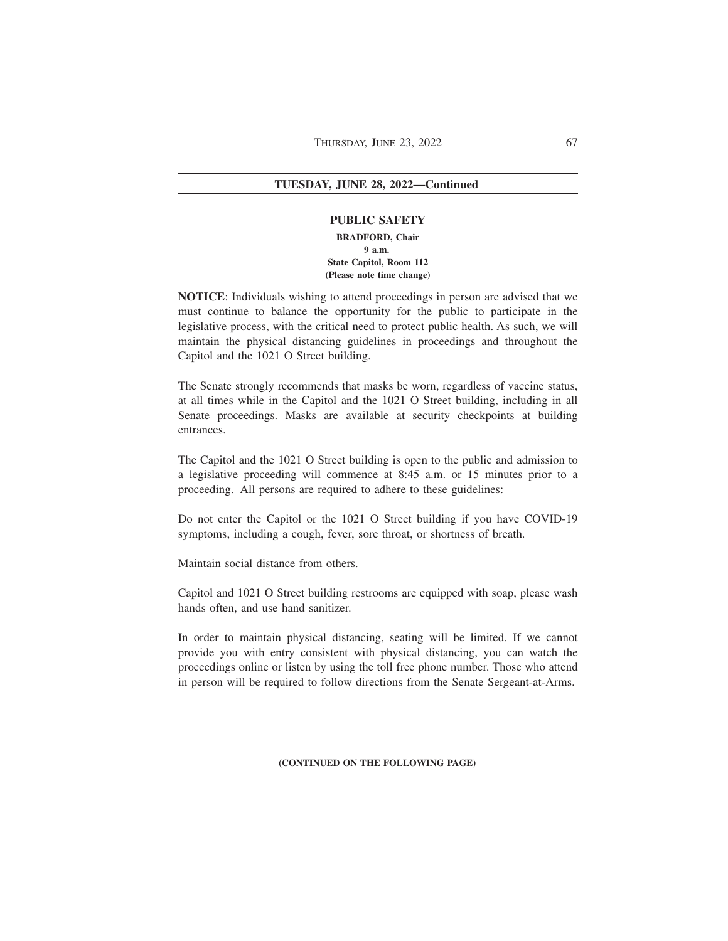#### **PUBLIC SAFETY**

**BRADFORD, Chair 9 a.m. State Capitol, Room 112 (Please note time change)**

**NOTICE**: Individuals wishing to attend proceedings in person are advised that we must continue to balance the opportunity for the public to participate in the legislative process, with the critical need to protect public health. As such, we will maintain the physical distancing guidelines in proceedings and throughout the Capitol and the 1021 O Street building.

The Senate strongly recommends that masks be worn, regardless of vaccine status, at all times while in the Capitol and the 1021 O Street building, including in all Senate proceedings. Masks are available at security checkpoints at building entrances.

The Capitol and the 1021 O Street building is open to the public and admission to a legislative proceeding will commence at 8:45 a.m. or 15 minutes prior to a proceeding. All persons are required to adhere to these guidelines:

Do not enter the Capitol or the 1021 O Street building if you have COVID-19 symptoms, including a cough, fever, sore throat, or shortness of breath.

Maintain social distance from others.

Capitol and 1021 O Street building restrooms are equipped with soap, please wash hands often, and use hand sanitizer.

In order to maintain physical distancing, seating will be limited. If we cannot provide you with entry consistent with physical distancing, you can watch the proceedings online or listen by using the toll free phone number. Those who attend in person will be required to follow directions from the Senate Sergeant-at-Arms.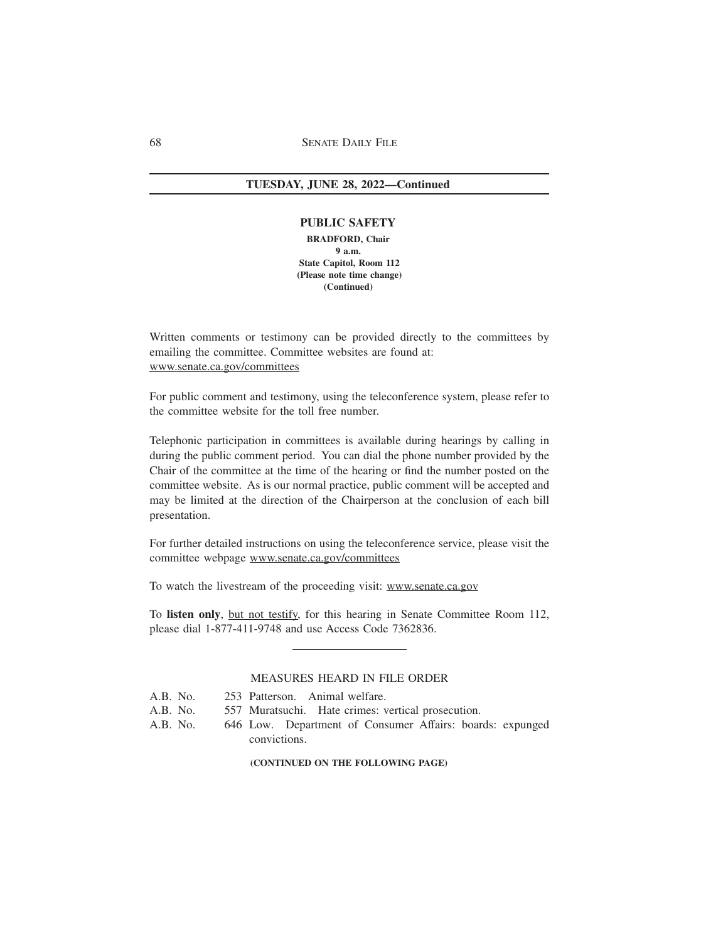### **PUBLIC SAFETY**

**BRADFORD, Chair 9 a.m. State Capitol, Room 112 (Please note time change) (Continued)** 

Written comments or testimony can be provided directly to the committees by emailing the committee. Committee websites are found at: www.senate.ca.gov/committees

For public comment and testimony, using the teleconference system, please refer to the committee website for the toll free number.

Telephonic participation in committees is available during hearings by calling in during the public comment period. You can dial the phone number provided by the Chair of the committee at the time of the hearing or find the number posted on the committee website. As is our normal practice, public comment will be accepted and may be limited at the direction of the Chairperson at the conclusion of each bill presentation.

For further detailed instructions on using the teleconference service, please visit the committee webpage www.senate.ca.gov/committees

To watch the livestream of the proceeding visit: www.senate.ca.gov

To **listen only**, but not testify, for this hearing in Senate Committee Room 112, please dial 1-877-411-9748 and use Access Code 7362836.

### MEASURES HEARD IN FILE ORDER

| A.B. No. |  | 253 Patterson. Animal welfare. |                                                           |  |  |
|----------|--|--------------------------------|-----------------------------------------------------------|--|--|
| A.B. No. |  |                                | 557 Muratsuchi. Hate crimes: vertical prosecution.        |  |  |
| A.B. No. |  |                                | 646 Low. Department of Consumer Affairs: boards: expunged |  |  |
|          |  | convictions.                   |                                                           |  |  |
|          |  |                                |                                                           |  |  |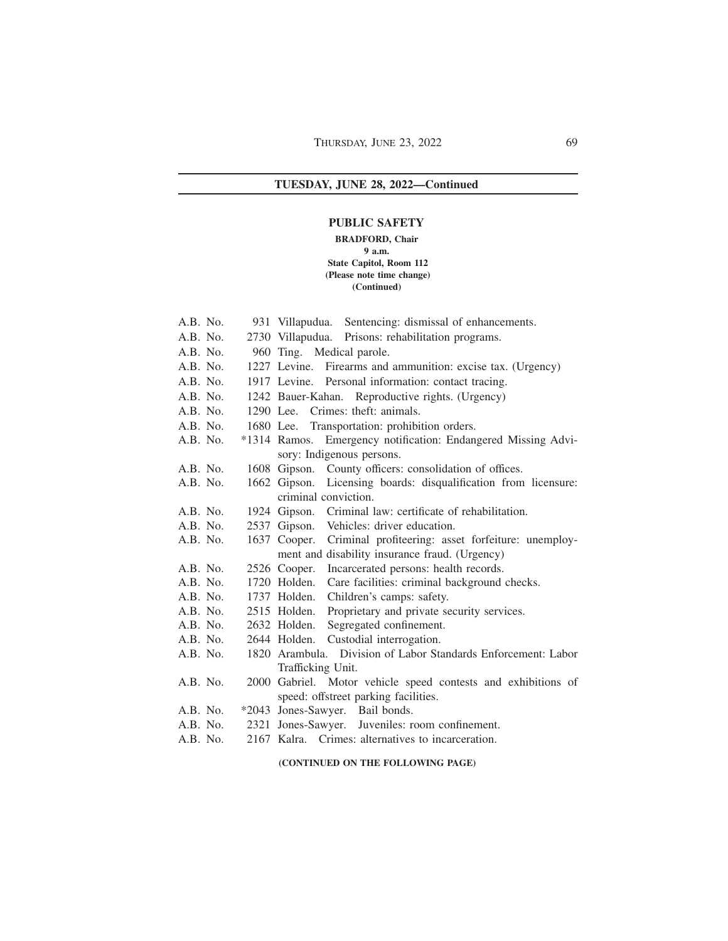#### **PUBLIC SAFETY**

#### **BRADFORD, Chair 9 a.m. State Capitol, Room 112 (Please note time change) (Continued)**

A.B. No. 931 Villapudua. Sentencing: dismissal of enhancements. A.B. No. 2730 Villapudua. Prisons: rehabilitation programs. A.B. No. 960 Ting. Medical parole. A.B. No. 1227 Levine. Firearms and ammunition: excise tax. (Urgency) A.B. No. 1917 Levine. Personal information: contact tracing. A.B. No. 1242 Bauer-Kahan. Reproductive rights. (Urgency) A.B. No. 1290 Lee. Crimes: theft: animals. A.B. No. 1680 Lee. Transportation: prohibition orders. A.B. No. \*1314 Ramos. Emergency notification: Endangered Missing Advisory: Indigenous persons. A.B. No. 1608 Gipson. County officers: consolidation of offices. A.B. No. 1662 Gipson. Licensing boards: disqualification from licensure: criminal conviction. A.B. No. 1924 Gipson. Criminal law: certificate of rehabilitation. A.B. No. 2537 Gipson. Vehicles: driver education. A.B. No. 1637 Cooper. Criminal profiteering: asset forfeiture: unemployment and disability insurance fraud. (Urgency) A.B. No. 2526 Cooper. Incarcerated persons: health records. A.B. No. 1720 Holden. Care facilities: criminal background checks. A.B. No. 1737 Holden. Children's camps: safety. A.B. No. 2515 Holden. Proprietary and private security services. A.B. No. 2632 Holden. Segregated confinement. A.B. No. 2644 Holden. Custodial interrogation. A.B. No. 1820 Arambula. Division of Labor Standards Enforcement: Labor Trafficking Unit. A.B. No. 2000 Gabriel. Motor vehicle speed contests and exhibitions of speed: offstreet parking facilities. A.B. No. \*2043 Jones-Sawyer. Bail bonds. A.B. No. 2321 Jones-Sawyer. Juveniles: room confinement. A.B. No. 2167 Kalra. Crimes: alternatives to incarceration. **(CONTINUED ON THE FOLLOWING PAGE)**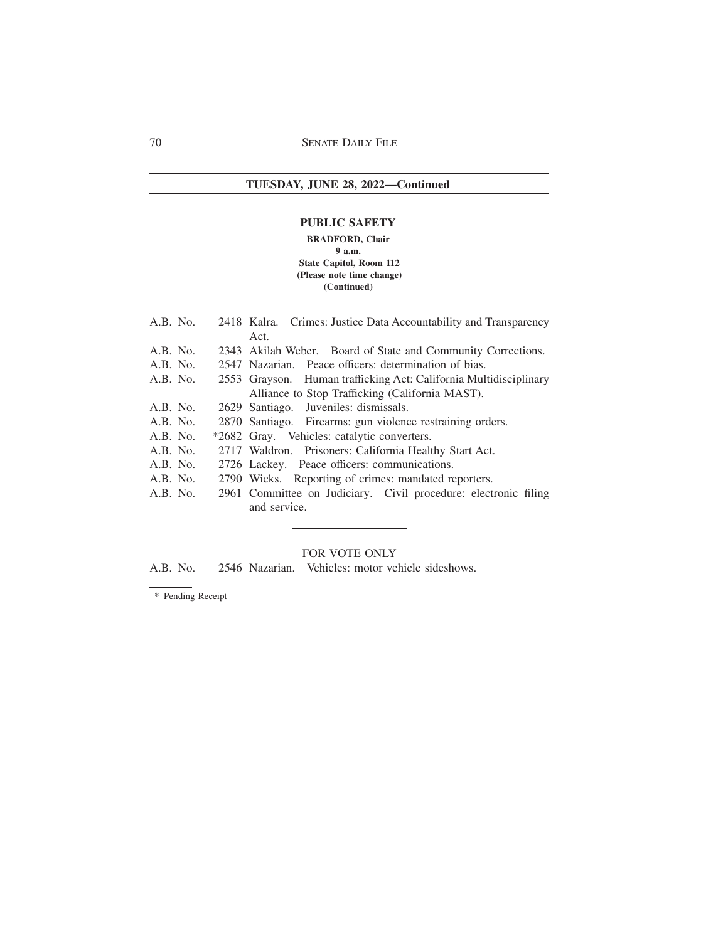# **PUBLIC SAFETY**

### **BRADFORD, Chair 9 a.m. State Capitol, Room 112 (Please note time change) (Continued)**

| A.B. No. | 2418 Kalra. Crimes: Justice Data Accountability and Transparency  |
|----------|-------------------------------------------------------------------|
|          | Act.                                                              |
| A.B. No. | 2343 Akilah Weber. Board of State and Community Corrections.      |
| A.B. No. | 2547 Nazarian. Peace officers: determination of bias.             |
| A.B. No. | 2553 Grayson. Human trafficking Act: California Multidisciplinary |
|          | Alliance to Stop Trafficking (California MAST).                   |
| A.B. No. | 2629 Santiago. Juveniles: dismissals.                             |
| A.B. No. | 2870 Santiago. Firearms: gun violence restraining orders.         |
| A.B. No. | *2682 Gray. Vehicles: catalytic converters.                       |
| A.B. No. | 2717 Waldron. Prisoners: California Healthy Start Act.            |
| A.B. No. | 2726 Lackey. Peace officers: communications.                      |
| A.B. No. | 2790 Wicks. Reporting of crimes: mandated reporters.              |
| A.B. No. | 2961 Committee on Judiciary. Civil procedure: electronic filing   |
|          | and service.                                                      |
|          |                                                                   |

# FOR VOTE ONLY

A.B. No. 2546 Nazarian. Vehicles: motor vehicle sideshows.

\* Pending Receipt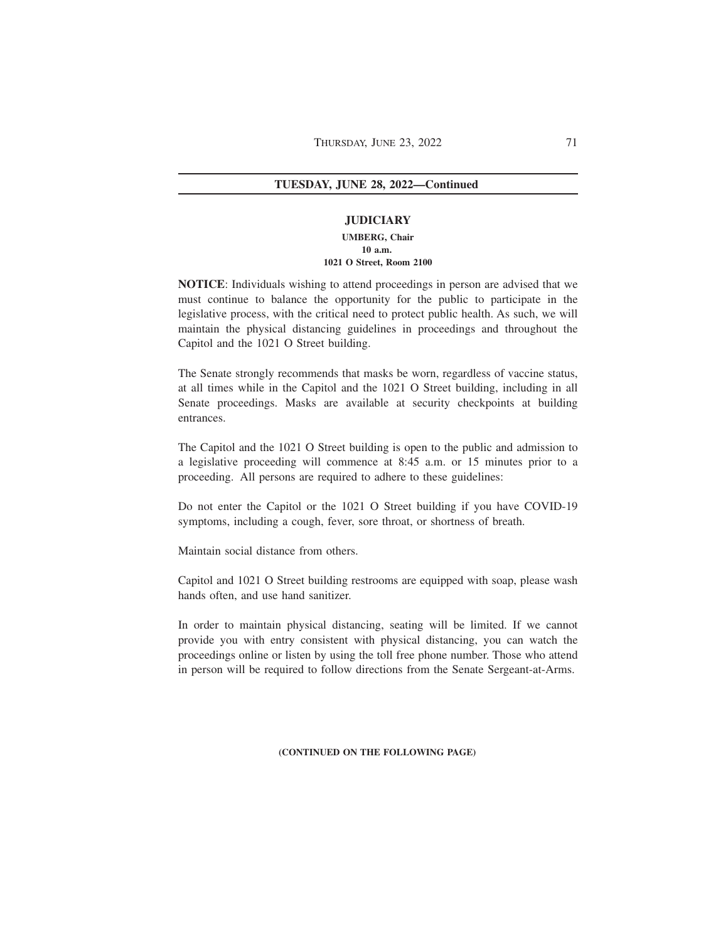#### **JUDICIARY**

### **UMBERG, Chair 10 a.m. 1021 O Street, Room 2100**

**NOTICE**: Individuals wishing to attend proceedings in person are advised that we must continue to balance the opportunity for the public to participate in the legislative process, with the critical need to protect public health. As such, we will maintain the physical distancing guidelines in proceedings and throughout the Capitol and the 1021 O Street building.

The Senate strongly recommends that masks be worn, regardless of vaccine status, at all times while in the Capitol and the 1021 O Street building, including in all Senate proceedings. Masks are available at security checkpoints at building entrances.

The Capitol and the 1021 O Street building is open to the public and admission to a legislative proceeding will commence at 8:45 a.m. or 15 minutes prior to a proceeding. All persons are required to adhere to these guidelines:

Do not enter the Capitol or the 1021 O Street building if you have COVID-19 symptoms, including a cough, fever, sore throat, or shortness of breath.

Maintain social distance from others.

Capitol and 1021 O Street building restrooms are equipped with soap, please wash hands often, and use hand sanitizer.

In order to maintain physical distancing, seating will be limited. If we cannot provide you with entry consistent with physical distancing, you can watch the proceedings online or listen by using the toll free phone number. Those who attend in person will be required to follow directions from the Senate Sergeant-at-Arms.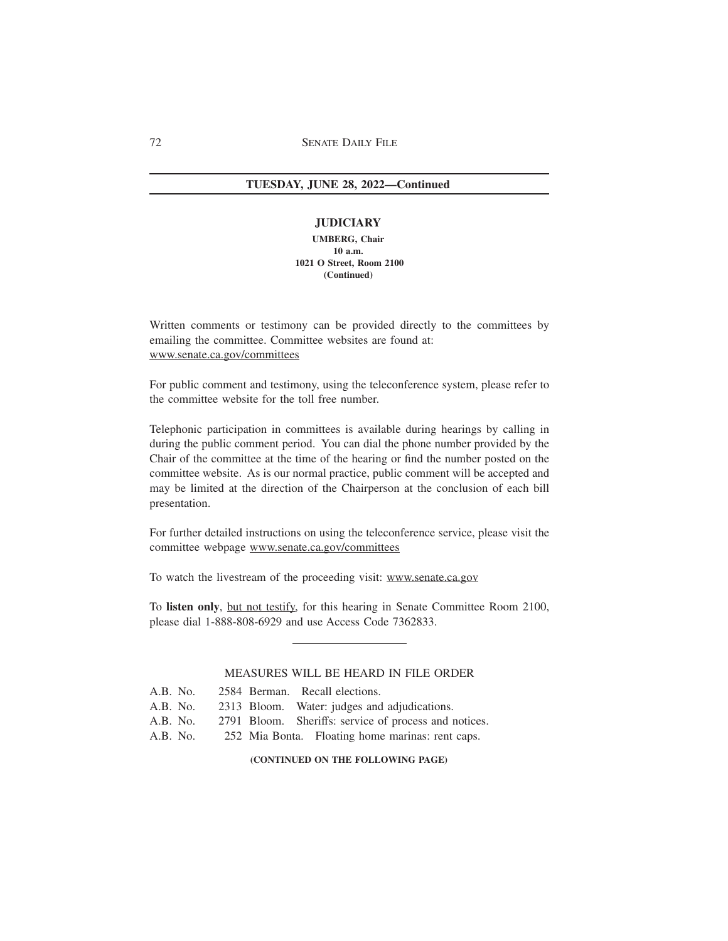#### **JUDICIARY**

**UMBERG, Chair 10 a.m. 1021 O Street, Room 2100 (Continued)** 

Written comments or testimony can be provided directly to the committees by emailing the committee. Committee websites are found at: www.senate.ca.gov/committees

For public comment and testimony, using the teleconference system, please refer to the committee website for the toll free number.

Telephonic participation in committees is available during hearings by calling in during the public comment period. You can dial the phone number provided by the Chair of the committee at the time of the hearing or find the number posted on the committee website. As is our normal practice, public comment will be accepted and may be limited at the direction of the Chairperson at the conclusion of each bill presentation.

For further detailed instructions on using the teleconference service, please visit the committee webpage www.senate.ca.gov/committees

To watch the livestream of the proceeding visit: www.senate.ca.gov

To **listen only**, but not testify, for this hearing in Senate Committee Room 2100, please dial 1-888-808-6929 and use Access Code 7362833.

# MEASURES WILL BE HEARD IN FILE ORDER

| A.B. No. |  | 2584 Berman. Recall elections.                        |
|----------|--|-------------------------------------------------------|
| A.B. No. |  | 2313 Bloom. Water: judges and adjudications.          |
| A.B. No. |  | 2791 Bloom. Sheriffs: service of process and notices. |
| A.B. No. |  | 252 Mia Bonta. Floating home marinas: rent caps.      |
|          |  |                                                       |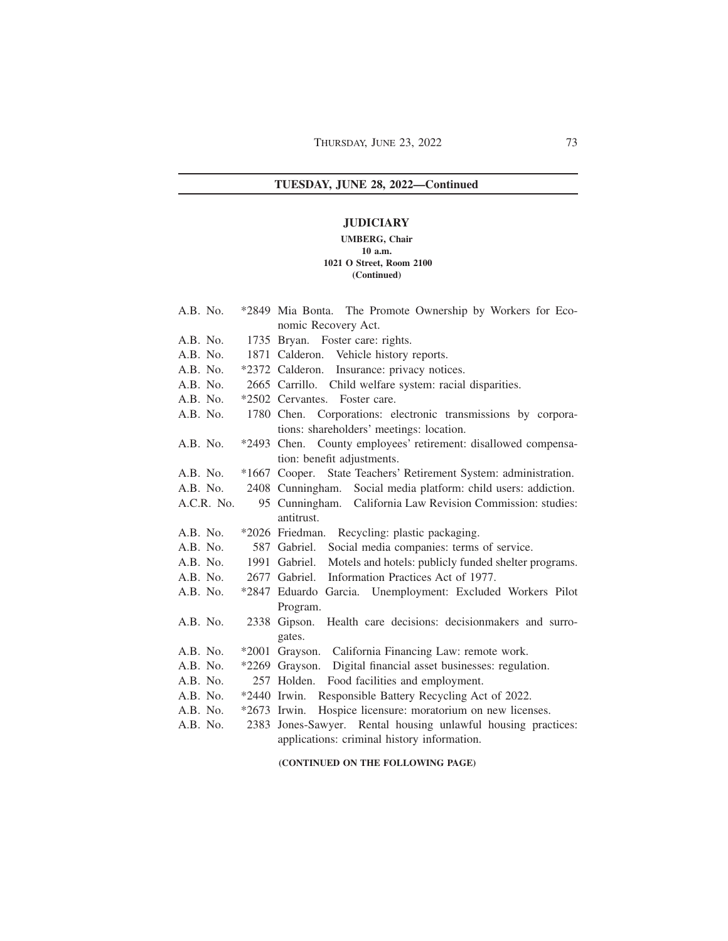# **JUDICIARY**

### **UMBERG, Chair 10 a.m. 1021 O Street, Room 2100 (Continued)**

| A.B. No.     | *2849 Mia Bonta. The Promote Ownership by Workers for Eco-         |
|--------------|--------------------------------------------------------------------|
|              | nomic Recovery Act.                                                |
| A.B. No.     | 1735 Bryan. Foster care: rights.                                   |
| A.B. No.     | 1871 Calderon. Vehicle history reports.                            |
| A.B. No.     | *2372 Calderon. Insurance: privacy notices.                        |
| A.B. No.     | 2665 Carrillo. Child welfare system: racial disparities.           |
| A.B. No.     | *2502 Cervantes. Foster care.                                      |
| A.B. No.     | 1780 Chen. Corporations: electronic transmissions by corpora-      |
|              | tions: shareholders' meetings: location.                           |
| A.B. No.     | *2493 Chen. County employees' retirement: disallowed compensa-     |
|              | tion: benefit adjustments.                                         |
| A.B. No.     | *1667 Cooper. State Teachers' Retirement System: administration.   |
| A.B. No.     | 2408 Cunningham. Social media platform: child users: addiction.    |
| $A.C.R.$ No. | 95 Cunningham. California Law Revision Commission: studies:        |
|              | antitrust.                                                         |
| A.B. No.     | *2026 Friedman. Recycling: plastic packaging.                      |
| A.B. No.     | 587 Gabriel. Social media companies: terms of service.             |
| A.B. No.     | 1991 Gabriel. Motels and hotels: publicly funded shelter programs. |
| A.B. No.     | 2677 Gabriel. Information Practices Act of 1977.                   |
| A.B. No.     | *2847 Eduardo Garcia. Unemployment: Excluded Workers Pilot         |
|              | Program.                                                           |
| A.B. No.     | 2338 Gipson.<br>Health care decisions: decisionmakers and surro-   |
|              | gates.                                                             |
| A.B. No.     | *2001 Grayson. California Financing Law: remote work.              |
| A.B. No.     | *2269 Grayson. Digital financial asset businesses: regulation.     |
| A.B. No.     | 257 Holden. Food facilities and employment.                        |
| A.B. No.     | Responsible Battery Recycling Act of 2022.<br>*2440 Irwin.         |
| A.B. No.     |                                                                    |
|              | Hospice licensure: moratorium on new licenses.<br>$*2673$ Irwin.   |
| A.B. No.     | 2383 Jones-Sawyer. Rental housing unlawful housing practices:      |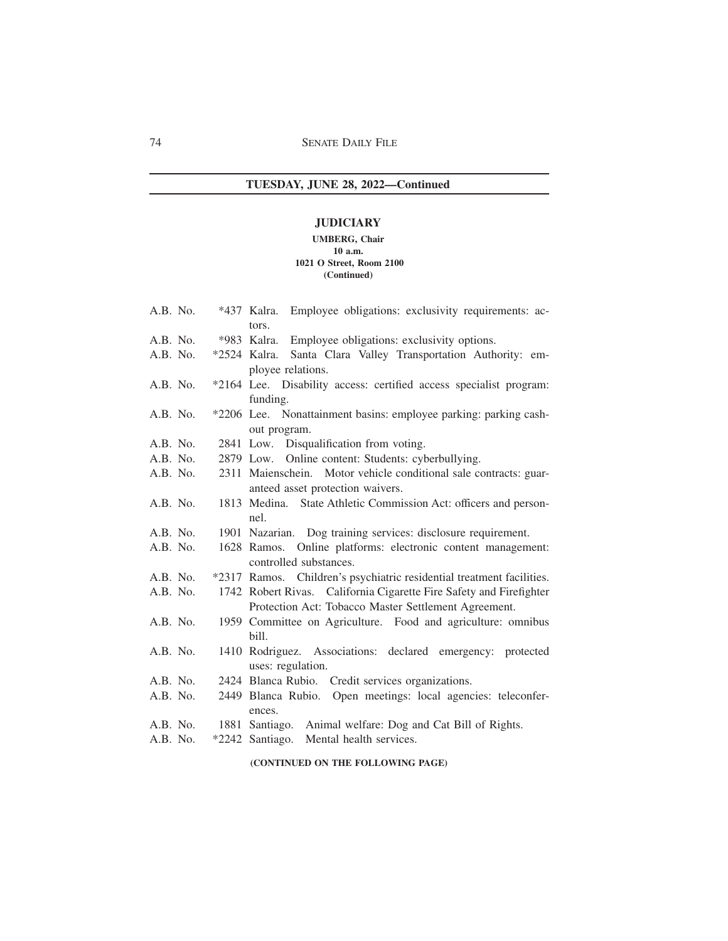# **JUDICIARY**

### **UMBERG, Chair 10 a.m. 1021 O Street, Room 2100 (Continued)**

| A.B. No. |  | *437 Kalra. Employee obligations: exclusivity requirements: ac-<br>tors.         |
|----------|--|----------------------------------------------------------------------------------|
| A.B. No. |  | *983 Kalra. Employee obligations: exclusivity options.                           |
| A.B. No. |  | *2524 Kalra. Santa Clara Valley Transportation Authority: em-                    |
|          |  | ployee relations.                                                                |
| A.B. No. |  | *2164 Lee. Disability access: certified access specialist program:               |
|          |  | funding.                                                                         |
| A.B. No. |  | *2206 Lee. Nonattainment basins: employee parking: parking cash-                 |
|          |  | out program.                                                                     |
| A.B. No. |  | 2841 Low. Disqualification from voting.                                          |
| A.B. No. |  | 2879 Low. Online content: Students: cyberbullying.                               |
| A.B. No. |  | 2311 Maienschein. Motor vehicle conditional sale contracts: guar-                |
|          |  | anteed asset protection waivers.                                                 |
| A.B. No. |  | 1813 Medina. State Athletic Commission Act: officers and person-                 |
|          |  | nel.                                                                             |
|          |  |                                                                                  |
| A.B. No. |  | 1901 Nazarian. Dog training services: disclosure requirement.                    |
| A.B. No. |  | 1628 Ramos. Online platforms: electronic content management:                     |
|          |  | controlled substances.                                                           |
| A.B. No. |  | *2317 Ramos. Children's psychiatric residential treatment facilities.            |
| A.B. No. |  | 1742 Robert Rivas. California Cigarette Fire Safety and Firefighter              |
|          |  | Protection Act: Tobacco Master Settlement Agreement.                             |
| A.B. No. |  |                                                                                  |
|          |  | 1959 Committee on Agriculture. Food and agriculture: omnibus<br>bill.            |
| A.B. No. |  |                                                                                  |
|          |  | 1410 Rodriguez. Associations: declared emergency: protected<br>uses: regulation. |
| A.B. No. |  |                                                                                  |
| A.B. No. |  | 2424 Blanca Rubio. Credit services organizations.                                |
|          |  | 2449 Blanca Rubio. Open meetings: local agencies: teleconfer-<br>ences.          |
| A.B. No. |  | 1881 Santiago. Animal welfare: Dog and Cat Bill of Rights.                       |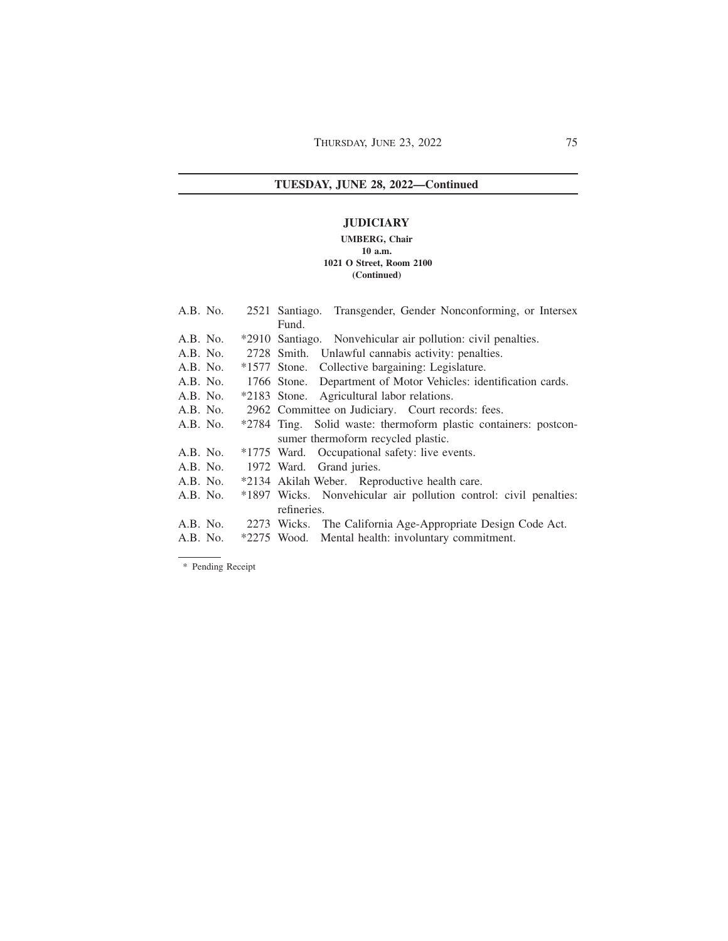# **JUDICIARY**

### **UMBERG, Chair 10 a.m. 1021 O Street, Room 2100 (Continued)**

| A.B. No. |          | 2521 Santiago. Transgender, Gender Nonconforming, or Intersex     |
|----------|----------|-------------------------------------------------------------------|
|          |          | Fund.                                                             |
| A.B. No. |          | *2910 Santiago. Nonvehicular air pollution: civil penalties.      |
| A.B. No. |          | 2728 Smith. Unlawful cannabis activity: penalties.                |
| A.B. No. |          | *1577 Stone. Collective bargaining: Legislature.                  |
| A.B. No. |          | 1766 Stone. Department of Motor Vehicles: identification cards.   |
| A.B. No. |          | *2183 Stone. Agricultural labor relations.                        |
|          | A.B. No. | 2962 Committee on Judiciary. Court records: fees.                 |
| A.B. No. |          | *2784 Ting. Solid waste: thermoform plastic containers: postcon-  |
|          |          | sumer thermoform recycled plastic.                                |
| A.B. No. |          | *1775 Ward. Occupational safety: live events.                     |
| A.B. No. |          | 1972 Ward. Grand juries.                                          |
| A.B. No. |          | *2134 Akilah Weber. Reproductive health care.                     |
| A.B. No. |          | *1897 Wicks. Nonvehicular air pollution control: civil penalties: |
|          |          | refineries.                                                       |
| A.B. No. |          | 2273 Wicks. The California Age-Appropriate Design Code Act.       |
| A.B. No. |          | *2275 Wood. Mental health: involuntary commitment.                |

\* Pending Receipt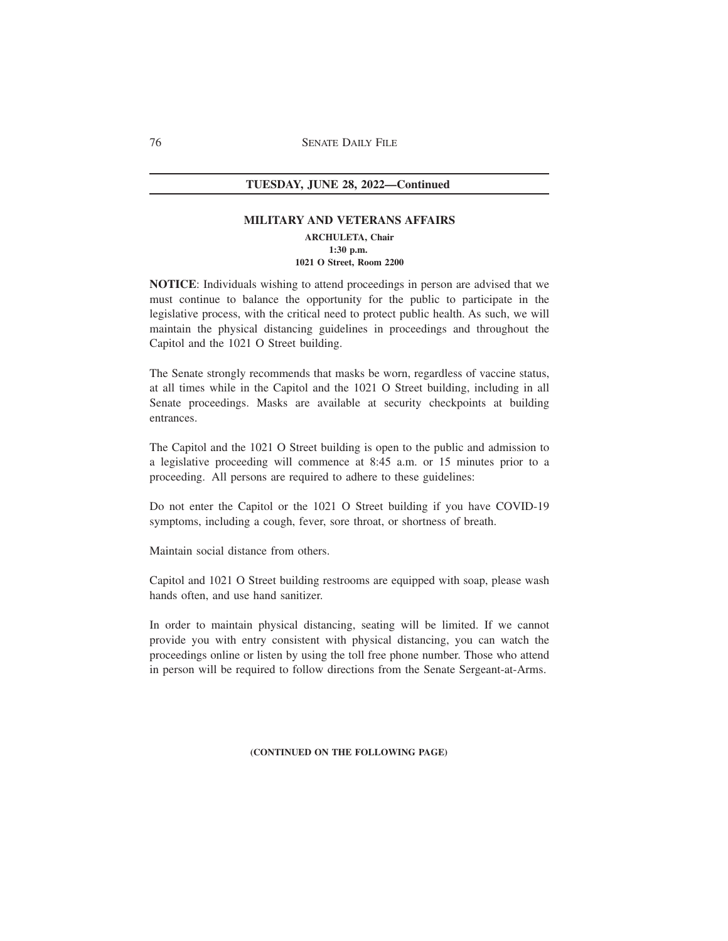### **MILITARY AND VETERANS AFFAIRS**

### **ARCHULETA, Chair 1:30 p.m. 1021 O Street, Room 2200**

**NOTICE**: Individuals wishing to attend proceedings in person are advised that we must continue to balance the opportunity for the public to participate in the legislative process, with the critical need to protect public health. As such, we will maintain the physical distancing guidelines in proceedings and throughout the Capitol and the 1021 O Street building.

The Senate strongly recommends that masks be worn, regardless of vaccine status, at all times while in the Capitol and the 1021 O Street building, including in all Senate proceedings. Masks are available at security checkpoints at building entrances.

The Capitol and the 1021 O Street building is open to the public and admission to a legislative proceeding will commence at 8:45 a.m. or 15 minutes prior to a proceeding. All persons are required to adhere to these guidelines:

Do not enter the Capitol or the 1021 O Street building if you have COVID-19 symptoms, including a cough, fever, sore throat, or shortness of breath.

Maintain social distance from others.

Capitol and 1021 O Street building restrooms are equipped with soap, please wash hands often, and use hand sanitizer.

In order to maintain physical distancing, seating will be limited. If we cannot provide you with entry consistent with physical distancing, you can watch the proceedings online or listen by using the toll free phone number. Those who attend in person will be required to follow directions from the Senate Sergeant-at-Arms.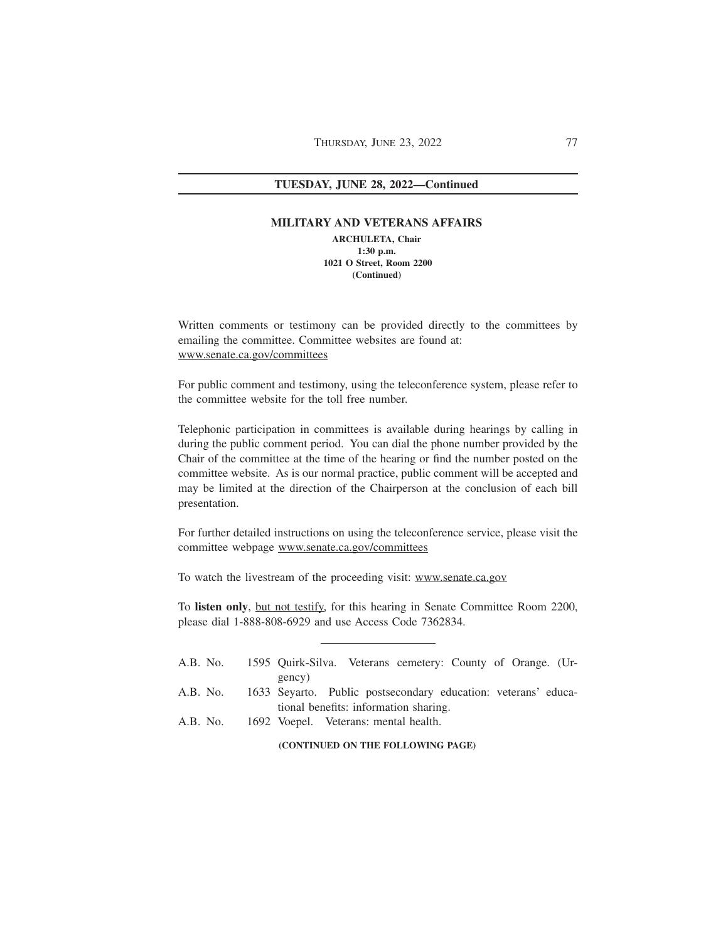### **MILITARY AND VETERANS AFFAIRS**

**ARCHULETA, Chair 1:30 p.m. 1021 O Street, Room 2200 (Continued)** 

Written comments or testimony can be provided directly to the committees by emailing the committee. Committee websites are found at: www.senate.ca.gov/committees

For public comment and testimony, using the teleconference system, please refer to the committee website for the toll free number.

Telephonic participation in committees is available during hearings by calling in during the public comment period. You can dial the phone number provided by the Chair of the committee at the time of the hearing or find the number posted on the committee website. As is our normal practice, public comment will be accepted and may be limited at the direction of the Chairperson at the conclusion of each bill presentation.

For further detailed instructions on using the teleconference service, please visit the committee webpage www.senate.ca.gov/committees

To watch the livestream of the proceeding visit: www.senate.ca.gov

To **listen only**, but not testify, for this hearing in Senate Committee Room 2200, please dial 1-888-808-6929 and use Access Code 7362834.

| A.B. No. |        | 1595 Quirk-Silva. Veterans cemetery: County of Orange. (Ur-    |  |  |
|----------|--------|----------------------------------------------------------------|--|--|
|          | gency) |                                                                |  |  |
| A.B. No. |        | 1633 Seyarto. Public postsecondary education: veterans' educa- |  |  |
|          |        | tional benefits: information sharing.                          |  |  |
| A.B. No. |        | 1692 Voepel. Veterans: mental health.                          |  |  |
|          |        |                                                                |  |  |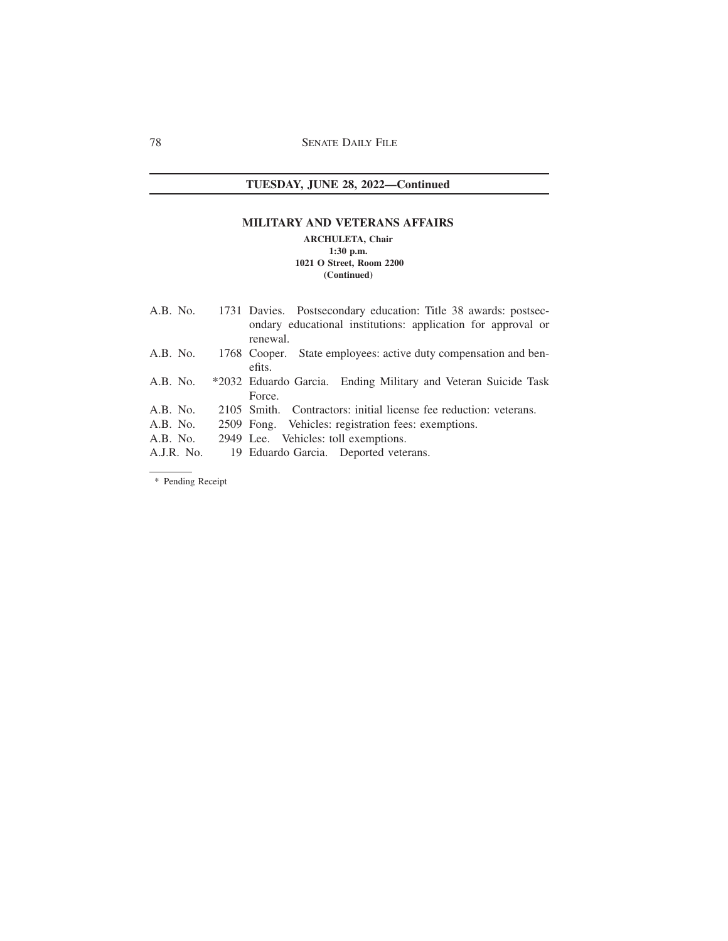# **MILITARY AND VETERANS AFFAIRS**

### **ARCHULETA, Chair 1:30 p.m. 1021 O Street, Room 2200 (Continued)**

| A.B. No.     | 1731 Davies. Postsecondary education: Title 38 awards: postsec-<br>ondary educational institutions: application for approval or<br>renewal. |
|--------------|---------------------------------------------------------------------------------------------------------------------------------------------|
| A.B. No.     | 1768 Cooper. State employees: active duty compensation and ben-<br>efits.                                                                   |
| A.B. No.     | *2032 Eduardo Garcia. Ending Military and Veteran Suicide Task<br>Force.                                                                    |
| A.B. No.     | 2105 Smith. Contractors: initial license fee reduction: veterans.                                                                           |
| A.B. No.     | 2509 Fong. Vehicles: registration fees: exemptions.                                                                                         |
| A.B. No.     | 2949 Lee. Vehicles: toll exemptions.                                                                                                        |
| $A.J.R.$ No. | 19 Eduardo Garcia. Deported veterans.                                                                                                       |

\* Pending Receipt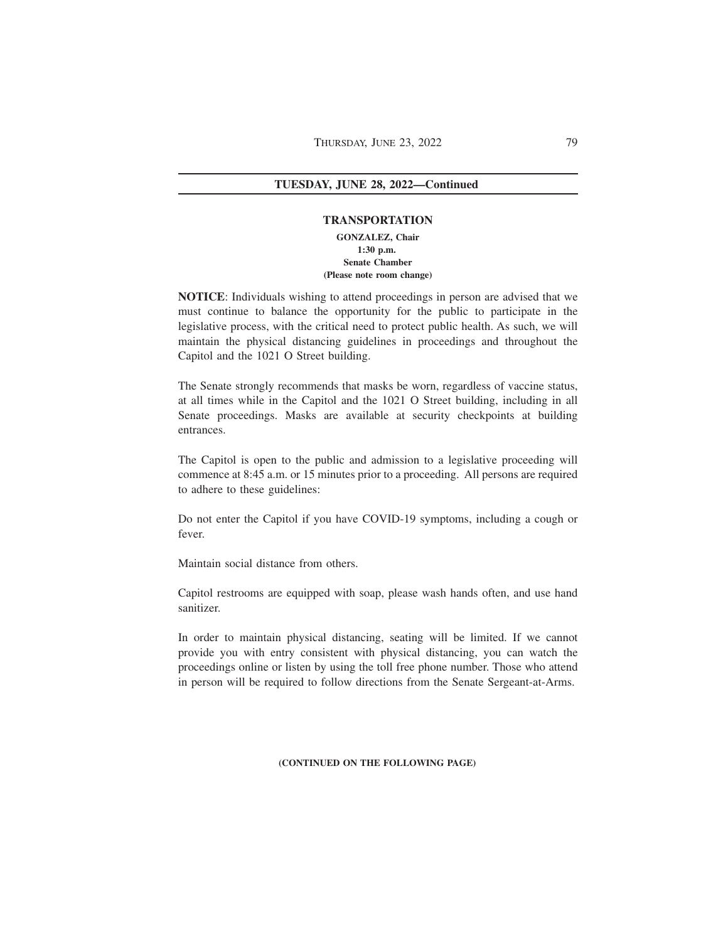# **TRANSPORTATION**

**GONZALEZ, Chair 1:30 p.m. Senate Chamber (Please note room change)**

**NOTICE**: Individuals wishing to attend proceedings in person are advised that we must continue to balance the opportunity for the public to participate in the legislative process, with the critical need to protect public health. As such, we will maintain the physical distancing guidelines in proceedings and throughout the Capitol and the 1021 O Street building.

The Senate strongly recommends that masks be worn, regardless of vaccine status, at all times while in the Capitol and the 1021 O Street building, including in all Senate proceedings. Masks are available at security checkpoints at building entrances.

The Capitol is open to the public and admission to a legislative proceeding will commence at 8:45 a.m. or 15 minutes prior to a proceeding. All persons are required to adhere to these guidelines:

Do not enter the Capitol if you have COVID-19 symptoms, including a cough or fever.

Maintain social distance from others.

Capitol restrooms are equipped with soap, please wash hands often, and use hand sanitizer.

In order to maintain physical distancing, seating will be limited. If we cannot provide you with entry consistent with physical distancing, you can watch the proceedings online or listen by using the toll free phone number. Those who attend in person will be required to follow directions from the Senate Sergeant-at-Arms.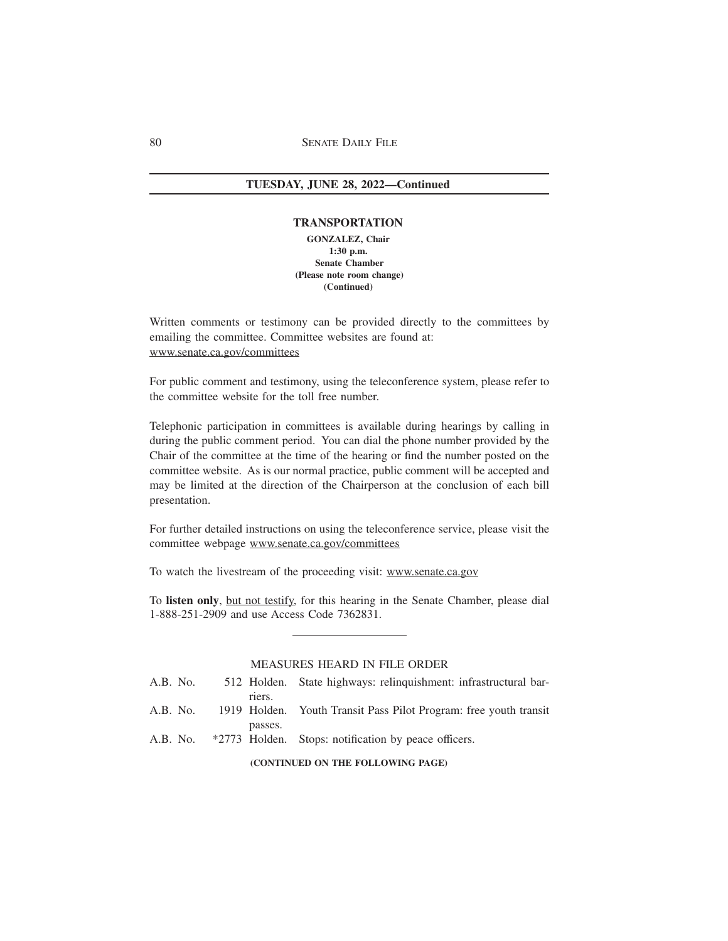#### **TRANSPORTATION**

**GONZALEZ, Chair 1:30 p.m. Senate Chamber (Please note room change) (Continued)** 

Written comments or testimony can be provided directly to the committees by emailing the committee. Committee websites are found at: www.senate.ca.gov/committees

For public comment and testimony, using the teleconference system, please refer to the committee website for the toll free number.

Telephonic participation in committees is available during hearings by calling in during the public comment period. You can dial the phone number provided by the Chair of the committee at the time of the hearing or find the number posted on the committee website. As is our normal practice, public comment will be accepted and may be limited at the direction of the Chairperson at the conclusion of each bill presentation.

For further detailed instructions on using the teleconference service, please visit the committee webpage www.senate.ca.gov/committees

To watch the livestream of the proceeding visit: www.senate.ca.gov

To **listen only**, but not testify, for this hearing in the Senate Chamber, please dial 1-888-251-2909 and use Access Code 7362831.

### MEASURES HEARD IN FILE ORDER

| A.B. No. |          |         | 512 Holden. State highways: relinguishment: infrastructural bar-  |
|----------|----------|---------|-------------------------------------------------------------------|
|          |          | riers.  |                                                                   |
| A.B. No. |          |         | 1919 Holden. Youth Transit Pass Pilot Program: free youth transit |
|          |          | passes. |                                                                   |
|          | A.B. No. |         | *2773 Holden. Stops: notification by peace officers.              |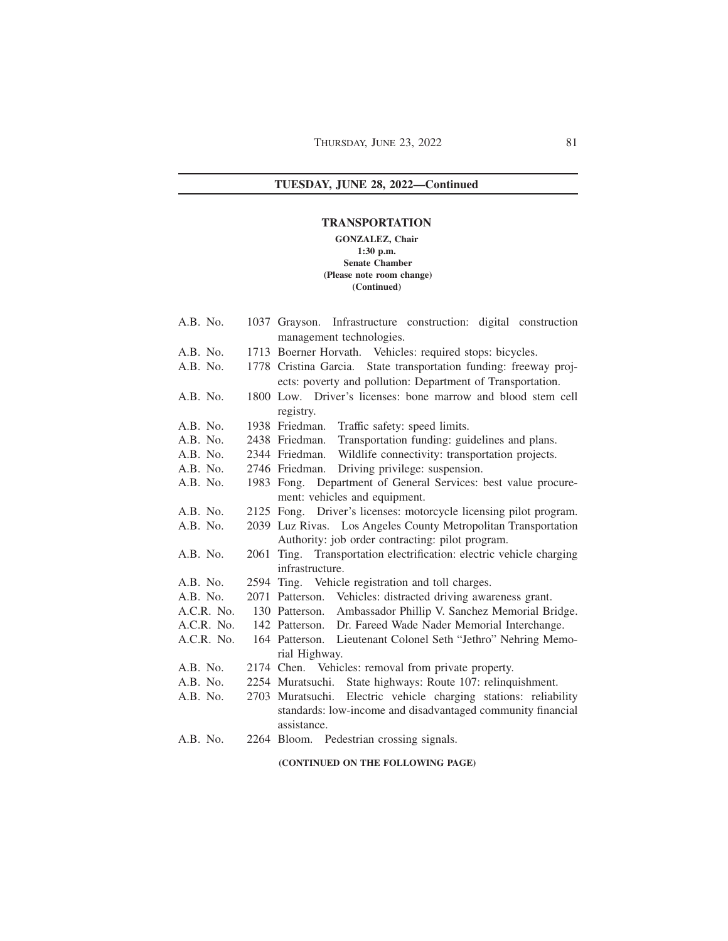# **TRANSPORTATION**

### **GONZALEZ, Chair 1:30 p.m. Senate Chamber (Please note room change) (Continued)**

- A.B. No. 1037 Grayson. Infrastructure construction: digital construction management technologies. A.B. No. 1713 Boerner Horvath. Vehicles: required stops: bicycles. A.B. No. 1778 Cristina Garcia. State transportation funding: freeway projects: poverty and pollution: Department of Transportation. A.B. No. 1800 Low. Driver's licenses: bone marrow and blood stem cell registry. A.B. No. 1938 Friedman. Traffic safety: speed limits. A.B. No. 2438 Friedman. Transportation funding: guidelines and plans. A.B. No. 2344 Friedman. Wildlife connectivity: transportation projects. A.B. No. 2746 Friedman. Driving privilege: suspension. A.B. No. 1983 Fong. Department of General Services: best value procurement: vehicles and equipment. A.B. No. 2125 Fong. Driver's licenses: motorcycle licensing pilot program. A.B. No. 2039 Luz Rivas. Los Angeles County Metropolitan Transportation Authority: job order contracting: pilot program. A.B. No. 2061 Ting. Transportation electrification: electric vehicle charging infrastructure. A.B. No. 2594 Ting. Vehicle registration and toll charges. A.B. No. 2071 Patterson. Vehicles: distracted driving awareness grant.
- A.C.R. No. 130 Patterson. Ambassador Phillip V. Sanchez Memorial Bridge.
- A.C.R. No. 142 Patterson. Dr. Fareed Wade Nader Memorial Interchange.
- A.C.R. No. 164 Patterson. Lieutenant Colonel Seth "Jethro" Nehring Memorial Highway.
- A.B. No. 2174 Chen. Vehicles: removal from private property.
- A.B. No. 2254 Muratsuchi. State highways: Route 107: relinquishment.
- A.B. No. 2703 Muratsuchi. Electric vehicle charging stations: reliability standards: low-income and disadvantaged community financial assistance.
- A.B. No. 2264 Bloom. Pedestrian crossing signals.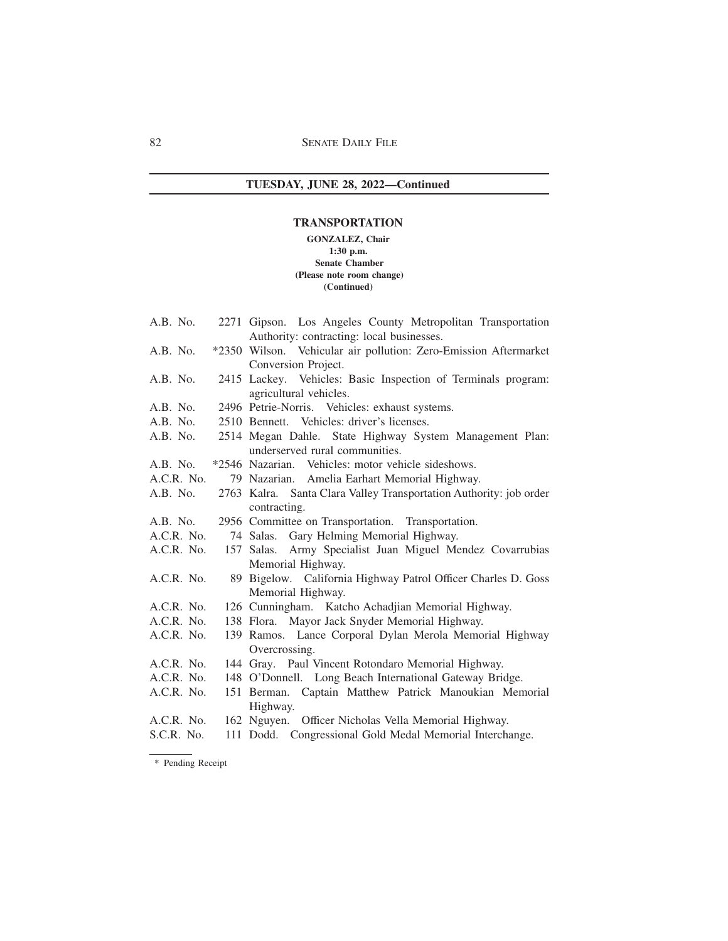# **TRANSPORTATION**

#### **GONZALEZ, Chair 1:30 p.m. Senate Chamber (Please note room change) (Continued)**

| A.B. No.     | 2271 Gipson. Los Angeles County Metropolitan Transportation        |
|--------------|--------------------------------------------------------------------|
|              | Authority: contracting: local businesses.                          |
| A.B. No.     | *2350 Wilson. Vehicular air pollution: Zero-Emission Aftermarket   |
|              | Conversion Project.                                                |
| A.B. No.     | 2415 Lackey. Vehicles: Basic Inspection of Terminals program:      |
|              | agricultural vehicles.                                             |
| A.B. No.     | 2496 Petrie-Norris. Vehicles: exhaust systems.                     |
| A.B. No.     | 2510 Bennett. Vehicles: driver's licenses.                         |
| A.B. No.     | 2514 Megan Dahle. State Highway System Management Plan:            |
|              | underserved rural communities.                                     |
| A.B. No.     | *2546 Nazarian. Vehicles: motor vehicle sideshows.                 |
| A.C.R. No.   | 79 Nazarian. Amelia Earhart Memorial Highway.                      |
| A.B. No.     | 2763 Kalra. Santa Clara Valley Transportation Authority: job order |
|              | contracting.                                                       |
| A.B. No.     | 2956 Committee on Transportation. Transportation.                  |
| A.C.R. No.   | 74 Salas. Gary Helming Memorial Highway.                           |
| A.C.R. No.   | 157 Salas. Army Specialist Juan Miguel Mendez Covarrubias          |
|              | Memorial Highway.                                                  |
| A.C.R. No.   | 89 Bigelow. California Highway Patrol Officer Charles D. Goss      |
|              | Memorial Highway.                                                  |
| A.C.R. No.   | 126 Cunningham. Katcho Achadjian Memorial Highway.                 |
| A.C.R. No.   | 138 Flora. Mayor Jack Snyder Memorial Highway.                     |
| A.C.R. No.   | 139 Ramos. Lance Corporal Dylan Merola Memorial Highway            |
|              | Overcrossing.                                                      |
| $A.C.R.$ No. | 144 Gray. Paul Vincent Rotondaro Memorial Highway.                 |
| A.C.R. No.   | 148 O'Donnell. Long Beach International Gateway Bridge.            |
| A.C.R. No.   | 151 Berman. Captain Matthew Patrick Manoukian Memorial             |
|              | Highway.                                                           |
| $A.C.R.$ No. | Officer Nicholas Vella Memorial Highway.<br>162 Nguyen.            |
| S.C.R. No.   | 111 Dodd. Congressional Gold Medal Memorial Interchange.           |

\* Pending Receipt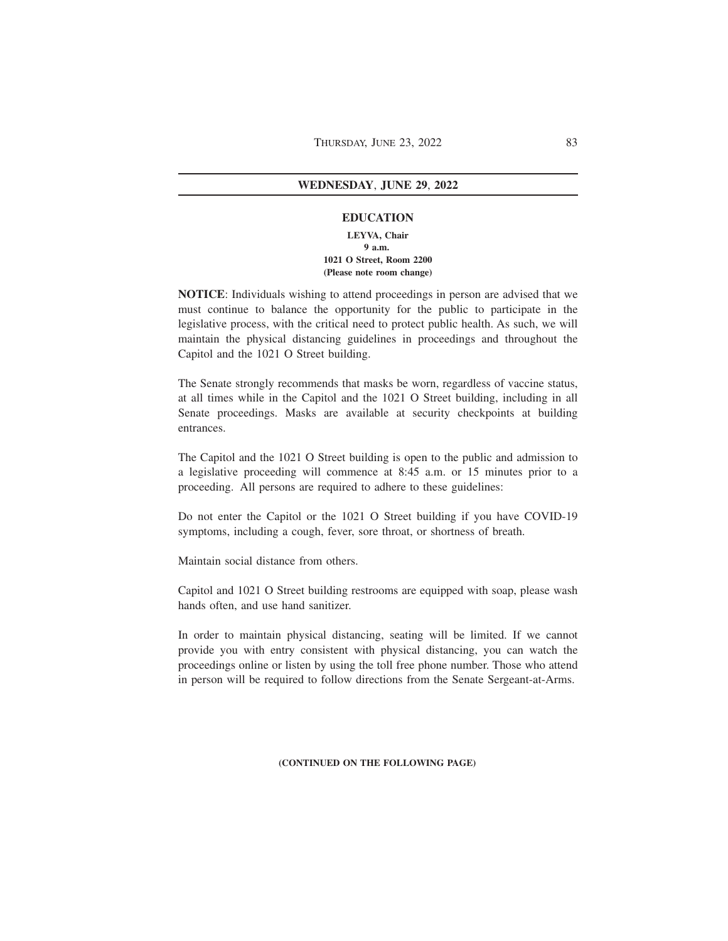# **WEDNESDAY**, **JUNE 29**, **2022**

#### **EDUCATION**

**LEYVA, Chair 9 a.m. 1021 O Street, Room 2200 (Please note room change)**

**NOTICE**: Individuals wishing to attend proceedings in person are advised that we must continue to balance the opportunity for the public to participate in the legislative process, with the critical need to protect public health. As such, we will maintain the physical distancing guidelines in proceedings and throughout the Capitol and the 1021 O Street building.

The Senate strongly recommends that masks be worn, regardless of vaccine status, at all times while in the Capitol and the 1021 O Street building, including in all Senate proceedings. Masks are available at security checkpoints at building entrances.

The Capitol and the 1021 O Street building is open to the public and admission to a legislative proceeding will commence at 8:45 a.m. or 15 minutes prior to a proceeding. All persons are required to adhere to these guidelines:

Do not enter the Capitol or the 1021 O Street building if you have COVID-19 symptoms, including a cough, fever, sore throat, or shortness of breath.

Maintain social distance from others.

Capitol and 1021 O Street building restrooms are equipped with soap, please wash hands often, and use hand sanitizer.

In order to maintain physical distancing, seating will be limited. If we cannot provide you with entry consistent with physical distancing, you can watch the proceedings online or listen by using the toll free phone number. Those who attend in person will be required to follow directions from the Senate Sergeant-at-Arms.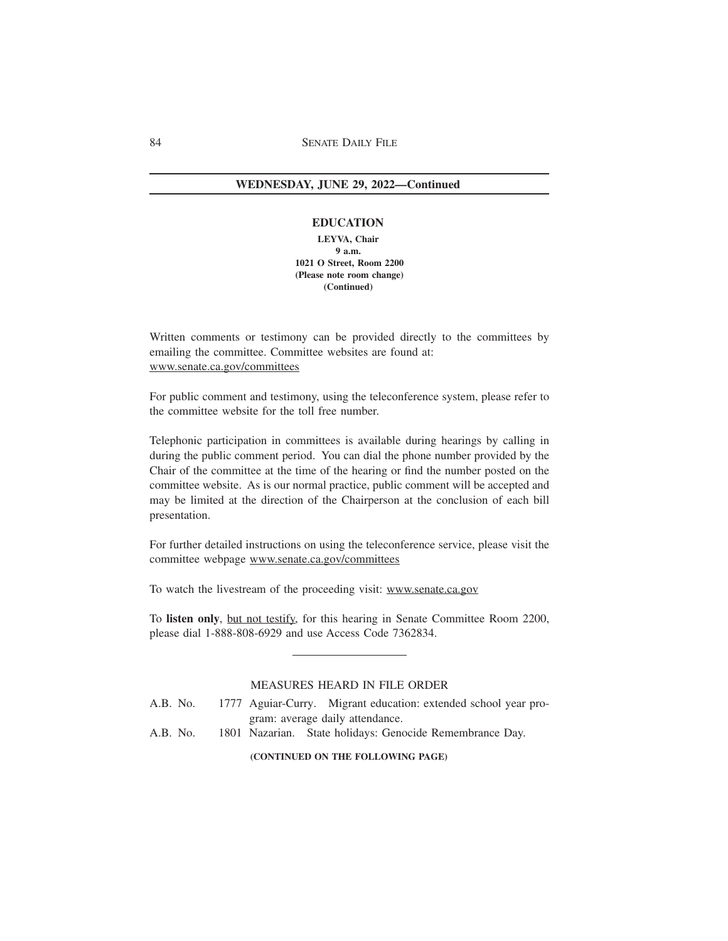#### **EDUCATION**

**LEYVA, Chair 9 a.m. 1021 O Street, Room 2200 (Please note room change) (Continued)** 

Written comments or testimony can be provided directly to the committees by emailing the committee. Committee websites are found at: www.senate.ca.gov/committees

For public comment and testimony, using the teleconference system, please refer to the committee website for the toll free number.

Telephonic participation in committees is available during hearings by calling in during the public comment period. You can dial the phone number provided by the Chair of the committee at the time of the hearing or find the number posted on the committee website. As is our normal practice, public comment will be accepted and may be limited at the direction of the Chairperson at the conclusion of each bill presentation.

For further detailed instructions on using the teleconference service, please visit the committee webpage www.senate.ca.gov/committees

To watch the livestream of the proceeding visit: www.senate.ca.gov

To **listen only**, but not testify, for this hearing in Senate Committee Room 2200, please dial 1-888-808-6929 and use Access Code 7362834.

# MEASURES HEARD IN FILE ORDER

A.B. No. 1777 Aguiar-Curry. Migrant education: extended school year program: average daily attendance. A.B. No. 1801 Nazarian. State holidays: Genocide Remembrance Day.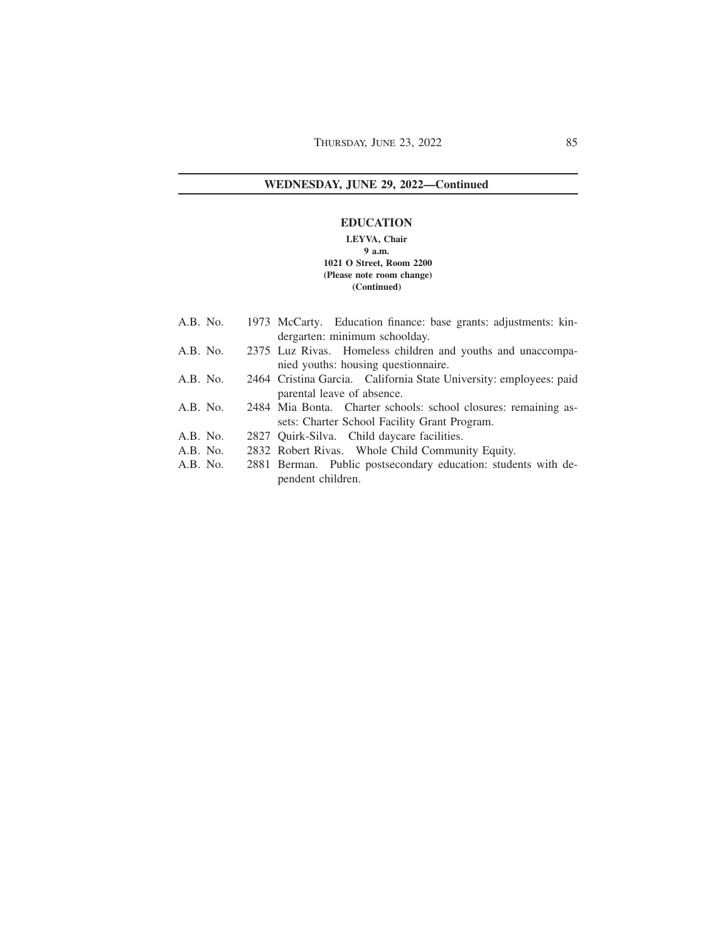#### **EDUCATION**

#### **LEYVA, Chair 9 a.m. 1021 O Street, Room 2200 (Please note room change) (Continued)**

- A.B. No. 1973 McCarty. Education finance: base grants: adjustments: kindergarten: minimum schoolday.
- A.B. No. 2375 Luz Rivas. Homeless children and youths and unaccompanied youths: housing questionnaire.
- A.B. No. 2464 Cristina Garcia. California State University: employees: paid parental leave of absence.
- A.B. No. 2484 Mia Bonta. Charter schools: school closures: remaining assets: Charter School Facility Grant Program.
- A.B. No. 2827 Quirk-Silva. Child daycare facilities.
- A.B. No. 2832 Robert Rivas. Whole Child Community Equity.
- A.B. No. 2881 Berman. Public postsecondary education: students with dependent children.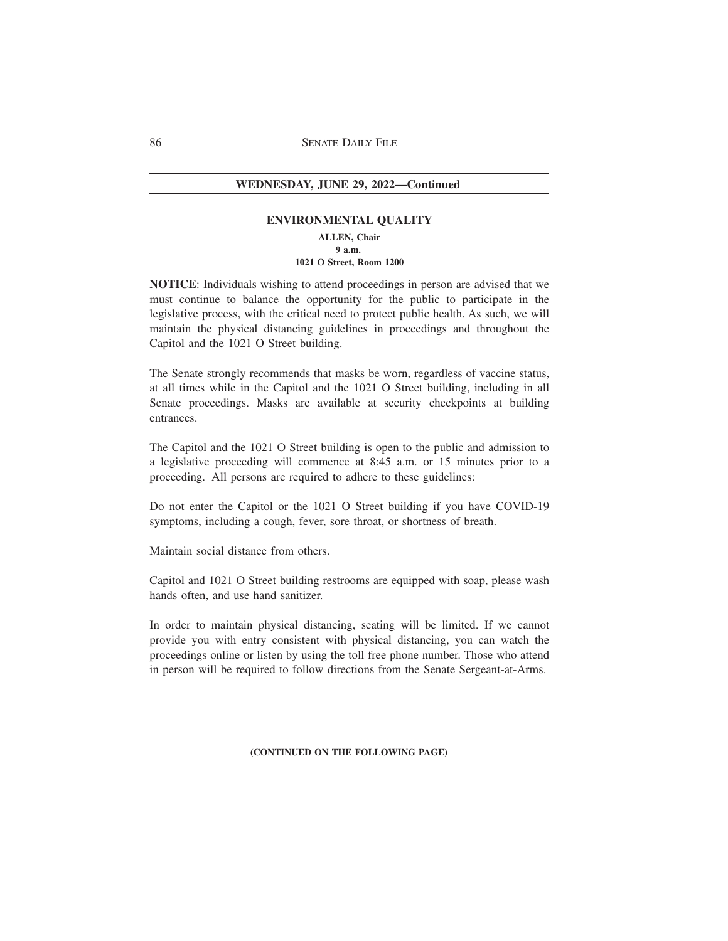#### **ENVIRONMENTAL QUALITY**

#### **ALLEN, Chair 9 a.m. 1021 O Street, Room 1200**

**NOTICE**: Individuals wishing to attend proceedings in person are advised that we must continue to balance the opportunity for the public to participate in the legislative process, with the critical need to protect public health. As such, we will maintain the physical distancing guidelines in proceedings and throughout the Capitol and the 1021 O Street building.

The Senate strongly recommends that masks be worn, regardless of vaccine status, at all times while in the Capitol and the 1021 O Street building, including in all Senate proceedings. Masks are available at security checkpoints at building entrances.

The Capitol and the 1021 O Street building is open to the public and admission to a legislative proceeding will commence at 8:45 a.m. or 15 minutes prior to a proceeding. All persons are required to adhere to these guidelines:

Do not enter the Capitol or the 1021 O Street building if you have COVID-19 symptoms, including a cough, fever, sore throat, or shortness of breath.

Maintain social distance from others.

Capitol and 1021 O Street building restrooms are equipped with soap, please wash hands often, and use hand sanitizer.

In order to maintain physical distancing, seating will be limited. If we cannot provide you with entry consistent with physical distancing, you can watch the proceedings online or listen by using the toll free phone number. Those who attend in person will be required to follow directions from the Senate Sergeant-at-Arms.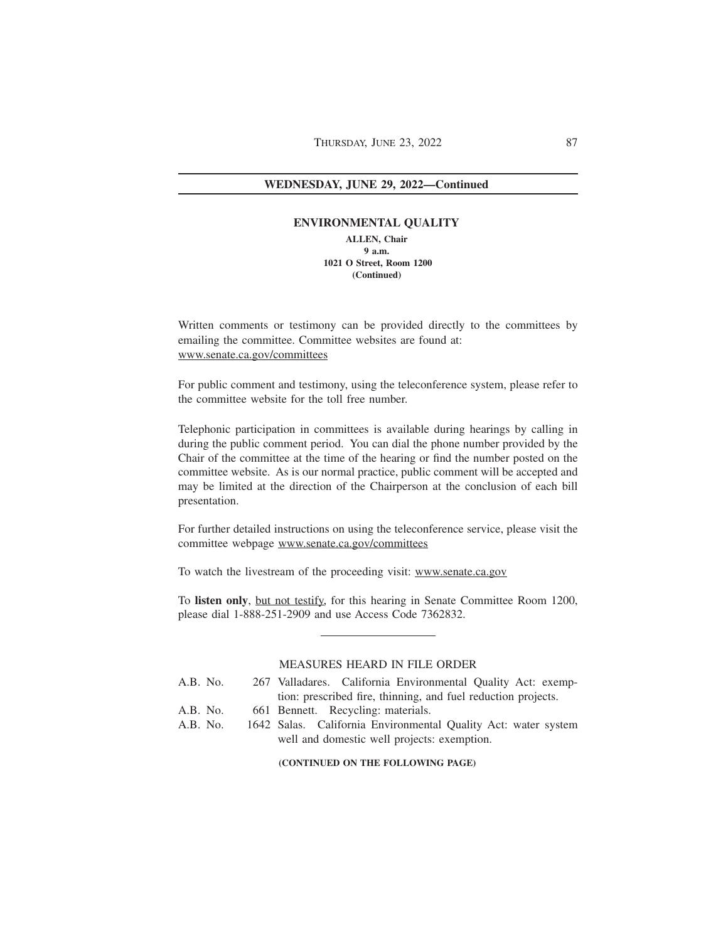#### **ENVIRONMENTAL QUALITY**

**ALLEN, Chair 9 a.m. 1021 O Street, Room 1200 (Continued)** 

Written comments or testimony can be provided directly to the committees by emailing the committee. Committee websites are found at: www.senate.ca.gov/committees

For public comment and testimony, using the teleconference system, please refer to the committee website for the toll free number.

Telephonic participation in committees is available during hearings by calling in during the public comment period. You can dial the phone number provided by the Chair of the committee at the time of the hearing or find the number posted on the committee website. As is our normal practice, public comment will be accepted and may be limited at the direction of the Chairperson at the conclusion of each bill presentation.

For further detailed instructions on using the teleconference service, please visit the committee webpage www.senate.ca.gov/committees

To watch the livestream of the proceeding visit: www.senate.ca.gov

To **listen only**, but not testify, for this hearing in Senate Committee Room 1200, please dial 1-888-251-2909 and use Access Code 7362832.

# MEASURES HEARD IN FILE ORDER

| A.B. No. |  |                                    | 267 Valladares. California Environmental Quality Act: exemp-  |  |  |
|----------|--|------------------------------------|---------------------------------------------------------------|--|--|
|          |  |                                    | tion: prescribed fire, thinning, and fuel reduction projects. |  |  |
| A.B. No. |  | 661 Bennett. Recycling: materials. |                                                               |  |  |

A.B. No. 1642 Salas. California Environmental Quality Act: water system well and domestic well projects: exemption.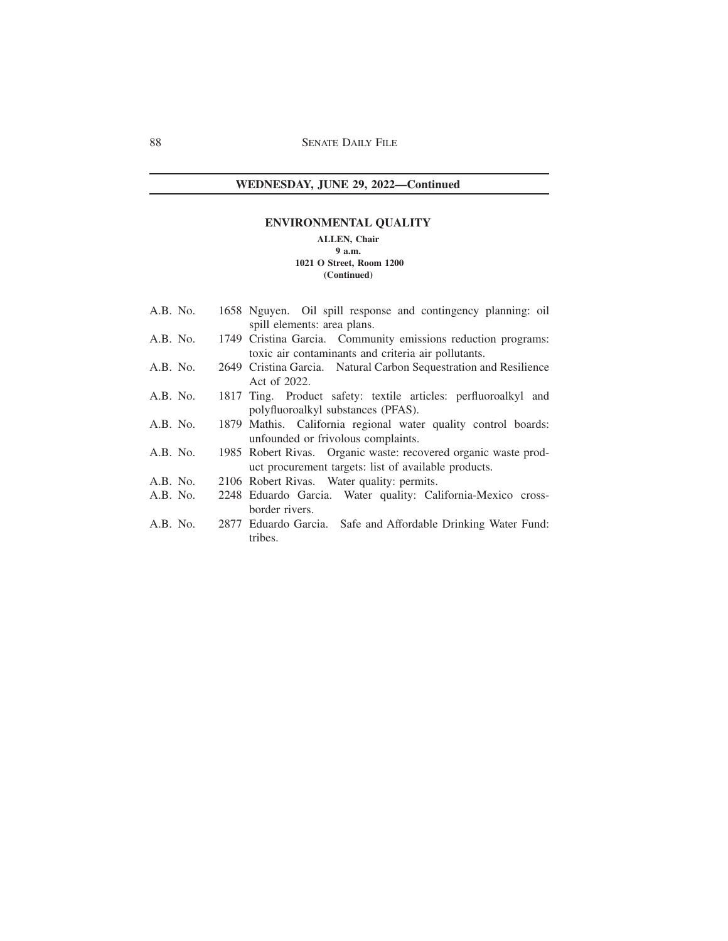# **ENVIRONMENTAL QUALITY**

## **ALLEN, Chair 9 a.m. 1021 O Street, Room 1200 (Continued)**

| A.B. No. |  | 1658 Nguyen. Oil spill response and contingency planning: oil     |
|----------|--|-------------------------------------------------------------------|
|          |  | spill elements: area plans.                                       |
| A.B. No. |  | 1749 Cristina Garcia. Community emissions reduction programs:     |
|          |  | toxic air contaminants and criteria air pollutants.               |
| A.B. No. |  | 2649 Cristina Garcia. Natural Carbon Sequestration and Resilience |
|          |  | Act of 2022.                                                      |
| A.B. No. |  | 1817 Ting. Product safety: textile articles: perfluoroalkyl and   |
|          |  | polyfluoroalkyl substances (PFAS).                                |
| A.B. No. |  | 1879 Mathis. California regional water quality control boards:    |
|          |  | unfounded or frivolous complaints.                                |
| A.B. No. |  | 1985 Robert Rivas. Organic waste: recovered organic waste prod-   |
|          |  | uct procurement targets: list of available products.              |
| A.B. No. |  | 2106 Robert Rivas. Water quality: permits.                        |
| A.B. No. |  | 2248 Eduardo Garcia. Water quality: California-Mexico cross-      |
|          |  | border rivers.                                                    |
| A.B. No. |  | 2877 Eduardo Garcia. Safe and Affordable Drinking Water Fund:     |
|          |  | tribes.                                                           |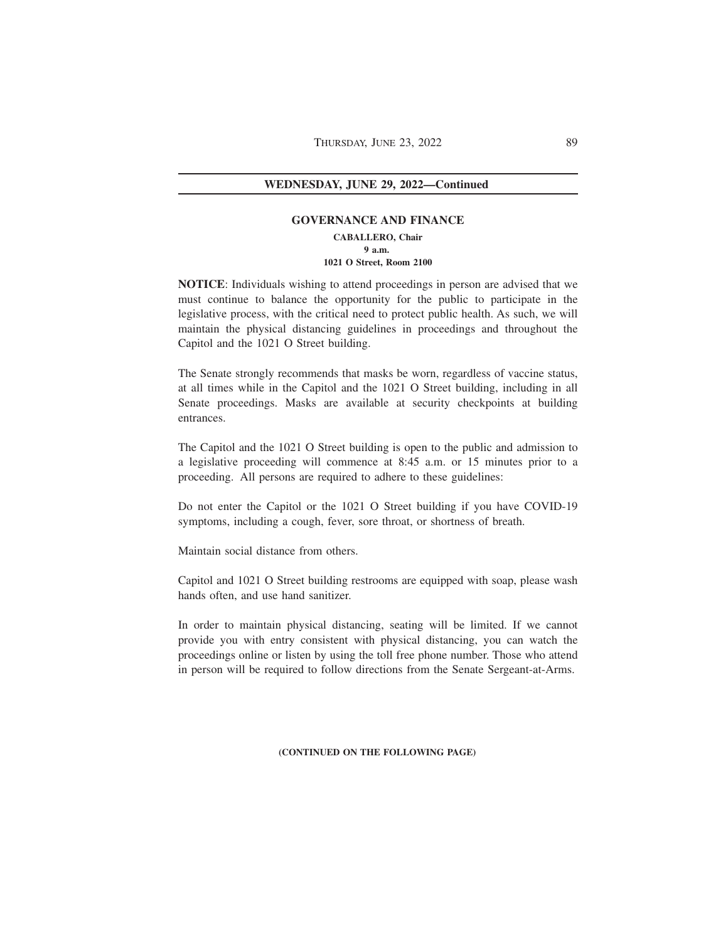#### **GOVERNANCE AND FINANCE**

### **CABALLERO, Chair 9 a.m. 1021 O Street, Room 2100**

**NOTICE**: Individuals wishing to attend proceedings in person are advised that we must continue to balance the opportunity for the public to participate in the legislative process, with the critical need to protect public health. As such, we will maintain the physical distancing guidelines in proceedings and throughout the Capitol and the 1021 O Street building.

The Senate strongly recommends that masks be worn, regardless of vaccine status, at all times while in the Capitol and the 1021 O Street building, including in all Senate proceedings. Masks are available at security checkpoints at building entrances.

The Capitol and the 1021 O Street building is open to the public and admission to a legislative proceeding will commence at 8:45 a.m. or 15 minutes prior to a proceeding. All persons are required to adhere to these guidelines:

Do not enter the Capitol or the 1021 O Street building if you have COVID-19 symptoms, including a cough, fever, sore throat, or shortness of breath.

Maintain social distance from others.

Capitol and 1021 O Street building restrooms are equipped with soap, please wash hands often, and use hand sanitizer.

In order to maintain physical distancing, seating will be limited. If we cannot provide you with entry consistent with physical distancing, you can watch the proceedings online or listen by using the toll free phone number. Those who attend in person will be required to follow directions from the Senate Sergeant-at-Arms.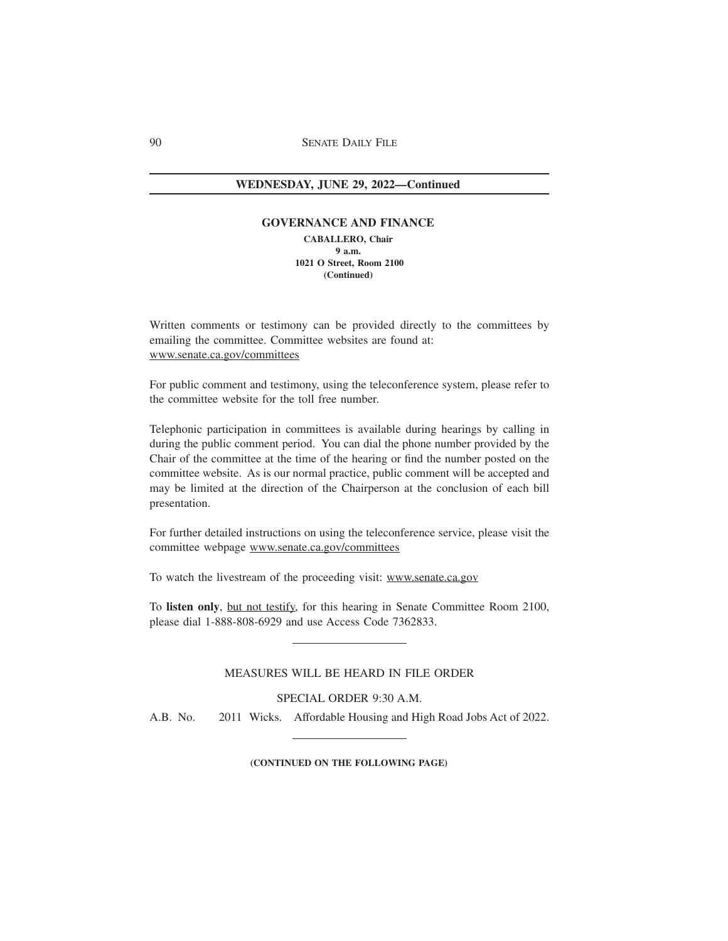### **GOVERNANCE AND FINANCE**

**CABALLERO, Chair 9 a.m. 1021 O Street, Room 2100 (Continued)** 

Written comments or testimony can be provided directly to the committees by emailing the committee. Committee websites are found at: www.senate.ca.gov/committees

For public comment and testimony, using the teleconference system, please refer to the committee website for the toll free number.

Telephonic participation in committees is available during hearings by calling in during the public comment period. You can dial the phone number provided by the Chair of the committee at the time of the hearing or find the number posted on the committee website. As is our normal practice, public comment will be accepted and may be limited at the direction of the Chairperson at the conclusion of each bill presentation.

For further detailed instructions on using the teleconference service, please visit the committee webpage www.senate.ca.gov/committees

To watch the livestream of the proceeding visit: www.senate.ca.gov

To **listen only**, but not testify, for this hearing in Senate Committee Room 2100, please dial 1-888-808-6929 and use Access Code 7362833.

# MEASURES WILL BE HEARD IN FILE ORDER

### SPECIAL ORDER 9:30 A.M.

A.B. No. 2011 Wicks. Affordable Housing and High Road Jobs Act of 2022.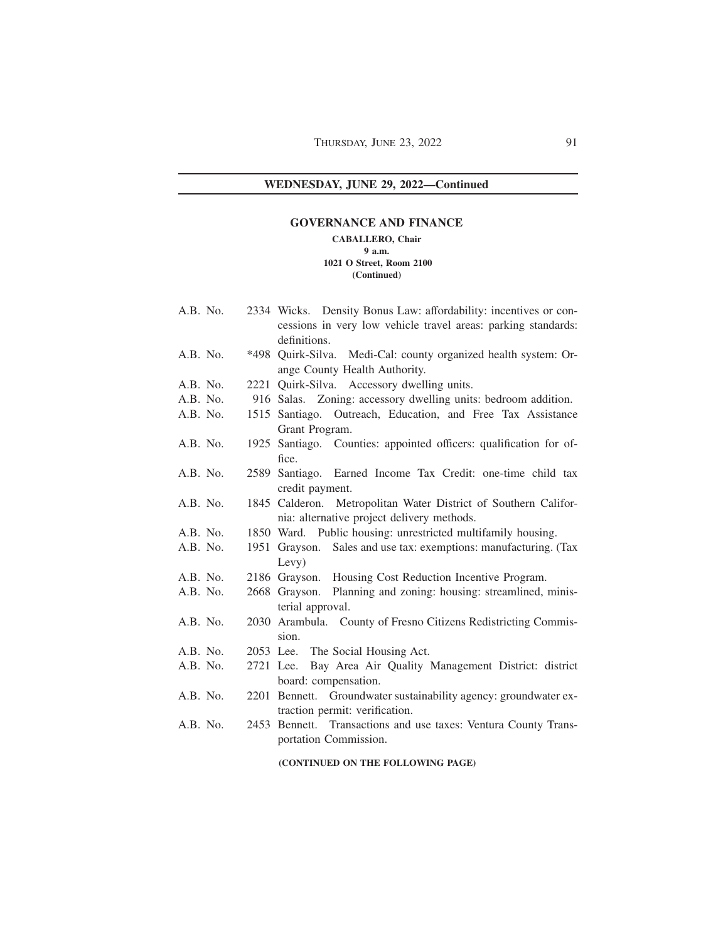#### **GOVERNANCE AND FINANCE**

#### **CABALLERO, Chair 9 a.m. 1021 O Street, Room 2100 (Continued)**

A.B. No. 2334 Wicks. Density Bonus Law: affordability: incentives or concessions in very low vehicle travel areas: parking standards: definitions. A.B. No. \*498 Quirk-Silva. Medi-Cal: county organized health system: Orange County Health Authority. A.B. No. 2221 Quirk-Silva. Accessory dwelling units. A.B. No. 916 Salas. Zoning: accessory dwelling units: bedroom addition. A.B. No. 1515 Santiago. Outreach, Education, and Free Tax Assistance Grant Program. A.B. No. 1925 Santiago. Counties: appointed officers: qualification for office. A.B. No. 2589 Santiago. Earned Income Tax Credit: one-time child tax credit payment. A.B. No. 1845 Calderon. Metropolitan Water District of Southern California: alternative project delivery methods. A.B. No. 1850 Ward. Public housing: unrestricted multifamily housing. A.B. No. 1951 Grayson. Sales and use tax: exemptions: manufacturing. (Tax Levy) A.B. No. 2186 Grayson. Housing Cost Reduction Incentive Program. A.B. No. 2668 Grayson. Planning and zoning: housing: streamlined, ministerial approval. A.B. No. 2030 Arambula. County of Fresno Citizens Redistricting Commission. A.B. No. 2053 Lee. The Social Housing Act. A.B. No. 2721 Lee. Bay Area Air Quality Management District: district board: compensation. A.B. No. 2201 Bennett. Groundwater sustainability agency: groundwater extraction permit: verification. A.B. No. 2453 Bennett. Transactions and use taxes: Ventura County Transportation Commission.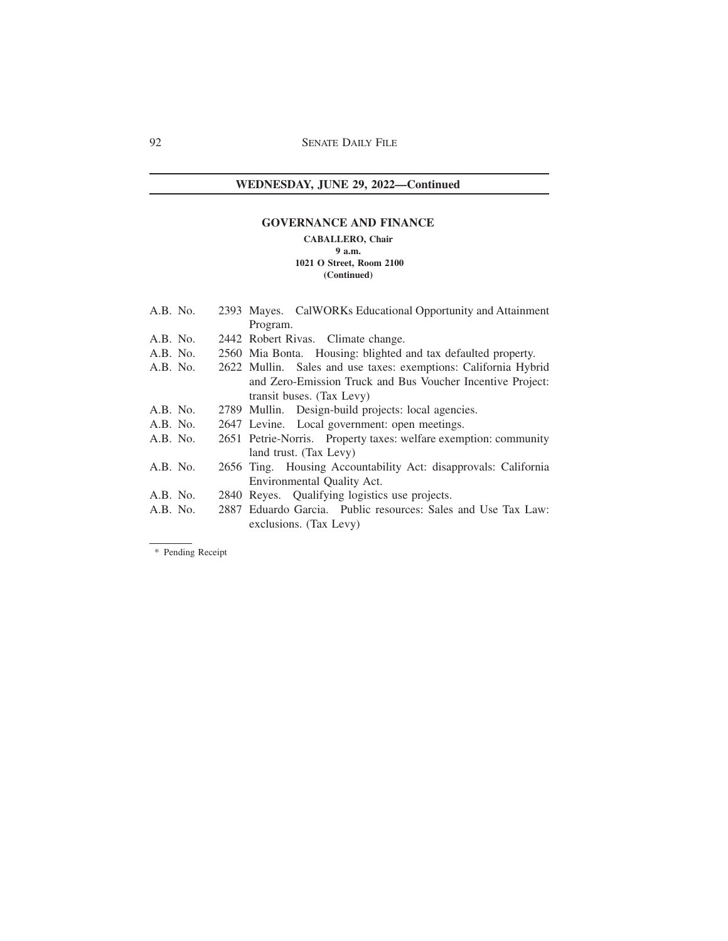# **GOVERNANCE AND FINANCE**

### **CABALLERO, Chair 9 a.m. 1021 O Street, Room 2100 (Continued)**

| A.B. No. | 2393 Mayes. CalWORKs Educational Opportunity and Attainment      |
|----------|------------------------------------------------------------------|
|          | Program.                                                         |
| A.B. No. | 2442 Robert Rivas. Climate change.                               |
| A.B. No. | 2560 Mia Bonta. Housing: blighted and tax defaulted property.    |
| A.B. No. | 2622 Mullin. Sales and use taxes: exemptions: California Hybrid  |
|          | and Zero-Emission Truck and Bus Voucher Incentive Project:       |
|          | transit buses. (Tax Levy)                                        |
| A.B. No. | 2789 Mullin. Design-build projects: local agencies.              |
| A.B. No. | 2647 Levine. Local government: open meetings.                    |
| A.B. No. | 2651 Petrie-Norris. Property taxes: welfare exemption: community |
|          | land trust. (Tax Levy)                                           |
| A.B. No. | 2656 Ting. Housing Accountability Act: disapprovals: California  |
|          | Environmental Quality Act.                                       |
| A.B. No. | 2840 Reyes. Qualifying logistics use projects.                   |
| A.B. No. | 2887 Eduardo Garcia. Public resources: Sales and Use Tax Law:    |
|          | exclusions. (Tax Levy)                                           |

\* Pending Receipt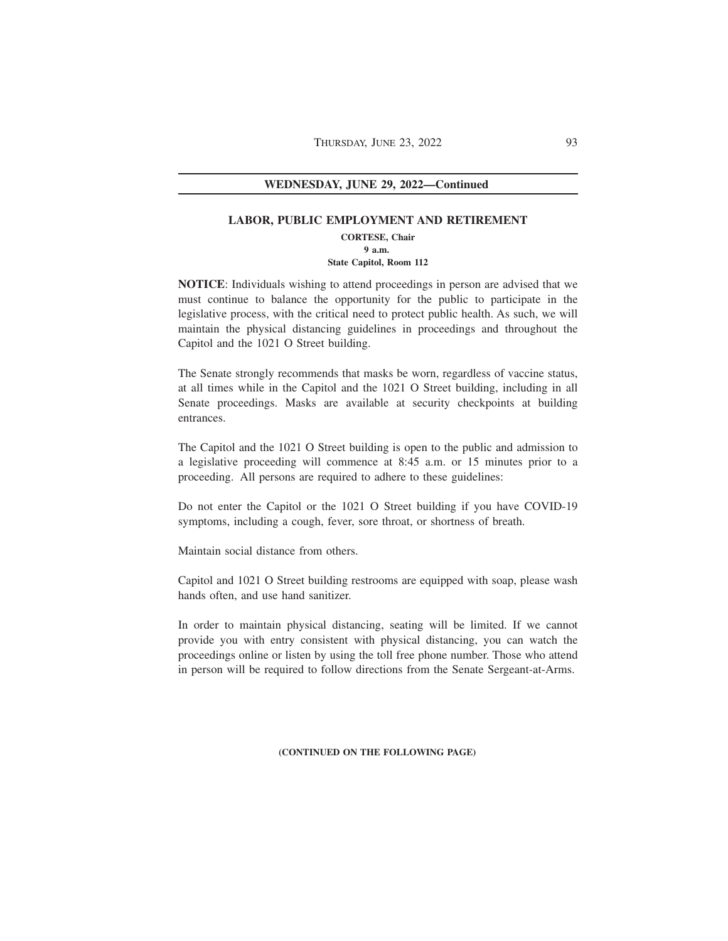# **LABOR, PUBLIC EMPLOYMENT AND RETIREMENT**

### **CORTESE, Chair 9 a.m. State Capitol, Room 112**

**NOTICE**: Individuals wishing to attend proceedings in person are advised that we must continue to balance the opportunity for the public to participate in the legislative process, with the critical need to protect public health. As such, we will maintain the physical distancing guidelines in proceedings and throughout the Capitol and the 1021 O Street building.

The Senate strongly recommends that masks be worn, regardless of vaccine status, at all times while in the Capitol and the 1021 O Street building, including in all Senate proceedings. Masks are available at security checkpoints at building entrances.

The Capitol and the 1021 O Street building is open to the public and admission to a legislative proceeding will commence at 8:45 a.m. or 15 minutes prior to a proceeding. All persons are required to adhere to these guidelines:

Do not enter the Capitol or the 1021 O Street building if you have COVID-19 symptoms, including a cough, fever, sore throat, or shortness of breath.

Maintain social distance from others.

Capitol and 1021 O Street building restrooms are equipped with soap, please wash hands often, and use hand sanitizer.

In order to maintain physical distancing, seating will be limited. If we cannot provide you with entry consistent with physical distancing, you can watch the proceedings online or listen by using the toll free phone number. Those who attend in person will be required to follow directions from the Senate Sergeant-at-Arms.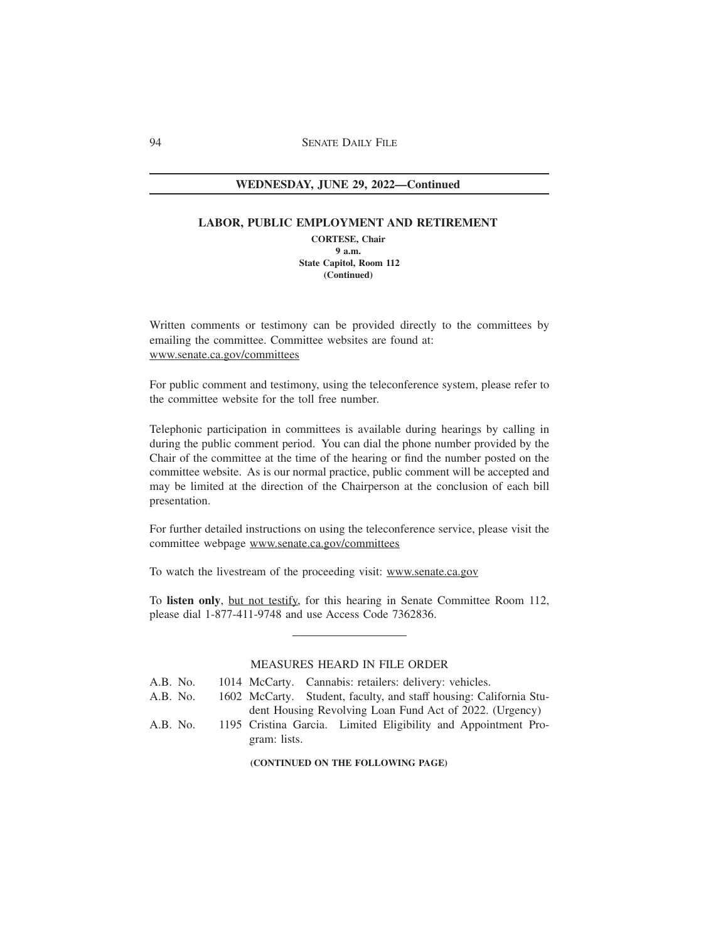# **LABOR, PUBLIC EMPLOYMENT AND RETIREMENT**

**CORTESE, Chair 9 a.m. State Capitol, Room 112 (Continued)** 

Written comments or testimony can be provided directly to the committees by emailing the committee. Committee websites are found at: www.senate.ca.gov/committees

For public comment and testimony, using the teleconference system, please refer to the committee website for the toll free number.

Telephonic participation in committees is available during hearings by calling in during the public comment period. You can dial the phone number provided by the Chair of the committee at the time of the hearing or find the number posted on the committee website. As is our normal practice, public comment will be accepted and may be limited at the direction of the Chairperson at the conclusion of each bill presentation.

For further detailed instructions on using the teleconference service, please visit the committee webpage www.senate.ca.gov/committees

To watch the livestream of the proceeding visit: www.senate.ca.gov

To **listen only**, but not testify, for this hearing in Senate Committee Room 112, please dial 1-877-411-9748 and use Access Code 7362836.

# MEASURES HEARD IN FILE ORDER

| A.B. No. |  | 1014 McCarty. Cannabis: retailers: delivery: vehicles. |  |  |                                                                    |  |
|----------|--|--------------------------------------------------------|--|--|--------------------------------------------------------------------|--|
| A.B. No. |  |                                                        |  |  | 1602 McCarty. Student, faculty, and staff housing: California Stu- |  |
|          |  |                                                        |  |  | dent Housing Revolving Loan Fund Act of 2022. (Urgency)            |  |
| A.B. No. |  |                                                        |  |  | 1195 Cristina Garcia. Limited Eligibility and Appointment Pro-     |  |
|          |  | gram: lists.                                           |  |  |                                                                    |  |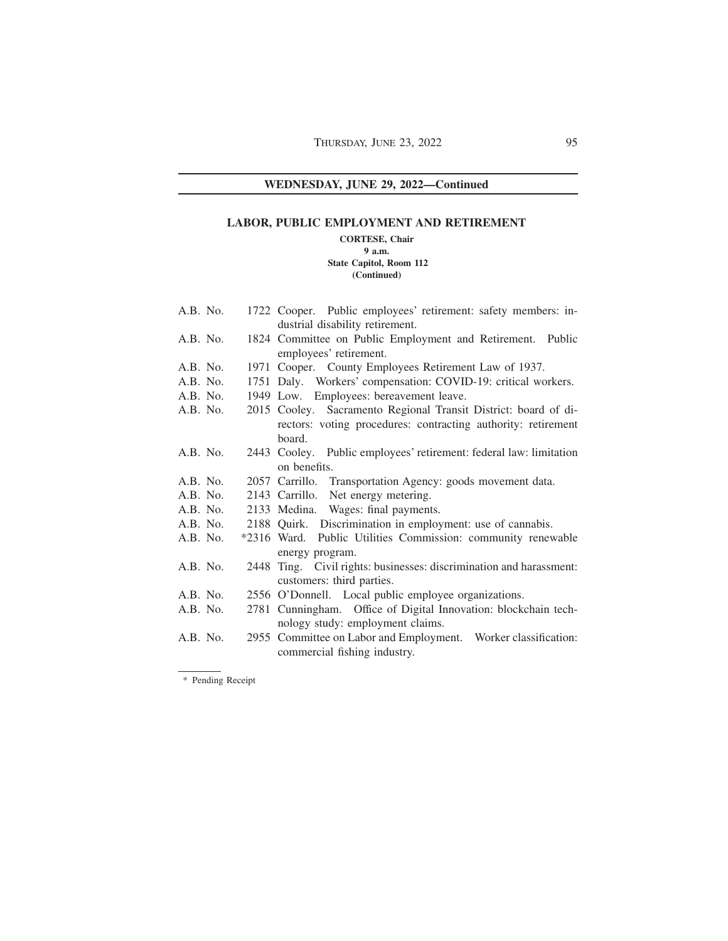# **LABOR, PUBLIC EMPLOYMENT AND RETIREMENT**

### **CORTESE, Chair 9 a.m. State Capitol, Room 112 (Continued)**

| Public                                                              |
|---------------------------------------------------------------------|
|                                                                     |
|                                                                     |
|                                                                     |
| 1971 Cooper. County Employees Retirement Law of 1937.               |
| 1751 Daly. Workers' compensation: COVID-19: critical workers.       |
|                                                                     |
| 2015 Cooley. Sacramento Regional Transit District: board of di-     |
| rectors: voting procedures: contracting authority: retirement       |
|                                                                     |
| 2443 Cooley. Public employees' retirement: federal law: limitation  |
|                                                                     |
| 2057 Carrillo. Transportation Agency: goods movement data.          |
|                                                                     |
|                                                                     |
| 2188 Quirk. Discrimination in employment: use of cannabis.          |
| *2316 Ward. Public Utilities Commission: community renewable        |
|                                                                     |
| 2448 Ting. Civil rights: businesses: discrimination and harassment: |
|                                                                     |
|                                                                     |
| 2781 Cunningham. Office of Digital Innovation: blockchain tech-     |
|                                                                     |
| 2955 Committee on Labor and Employment. Worker classification:      |
|                                                                     |
|                                                                     |

\* Pending Receipt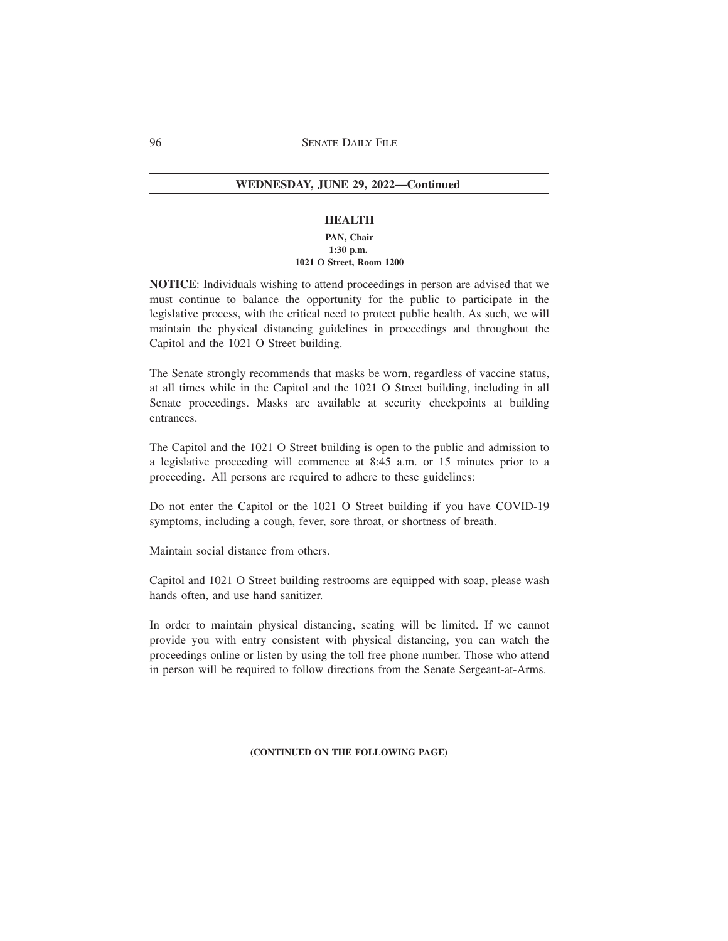#### **HEALTH**

### **PAN, Chair 1:30 p.m. 1021 O Street, Room 1200**

**NOTICE**: Individuals wishing to attend proceedings in person are advised that we must continue to balance the opportunity for the public to participate in the legislative process, with the critical need to protect public health. As such, we will maintain the physical distancing guidelines in proceedings and throughout the Capitol and the 1021 O Street building.

The Senate strongly recommends that masks be worn, regardless of vaccine status, at all times while in the Capitol and the 1021 O Street building, including in all Senate proceedings. Masks are available at security checkpoints at building entrances.

The Capitol and the 1021 O Street building is open to the public and admission to a legislative proceeding will commence at 8:45 a.m. or 15 minutes prior to a proceeding. All persons are required to adhere to these guidelines:

Do not enter the Capitol or the 1021 O Street building if you have COVID-19 symptoms, including a cough, fever, sore throat, or shortness of breath.

Maintain social distance from others.

Capitol and 1021 O Street building restrooms are equipped with soap, please wash hands often, and use hand sanitizer.

In order to maintain physical distancing, seating will be limited. If we cannot provide you with entry consistent with physical distancing, you can watch the proceedings online or listen by using the toll free phone number. Those who attend in person will be required to follow directions from the Senate Sergeant-at-Arms.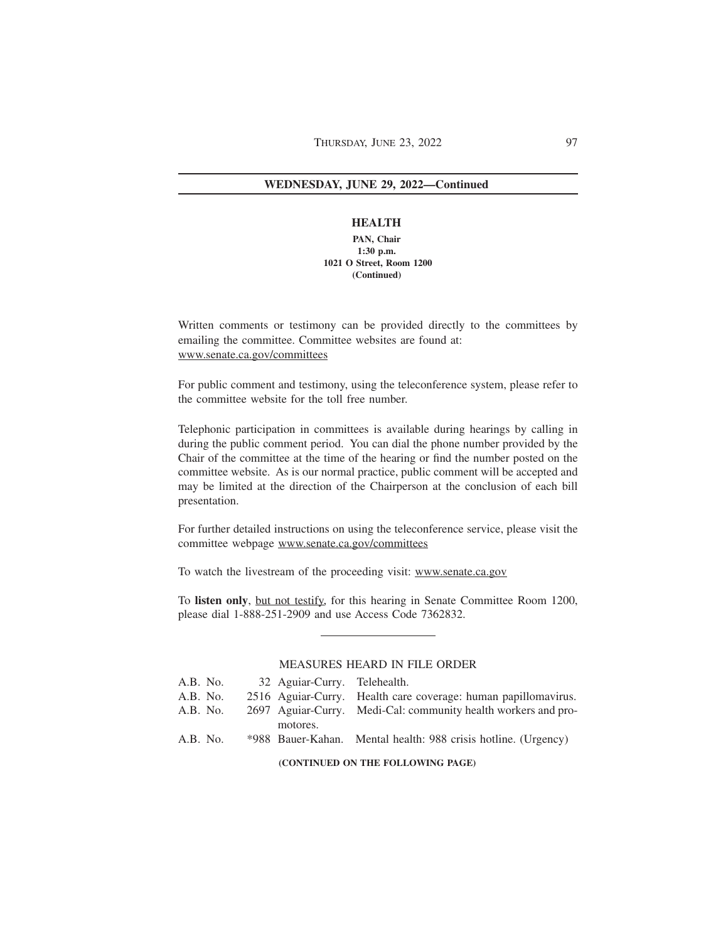#### **HEALTH**

**PAN, Chair 1:30 p.m. 1021 O Street, Room 1200 (Continued)** 

Written comments or testimony can be provided directly to the committees by emailing the committee. Committee websites are found at: www.senate.ca.gov/committees

For public comment and testimony, using the teleconference system, please refer to the committee website for the toll free number.

Telephonic participation in committees is available during hearings by calling in during the public comment period. You can dial the phone number provided by the Chair of the committee at the time of the hearing or find the number posted on the committee website. As is our normal practice, public comment will be accepted and may be limited at the direction of the Chairperson at the conclusion of each bill presentation.

For further detailed instructions on using the teleconference service, please visit the committee webpage www.senate.ca.gov/committees

To watch the livestream of the proceeding visit: www.senate.ca.gov

To **listen only**, but not testify, for this hearing in Senate Committee Room 1200, please dial 1-888-251-2909 and use Access Code 7362832.

# MEASURES HEARD IN FILE ORDER

| A.B. No. | 32 Aguiar-Curry. Telehealth. |                                                                |
|----------|------------------------------|----------------------------------------------------------------|
| A.B. No. |                              | 2516 Aguiar-Curry. Health care coverage: human papillomavirus. |
| A.B. No. |                              | 2697 Aguiar-Curry. Medi-Cal: community health workers and pro- |
|          | motores.                     |                                                                |
| A.B. No. |                              | *988 Bauer-Kahan. Mental health: 988 crisis hotline. (Urgency) |
|          |                              |                                                                |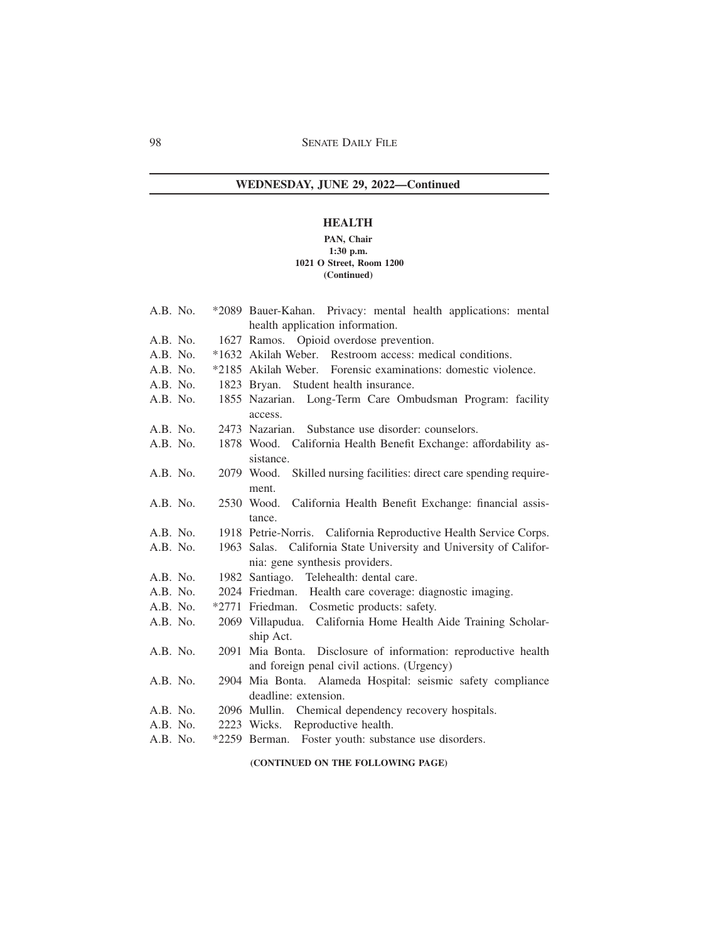# **HEALTH**

### **PAN, Chair 1:30 p.m. 1021 O Street, Room 1200 (Continued)**

| A.B. No. |  | *2089 Bauer-Kahan. Privacy: mental health applications: mental       |
|----------|--|----------------------------------------------------------------------|
|          |  | health application information.                                      |
| A.B. No. |  | 1627 Ramos. Opioid overdose prevention.                              |
| A.B. No. |  | *1632 Akilah Weber. Restroom access: medical conditions.             |
| A.B. No. |  | *2185 Akilah Weber. Forensic examinations: domestic violence.        |
| A.B. No. |  | 1823 Bryan. Student health insurance.                                |
| A.B. No. |  | 1855 Nazarian. Long-Term Care Ombudsman Program: facility            |
|          |  | access.                                                              |
| A.B. No. |  | 2473 Nazarian. Substance use disorder: counselors.                   |
| A.B. No. |  | 1878 Wood. California Health Benefit Exchange: affordability as-     |
|          |  | sistance.                                                            |
| A.B. No. |  | 2079 Wood. Skilled nursing facilities: direct care spending require- |
|          |  | ment.                                                                |
| A.B. No. |  | 2530 Wood. California Health Benefit Exchange: financial assis-      |
|          |  | tance.                                                               |
| A.B. No. |  | 1918 Petrie-Norris. California Reproductive Health Service Corps.    |
| A.B. No. |  | 1963 Salas. California State University and University of Califor-   |
|          |  | nia: gene synthesis providers.                                       |
| A.B. No. |  | 1982 Santiago. Telehealth: dental care.                              |
| A.B. No. |  | 2024 Friedman. Health care coverage: diagnostic imaging.             |
| A.B. No. |  | *2771 Friedman. Cosmetic products: safety.                           |
| A.B. No. |  | 2069 Villapudua. California Home Health Aide Training Scholar-       |
|          |  | ship Act.                                                            |
| A.B. No. |  | 2091 Mia Bonta. Disclosure of information: reproductive health       |
|          |  | and foreign penal civil actions. (Urgency)                           |
| A.B. No. |  | 2904 Mia Bonta. Alameda Hospital: seismic safety compliance          |
|          |  | deadline: extension.                                                 |
| A.B. No. |  | 2096 Mullin. Chemical dependency recovery hospitals.                 |
| A.B. No. |  | 2223 Wicks. Reproductive health.                                     |
| A.B. No. |  | *2259 Berman. Foster youth: substance use disorders.                 |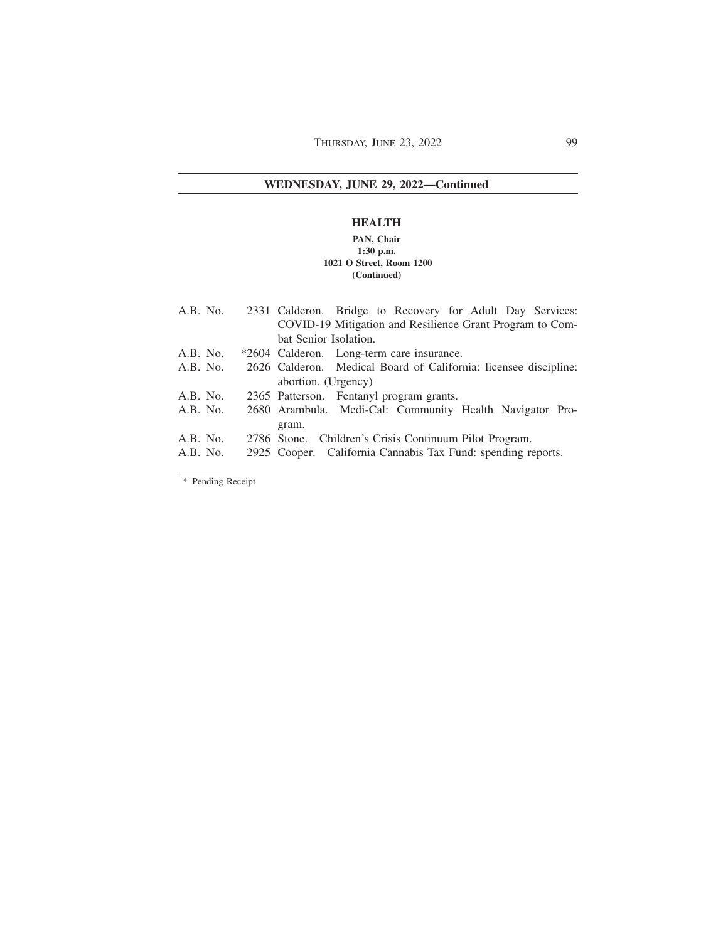### **HEALTH**

### **PAN, Chair 1:30 p.m. 1021 O Street, Room 1200 (Continued)**

| A.B. No. |  | 2331 Calderon. Bridge to Recovery for Adult Day Services:        |  |  |  |  |
|----------|--|------------------------------------------------------------------|--|--|--|--|
|          |  | COVID-19 Mitigation and Resilience Grant Program to Com-         |  |  |  |  |
|          |  | bat Senior Isolation.                                            |  |  |  |  |
| A.B. No. |  | *2604 Calderon. Long-term care insurance.                        |  |  |  |  |
| A.B. No. |  | 2626 Calderon. Medical Board of California: licensee discipline: |  |  |  |  |
|          |  | abortion. (Urgency)                                              |  |  |  |  |
| A.B. No. |  | 2365 Patterson. Fentanyl program grants.                         |  |  |  |  |
| A.B. No. |  | 2680 Arambula. Medi-Cal: Community Health Navigator Pro-         |  |  |  |  |
|          |  | gram.                                                            |  |  |  |  |
| A.B. No. |  | 2786 Stone. Children's Crisis Continuum Pilot Program.           |  |  |  |  |
| A.B. No. |  | 2925 Cooper. California Cannabis Tax Fund: spending reports.     |  |  |  |  |

\* Pending Receipt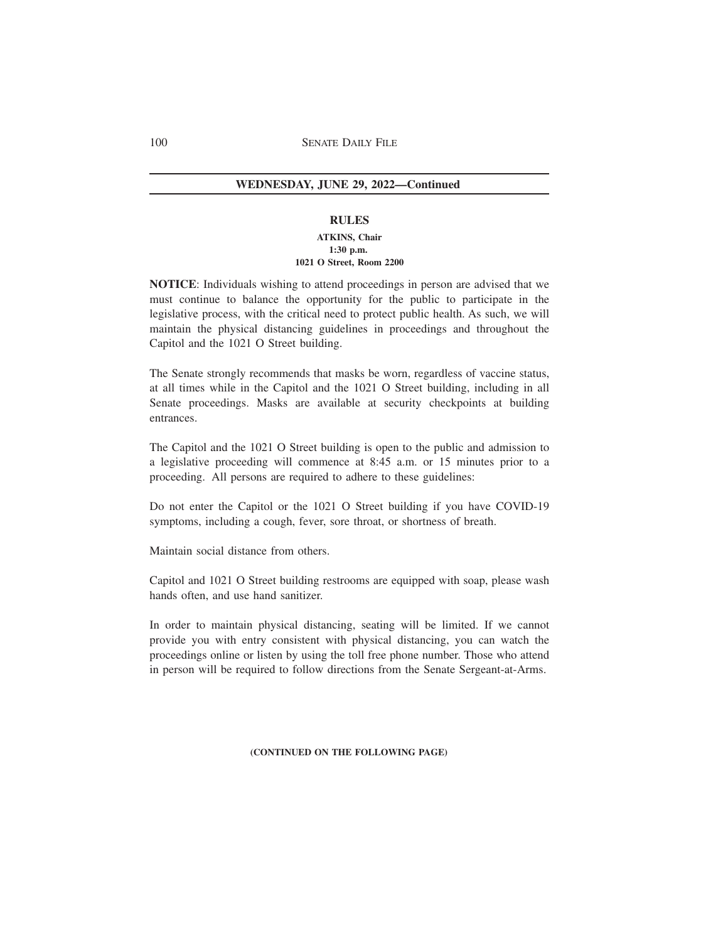### **RULES**

### **ATKINS, Chair 1:30 p.m. 1021 O Street, Room 2200**

**NOTICE**: Individuals wishing to attend proceedings in person are advised that we must continue to balance the opportunity for the public to participate in the legislative process, with the critical need to protect public health. As such, we will maintain the physical distancing guidelines in proceedings and throughout the Capitol and the 1021 O Street building.

The Senate strongly recommends that masks be worn, regardless of vaccine status, at all times while in the Capitol and the 1021 O Street building, including in all Senate proceedings. Masks are available at security checkpoints at building entrances.

The Capitol and the 1021 O Street building is open to the public and admission to a legislative proceeding will commence at 8:45 a.m. or 15 minutes prior to a proceeding. All persons are required to adhere to these guidelines:

Do not enter the Capitol or the 1021 O Street building if you have COVID-19 symptoms, including a cough, fever, sore throat, or shortness of breath.

Maintain social distance from others.

Capitol and 1021 O Street building restrooms are equipped with soap, please wash hands often, and use hand sanitizer.

In order to maintain physical distancing, seating will be limited. If we cannot provide you with entry consistent with physical distancing, you can watch the proceedings online or listen by using the toll free phone number. Those who attend in person will be required to follow directions from the Senate Sergeant-at-Arms.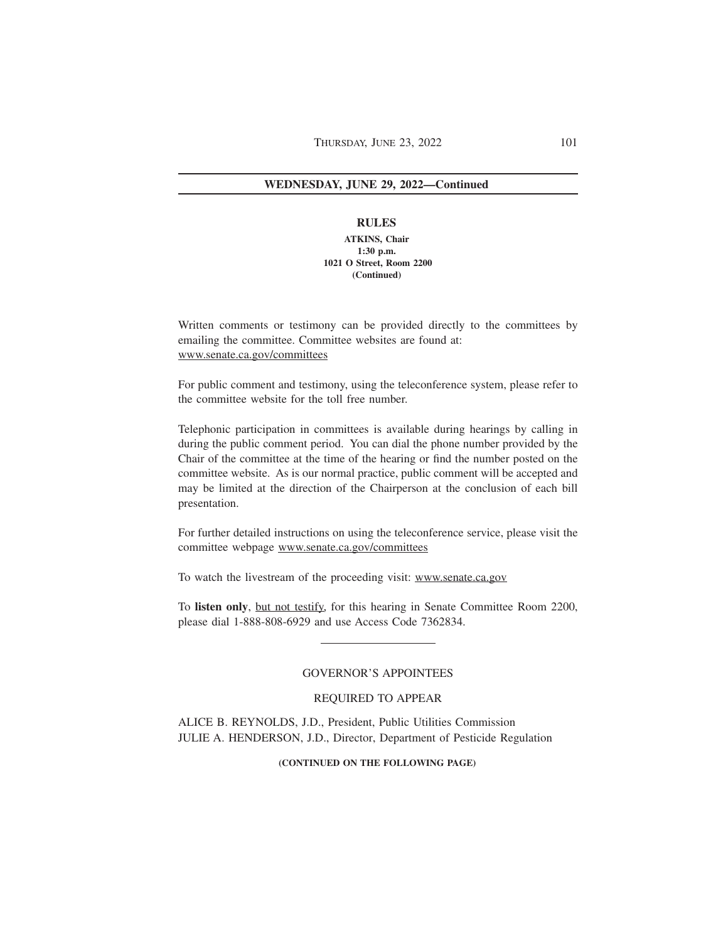#### **RULES**

**ATKINS, Chair 1:30 p.m. 1021 O Street, Room 2200 (Continued)** 

Written comments or testimony can be provided directly to the committees by emailing the committee. Committee websites are found at: www.senate.ca.gov/committees

For public comment and testimony, using the teleconference system, please refer to the committee website for the toll free number.

Telephonic participation in committees is available during hearings by calling in during the public comment period. You can dial the phone number provided by the Chair of the committee at the time of the hearing or find the number posted on the committee website. As is our normal practice, public comment will be accepted and may be limited at the direction of the Chairperson at the conclusion of each bill presentation.

For further detailed instructions on using the teleconference service, please visit the committee webpage www.senate.ca.gov/committees

To watch the livestream of the proceeding visit: www.senate.ca.gov

To **listen only**, but not testify, for this hearing in Senate Committee Room 2200, please dial 1-888-808-6929 and use Access Code 7362834.

# GOVERNOR'S APPOINTEES

### REQUIRED TO APPEAR

ALICE B. REYNOLDS, J.D., President, Public Utilities Commission JULIE A. HENDERSON, J.D., Director, Department of Pesticide Regulation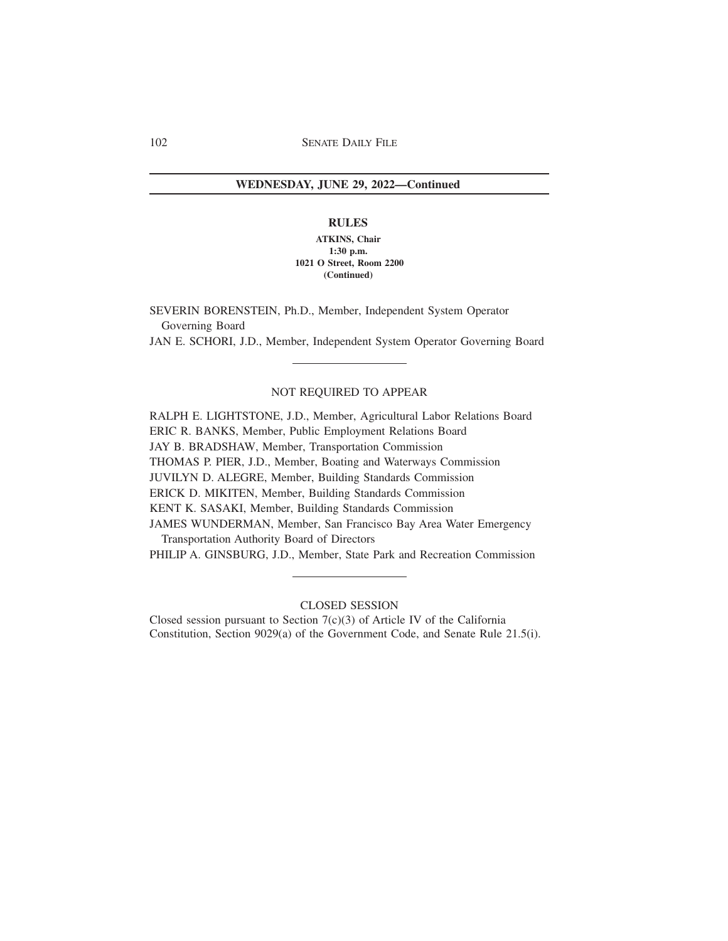#### **RULES**

**ATKINS, Chair 1:30 p.m. 1021 O Street, Room 2200 (Continued)** 

SEVERIN BORENSTEIN, Ph.D., Member, Independent System Operator Governing Board JAN E. SCHORI, J.D., Member, Independent System Operator Governing Board

# NOT REQUIRED TO APPEAR

RALPH E. LIGHTSTONE, J.D., Member, Agricultural Labor Relations Board ERIC R. BANKS, Member, Public Employment Relations Board JAY B. BRADSHAW, Member, Transportation Commission THOMAS P. PIER, J.D., Member, Boating and Waterways Commission JUVILYN D. ALEGRE, Member, Building Standards Commission ERICK D. MIKITEN, Member, Building Standards Commission KENT K. SASAKI, Member, Building Standards Commission JAMES WUNDERMAN, Member, San Francisco Bay Area Water Emergency Transportation Authority Board of Directors PHILIP A. GINSBURG, J.D., Member, State Park and Recreation Commission

CLOSED SESSION

Closed session pursuant to Section  $7(c)(3)$  of Article IV of the California Constitution, Section 9029(a) of the Government Code, and Senate Rule 21.5(i).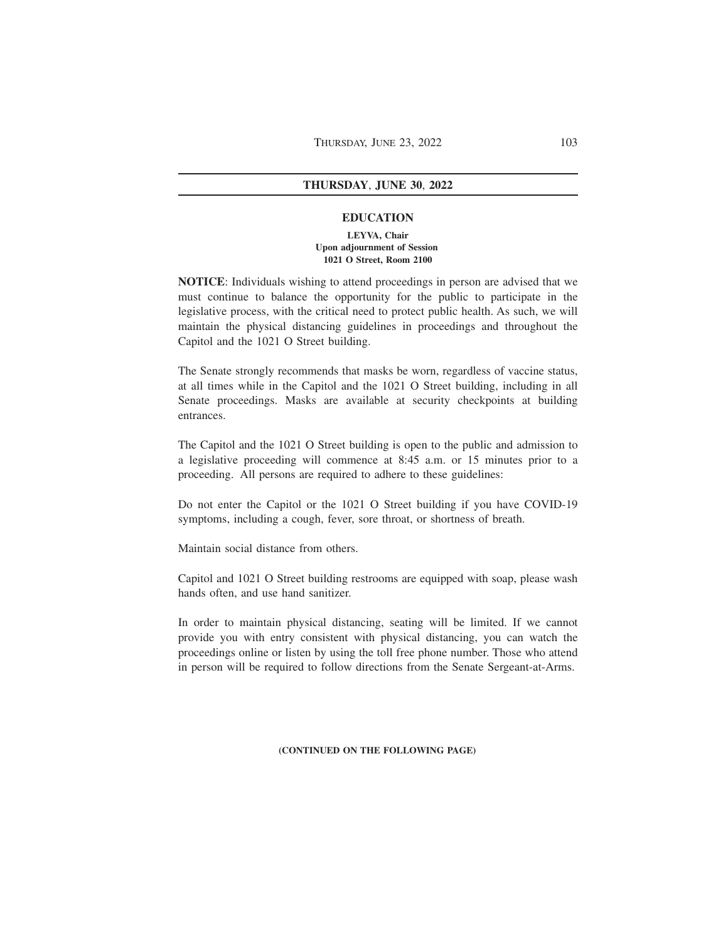# **THURSDAY**, **JUNE 30**, **2022**

### **EDUCATION**

# **LEYVA, Chair Upon adjournment of Session 1021 O Street, Room 2100**

**NOTICE**: Individuals wishing to attend proceedings in person are advised that we must continue to balance the opportunity for the public to participate in the legislative process, with the critical need to protect public health. As such, we will maintain the physical distancing guidelines in proceedings and throughout the Capitol and the 1021 O Street building.

The Senate strongly recommends that masks be worn, regardless of vaccine status, at all times while in the Capitol and the 1021 O Street building, including in all Senate proceedings. Masks are available at security checkpoints at building entrances.

The Capitol and the 1021 O Street building is open to the public and admission to a legislative proceeding will commence at 8:45 a.m. or 15 minutes prior to a proceeding. All persons are required to adhere to these guidelines:

Do not enter the Capitol or the 1021 O Street building if you have COVID-19 symptoms, including a cough, fever, sore throat, or shortness of breath.

Maintain social distance from others.

Capitol and 1021 O Street building restrooms are equipped with soap, please wash hands often, and use hand sanitizer.

In order to maintain physical distancing, seating will be limited. If we cannot provide you with entry consistent with physical distancing, you can watch the proceedings online or listen by using the toll free phone number. Those who attend in person will be required to follow directions from the Senate Sergeant-at-Arms.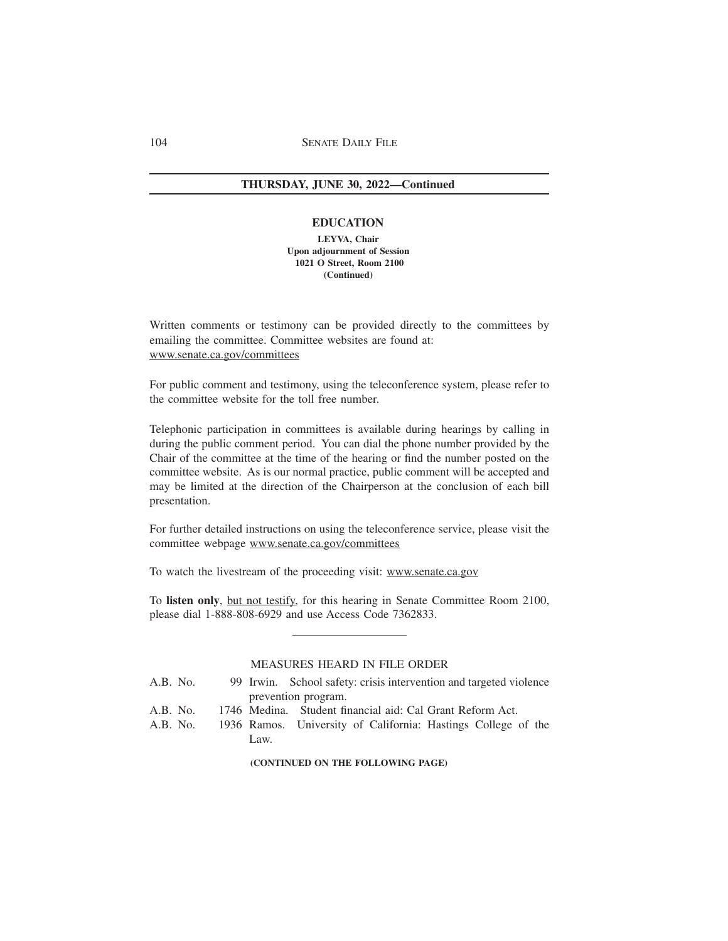# **THURSDAY, JUNE 30, 2022—Continued**

#### **EDUCATION**

**LEYVA, Chair Upon adjournment of Session 1021 O Street, Room 2100 (Continued)** 

Written comments or testimony can be provided directly to the committees by emailing the committee. Committee websites are found at: www.senate.ca.gov/committees

For public comment and testimony, using the teleconference system, please refer to the committee website for the toll free number.

Telephonic participation in committees is available during hearings by calling in during the public comment period. You can dial the phone number provided by the Chair of the committee at the time of the hearing or find the number posted on the committee website. As is our normal practice, public comment will be accepted and may be limited at the direction of the Chairperson at the conclusion of each bill presentation.

For further detailed instructions on using the teleconference service, please visit the committee webpage www.senate.ca.gov/committees

To watch the livestream of the proceeding visit: www.senate.ca.gov

To **listen only**, but not testify, for this hearing in Senate Committee Room 2100, please dial 1-888-808-6929 and use Access Code 7362833.

### MEASURES HEARD IN FILE ORDER

| A.B. No. |  |      | 99 Irwin. School safety: crisis intervention and targeted violence |
|----------|--|------|--------------------------------------------------------------------|
|          |  |      | prevention program.                                                |
| A.B. No. |  |      | 1746 Medina. Student financial aid: Cal Grant Reform Act.          |
| A.B. No. |  |      | 1936 Ramos. University of California: Hastings College of the      |
|          |  | Law. |                                                                    |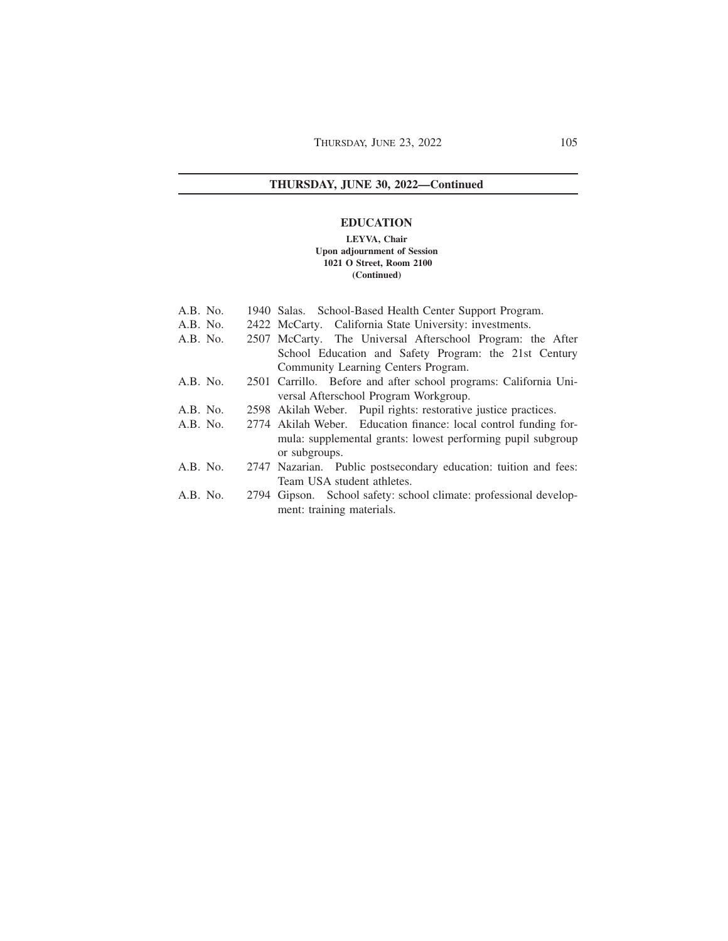# **THURSDAY, JUNE 30, 2022—Continued**

### **EDUCATION**

#### **LEYVA, Chair Upon adjournment of Session 1021 O Street, Room 2100 (Continued)**

- A.B. No. 1940 Salas. School-Based Health Center Support Program.
- A.B. No. 2422 McCarty. California State University: investments.
- A.B. No. 2507 McCarty. The Universal Afterschool Program: the After School Education and Safety Program: the 21st Century Community Learning Centers Program.
- A.B. No. 2501 Carrillo. Before and after school programs: California Universal Afterschool Program Workgroup.
- A.B. No. 2598 Akilah Weber. Pupil rights: restorative justice practices.
- A.B. No. 2774 Akilah Weber. Education finance: local control funding formula: supplemental grants: lowest performing pupil subgroup or subgroups.
- A.B. No. 2747 Nazarian. Public postsecondary education: tuition and fees: Team USA student athletes.
- A.B. No. 2794 Gipson. School safety: school climate: professional development: training materials.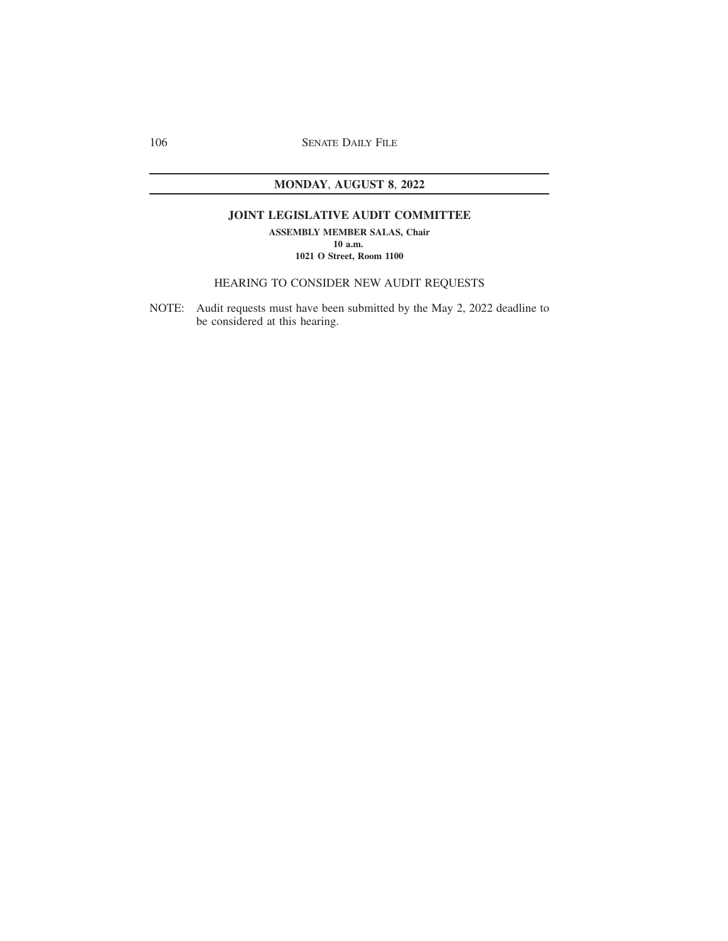# **MONDAY**, **AUGUST 8**, **2022**

# **JOINT LEGISLATIVE AUDIT COMMITTEE ASSEMBLY MEMBER SALAS, Chair 10 a.m. 1021 O Street, Room 1100**

# HEARING TO CONSIDER NEW AUDIT REQUESTS

NOTE: Audit requests must have been submitted by the May 2, 2022 deadline to be considered at this hearing.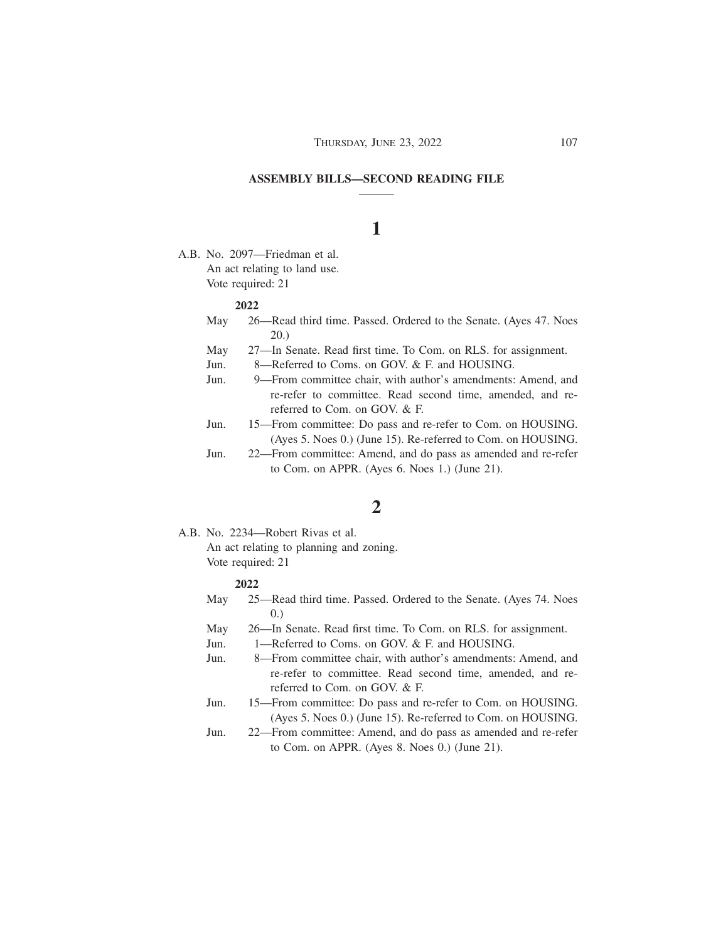# **ASSEMBLY BILLS—SECOND READING FILE**

# **1**

A.B. No. 2097— Friedman et al. An act relating to land use. Vote required: 21

# **2022**

- May 26—Read third time. Passed. Ordered to the Senate. (Ayes 47. Noes 20.)
- May 27—In Senate. Read first time. To Com. on RLS. for assignment.
- Jun. 8—Referred to Coms. on GOV. & F. and HOUSING.
- Jun. 9—From committee chair, with author's amendments: Amend, and re-refer to committee. Read second time, amended, and rereferred to Com. on GOV. & F.
- Jun. 15—From committee: Do pass and re-refer to Com. on HOUSING. (Ayes 5. Noes 0.) (June 15). Re-referred to Com. on HOUSING.
- Jun. 22—From committee: Amend, and do pass as amended and re-refer to Com. on APPR. (Ayes 6. Noes 1.) (June 21).

# **2**

A.B. No. 2234— Robert Rivas et al. An act relating to planning and zoning. Vote required: 21

### **2022**

- May 25—Read third time. Passed. Ordered to the Senate. (Ayes 74. Noes 0.)
- May 26—In Senate. Read first time. To Com. on RLS. for assignment.
- Jun. 1—Referred to Coms. on GOV. & F. and HOUSING.
- Jun. 8—From committee chair, with author's amendments: Amend, and re-refer to committee. Read second time, amended, and rereferred to Com. on GOV. & F.
- Jun. 15—From committee: Do pass and re-refer to Com. on HOUSING. (Ayes 5. Noes 0.) (June 15). Re-referred to Com. on HOUSING.
- Jun. 22—From committee: Amend, and do pass as amended and re-refer to Com. on APPR. (Ayes 8. Noes 0.) (June 21).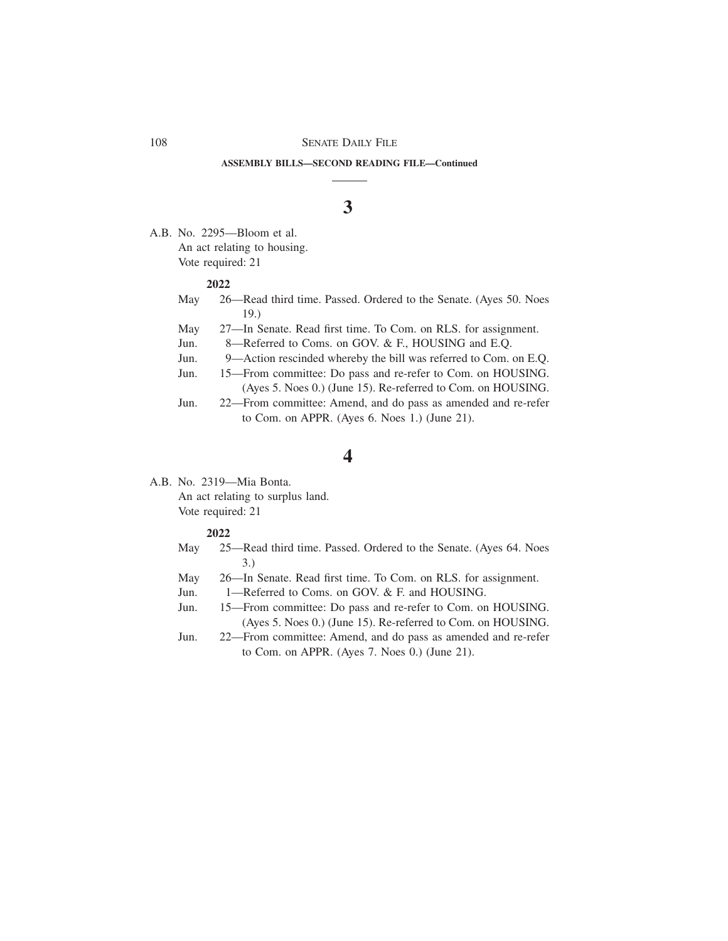#### 108 SENATE DAILY FILE

#### **ASSEMBLY BILLS—SECOND READING FILE—Continued**

# **3**

A.B. No. 2295— Bloom et al. An act relating to housing. Vote required: 21

### **2022**

- May 26—Read third time. Passed. Ordered to the Senate. (Ayes 50. Noes 19.)
- May 27—In Senate. Read first time. To Com. on RLS. for assignment.
- Jun. 8—Referred to Coms. on GOV. & F., HOUSING and E.Q.
- Jun. 9—Action rescinded whereby the bill was referred to Com. on E.Q.
- Jun. 15—From committee: Do pass and re-refer to Com. on HOUSING. (Ayes 5. Noes 0.) (June 15). Re-referred to Com. on HOUSING.
- Jun. 22—From committee: Amend, and do pass as amended and re-refer to Com. on APPR. (Ayes 6. Noes 1.) (June 21).

# **4**

A.B. No. 2319— Mia Bonta. An act relating to surplus land.

Vote required: 21

#### **2022**

- May 25—Read third time. Passed. Ordered to the Senate. (Ayes 64. Noes 3.)
- May 26—In Senate. Read first time. To Com. on RLS. for assignment.
- Jun. 1—Referred to Coms. on GOV. & F. and HOUSING.
- Jun. 15—From committee: Do pass and re-refer to Com. on HOUSING. (Ayes 5. Noes 0.) (June 15). Re-referred to Com. on HOUSING.
- Jun. 22—From committee: Amend, and do pass as amended and re-refer to Com. on APPR. (Ayes 7. Noes 0.) (June 21).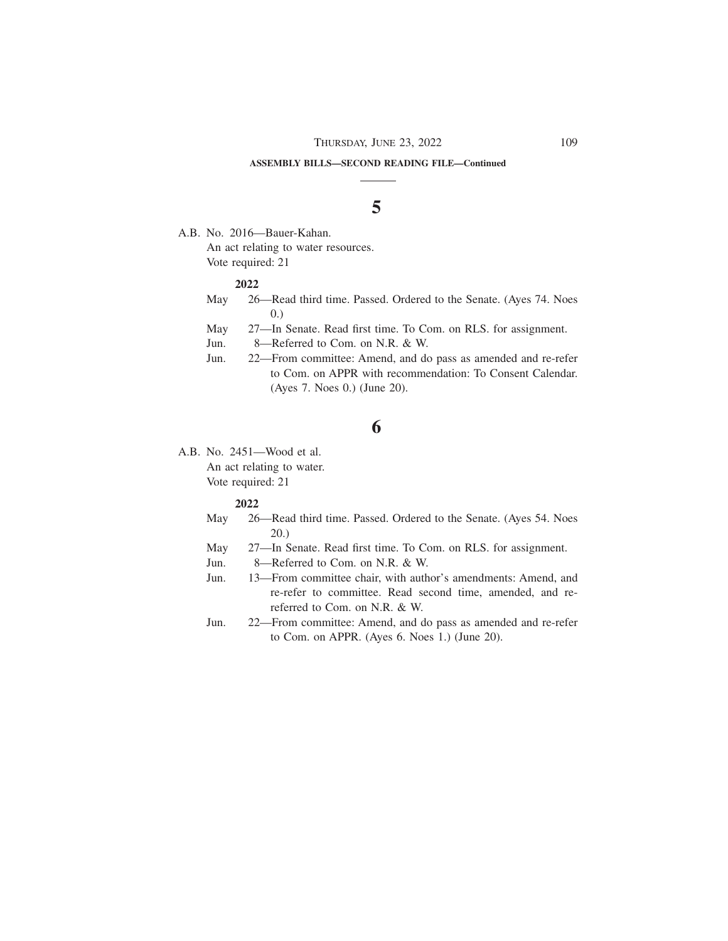#### THURSDAY, JUNE 23, 2022 109

#### **ASSEMBLY BILLS—SECOND READING FILE—Continued**

### **5**

A.B. No. 2016— Bauer-Kahan. An act relating to water resources. Vote required: 21

#### **2022**

- May 26—Read third time. Passed. Ordered to the Senate. (Ayes 74. Noes 0.)
- May 27—In Senate. Read first time. To Com. on RLS. for assignment.
- Jun. 8—Referred to Com. on N.R. & W.
- Jun. 22—From committee: Amend, and do pass as amended and re-refer to Com. on APPR with recommendation: To Consent Calendar. (Ayes 7. Noes 0.) (June 20).

## **6**

A.B. No. 2451— Wood et al. An act relating to water. Vote required: 21

- May 26—Read third time. Passed. Ordered to the Senate. (Ayes 54. Noes 20.)
- May 27—In Senate. Read first time. To Com. on RLS. for assignment.
- Jun. 8—Referred to Com. on N.R. & W.
- Jun. 13—From committee chair, with author's amendments: Amend, and re-refer to committee. Read second time, amended, and rereferred to Com. on N.R. & W.
- Jun. 22—From committee: Amend, and do pass as amended and re-refer to Com. on APPR. (Ayes 6. Noes 1.) (June 20).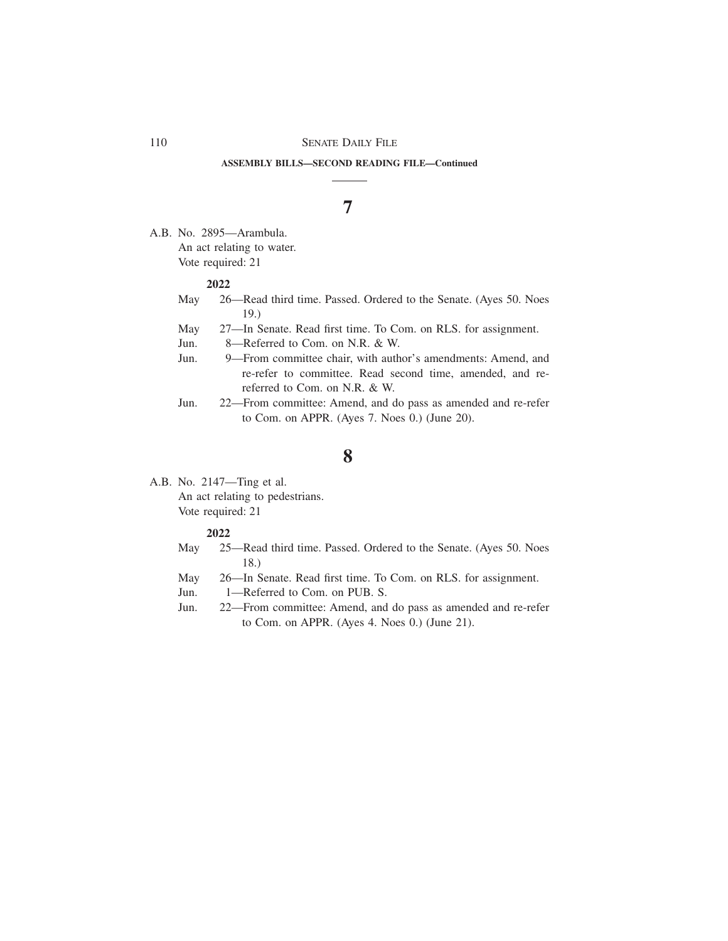#### 110 SENATE DAILY FILE

#### **ASSEMBLY BILLS—SECOND READING FILE—Continued**

## **7**

A.B. No. 2895— Arambula. An act relating to water. Vote required: 21

#### **2022**

- May 26—Read third time. Passed. Ordered to the Senate. (Ayes 50. Noes 19.)
- May 27—In Senate. Read first time. To Com. on RLS. for assignment.
- Jun. 8—Referred to Com. on N.R. & W.
- Jun. 9—From committee chair, with author's amendments: Amend, and re-refer to committee. Read second time, amended, and rereferred to Com. on N.R. & W.
- Jun. 22—From committee: Amend, and do pass as amended and re-refer to Com. on APPR. (Ayes 7. Noes 0.) (June 20).

### **8**

A.B. No. 2147— Ting et al. An act relating to pedestrians. Vote required: 21

- May 25—Read third time. Passed. Ordered to the Senate. (Ayes 50. Noes 18.)
- May 26—In Senate. Read first time. To Com. on RLS. for assignment.
- Jun. 1—Referred to Com. on PUB. S.
- Jun. 22—From committee: Amend, and do pass as amended and re-refer to Com. on APPR. (Ayes 4. Noes 0.) (June 21).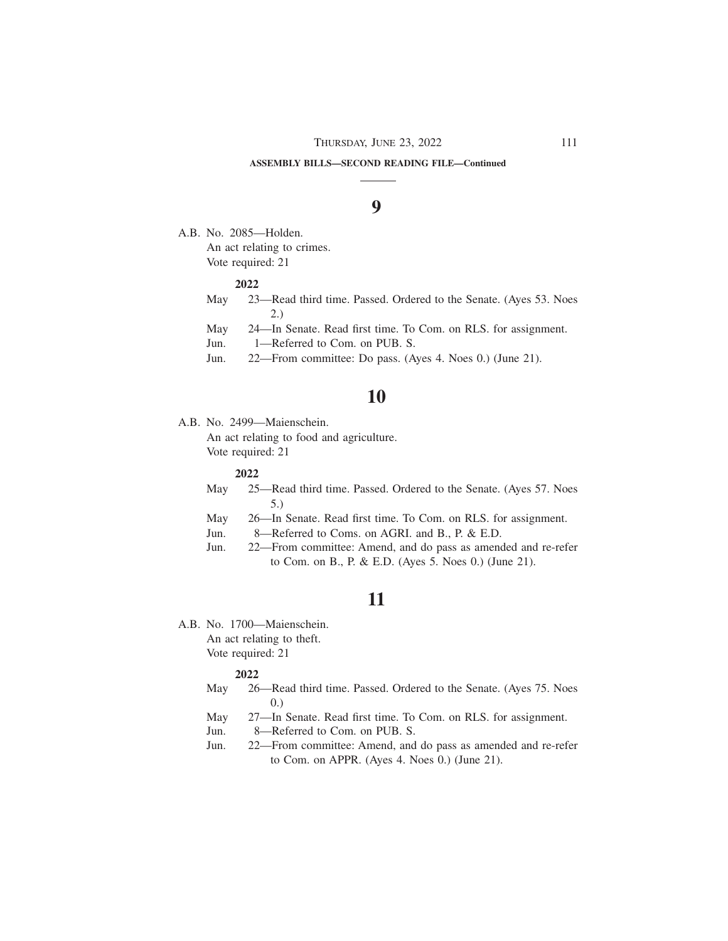#### THURSDAY, JUNE 23, 2022 111

#### **ASSEMBLY BILLS—SECOND READING FILE—Continued**

### **9**

A.B. No. 2085— Holden. An act relating to crimes. Vote required: 21

#### **2022**

| May 23—Read third time. Passed. Ordered to the Senate. (Ayes 53. Noes |  |  |  |  |
|-----------------------------------------------------------------------|--|--|--|--|
|                                                                       |  |  |  |  |

- May 24—In Senate. Read first time. To Com. on RLS. for assignment.
- Jun. 1—Referred to Com. on PUB. S.
- Jun. 22—From committee: Do pass. (Ayes 4. Noes 0.) (June 21).

## **10**

A.B. No. 2499— Maienschein.

An act relating to food and agriculture. Vote required: 21

#### **2022**

- May 25—Read third time. Passed. Ordered to the Senate. (Ayes 57. Noes 5.)
- May 26—In Senate. Read first time. To Com. on RLS. for assignment.
- Jun. 8—Referred to Coms. on AGRI. and B., P. & E.D.
- Jun. 22—From committee: Amend, and do pass as amended and re-refer to Com. on B., P. & E.D. (Ayes 5. Noes 0.) (June 21).

## **11**

A.B. No. 1700— Maienschein. An act relating to theft. Vote required: 21

- May 26—Read third time. Passed. Ordered to the Senate. (Ayes 75. Noes 0.)
- May 27—In Senate. Read first time. To Com. on RLS. for assignment.
- Jun. 8—Referred to Com. on PUB. S.
- Jun. 22—From committee: Amend, and do pass as amended and re-refer to Com. on APPR. (Ayes 4. Noes 0.) (June 21).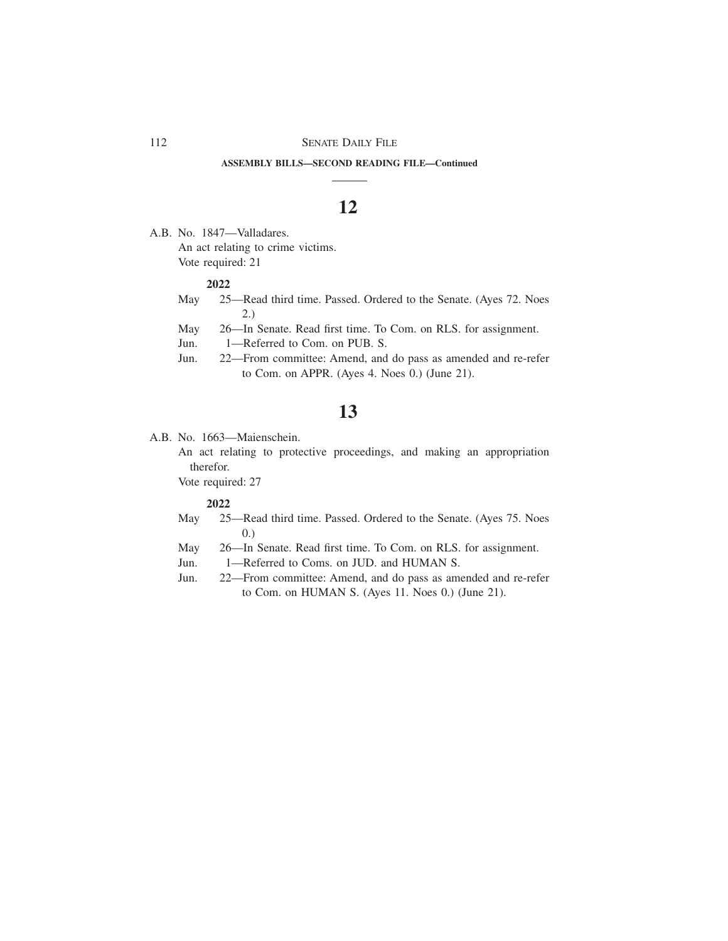#### 112 SENATE DAILY FILE

#### **ASSEMBLY BILLS—SECOND READING FILE—Continued**

## **12**

A.B. No. 1847— Valladares.

An act relating to crime victims. Vote required: 21

#### **2022**

- May 25—Read third time. Passed. Ordered to the Senate. (Ayes 72. Noes 2.)
- May 26—In Senate. Read first time. To Com. on RLS. for assignment.
- Jun. 1—Referred to Com. on PUB. S.
- Jun. 22—From committee: Amend, and do pass as amended and re-refer to Com. on APPR. (Ayes 4. Noes 0.) (June 21).

## **13**

A.B. No. 1663— Maienschein.

An act relating to protective proceedings, and making an appropriation therefor.

Vote required: 27

- May 25—Read third time. Passed. Ordered to the Senate. (Ayes 75. Noes 0.)
- May 26—In Senate. Read first time. To Com. on RLS. for assignment.
- Jun. 1—Referred to Coms. on JUD. and HUMAN S.
- Jun. 22—From committee: Amend, and do pass as amended and re-refer to Com. on HUMAN S. (Ayes 11. Noes 0.) (June 21).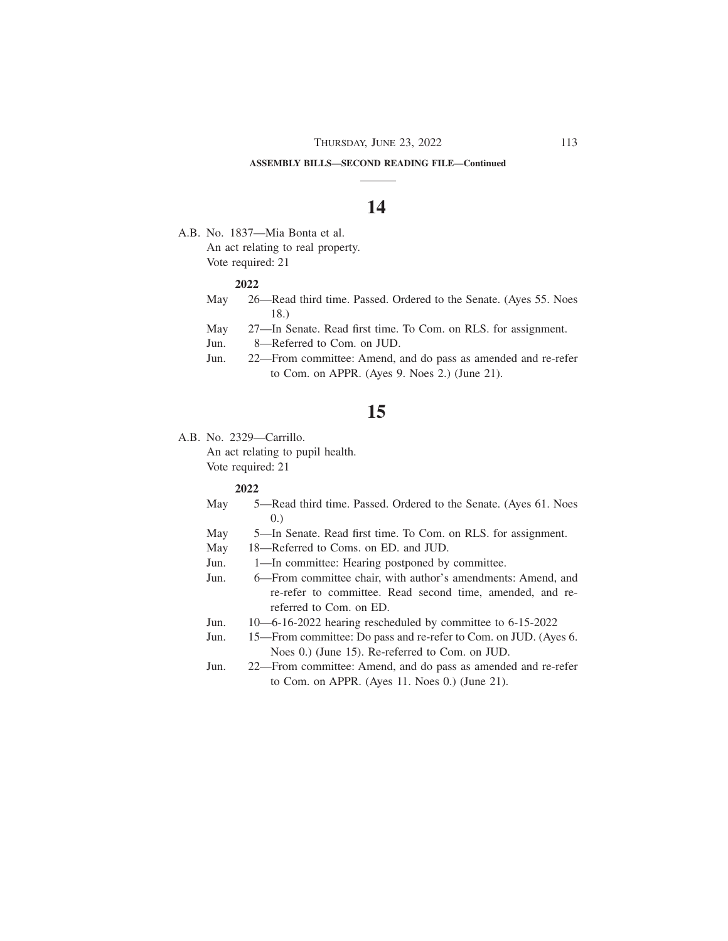## **14**

A.B. No. 1837— Mia Bonta et al. An act relating to real property. Vote required: 21

#### **2022**

| May | 26—Read third time. Passed. Ordered to the Senate. (Ayes 55. Noes |
|-----|-------------------------------------------------------------------|
|     | 18.)                                                              |

- May 27—In Senate. Read first time. To Com. on RLS. for assignment.
- Jun. 8—Referred to Com. on JUD.
- Jun. 22—From committee: Amend, and do pass as amended and re-refer to Com. on APPR. (Ayes 9. Noes 2.) (June 21).

## **15**

A.B. No. 2329— Carrillo.

An act relating to pupil health. Vote required: 21

- May 5—Read third time. Passed. Ordered to the Senate. (Ayes 61. Noes 0.)
- May 5—In Senate. Read first time. To Com. on RLS. for assignment.
- May 18—Referred to Coms. on ED. and JUD.
- Jun. 1—In committee: Hearing postponed by committee.
- Jun. 6—From committee chair, with author's amendments: Amend, and re-refer to committee. Read second time, amended, and rereferred to Com. on ED.
- Jun. 10—6-16-2022 hearing rescheduled by committee to 6-15-2022
- Jun. 15—From committee: Do pass and re-refer to Com. on JUD. (Ayes 6. Noes 0.) (June 15). Re-referred to Com. on JUD.
- Jun. 22—From committee: Amend, and do pass as amended and re-refer to Com. on APPR. (Ayes 11. Noes 0.) (June 21).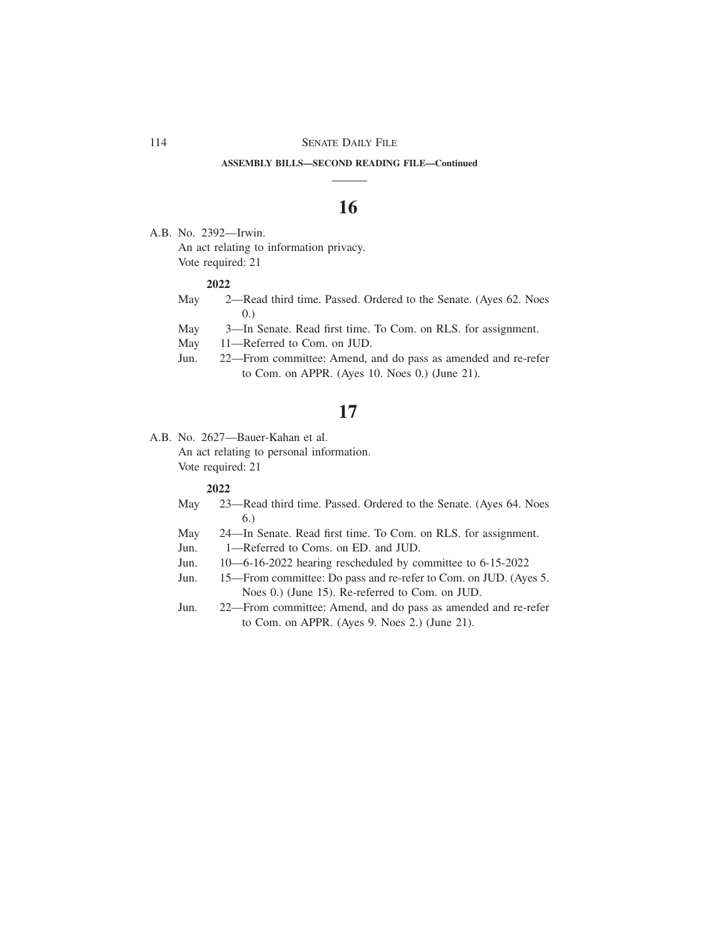## **16**

A.B. No. 2392— Irwin.

An act relating to information privacy. Vote required: 21

#### **2022**

- May 2—Read third time. Passed. Ordered to the Senate. (Ayes 62. Noes 0.)
- May 3—In Senate. Read first time. To Com. on RLS. for assignment.

May 11—Referred to Com. on JUD.

Jun. 22—From committee: Amend, and do pass as amended and re-refer to Com. on APPR. (Ayes 10. Noes 0.) (June 21).

## **17**

A.B. No. 2627— Bauer-Kahan et al.

An act relating to personal information. Vote required: 21

- May 23—Read third time. Passed. Ordered to the Senate. (Ayes 64. Noes 6.)
- May 24—In Senate. Read first time. To Com. on RLS. for assignment.
- Jun. 1—Referred to Coms. on ED. and JUD.
- Jun. 10—6-16-2022 hearing rescheduled by committee to 6-15-2022
- Jun. 15—From committee: Do pass and re-refer to Com. on JUD. (Ayes 5. Noes 0.) (June 15). Re-referred to Com. on JUD.
- Jun. 22—From committee: Amend, and do pass as amended and re-refer to Com. on APPR. (Ayes 9. Noes 2.) (June 21).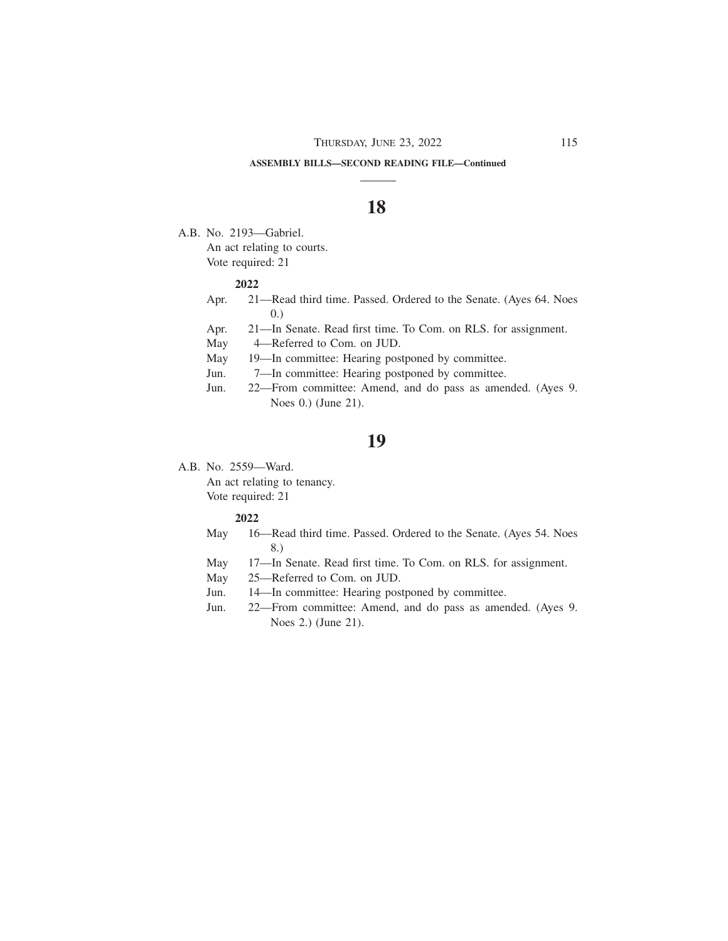#### THURSDAY, JUNE 23, 2022 115

#### **ASSEMBLY BILLS—SECOND READING FILE—Continued**

## **18**

A.B. No. 2193— Gabriel.

An act relating to courts. Vote required: 21

#### **2022**

- Apr. 21—Read third time. Passed. Ordered to the Senate. (Ayes 64. Noes 0.)
- Apr. 21—In Senate. Read first time. To Com. on RLS. for assignment.
- May 4—Referred to Com. on JUD.
- May 19—In committee: Hearing postponed by committee.
- Jun. 7—In committee: Hearing postponed by committee.
- Jun. 22—From committee: Amend, and do pass as amended. (Ayes 9. Noes 0.) (June 21).

## **19**

A.B. No. 2559— Ward.

An act relating to tenancy. Vote required: 21

- May 16—Read third time. Passed. Ordered to the Senate. (Ayes 54. Noes 8.)
- May 17—In Senate. Read first time. To Com. on RLS. for assignment.
- May 25—Referred to Com. on JUD.
- Jun. 14—In committee: Hearing postponed by committee.
- Jun. 22—From committee: Amend, and do pass as amended. (Ayes 9. Noes 2.) (June 21).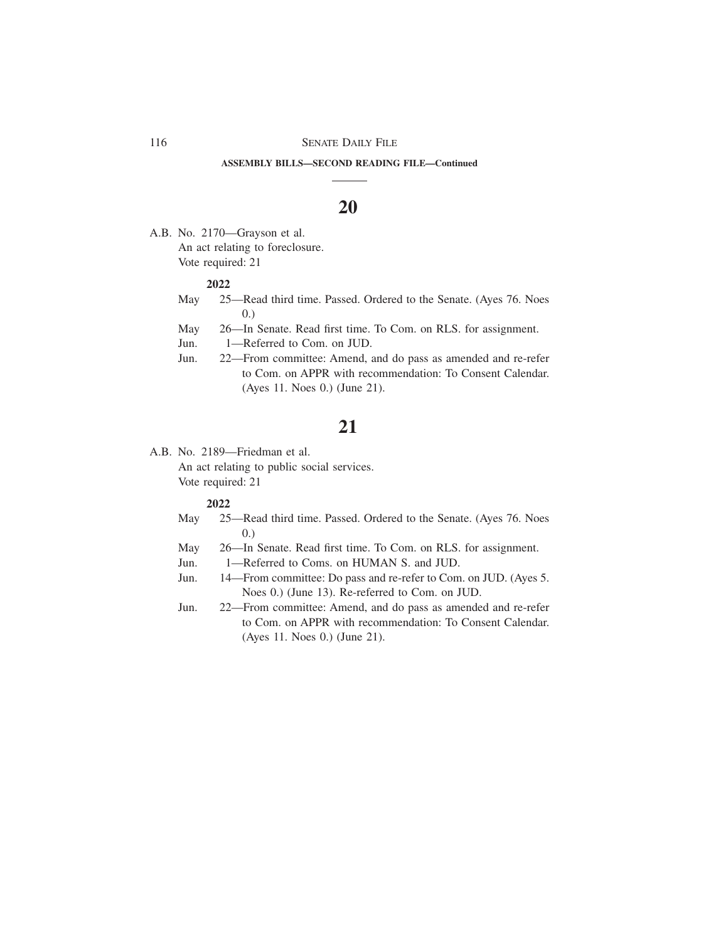#### 116 SENATE DAILY FILE

#### **ASSEMBLY BILLS—SECOND READING FILE—Continued**

## **20**

A.B. No. 2170— Grayson et al. An act relating to foreclosure.

Vote required: 21

#### **2022**

- May 25—Read third time. Passed. Ordered to the Senate. (Ayes 76. Noes 0.)
- May 26—In Senate. Read first time. To Com. on RLS. for assignment.
- Jun. 1—Referred to Com. on JUD.
- Jun. 22—From committee: Amend, and do pass as amended and re-refer to Com. on APPR with recommendation: To Consent Calendar. (Ayes 11. Noes 0.) (June 21).

## **21**

A.B. No. 2189— Friedman et al. An act relating to public social services. Vote required: 21

- May 25—Read third time. Passed. Ordered to the Senate. (Ayes 76. Noes 0.)
- May 26—In Senate. Read first time. To Com. on RLS. for assignment.
- Jun. 1—Referred to Coms. on HUMAN S. and JUD.
- Jun. 14—From committee: Do pass and re-refer to Com. on JUD. (Ayes 5. Noes 0.) (June 13). Re-referred to Com. on JUD.
- Jun. 22—From committee: Amend, and do pass as amended and re-refer to Com. on APPR with recommendation: To Consent Calendar. (Ayes 11. Noes 0.) (June 21).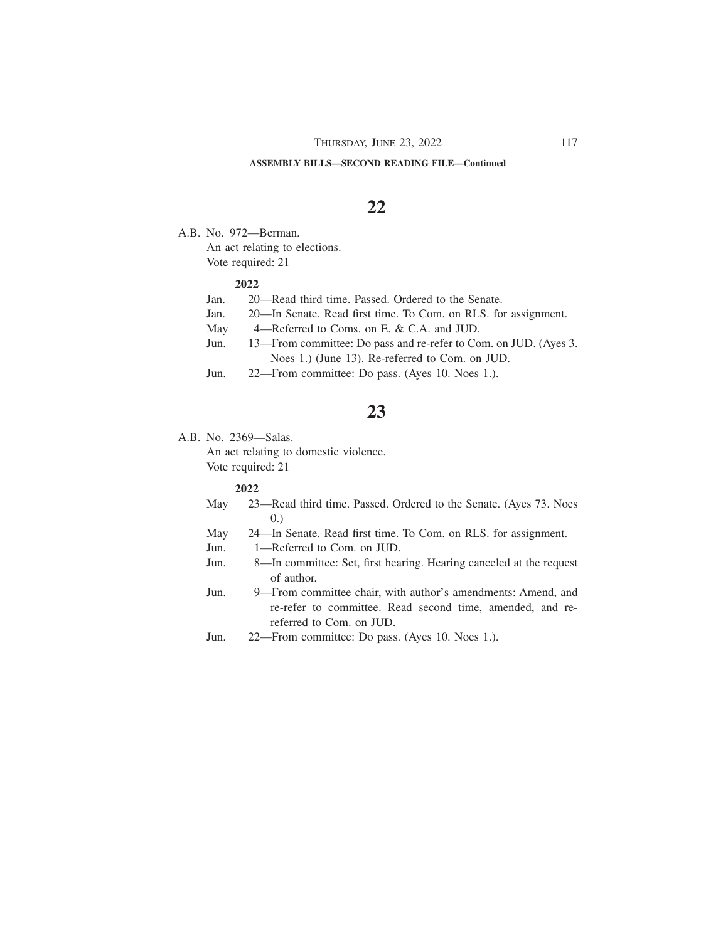#### THURSDAY, JUNE 23, 2022 117

#### **ASSEMBLY BILLS—SECOND READING FILE—Continued**

## **22**

A.B. No. 972— Berman.

An act relating to elections. Vote required: 21

#### **2022**

| Jan. |  |  |  | 20—Read third time. Passed. Ordered to the Senate. |  |
|------|--|--|--|----------------------------------------------------|--|
|      |  |  |  |                                                    |  |

- Jan. 20—In Senate. Read first time. To Com. on RLS. for assignment.
- May 4—Referred to Coms. on E. & C.A. and JUD.
- Jun. 13—From committee: Do pass and re-refer to Com. on JUD. (Ayes 3. Noes 1.) (June 13). Re-referred to Com. on JUD.
- Jun. 22—From committee: Do pass. (Ayes 10. Noes 1.).

### **23**

#### A.B. No. 2369— Salas.

An act relating to domestic violence. Vote required: 21

- May 23—Read third time. Passed. Ordered to the Senate. (Ayes 73. Noes 0.)
- May 24—In Senate. Read first time. To Com. on RLS. for assignment.
- Jun. 1—Referred to Com. on JUD.
- Jun. 8—In committee: Set, first hearing. Hearing canceled at the request of author.
- Jun. 9—From committee chair, with author's amendments: Amend, and re-refer to committee. Read second time, amended, and rereferred to Com. on JUD.
- Jun. 22—From committee: Do pass. (Ayes 10. Noes 1.).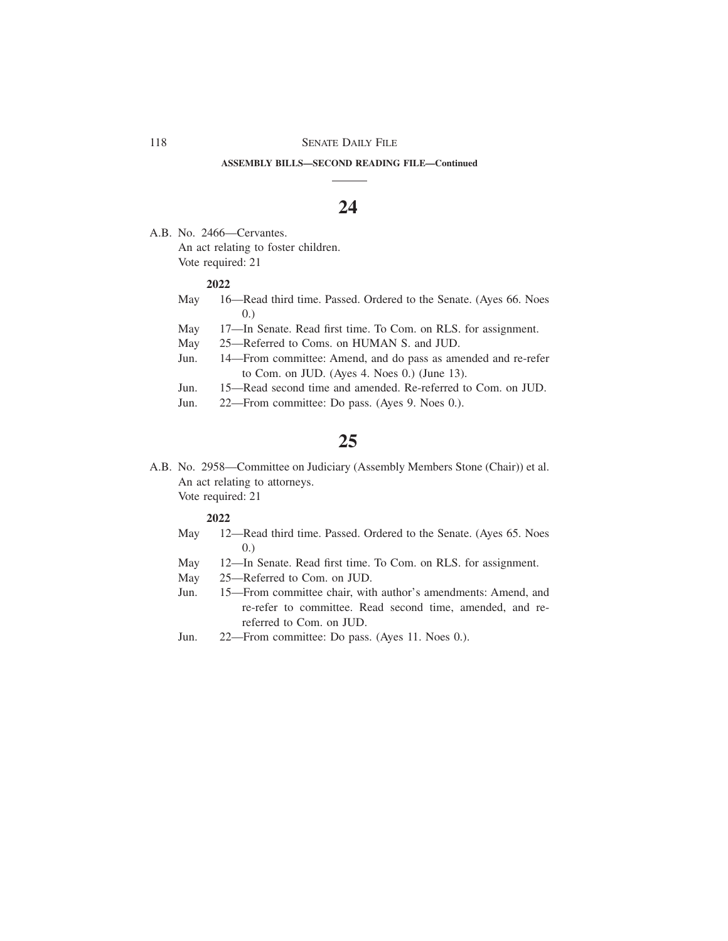## **24**

A.B. No. 2466— Cervantes.

An act relating to foster children. Vote required: 21

#### **2022**

- May 16—Read third time. Passed. Ordered to the Senate. (Ayes 66. Noes 0.)
- May 17—In Senate. Read first time. To Com. on RLS. for assignment.
- May 25—Referred to Coms. on HUMAN S. and JUD.
- Jun. 14—From committee: Amend, and do pass as amended and re-refer to Com. on JUD. (Ayes 4. Noes 0.) (June 13).
- Jun. 15—Read second time and amended. Re-referred to Com. on JUD.
- Jun. 22—From committee: Do pass. (Ayes 9. Noes 0.).

## **25**

A.B. No. 2958— Committee on Judiciary (Assembly Members Stone (Chair)) et al. An act relating to attorneys. Vote required: 21

- May 12—Read third time. Passed. Ordered to the Senate. (Ayes 65. Noes 0.)
- May 12—In Senate. Read first time. To Com. on RLS. for assignment.
- May 25—Referred to Com. on JUD.
- Jun. 15—From committee chair, with author's amendments: Amend, and re-refer to committee. Read second time, amended, and rereferred to Com. on JUD.
- Jun. 22—From committee: Do pass. (Ayes 11. Noes 0.).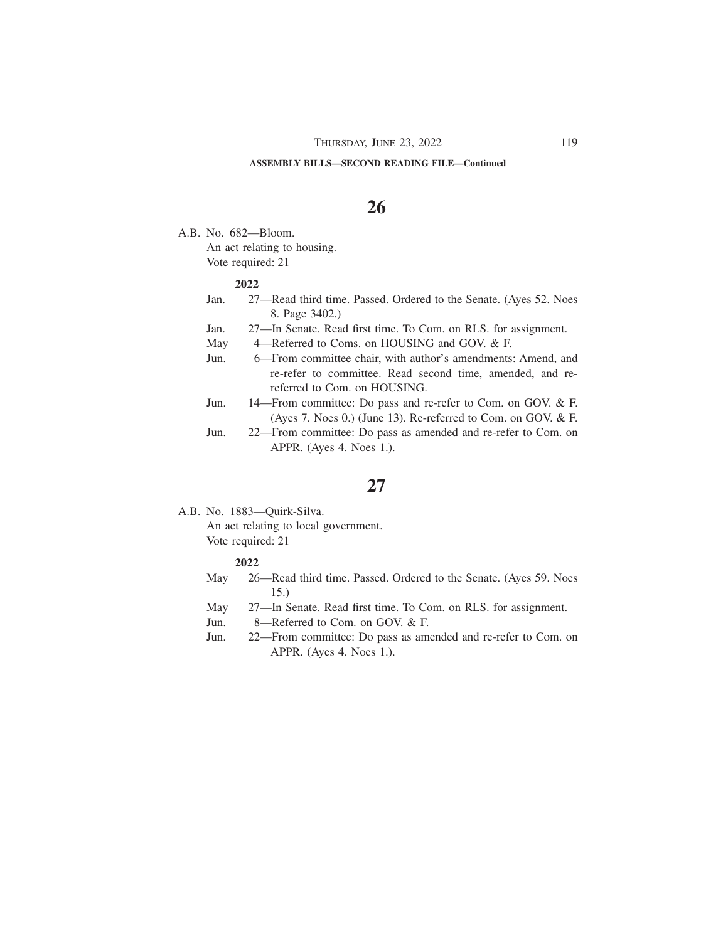#### THURSDAY, JUNE 23, 2022 119

#### **ASSEMBLY BILLS—SECOND READING FILE—Continued**

## **26**

A.B. No. 682— Bloom.

An act relating to housing. Vote required: 21

#### **2022**

- Jan. 27—Read third time. Passed. Ordered to the Senate. (Ayes 52. Noes 8. Page 3402.)
- Jan. 27—In Senate. Read first time. To Com. on RLS. for assignment.
- May 4—Referred to Coms. on HOUSING and GOV. & F.
- Jun. 6—From committee chair, with author's amendments: Amend, and re-refer to committee. Read second time, amended, and rereferred to Com. on HOUSING.
- Jun. 14—From committee: Do pass and re-refer to Com. on GOV. & F. (Ayes 7. Noes 0.) (June 13). Re-referred to Com. on GOV. & F.
- Jun. 22—From committee: Do pass as amended and re-refer to Com. on APPR. (Ayes 4. Noes 1.).

### **27**

A.B. No. 1883— Quirk-Silva. An act relating to local government. Vote required: 21

- May 26—Read third time. Passed. Ordered to the Senate. (Ayes 59. Noes 15.)
- May 27—In Senate. Read first time. To Com. on RLS. for assignment.
- Jun. 8—Referred to Com. on GOV. & F.
- Jun. 22—From committee: Do pass as amended and re-refer to Com. on APPR. (Ayes 4. Noes 1.).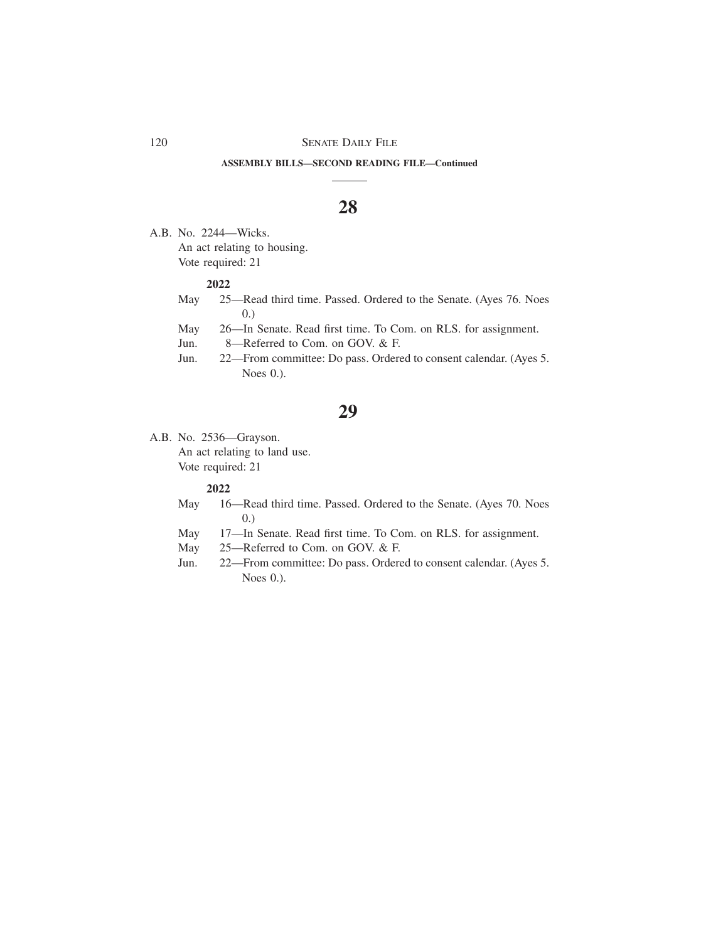#### 120 SENATE DAILY FILE

#### **ASSEMBLY BILLS—SECOND READING FILE—Continued**

## **28**

A.B. No. 2244— Wicks.

An act relating to housing. Vote required: 21

#### **2022**

- May 25—Read third time. Passed. Ordered to the Senate. (Ayes 76. Noes 0.)
- May 26—In Senate. Read first time. To Com. on RLS. for assignment.

Jun. 8—Referred to Com. on GOV. & F.

Jun. 22—From committee: Do pass. Ordered to consent calendar. (Ayes 5. Noes 0.).

### **29**

A.B. No. 2536— Grayson.

An act relating to land use. Vote required: 21

- May 16—Read third time. Passed. Ordered to the Senate. (Ayes 70. Noes 0.)
- May 17—In Senate. Read first time. To Com. on RLS. for assignment.
- May 25—Referred to Com. on GOV. & F.
- Jun. 22—From committee: Do pass. Ordered to consent calendar. (Ayes 5. Noes 0.).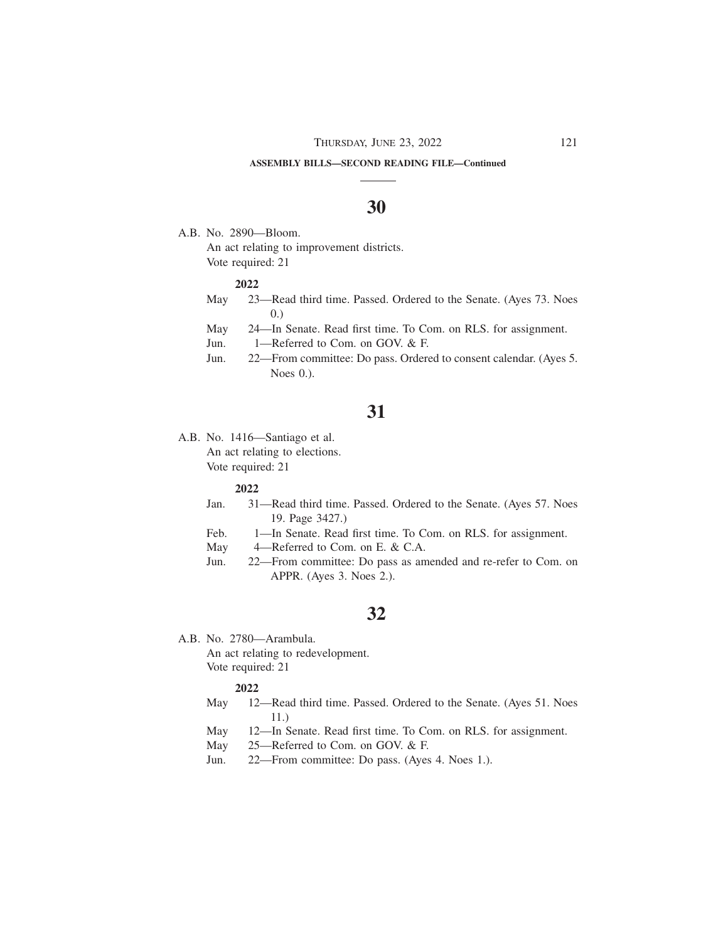## **30**

#### A.B. No. 2890— Bloom.

An act relating to improvement districts. Vote required: 21

#### **2022**

- May 23—Read third time. Passed. Ordered to the Senate. (Ayes 73. Noes 0.)
- May 24—In Senate. Read first time. To Com. on RLS. for assignment.
- Jun. 1—Referred to Com. on GOV. & F.
- Jun. 22—From committee: Do pass. Ordered to consent calendar. (Ayes 5. Noes 0.).

## **31**

A.B. No. 1416— Santiago et al. An act relating to elections. Vote required: 21

#### **2022**

- Jan. 31—Read third time. Passed. Ordered to the Senate. (Ayes 57. Noes 19. Page 3427.)
- Feb. 1—In Senate. Read first time. To Com. on RLS. for assignment.
- May 4—Referred to Com. on E. & C.A.
- Jun. 22—From committee: Do pass as amended and re-refer to Com. on APPR. (Ayes 3. Noes 2.).

### **32**

A.B. No. 2780— Arambula. An act relating to redevelopment.

Vote required: 21

- May 12—Read third time. Passed. Ordered to the Senate. (Ayes 51. Noes 11.)
- May 12—In Senate. Read first time. To Com. on RLS. for assignment.
- May 25—Referred to Com. on GOV. & F.
- Jun. 22—From committee: Do pass. (Ayes 4. Noes 1.).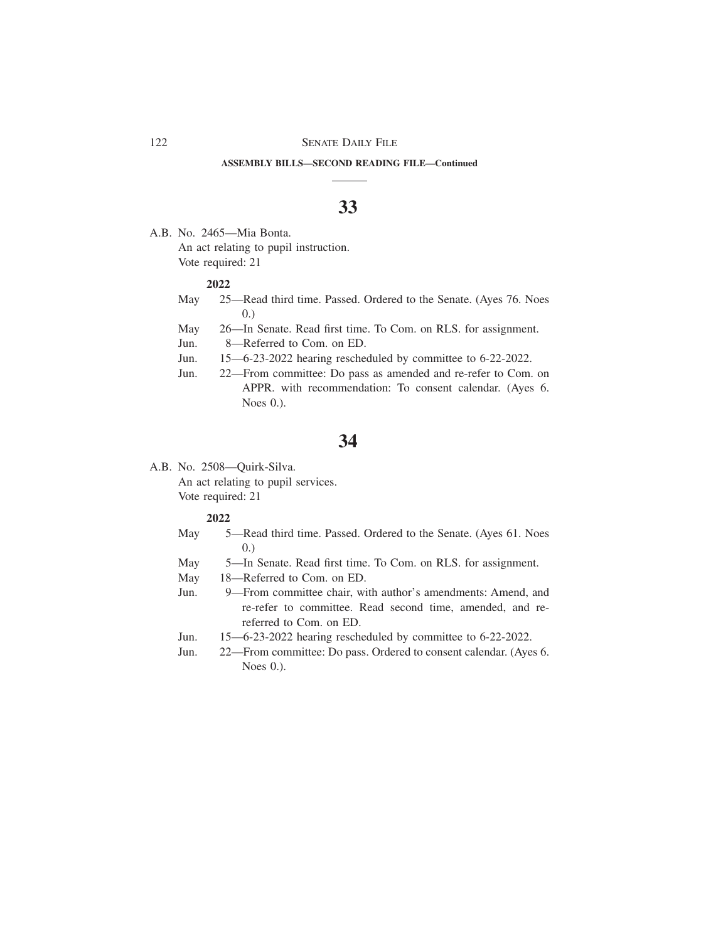## **33**

A.B. No. 2465— Mia Bonta.

An act relating to pupil instruction. Vote required: 21

#### **2022**

- May 25—Read third time. Passed. Ordered to the Senate. (Ayes 76. Noes 0.)
- May 26—In Senate. Read first time. To Com. on RLS. for assignment.
- Jun. 8—Referred to Com. on ED.
- Jun. 15—6-23-2022 hearing rescheduled by committee to 6-22-2022.
- Jun. 22—From committee: Do pass as amended and re-refer to Com. on APPR. with recommendation: To consent calendar. (Ayes 6. Noes 0.).

### **34**

A.B. No. 2508— Quirk-Silva.

An act relating to pupil services. Vote required: 21

- May 5—Read third time. Passed. Ordered to the Senate. (Ayes 61. Noes 0.)
- May 5—In Senate. Read first time. To Com. on RLS. for assignment.
- May 18—Referred to Com. on ED.
- Jun. 9—From committee chair, with author's amendments: Amend, and re-refer to committee. Read second time, amended, and rereferred to Com. on ED.
- Jun. 15—6-23-2022 hearing rescheduled by committee to 6-22-2022.
- Jun. 22—From committee: Do pass. Ordered to consent calendar. (Ayes 6. Noes 0.).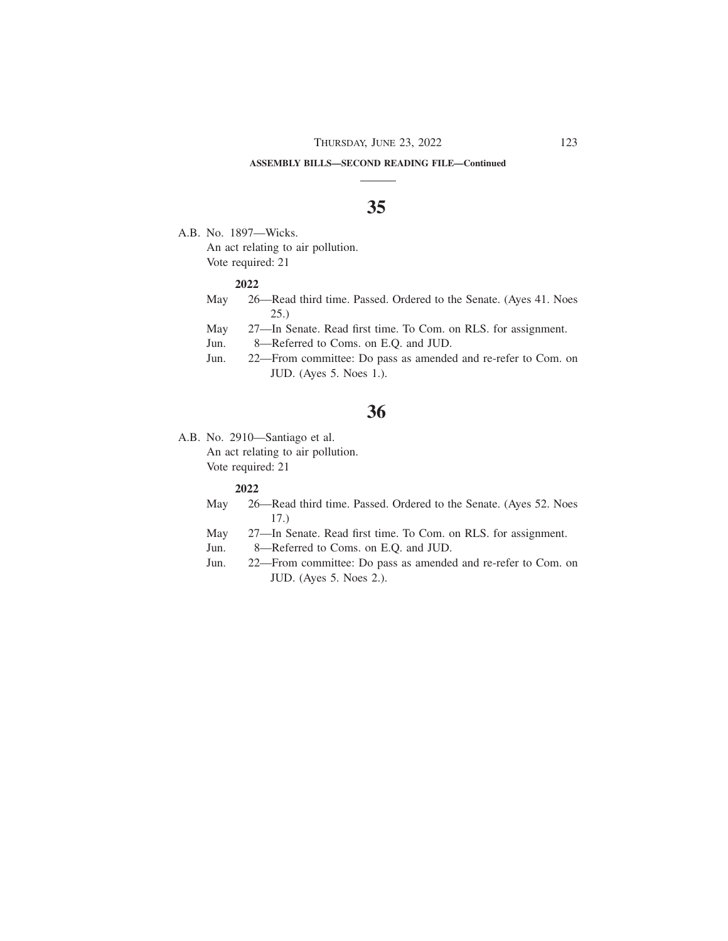## **35**

A.B. No. 1897— Wicks.

An act relating to air pollution. Vote required: 21

#### **2022**

- May 26—Read third time. Passed. Ordered to the Senate. (Ayes 41. Noes 25.)
- May 27—In Senate. Read first time. To Com. on RLS. for assignment.
- Jun. 8—Referred to Coms. on E.Q. and JUD.
- Jun. 22—From committee: Do pass as amended and re-refer to Com. on JUD. (Ayes 5. Noes 1.).

## **36**

A.B. No. 2910— Santiago et al. An act relating to air pollution. Vote required: 21

- May 26—Read third time. Passed. Ordered to the Senate. (Ayes 52. Noes 17.)
- May 27—In Senate. Read first time. To Com. on RLS. for assignment.
- Jun. 8—Referred to Coms. on E.Q. and JUD.
- Jun. 22—From committee: Do pass as amended and re-refer to Com. on JUD. (Ayes 5. Noes 2.).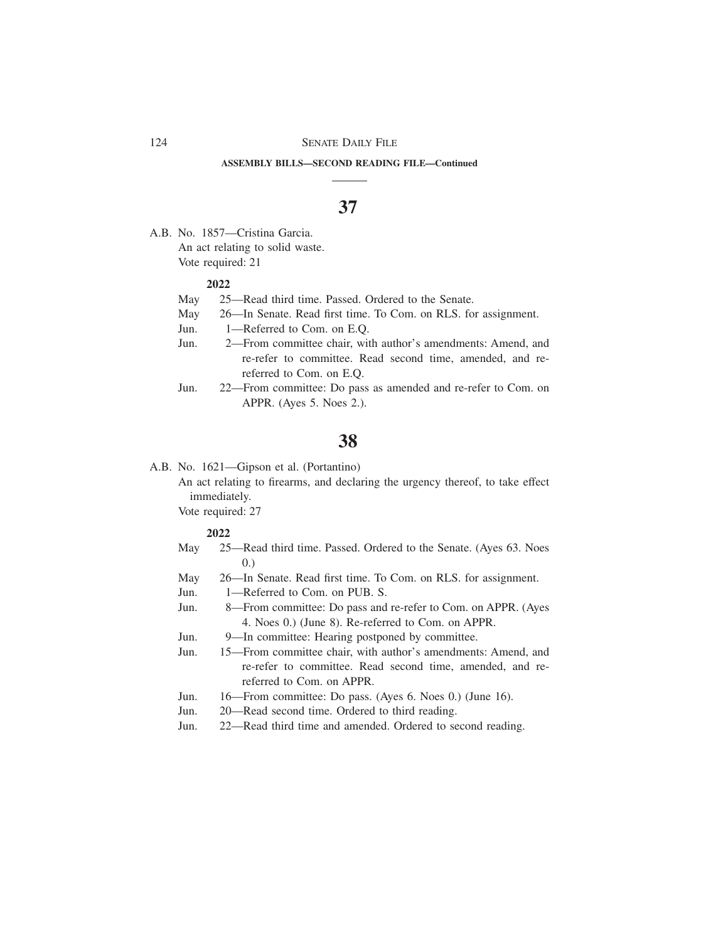## **37**

A.B. No. 1857— Cristina Garcia. An act relating to solid waste. Vote required: 21

**2022**

- May 25—Read third time. Passed. Ordered to the Senate.
- May 26—In Senate. Read first time. To Com. on RLS. for assignment.

Jun. 1—Referred to Com. on E.Q.

- Jun. 2—From committee chair, with author's amendments: Amend, and re-refer to committee. Read second time, amended, and rereferred to Com. on E.Q.
- Jun. 22—From committee: Do pass as amended and re-refer to Com. on APPR. (Ayes 5. Noes 2.).

## **38**

A.B. No. 1621— Gipson et al. (Portantino)

An act relating to firearms, and declaring the urgency thereof, to take effect immediately.

Vote required: 27

- May 25—Read third time. Passed. Ordered to the Senate. (Ayes 63. Noes 0.)
- May 26—In Senate. Read first time. To Com. on RLS. for assignment.
- Jun. 1—Referred to Com. on PUB. S.
- Jun. 8—From committee: Do pass and re-refer to Com. on APPR. (Ayes 4. Noes 0.) (June 8). Re-referred to Com. on APPR.
- Jun. 9—In committee: Hearing postponed by committee.
- Jun. 15—From committee chair, with author's amendments: Amend, and re-refer to committee. Read second time, amended, and rereferred to Com. on APPR.
- Jun. 16—From committee: Do pass. (Ayes 6. Noes 0.) (June 16).
- Jun. 20—Read second time. Ordered to third reading.
- Jun. 22—Read third time and amended. Ordered to second reading.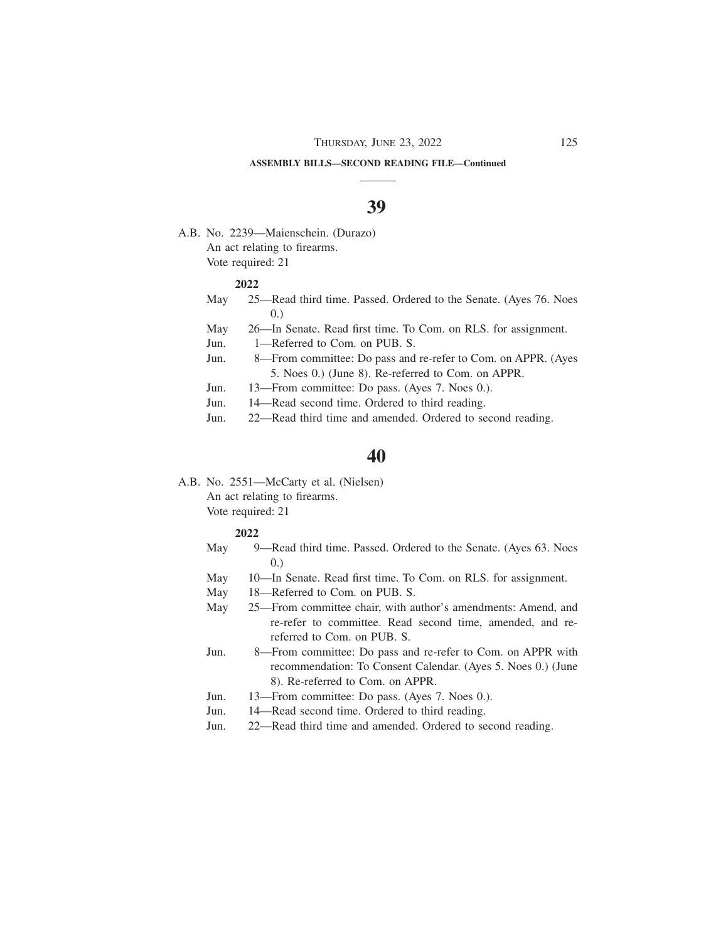## **39**

A.B. No. 2239— Maienschein. (Durazo) An act relating to firearms. Vote required: 21

#### **2022**

| May 25—Read third time. Passed. Ordered to the Senate. (Ayes 76. Noes |  |  |  |  |
|-----------------------------------------------------------------------|--|--|--|--|
|                                                                       |  |  |  |  |
|                                                                       |  |  |  |  |

- May 26—In Senate. Read first time. To Com. on RLS. for assignment.
- Jun. 1—Referred to Com. on PUB. S.
- Jun. 8—From committee: Do pass and re-refer to Com. on APPR. (Ayes 5. Noes 0.) (June 8). Re-referred to Com. on APPR.
- Jun. 13—From committee: Do pass. (Ayes 7. Noes 0.).
- Jun. 14—Read second time. Ordered to third reading.
- Jun. 22—Read third time and amended. Ordered to second reading.

### **40**

A.B. No. 2551— McCarty et al. (Nielsen) An act relating to firearms. Vote required: 21

- May 9—Read third time. Passed. Ordered to the Senate. (Ayes 63. Noes 0.)
- May 10—In Senate. Read first time. To Com. on RLS. for assignment.
- May 18—Referred to Com. on PUB. S.
- May 25—From committee chair, with author's amendments: Amend, and re-refer to committee. Read second time, amended, and rereferred to Com. on PUB. S.
- Jun. 8—From committee: Do pass and re-refer to Com. on APPR with recommendation: To Consent Calendar. (Ayes 5. Noes 0.) (June 8). Re-referred to Com. on APPR.
- Jun. 13—From committee: Do pass. (Ayes 7. Noes 0.).
- Jun. 14—Read second time. Ordered to third reading.
- Jun. 22—Read third time and amended. Ordered to second reading.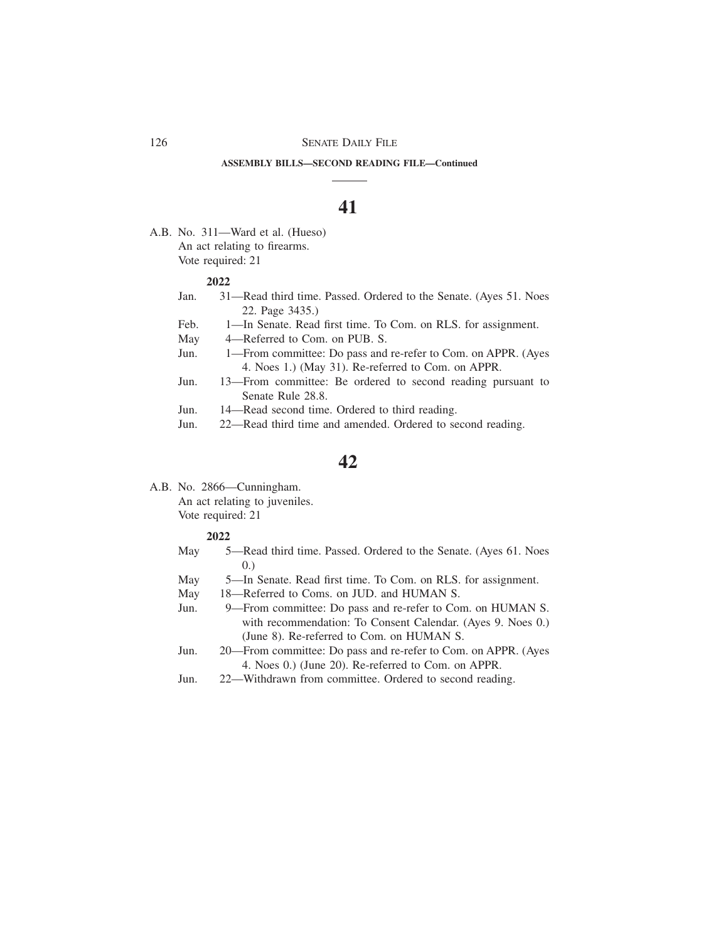## **41**

A.B. No. 311— Ward et al. (Hueso) An act relating to firearms. Vote required: 21

#### **2022**

- Jan. 31—Read third time. Passed. Ordered to the Senate. (Ayes 51. Noes 22. Page 3435.)
- Feb. 1—In Senate. Read first time. To Com. on RLS. for assignment.
- May 4—Referred to Com. on PUB. S.
- Jun. 1—From committee: Do pass and re-refer to Com. on APPR. (Ayes 4. Noes 1.) (May 31). Re-referred to Com. on APPR.
- Jun. 13—From committee: Be ordered to second reading pursuant to Senate Rule 28.8.
- Jun. 14—Read second time. Ordered to third reading.
- Jun. 22—Read third time and amended. Ordered to second reading.

### **42**

A.B. No. 2866—Cunningham. An act relating to juveniles. Vote required: 21

- May 5—Read third time. Passed. Ordered to the Senate. (Ayes 61. Noes 0.)
- May 5—In Senate. Read first time. To Com. on RLS. for assignment.
- May 18—Referred to Coms. on JUD. and HUMAN S.
- Jun. 9—From committee: Do pass and re-refer to Com. on HUMAN S. with recommendation: To Consent Calendar. (Ayes 9. Noes 0.) (June 8). Re-referred to Com. on HUMAN S.
- Jun. 20—From committee: Do pass and re-refer to Com. on APPR. (Ayes 4. Noes 0.) (June 20). Re-referred to Com. on APPR.
- Jun. 22—Withdrawn from committee. Ordered to second reading.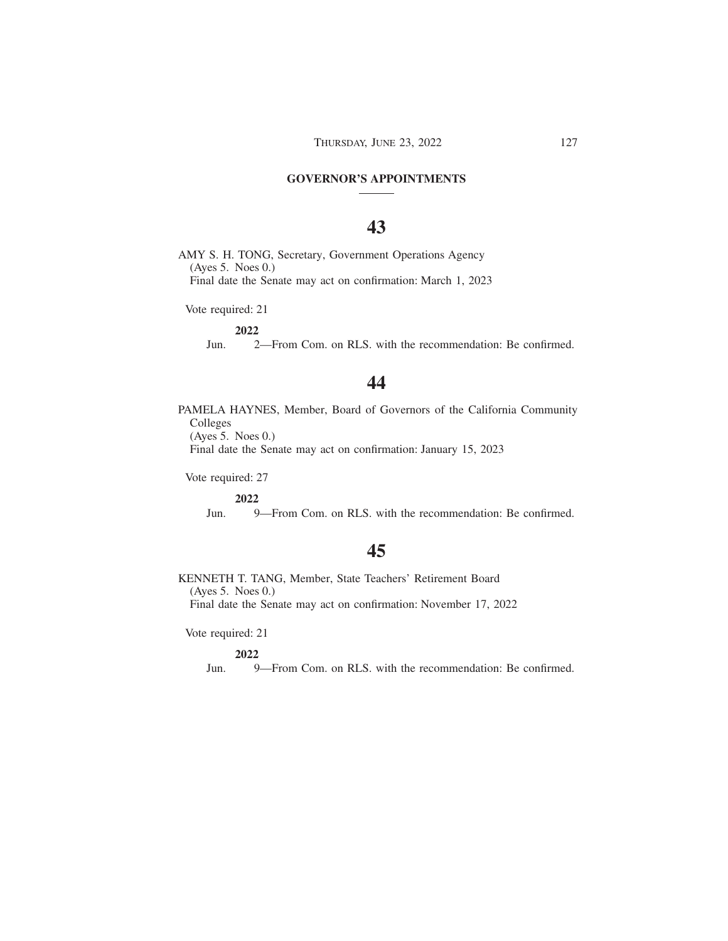#### **GOVERNOR'S APPOINTMENTS**

## **43**

AMY S. H. TONG, Secretary, Government Operations Agency (Ayes 5. Noes 0.) Final date the Senate may act on confirmation: March 1, 2023

Vote required: 21

**2022**

Jun. 2—From Com. on RLS. with the recommendation: Be confirmed.

### **44**

PAMELA HAYNES, Member, Board of Governors of the California Community Colleges (Ayes 5. Noes 0.) Final date the Senate may act on confirmation: January 15, 2023

Vote required: 27

**2022**

Jun. 9—From Com. on RLS. with the recommendation: Be confirmed.

## **45**

KENNETH T. TANG, Member, State Teachers' Retirement Board (Ayes 5. Noes 0.) Final date the Senate may act on confirmation: November 17, 2022

Vote required: 21

#### **2022**

Jun. 9—From Com. on RLS. with the recommendation: Be confirmed.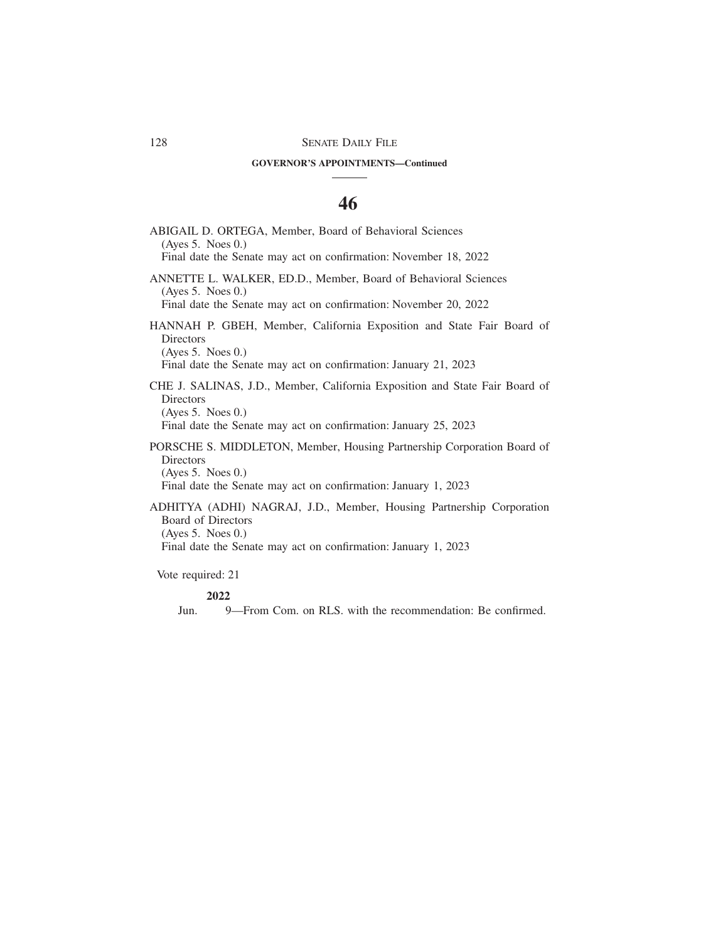#### 128 SENATE DAILY FILE

#### **GOVERNOR'S APPOINTMENTS—Continued**

## **46**

ABIGAIL D. ORTEGA, Member, Board of Behavioral Sciences (Ayes 5. Noes 0.) Final date the Senate may act on confirmation: November 18, 2022

ANNETTE L. WALKER, ED.D., Member, Board of Behavioral Sciences (Ayes 5. Noes 0.) Final date the Senate may act on confirmation: November 20, 2022

HANNAH P. GBEH, Member, California Exposition and State Fair Board of **Directors** (Ayes 5. Noes 0.)

Final date the Senate may act on confirmation: January 21, 2023

#### CHE J. SALINAS, J.D., Member, California Exposition and State Fair Board of **Directors** (Ayes 5. Noes 0.) Final date the Senate may act on confirmation: January 25, 2023

#### PORSCHE S. MIDDLETON, Member, Housing Partnership Corporation Board of **Directors** (Ayes 5. Noes 0.) Final date the Senate may act on confirmation: January 1, 2023

ADHITYA (ADHI) NAGRAJ, J.D., Member, Housing Partnership Corporation Board of Directors (Ayes 5. Noes 0.) Final date the Senate may act on confirmation: January 1, 2023

Vote required: 21

**2022**

Jun. 9—From Com. on RLS. with the recommendation: Be confirmed.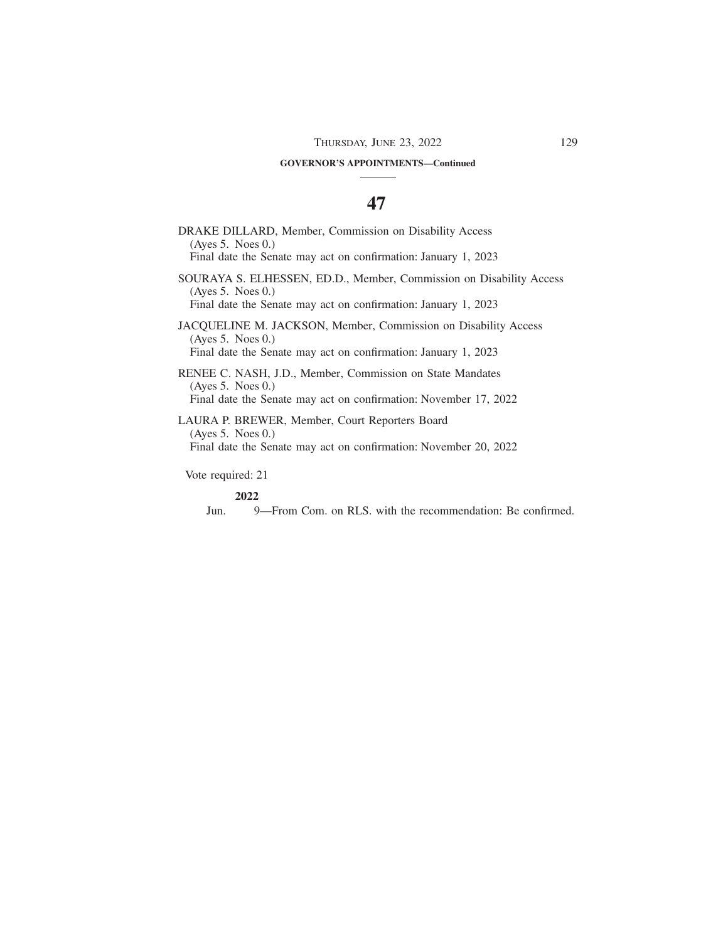#### **GOVERNOR'S APPOINTMENTS—Continued**

## **47**

DRAKE DILLARD, Member, Commission on Disability Access (Ayes 5. Noes 0.) Final date the Senate may act on confirmation: January 1, 2023 SOURAYA S. ELHESSEN, ED.D., Member, Commission on Disability Access (Ayes 5. Noes 0.) Final date the Senate may act on confirmation: January 1, 2023 JACQUELINE M. JACKSON, Member, Commission on Disability Access (Ayes 5. Noes 0.) Final date the Senate may act on confirmation: January 1, 2023 RENEE C. NASH, J.D., Member, Commission on State Mandates (Ayes 5. Noes 0.) Final date the Senate may act on confirmation: November 17, 2022

LAURA P. BREWER, Member, Court Reporters Board (Ayes 5. Noes 0.) Final date the Senate may act on confirmation: November 20, 2022

Vote required: 21

#### **2022**

Jun. 9—From Com. on RLS. with the recommendation: Be confirmed.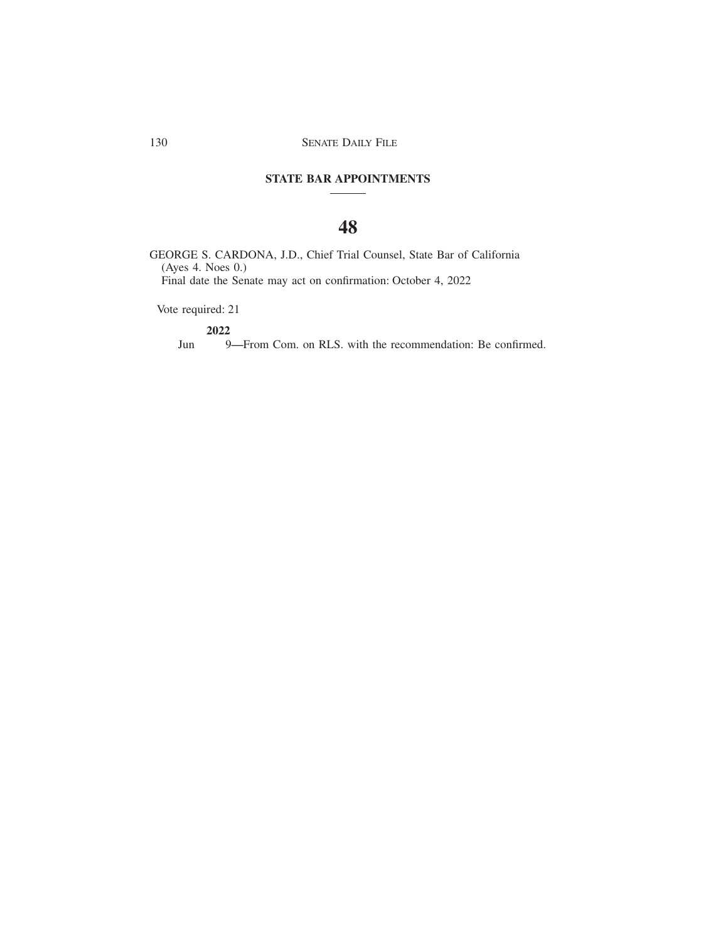#### **STATE BAR APPOINTMENTS**

# **48**

GEORGE S. CARDONA, J.D., Chief Trial Counsel, State Bar of California (Ayes 4. Noes 0.) Final date the Senate may act on confirmation: October 4, 2022

Vote required: 21

#### **2022**

Jun 9—From Com. on RLS. with the recommendation: Be confirmed.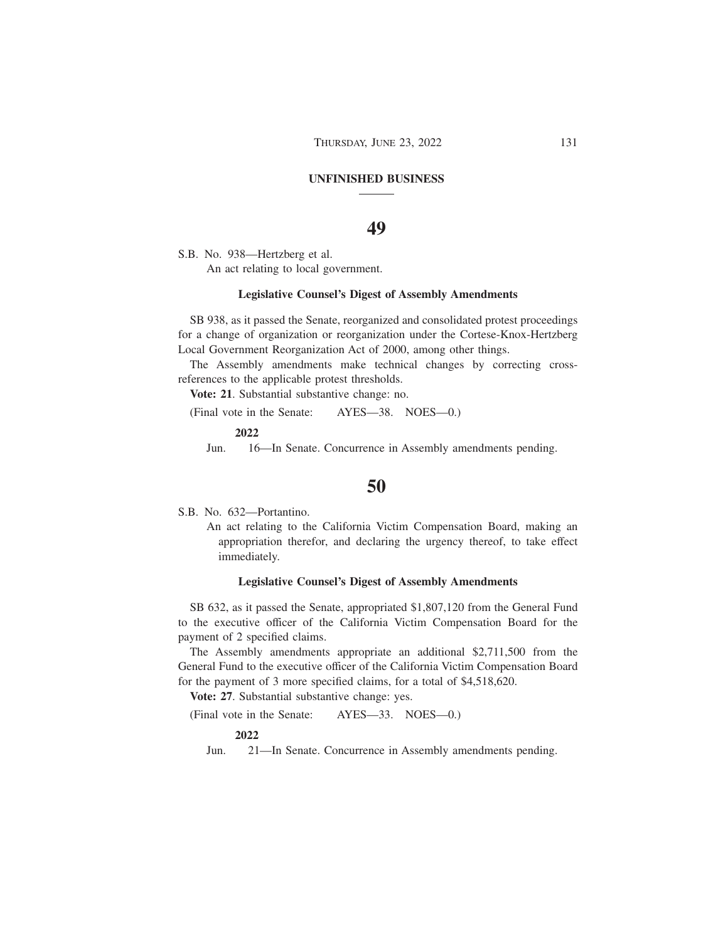#### **UNFINISHED BUSINESS**

## **49**

S.B. No. 938— Hertzberg et al. An act relating to local government.

#### **Legislative Counsel's Digest of Assembly Amendments**

SB 938, as it passed the Senate, reorganized and consolidated protest proceedings for a change of organization or reorganization under the Cortese-Knox-Hertzberg Local Government Reorganization Act of 2000, among other things.

The Assembly amendments make technical changes by correcting crossreferences to the applicable protest thresholds.

**Vote: 21**. Substantial substantive change: no.

(Final vote in the Senate: AYES—38. NOES—0.)

**2022**

Jun. 16—In Senate. Concurrence in Assembly amendments pending.

### **50**

S.B. No. 632— Portantino.

An act relating to the California Victim Compensation Board, making an appropriation therefor, and declaring the urgency thereof, to take effect immediately.

#### **Legislative Counsel's Digest of Assembly Amendments**

SB 632, as it passed the Senate, appropriated \$1,807,120 from the General Fund to the executive officer of the California Victim Compensation Board for the payment of 2 specified claims.

The Assembly amendments appropriate an additional \$2,711,500 from the General Fund to the executive officer of the California Victim Compensation Board for the payment of 3 more specified claims, for a total of \$4,518,620.

**Vote: 27**. Substantial substantive change: yes.

(Final vote in the Senate: AYES—33. NOES—0.)

**2022**

Jun. 21—In Senate. Concurrence in Assembly amendments pending.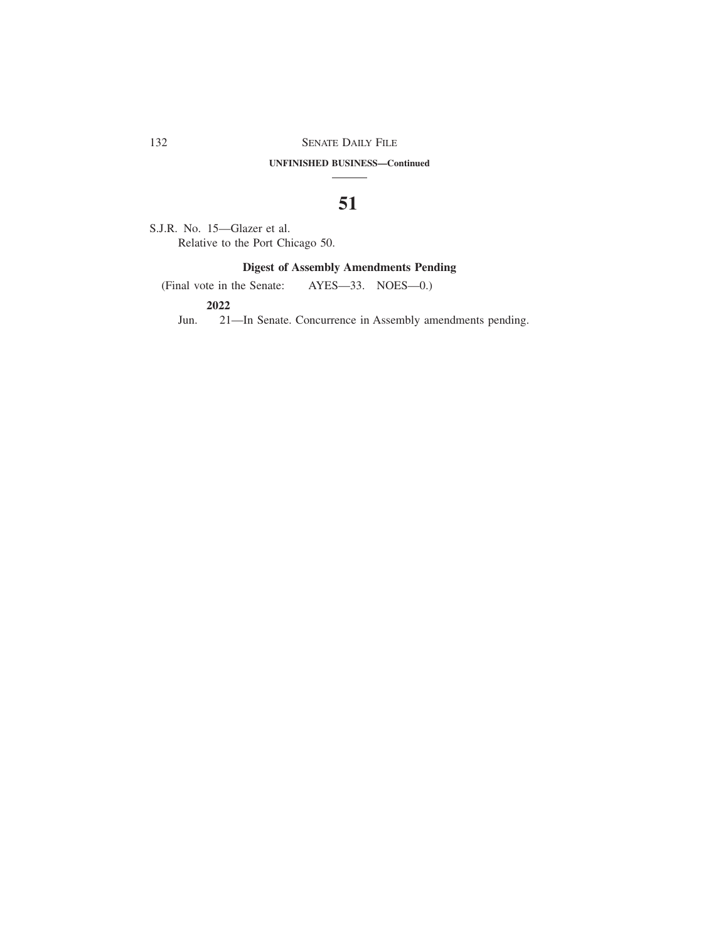#### 132 SENATE DAILY FILE

#### **UNFINISHED BUSINESS—Continued**

## **51**

S.J.R. No. 15— Glazer et al. Relative to the Port Chicago 50.

### **Digest of Assembly Amendments Pending**

(Final vote in the Senate: AYES—33. NOES—0.)

#### **2022**

Jun. 21—In Senate. Concurrence in Assembly amendments pending.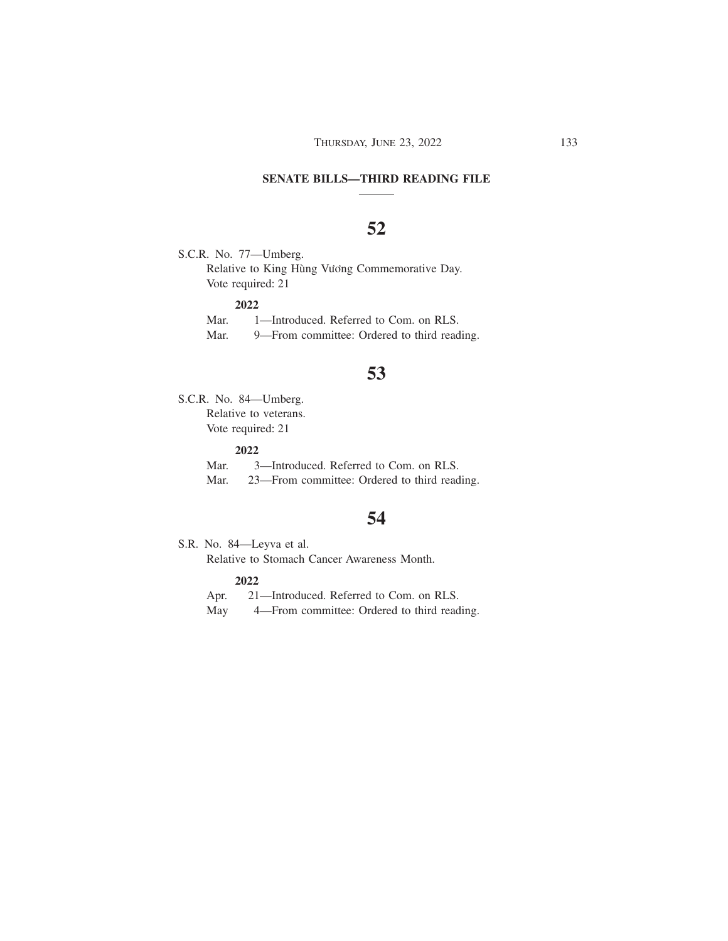## **52**

S.C.R. No. 77— Umberg. Relative to King Hùng Vương Commemorative Day. Vote required: 21

#### **2022**

Mar. 1—Introduced. Referred to Com. on RLS.

Mar. 9—From committee: Ordered to third reading.

## **53**

S.C.R. No. 84— Umberg. Relative to veterans. Vote required: 21

#### **2022**

Mar. 3—Introduced. Referred to Com. on RLS. Mar. 23—From committee: Ordered to third reading.

## **54**

S.R. No. 84— Leyva et al. Relative to Stomach Cancer Awareness Month.

#### **2022**

Apr. 21—Introduced. Referred to Com. on RLS. May 4—From committee: Ordered to third reading.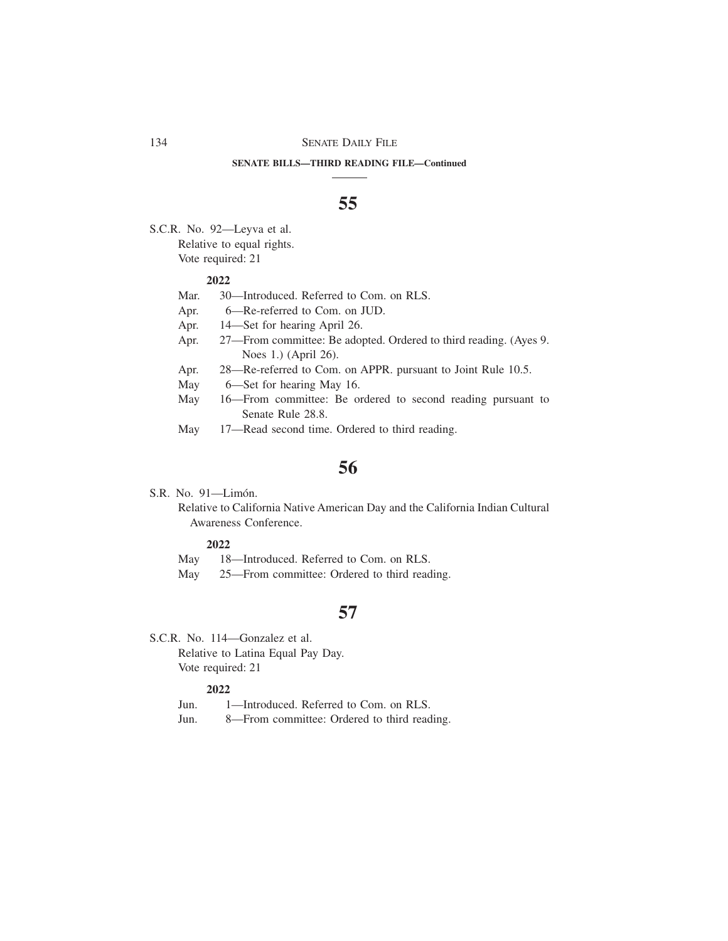#### 134 SENATE DAILY FILE

#### **SENATE BILLS—THIRD READING FILE—Continued**

## **55**

S.C.R. No. 92-Leyva et al. Relative to equal rights.

Vote required: 21

#### **2022**

- Mar. 30—Introduced. Referred to Com. on RLS.
- Apr. 6—Re-referred to Com. on JUD.
- Apr. 14—Set for hearing April 26.
- Apr. 27—From committee: Be adopted. Ordered to third reading. (Ayes 9. Noes 1.) (April 26).
- Apr. 28—Re-referred to Com. on APPR. pursuant to Joint Rule 10.5.
- May 6—Set for hearing May 16.
- May 16—From committee: Be ordered to second reading pursuant to Senate Rule 28.8.
- May 17—Read second time. Ordered to third reading.

## **56**

#### S.R. No. 91— Limón.

Relative to California Native American Day and the California Indian Cultural Awareness Conference.

#### **2022**

| May | 18—Introduced. Referred to Com. on RLS.      |
|-----|----------------------------------------------|
| May | 25—From committee: Ordered to third reading. |

## **57**

S.C.R. No. 114— Gonzalez et al. Relative to Latina Equal Pay Day. Vote required: 21

- Jun. 1—Introduced. Referred to Com. on RLS.
- Jun. 8—From committee: Ordered to third reading.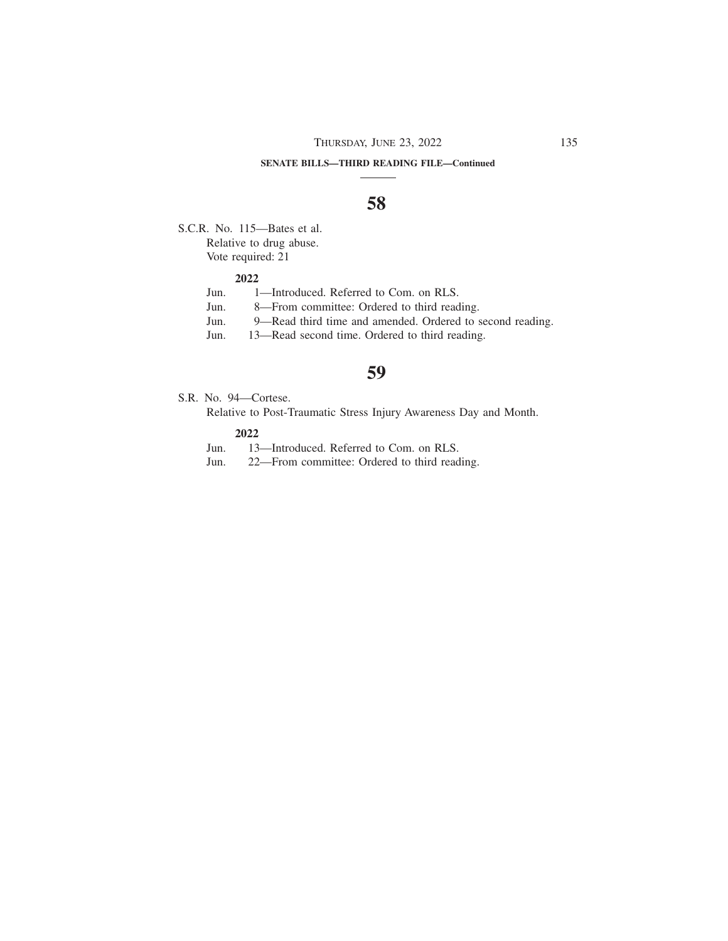#### THURSDAY, JUNE 23, 2022 135

#### **SENATE BILLS—THIRD READING FILE—Continued**

## **58**

S.C.R. No. 115— Bates et al. Relative to drug abuse. Vote required: 21

#### **2022**

- Jun. 1—Introduced. Referred to Com. on RLS.
- Jun. 8—From committee: Ordered to third reading.
- Jun. 9—Read third time and amended. Ordered to second reading.
- Jun. 13—Read second time. Ordered to third reading.

## **59**

S.R. No. 94— Cortese. Relative to Post-Traumatic Stress Injury Awareness Day and Month.

- Jun. 13—Introduced. Referred to Com. on RLS.
- Jun. 22—From committee: Ordered to third reading.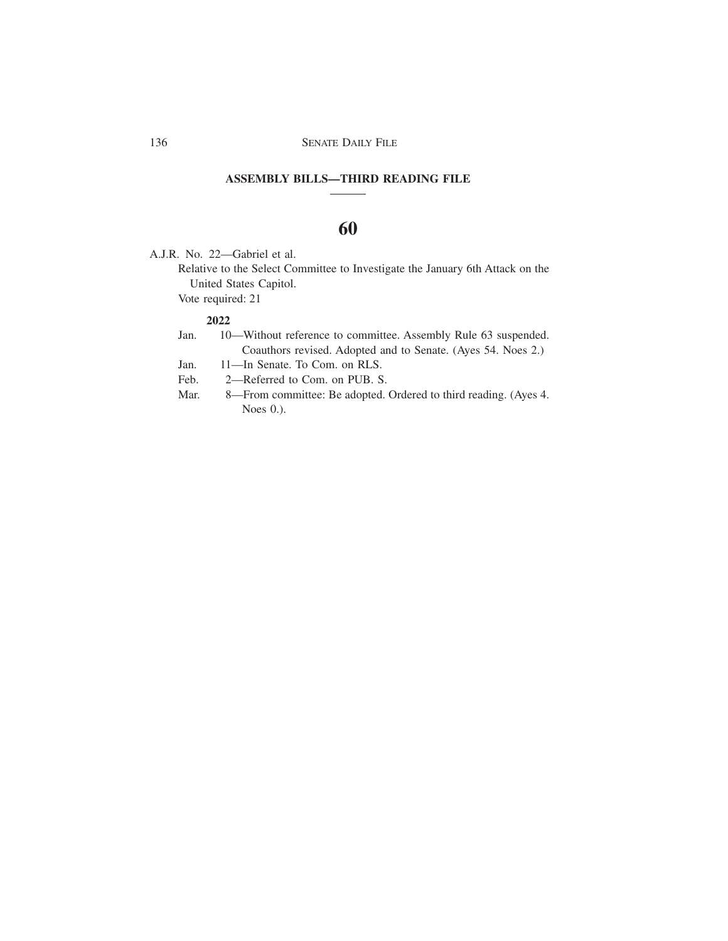#### **ASSEMBLY BILLS—THIRD READING FILE**

## **60**

A.J.R. No. 22— Gabriel et al.

Relative to the Select Committee to Investigate the January 6th Attack on the United States Capitol.

Vote required: 21

- Jan. 10—Without reference to committee. Assembly Rule 63 suspended. Coauthors revised. Adopted and to Senate. (Ayes 54. Noes 2.)
- Jan. 11—In Senate. To Com. on RLS.
- Feb. 2—Referred to Com. on PUB. S.
- Mar. 8—From committee: Be adopted. Ordered to third reading. (Ayes 4. Noes 0.).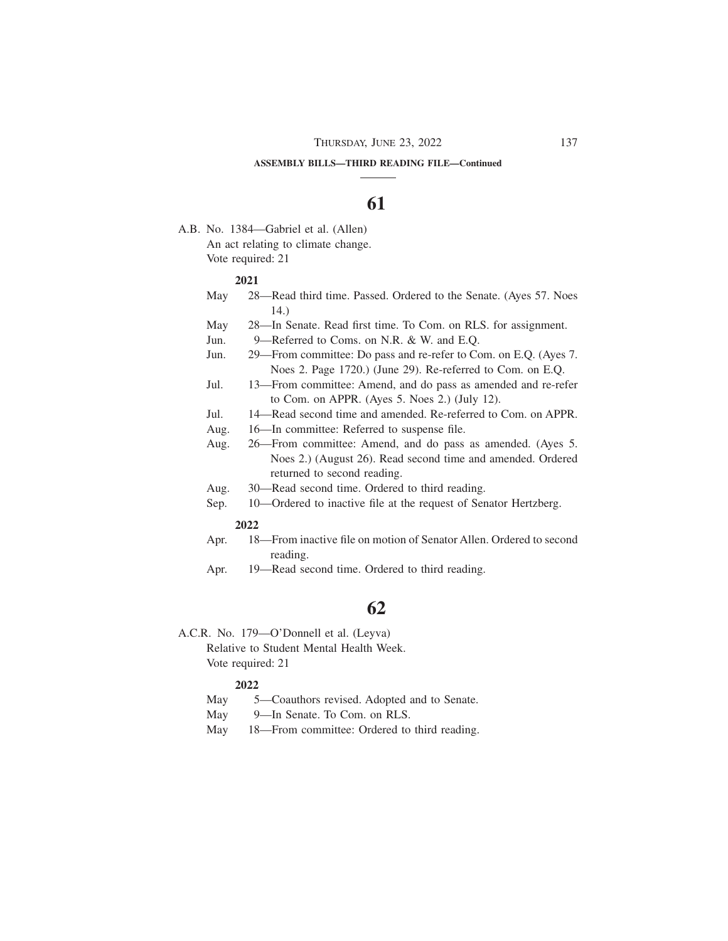## **61**

A.B. No. 1384— Gabriel et al. (Allen) An act relating to climate change. Vote required: 21

#### **2021**

- May 28—Read third time. Passed. Ordered to the Senate. (Ayes 57. Noes 14.)
- May 28—In Senate. Read first time. To Com. on RLS. for assignment.
- Jun. 9—Referred to Coms. on N.R. & W. and E.Q.
- Jun. 29—From committee: Do pass and re-refer to Com. on E.Q. (Ayes 7. Noes 2. Page 1720.) (June 29). Re-referred to Com. on E.Q.
- Jul. 13—From committee: Amend, and do pass as amended and re-refer to Com. on APPR. (Ayes 5. Noes 2.) (July 12).
- Jul. 14—Read second time and amended. Re-referred to Com. on APPR.
- Aug. 16—In committee: Referred to suspense file.
- Aug. 26—From committee: Amend, and do pass as amended. (Ayes 5. Noes 2.) (August 26). Read second time and amended. Ordered returned to second reading.
- Aug. 30—Read second time. Ordered to third reading.
- Sep. 10—Ordered to inactive file at the request of Senator Hertzberg.

#### **2022**

- Apr. 18—From inactive file on motion of Senator Allen. Ordered to second reading.
- Apr. 19—Read second time. Ordered to third reading.

## **62**

A.C.R. No. 179— O'Donnell et al. (Leyva) Relative to Student Mental Health Week. Vote required: 21

- May 5—Coauthors revised. Adopted and to Senate.
- May 9—In Senate. To Com. on RLS.
- May 18—From committee: Ordered to third reading.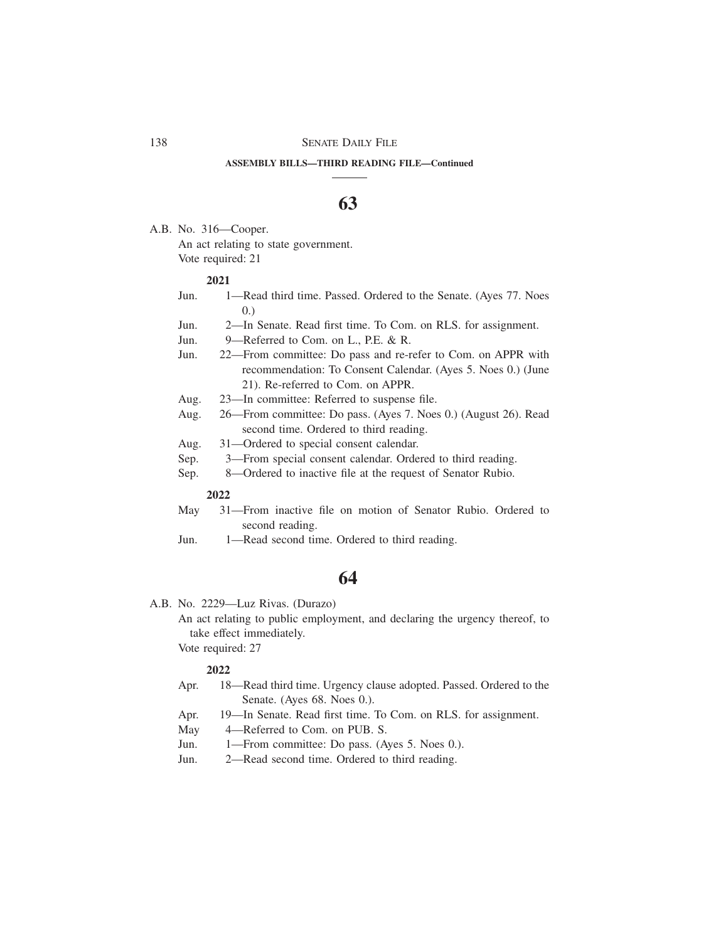## **63**

A.B. No. 316— Cooper.

An act relating to state government. Vote required: 21

#### **2021**

- Jun. 1—Read third time. Passed. Ordered to the Senate. (Ayes 77. Noes 0.)
- Jun. 2—In Senate. Read first time. To Com. on RLS. for assignment.
- Jun. 9—Referred to Com. on L., P.E. & R.
- Jun. 22—From committee: Do pass and re-refer to Com. on APPR with recommendation: To Consent Calendar. (Ayes 5. Noes 0.) (June 21). Re-referred to Com. on APPR.
- Aug. 23—In committee: Referred to suspense file.
- Aug. 26—From committee: Do pass. (Ayes 7. Noes 0.) (August 26). Read second time. Ordered to third reading.
- Aug. 31—Ordered to special consent calendar.
- Sep. 3—From special consent calendar. Ordered to third reading.
- Sep. 8—Ordered to inactive file at the request of Senator Rubio.

#### **2022**

- May 31—From inactive file on motion of Senator Rubio. Ordered to second reading.
- Jun. 1—Read second time. Ordered to third reading.

## **64**

A.B. No. 2229— Luz Rivas. (Durazo)

An act relating to public employment, and declaring the urgency thereof, to take effect immediately.

Vote required: 27

- Apr. 18—Read third time. Urgency clause adopted. Passed. Ordered to the Senate. (Ayes 68. Noes 0.).
- Apr. 19—In Senate. Read first time. To Com. on RLS. for assignment.
- May 4—Referred to Com. on PUB. S.
- Jun. 1—From committee: Do pass. (Ayes 5. Noes 0.).
- Jun. 2—Read second time. Ordered to third reading.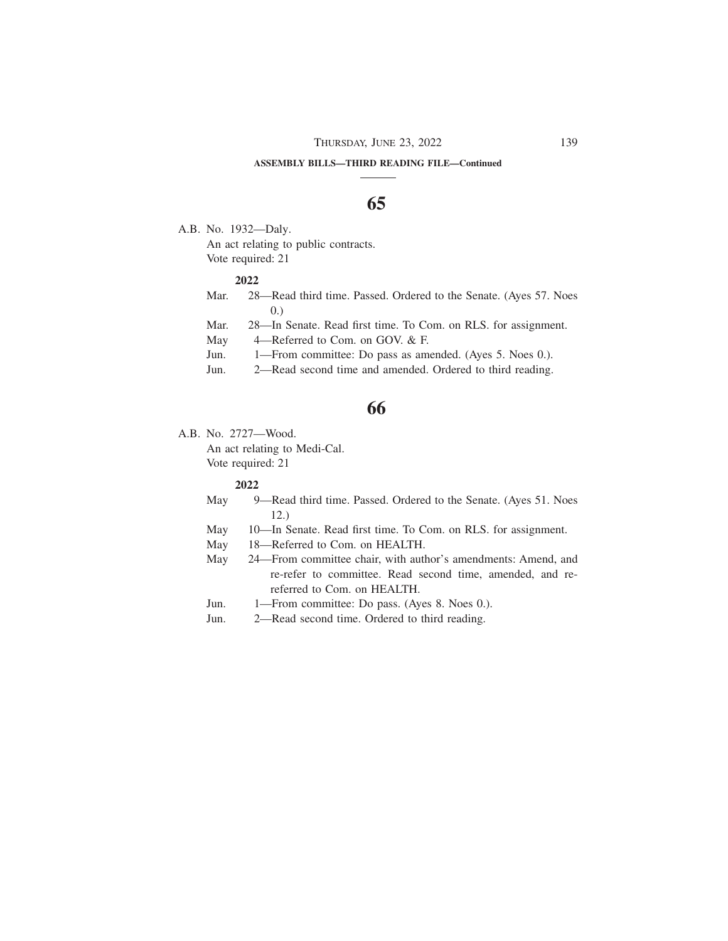## **65**

#### A.B. No. 1932— Daly.

An act relating to public contracts. Vote required: 21

#### **2022**

| Mar. |  |  | 28—Read third time. Passed. Ordered to the Senate. (Ayes 57. Noes |
|------|--|--|-------------------------------------------------------------------|
|      |  |  |                                                                   |

- Mar. 28—In Senate. Read first time. To Com. on RLS. for assignment.
- May 4—Referred to Com. on GOV. & F.
- Jun. 1—From committee: Do pass as amended. (Ayes 5. Noes 0.).
- Jun. 2—Read second time and amended. Ordered to third reading.

## **66**

A.B. No. 2727— Wood.

An act relating to Medi-Cal. Vote required: 21

- May 9—Read third time. Passed. Ordered to the Senate. (Ayes 51. Noes 12.)
- May 10—In Senate. Read first time. To Com. on RLS. for assignment.
- May 18—Referred to Com. on HEALTH.
- May 24—From committee chair, with author's amendments: Amend, and re-refer to committee. Read second time, amended, and rereferred to Com. on HEALTH.
- Jun. 1—From committee: Do pass. (Ayes 8. Noes 0.).
- Jun. 2—Read second time. Ordered to third reading.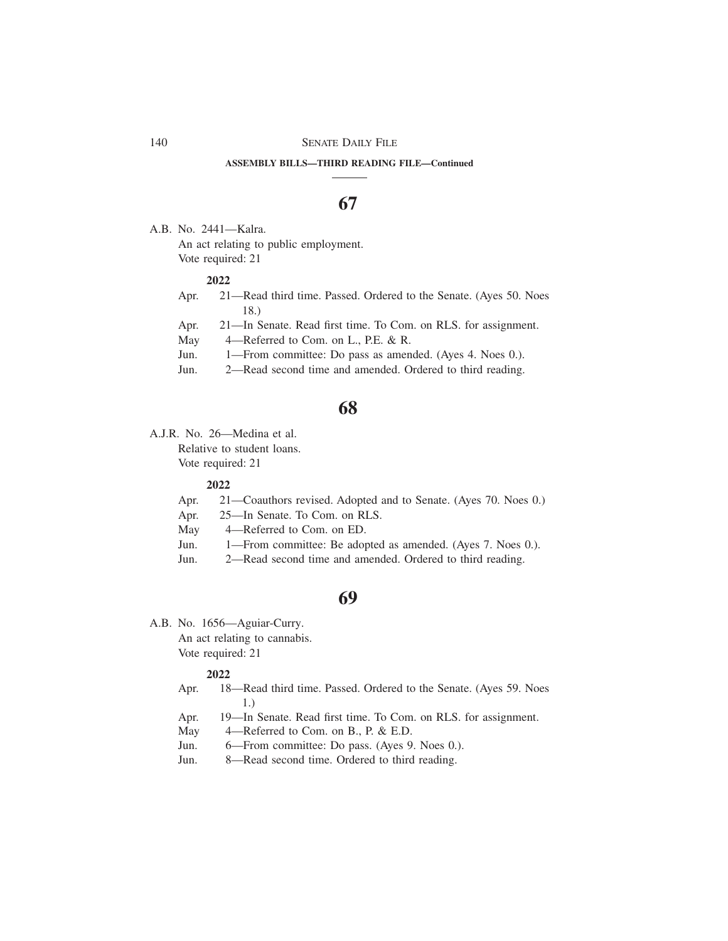## **67**

A.B. No. 2441— Kalra.

An act relating to public employment. Vote required: 21

#### **2022**

- Apr. 21—Read third time. Passed. Ordered to the Senate. (Ayes 50. Noes 18.)
- Apr. 21—In Senate. Read first time. To Com. on RLS. for assignment.
- May 4—Referred to Com. on L., P.E. & R.
- Jun. 1—From committee: Do pass as amended. (Ayes 4. Noes 0.).
- Jun. 2—Read second time and amended. Ordered to third reading.

### **68**

A.J.R. No. 26— Medina et al.

Relative to student loans.

Vote required: 21

#### **2022**

- Apr. 21—Coauthors revised. Adopted and to Senate. (Ayes 70. Noes 0.)
- Apr. 25—In Senate. To Com. on RLS.
- May 4—Referred to Com. on ED.
- Jun. 1—From committee: Be adopted as amended. (Ayes 7. Noes 0.).
- Jun. 2—Read second time and amended. Ordered to third reading.

## **69**

A.B. No. 1656— Aguiar-Curry.

An act relating to cannabis. Vote required: 21

- Apr. 18—Read third time. Passed. Ordered to the Senate. (Ayes 59. Noes 1.)
- Apr. 19—In Senate. Read first time. To Com. on RLS. for assignment.
- May 4—Referred to Com. on B., P. & E.D.
- Jun. 6—From committee: Do pass. (Ayes 9. Noes 0.).
- Jun. 8—Read second time. Ordered to third reading.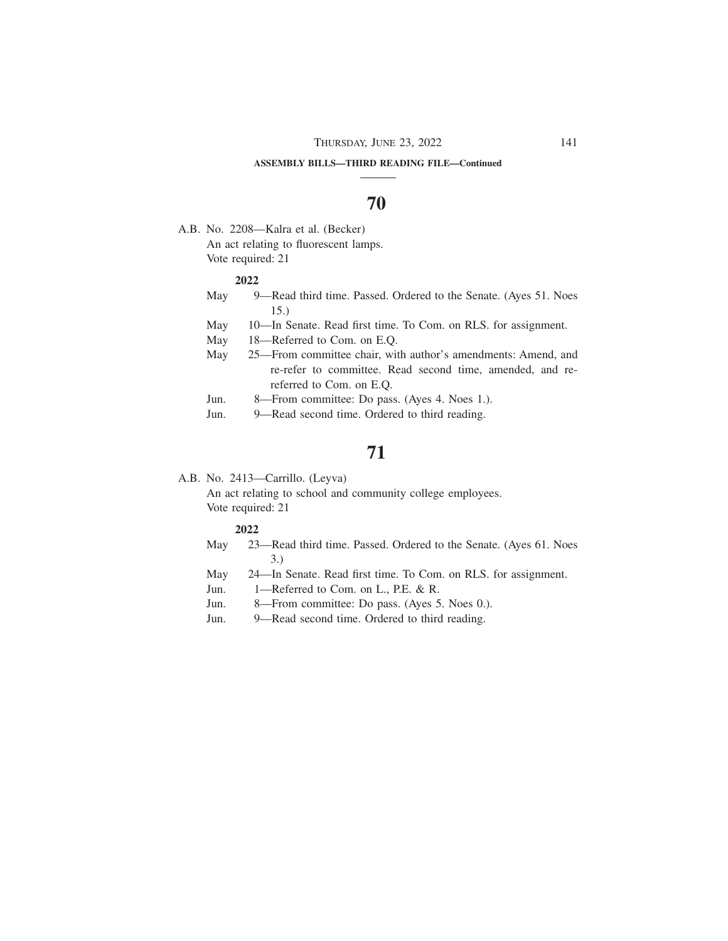## **70**

A.B. No. 2208— Kalra et al. (Becker) An act relating to fluorescent lamps. Vote required: 21

#### **2022**

- May 9—Read third time. Passed. Ordered to the Senate. (Ayes 51. Noes 15.)
- May 10—In Senate. Read first time. To Com. on RLS. for assignment.
- May 18—Referred to Com. on E.Q.
- May 25—From committee chair, with author's amendments: Amend, and re-refer to committee. Read second time, amended, and rereferred to Com. on E.Q.
- Jun. 8—From committee: Do pass. (Ayes 4. Noes 1.).
- Jun. 9—Read second time. Ordered to third reading.

## **71**

A.B. No. 2413— Carrillo. (Leyva)

An act relating to school and community college employees. Vote required: 21

- May 23—Read third time. Passed. Ordered to the Senate. (Ayes 61. Noes 3.)
- May 24—In Senate. Read first time. To Com. on RLS. for assignment.
- Jun. 1—Referred to Com. on L., P.E. & R.
- Jun. 8—From committee: Do pass. (Ayes 5. Noes 0.).
- Jun. 9—Read second time. Ordered to third reading.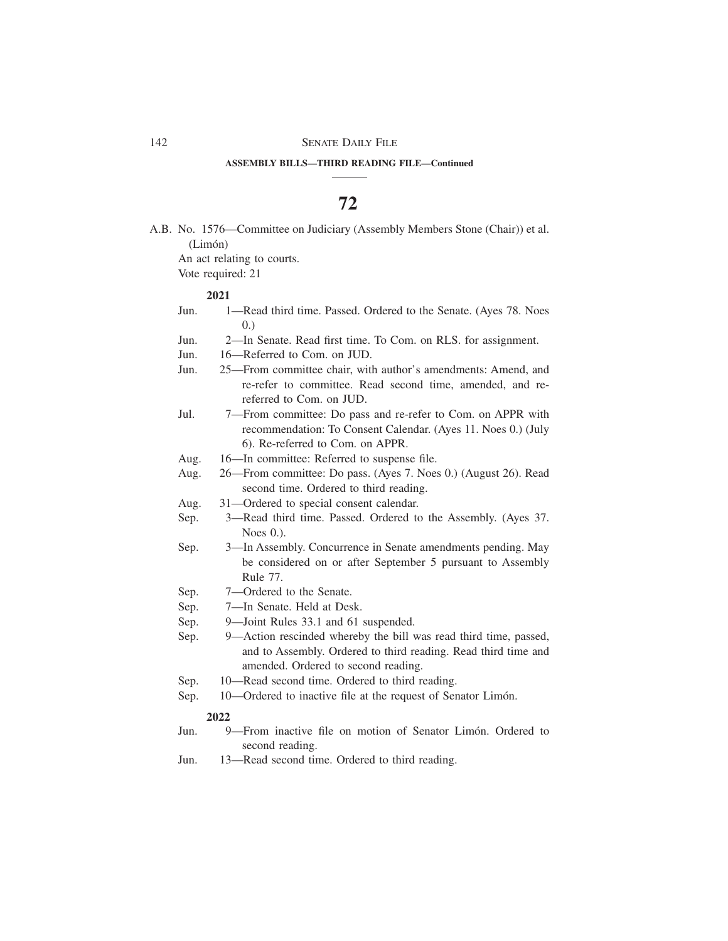## **72**

A.B. No. 1576— Committee on Judiciary (Assembly Members Stone (Chair)) et al. (Limón)

An act relating to courts. Vote required: 21

#### **2021**

- Jun. 1—Read third time. Passed. Ordered to the Senate. (Ayes 78. Noes 0.)
- Jun. 2—In Senate. Read first time. To Com. on RLS. for assignment.
- Jun. 16—Referred to Com. on JUD.
- Jun. 25—From committee chair, with author's amendments: Amend, and re-refer to committee. Read second time, amended, and rereferred to Com. on JUD.
- Jul. 7—From committee: Do pass and re-refer to Com. on APPR with recommendation: To Consent Calendar. (Ayes 11. Noes 0.) (July 6). Re-referred to Com. on APPR.
- Aug. 16—In committee: Referred to suspense file.
- Aug. 26—From committee: Do pass. (Ayes 7. Noes 0.) (August 26). Read second time. Ordered to third reading.
- Aug. 31—Ordered to special consent calendar.
- Sep. 3—Read third time. Passed. Ordered to the Assembly. (Ayes 37. Noes 0.).
- Sep. 3—In Assembly. Concurrence in Senate amendments pending. May be considered on or after September 5 pursuant to Assembly Rule 77.
- Sep. 7—Ordered to the Senate.
- Sep. 7—In Senate. Held at Desk.
- Sep. 9—Joint Rules 33.1 and 61 suspended.
- Sep. 9—Action rescinded whereby the bill was read third time, passed, and to Assembly. Ordered to third reading. Read third time and amended. Ordered to second reading.
- Sep. 10—Read second time. Ordered to third reading.
- Sep. 10—Ordered to inactive file at the request of Senator Limón.

- Jun. 9—From inactive file on motion of Senator Limón. Ordered to second reading.
- Jun. 13—Read second time. Ordered to third reading.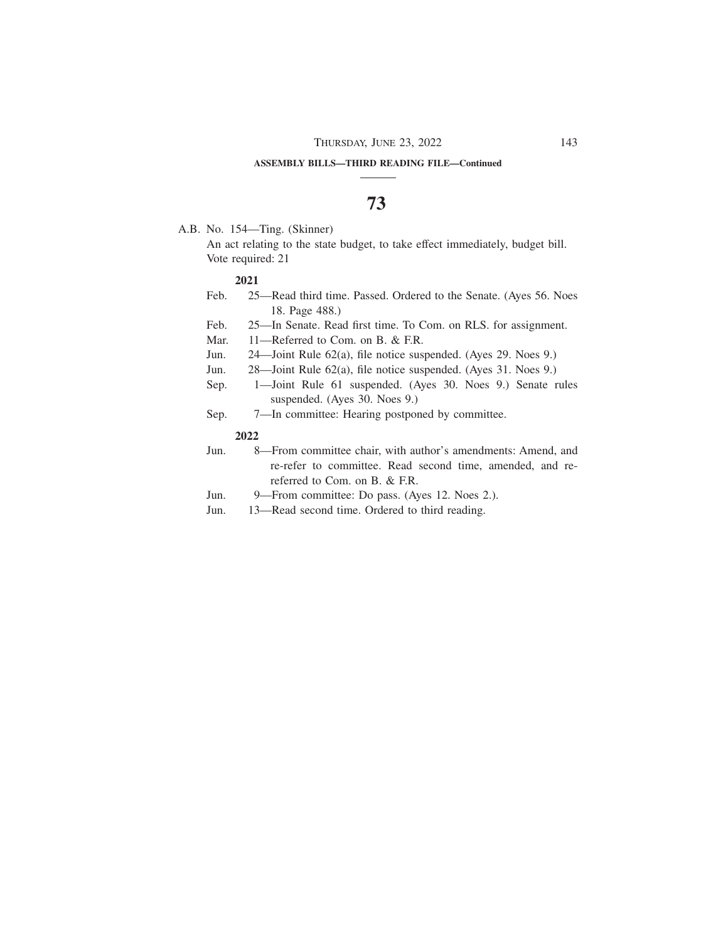## **73**

#### A.B. No. 154— Ting. (Skinner)

An act relating to the state budget, to take effect immediately, budget bill. Vote required: 21

#### **2021**

- Feb. 25—Read third time. Passed. Ordered to the Senate. (Ayes 56. Noes 18. Page 488.)
- Feb. 25—In Senate. Read first time. To Com. on RLS. for assignment.
- Mar. 11—Referred to Com. on B. & F.R.
- Jun. 24—Joint Rule 62(a), file notice suspended. (Ayes 29. Noes 9.)
- Jun. 28—Joint Rule 62(a), file notice suspended. (Ayes 31. Noes 9.)
- Sep. 1—Joint Rule 61 suspended. (Ayes 30. Noes 9.) Senate rules suspended. (Ayes 30. Noes 9.)
- Sep. 7—In committee: Hearing postponed by committee.

- Jun. 8—From committee chair, with author's amendments: Amend, and re-refer to committee. Read second time, amended, and rereferred to Com. on B. & F.R.
- Jun. 9—From committee: Do pass. (Ayes 12. Noes 2.).
- Jun. 13—Read second time. Ordered to third reading.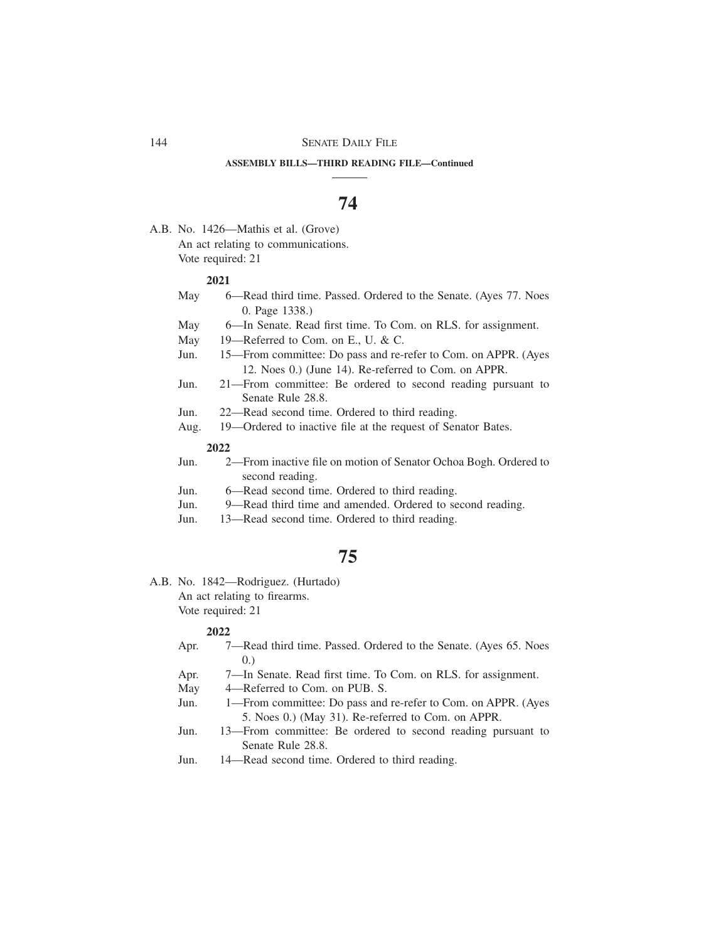## **74**

A.B. No. 1426— Mathis et al. (Grove) An act relating to communications. Vote required: 21

#### **2021**

- May 6—Read third time. Passed. Ordered to the Senate. (Ayes 77. Noes 0. Page 1338.)
- May 6—In Senate. Read first time. To Com. on RLS. for assignment.
- May 19—Referred to Com. on E., U. & C.
- Jun. 15—From committee: Do pass and re-refer to Com. on APPR. (Ayes 12. Noes 0.) (June 14). Re-referred to Com. on APPR.
- Jun. 21—From committee: Be ordered to second reading pursuant to Senate Rule 28.8.
- Jun. 22—Read second time. Ordered to third reading.
- Aug. 19—Ordered to inactive file at the request of Senator Bates.

#### **2022**

- Jun. 2—From inactive file on motion of Senator Ochoa Bogh. Ordered to second reading.
- Jun. 6—Read second time. Ordered to third reading.
- Jun. 9—Read third time and amended. Ordered to second reading.
- Jun. 13—Read second time. Ordered to third reading.

### **75**

A.B. No. 1842— Rodriguez. (Hurtado) An act relating to firearms. Vote required: 21

- Apr. 7—Read third time. Passed. Ordered to the Senate. (Ayes 65. Noes 0.)
- Apr. 7—In Senate. Read first time. To Com. on RLS. for assignment.
- May 4—Referred to Com. on PUB. S.
- Jun. 1—From committee: Do pass and re-refer to Com. on APPR. (Ayes 5. Noes 0.) (May 31). Re-referred to Com. on APPR.
- Jun. 13—From committee: Be ordered to second reading pursuant to Senate Rule 28.8.
- Jun. 14—Read second time. Ordered to third reading.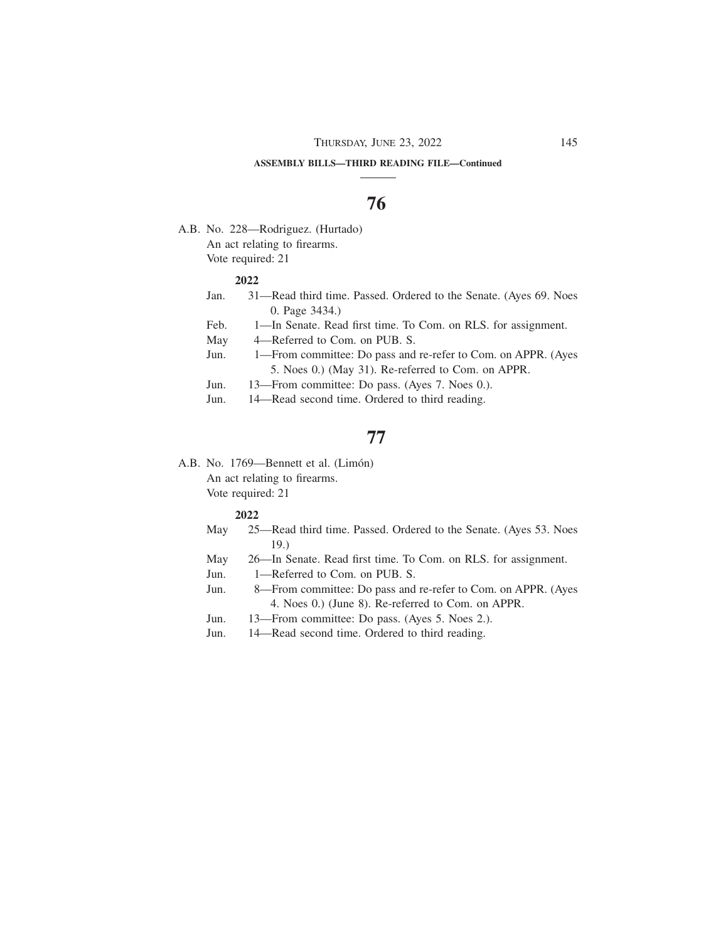## **76**

A.B. No. 228— Rodriguez. (Hurtado) An act relating to firearms. Vote required: 21

### **2022**

| Jan. | 31—Read third time. Passed. Ordered to the Senate. (Ayes 69. Noes |
|------|-------------------------------------------------------------------|
|      | 0. Page $3434.$ )                                                 |
| Feb. | 1-In Senate. Read first time. To Com. on RLS. for assignment.     |
| May  | 4—Referred to Com. on PUB. S.                                     |
| Jun. | 1—From committee: Do pass and re-refer to Com. on APPR. (Ayes     |
|      | 5. Noes 0.) (May 31). Re-referred to Com. on APPR.                |
| Jun. | 13—From committee: Do pass. (Ayes 7. Noes 0.).                    |
| Jun. | 14—Read second time. Ordered to third reading.                    |

### **77**

A.B. No. 1769— Bennett et al. (Limón) An act relating to firearms. Vote required: 21

- May 25—Read third time. Passed. Ordered to the Senate. (Ayes 53. Noes 19.)
- May 26—In Senate. Read first time. To Com. on RLS. for assignment.
- Jun. 1—Referred to Com. on PUB. S.
- Jun. 8—From committee: Do pass and re-refer to Com. on APPR. (Ayes 4. Noes 0.) (June 8). Re-referred to Com. on APPR.
- Jun. 13—From committee: Do pass. (Ayes 5. Noes 2.).
- Jun. 14—Read second time. Ordered to third reading.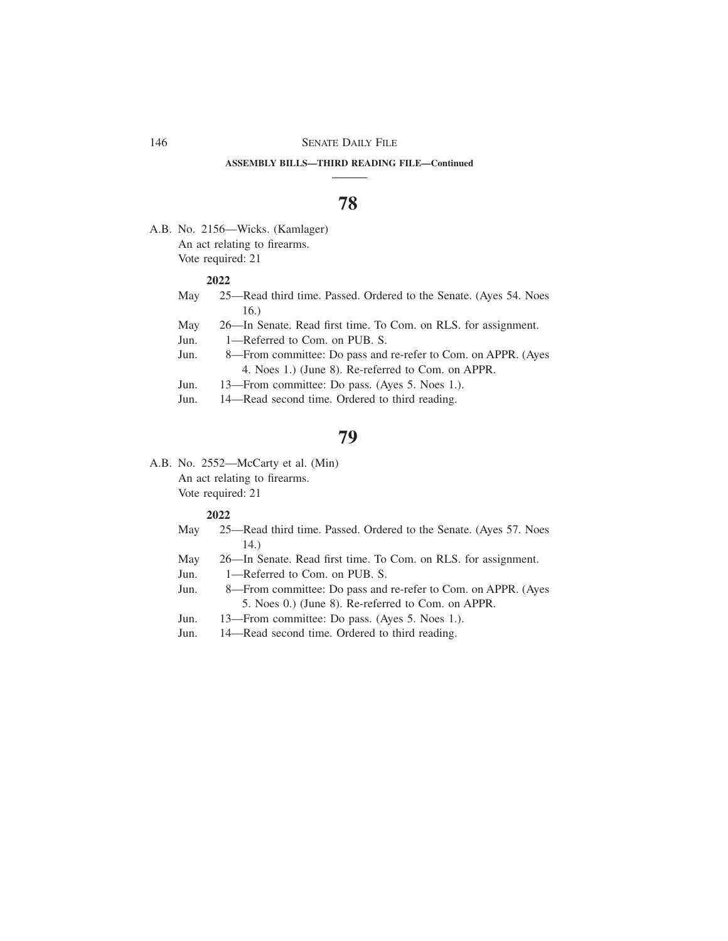### 146 SENATE DAILY FILE

#### **ASSEMBLY BILLS—THIRD READING FILE—Continued**

### **78**

A.B. No. 2156— Wicks. (Kamlager) An act relating to firearms. Vote required: 21

### **2022**

| May | 25—Read third time. Passed. Ordered to the Senate. (Ayes 54. Noes |  |  |  |
|-----|-------------------------------------------------------------------|--|--|--|
|     | 16.)                                                              |  |  |  |

- May 26—In Senate. Read first time. To Com. on RLS. for assignment.
- Jun. 1—Referred to Com. on PUB. S.
- Jun. 8—From committee: Do pass and re-refer to Com. on APPR. (Ayes 4. Noes 1.) (June 8). Re-referred to Com. on APPR.
- Jun. 13—From committee: Do pass. (Ayes 5. Noes 1.).
- Jun. 14—Read second time. Ordered to third reading.

### **79**

A.B. No. 2552— McCarty et al. (Min) An act relating to firearms. Vote required: 21

- May 25—Read third time. Passed. Ordered to the Senate. (Ayes 57. Noes 14.)
- May 26—In Senate. Read first time. To Com. on RLS. for assignment.
- Jun. 1—Referred to Com. on PUB. S.
- Jun. 8—From committee: Do pass and re-refer to Com. on APPR. (Ayes 5. Noes 0.) (June 8). Re-referred to Com. on APPR.
- Jun. 13—From committee: Do pass. (Ayes 5. Noes 1.).
- Jun. 14—Read second time. Ordered to third reading.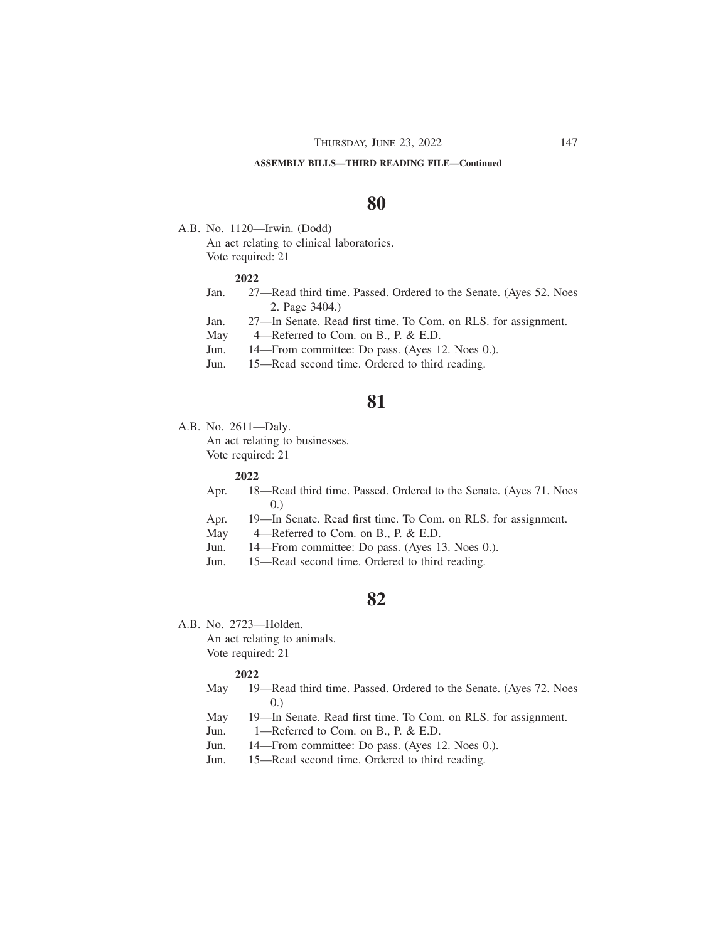## **80**

A.B. No. 1120— Irwin. (Dodd) An act relating to clinical laboratories. Vote required: 21

### **2022**

| Jan. | 27—Read third time. Passed. Ordered to the Senate. (Ayes 52. Noes |
|------|-------------------------------------------------------------------|
|      | 2. Page 3404.)                                                    |

- Jan. 27—In Senate. Read first time. To Com. on RLS. for assignment.
- May 4—Referred to Com. on B., P. & E.D.
- Jun. 14—From committee: Do pass. (Ayes 12. Noes 0.).
- Jun. 15—Read second time. Ordered to third reading.

## **81**

A.B. No. 2611— Daly.

An act relating to businesses. Vote required: 21

#### **2022**

- Apr. 18—Read third time. Passed. Ordered to the Senate. (Ayes 71. Noes 0.)
- Apr. 19—In Senate. Read first time. To Com. on RLS. for assignment.
- May 4—Referred to Com. on B., P. & E.D.
- Jun. 14—From committee: Do pass. (Ayes 13. Noes 0.).
- Jun. 15—Read second time. Ordered to third reading.

### **82**

A.B. No. 2723— Holden.

An act relating to animals. Vote required: 21

- May 19—Read third time. Passed. Ordered to the Senate. (Ayes 72. Noes 0.)
- May 19—In Senate. Read first time. To Com. on RLS. for assignment.
- Jun. 1—Referred to Com. on B., P. & E.D.
- Jun. 14—From committee: Do pass. (Ayes 12. Noes 0.).
- Jun. 15—Read second time. Ordered to third reading.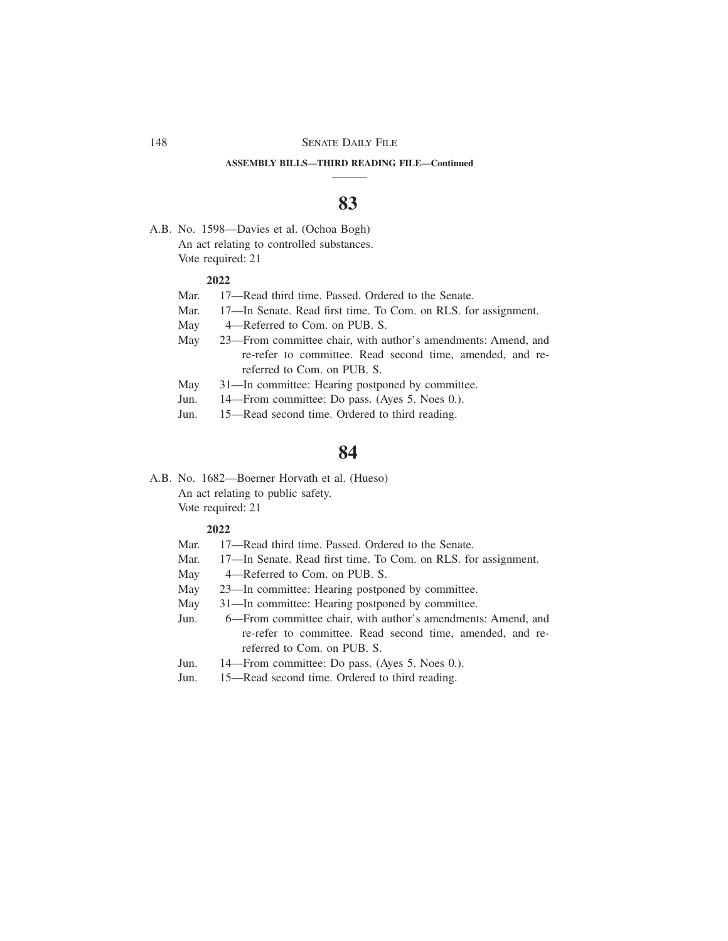## **83**

A.B. No. 1598— Davies et al. (Ochoa Bogh) An act relating to controlled substances. Vote required: 21

### **2022**

- Mar. 17—Read third time. Passed. Ordered to the Senate.
- Mar. 17—In Senate. Read first time. To Com. on RLS. for assignment.
- May 4—Referred to Com. on PUB. S.
- May 23—From committee chair, with author's amendments: Amend, and re-refer to committee. Read second time, amended, and rereferred to Com. on PUB. S.
- May 31—In committee: Hearing postponed by committee.
- Jun. 14—From committee: Do pass. (Ayes 5. Noes 0.).
- Jun. 15—Read second time. Ordered to third reading.

### **84**

A.B. No. 1682— Boerner Horvath et al. (Hueso) An act relating to public safety. Vote required: 21

- Mar. 17—Read third time. Passed. Ordered to the Senate.
- Mar. 17—In Senate. Read first time. To Com. on RLS. for assignment.
- May 4—Referred to Com. on PUB. S.
- May 23—In committee: Hearing postponed by committee.
- May 31—In committee: Hearing postponed by committee.
- Jun. 6—From committee chair, with author's amendments: Amend, and re-refer to committee. Read second time, amended, and rereferred to Com. on PUB. S.
- Jun. 14—From committee: Do pass. (Ayes 5. Noes 0.).
- Jun. 15—Read second time. Ordered to third reading.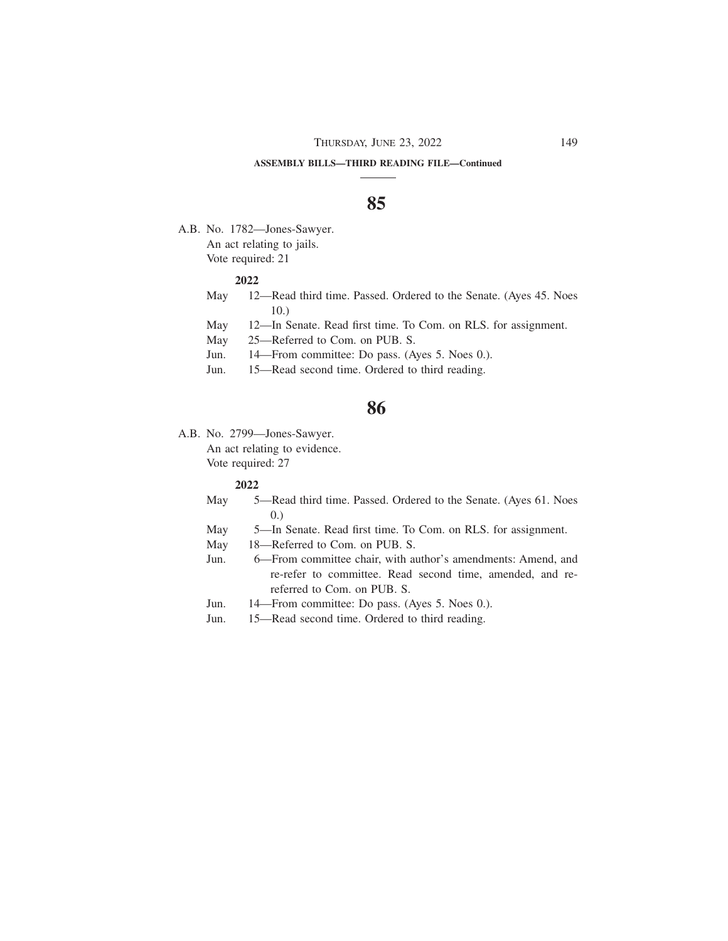#### THURSDAY, JUNE 23, 2022 149

#### **ASSEMBLY BILLS—THIRD READING FILE—Continued**

## **85**

A.B. No. 1782— Jones-Sawyer. An act relating to jails. Vote required: 21

### **2022**

| May | 12—Read third time. Passed. Ordered to the Senate. (Ayes 45. Noes |  |  |  |  |
|-----|-------------------------------------------------------------------|--|--|--|--|
|     | 10.)                                                              |  |  |  |  |

- May 12—In Senate. Read first time. To Com. on RLS. for assignment.
- May 25—Referred to Com. on PUB. S.
- Jun. 14—From committee: Do pass. (Ayes 5. Noes 0.).
- Jun. 15—Read second time. Ordered to third reading.

### **86**

A.B. No. 2799— Jones-Sawyer. An act relating to evidence. Vote required: 27

- May 5—Read third time. Passed. Ordered to the Senate. (Ayes 61. Noes 0.)
- May 5—In Senate. Read first time. To Com. on RLS. for assignment.
- May 18—Referred to Com. on PUB. S.
- Jun. 6—From committee chair, with author's amendments: Amend, and re-refer to committee. Read second time, amended, and rereferred to Com. on PUB. S.
- Jun. 14—From committee: Do pass. (Ayes 5. Noes 0.).
- Jun. 15—Read second time. Ordered to third reading.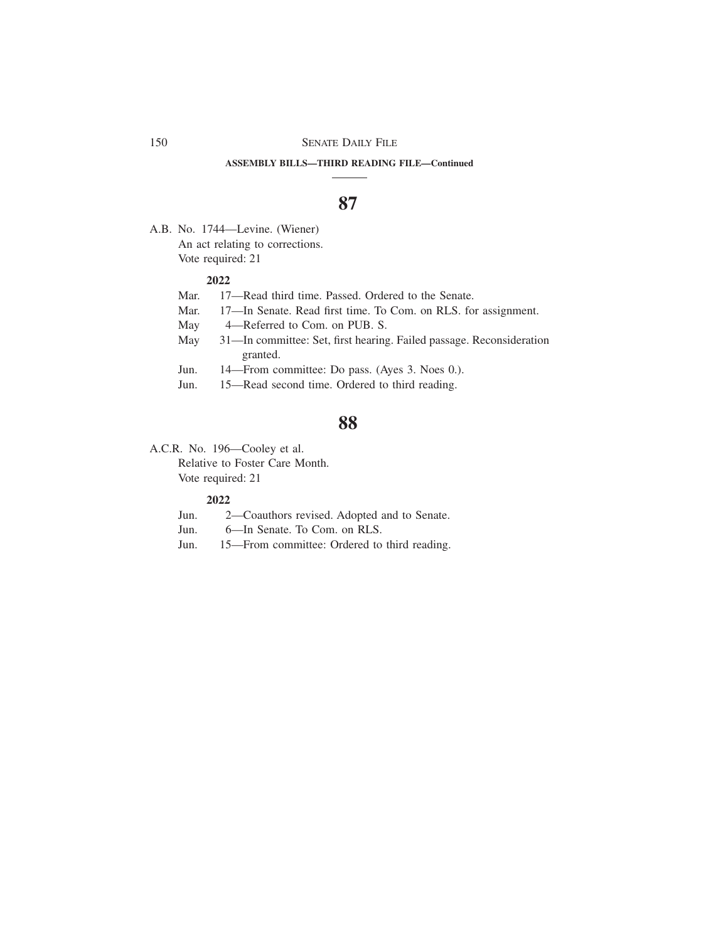### 150 SENATE DAILY FILE

### **ASSEMBLY BILLS—THIRD READING FILE—Continued**

## **87**

A.B. No. 1744— Levine. (Wiener) An act relating to corrections. Vote required: 21

**2022**

| Mar. |  |  | 17—Read third time. Passed. Ordered to the Senate. |  |  |
|------|--|--|----------------------------------------------------|--|--|
|      |  |  |                                                    |  |  |

- Mar. 17—In Senate. Read first time. To Com. on RLS. for assignment.
- May 4—Referred to Com. on PUB. S.
- May 31—In committee: Set, first hearing. Failed passage. Reconsideration granted.
- Jun. 14—From committee: Do pass. (Ayes 3. Noes 0.).
- Jun. 15—Read second time. Ordered to third reading.

### **88**

A.C.R. No. 196-Cooley et al. Relative to Foster Care Month. Vote required: 21

- Jun. 2—Coauthors revised. Adopted and to Senate.
- Jun. 6—In Senate. To Com. on RLS.
- Jun. 15—From committee: Ordered to third reading.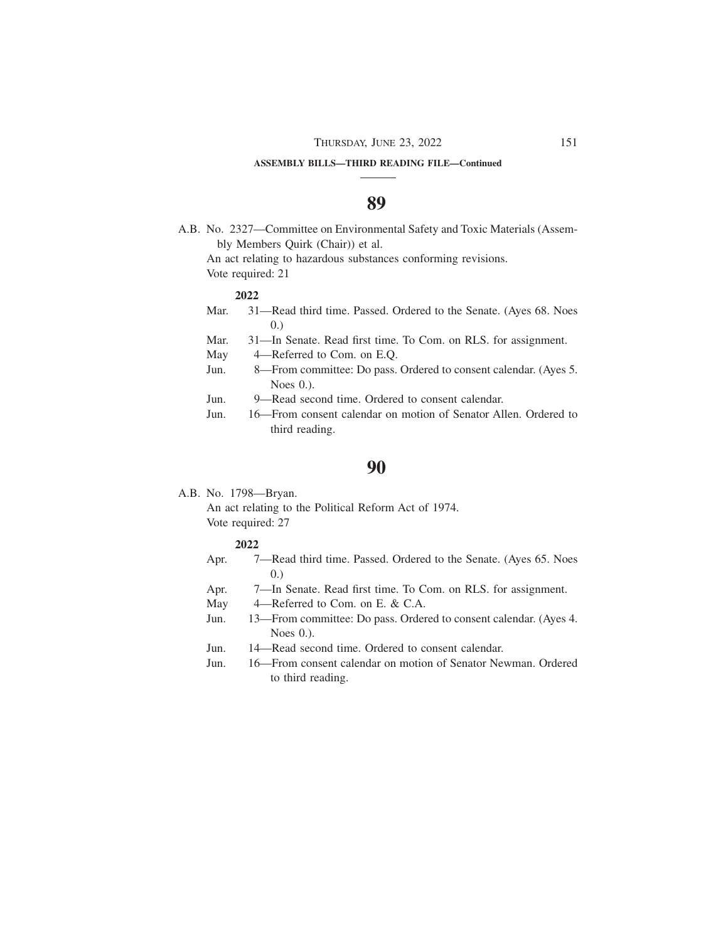## **89**

A.B. No. 2327— Committee on Environmental Safety and Toxic Materials (Assembly Members Quirk (Chair)) et al.

An act relating to hazardous substances conforming revisions. Vote required: 21

### **2022**

- Mar. 31—Read third time. Passed. Ordered to the Senate. (Ayes 68. Noes  $( )$
- Mar. 31—In Senate. Read first time. To Com. on RLS. for assignment.
- May 4—Referred to Com. on E.Q.
- Jun. 8—From committee: Do pass. Ordered to consent calendar. (Ayes 5. Noes 0.).
- Jun. 9—Read second time. Ordered to consent calendar.
- Jun. 16—From consent calendar on motion of Senator Allen. Ordered to third reading.

### **90**

A.B. No. 1798— Bryan.

An act relating to the Political Reform Act of 1974. Vote required: 27

- Apr. 7—Read third time. Passed. Ordered to the Senate. (Ayes 65. Noes 0.)
- Apr.  $7$ —In Senate. Read first time. To Com. on RLS. for assignment.
- May 4—Referred to Com. on E. & C.A.
- Jun. 13—From committee: Do pass. Ordered to consent calendar. (Ayes 4. Noes 0.).
- Jun. 14—Read second time. Ordered to consent calendar.
- Jun. 16—From consent calendar on motion of Senator Newman. Ordered to third reading.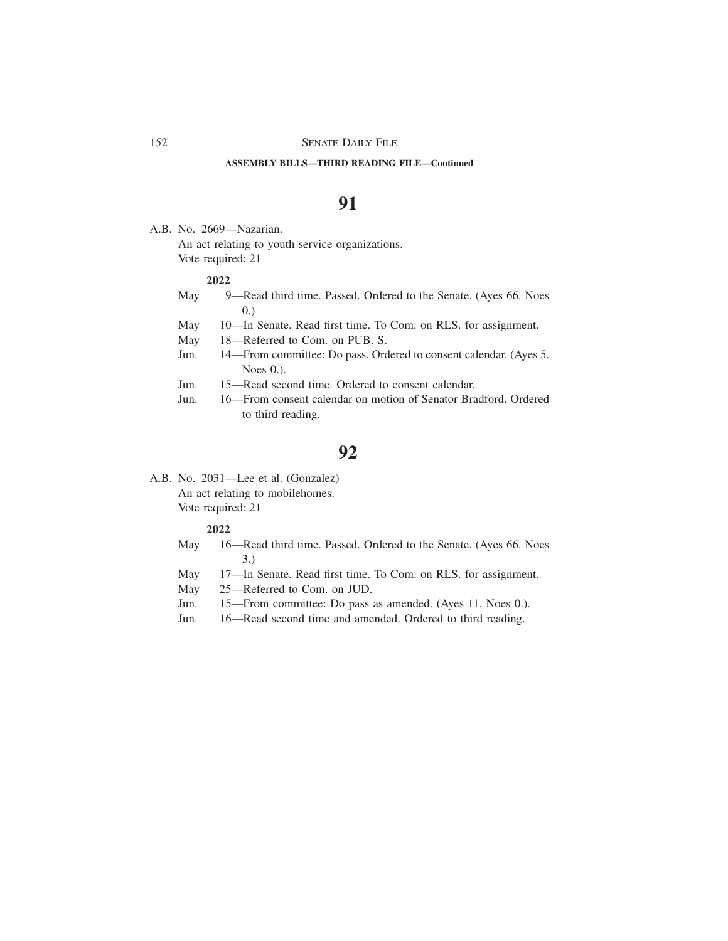## **91**

A.B. No. 2669— Nazarian.

An act relating to youth service organizations. Vote required: 21

### **2022**

| May | 9—Read third time. Passed. Ordered to the Senate. (Ayes 66. Noes |
|-----|------------------------------------------------------------------|
|     |                                                                  |

- May 10—In Senate. Read first time. To Com. on RLS. for assignment.
- May 18—Referred to Com. on PUB. S.
- Jun. 14—From committee: Do pass. Ordered to consent calendar. (Ayes 5. Noes 0.).
- Jun. 15—Read second time. Ordered to consent calendar.
- Jun. 16—From consent calendar on motion of Senator Bradford. Ordered to third reading.

### **92**

A.B. No. 2031— Lee et al. (Gonzalez) An act relating to mobilehomes. Vote required: 21

| May | 16—Read third time. Passed. Ordered to the Senate. (Ayes 66. Noes |  |  |  |
|-----|-------------------------------------------------------------------|--|--|--|
|     |                                                                   |  |  |  |

- May 17—In Senate. Read first time. To Com. on RLS. for assignment.
- May 25—Referred to Com. on JUD.
- Jun. 15—From committee: Do pass as amended. (Ayes 11. Noes 0.).
- Jun. 16—Read second time and amended. Ordered to third reading.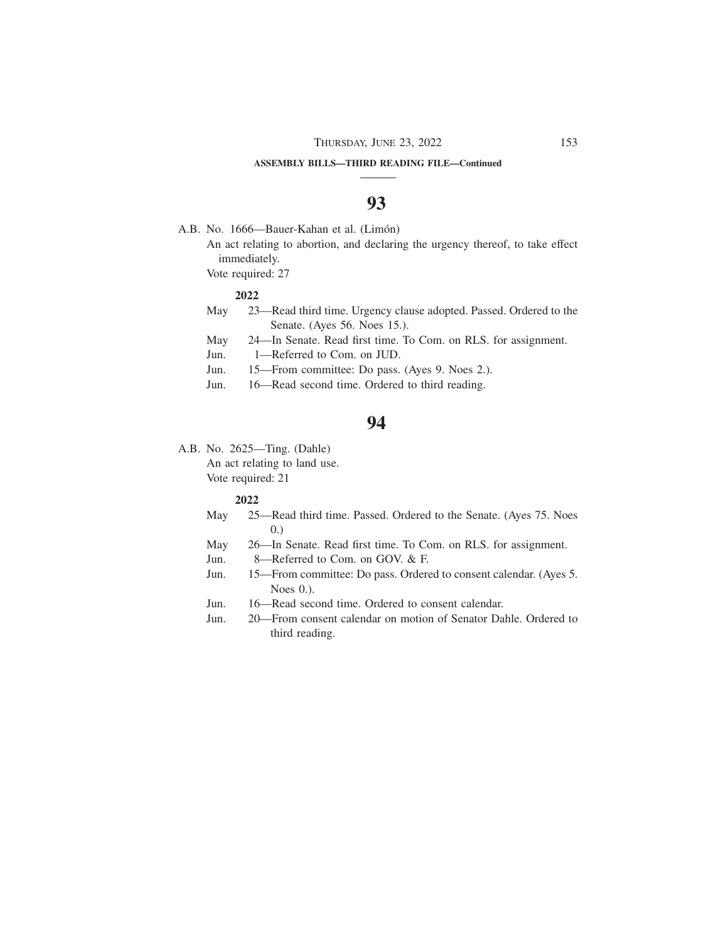## **93**

### A.B. No. 1666— Bauer-Kahan et al. (Limón)

An act relating to abortion, and declaring the urgency thereof, to take effect immediately.

Vote required: 27

### **2022**

| May | 23—Read third time. Urgency clause adopted. Passed. Ordered to the |
|-----|--------------------------------------------------------------------|
|     | Senate. (Ayes 56. Noes 15.).                                       |

- May 24—In Senate. Read first time. To Com. on RLS. for assignment.
- Jun. 1—Referred to Com. on JUD.
- Jun. 15—From committee: Do pass. (Ayes 9. Noes 2.).
- Jun. 16—Read second time. Ordered to third reading.

### **94**

A.B. No. 2625— Ting. (Dahle) An act relating to land use. Vote required: 21

- May 25—Read third time. Passed. Ordered to the Senate. (Ayes 75. Noes 0.)
- May 26—In Senate. Read first time. To Com. on RLS. for assignment.
- Jun. 8—Referred to Com. on GOV. & F.
- Jun. 15—From committee: Do pass. Ordered to consent calendar. (Ayes 5. Noes 0.).
- Jun. 16—Read second time. Ordered to consent calendar.
- Jun. 20—From consent calendar on motion of Senator Dahle. Ordered to third reading.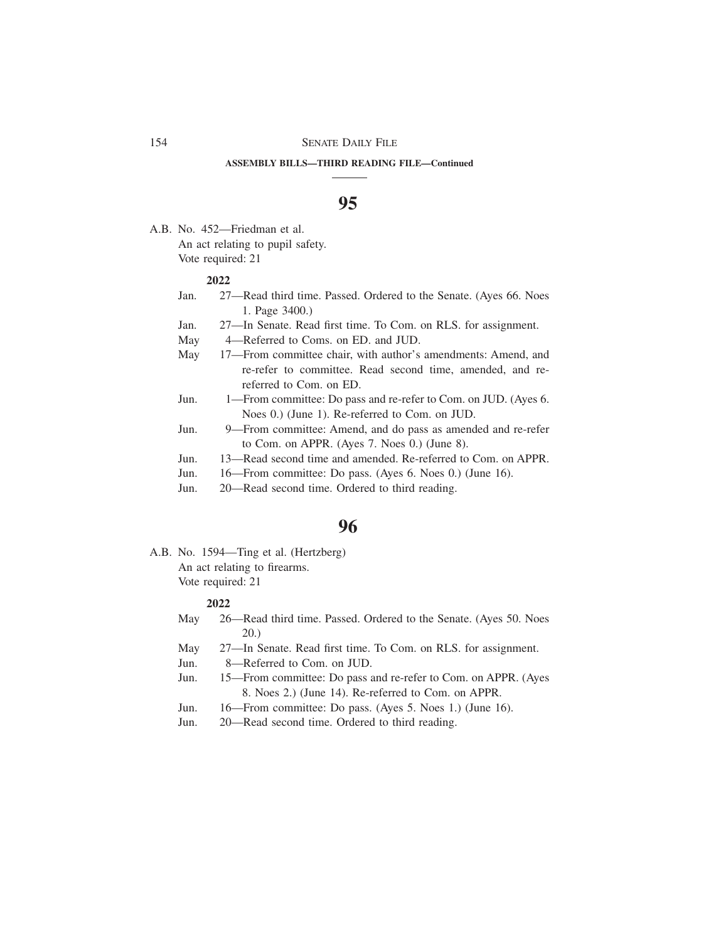### **95**

A.B. No. 452— Friedman et al. An act relating to pupil safety. Vote required: 21

### **2022**

- Jan. 27—Read third time. Passed. Ordered to the Senate. (Ayes 66. Noes 1. Page 3400.)
- Jan. 27—In Senate. Read first time. To Com. on RLS. for assignment.
- May 4—Referred to Coms. on ED. and JUD.
- May 17—From committee chair, with author's amendments: Amend, and re-refer to committee. Read second time, amended, and rereferred to Com. on ED.
- Jun. 1—From committee: Do pass and re-refer to Com. on JUD. (Ayes 6. Noes 0.) (June 1). Re-referred to Com. on JUD.
- Jun. 9—From committee: Amend, and do pass as amended and re-refer to Com. on APPR. (Ayes 7. Noes 0.) (June 8).
- Jun. 13—Read second time and amended. Re-referred to Com. on APPR.
- Jun. 16—From committee: Do pass. (Ayes 6. Noes 0.) (June 16).
- Jun. 20—Read second time. Ordered to third reading.

### **96**

A.B. No. 1594— Ting et al. (Hertzberg) An act relating to firearms. Vote required: 21

- May 26—Read third time. Passed. Ordered to the Senate. (Ayes 50. Noes 20.)
- May 27—In Senate. Read first time. To Com. on RLS. for assignment.
- Jun. 8—Referred to Com. on JUD.
- Jun. 15—From committee: Do pass and re-refer to Com. on APPR. (Ayes 8. Noes 2.) (June 14). Re-referred to Com. on APPR.
- Jun. 16—From committee: Do pass. (Ayes 5. Noes 1.) (June 16).
- Jun. 20—Read second time. Ordered to third reading.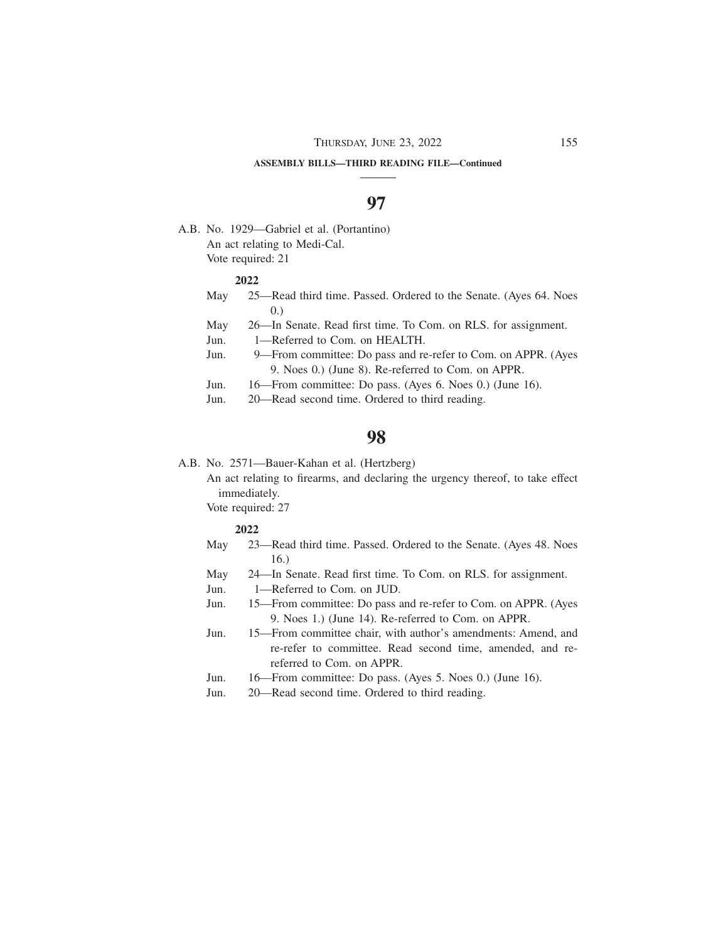## **97**

### A.B. No. 1929— Gabriel et al. (Portantino) An act relating to Medi-Cal. Vote required: 21

### **2022**

| Mav  | 25—Read third time. Passed. Ordered to the Senate. (Ayes 64. Noes |
|------|-------------------------------------------------------------------|
|      | (0, 0)                                                            |
| May  | 26—In Senate. Read first time. To Com. on RLS. for assignment.    |
| Jun. | 1—Referred to Com. on HEALTH.                                     |
| Jun. | 9—From committee: Do pass and re-refer to Com. on APPR. (Ayes     |
|      | 9. Noes 0.) (June 8). Re-referred to Com. on APPR.                |
| Jun. | 16—From committee: Do pass. (Ayes 6. Noes 0.) (June 16).          |
| Jun. | 20—Read second time. Ordered to third reading.                    |

### **98**

A.B. No. 2571— Bauer-Kahan et al. (Hertzberg) An act relating to firearms, and declaring the urgency thereof, to take effect immediately.

Vote required: 27

- May 23—Read third time. Passed. Ordered to the Senate. (Ayes 48. Noes 16.)
- May 24—In Senate. Read first time. To Com. on RLS. for assignment.
- Jun. 1—Referred to Com. on JUD.
- Jun. 15—From committee: Do pass and re-refer to Com. on APPR. (Ayes 9. Noes 1.) (June 14). Re-referred to Com. on APPR.
- Jun. 15—From committee chair, with author's amendments: Amend, and re-refer to committee. Read second time, amended, and rereferred to Com. on APPR.
- Jun. 16—From committee: Do pass. (Ayes 5. Noes 0.) (June 16).
- Jun. 20—Read second time. Ordered to third reading.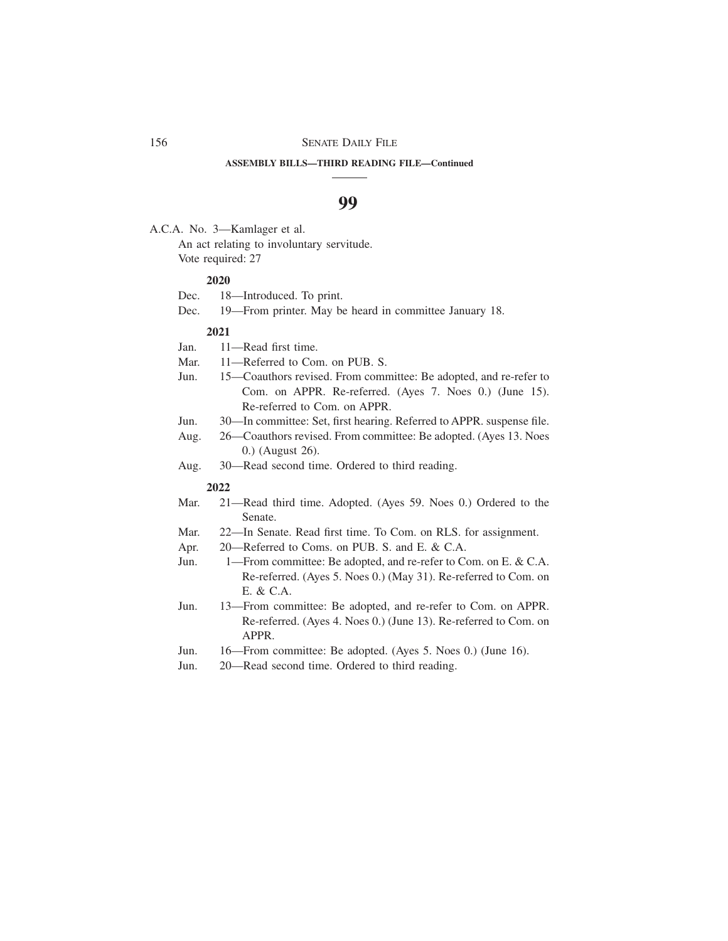## **99**

A.C.A. No. 3— Kamlager et al.

An act relating to involuntary servitude. Vote required: 27

### **2020**

- Dec. 18—Introduced. To print.
- Dec. 19—From printer. May be heard in committee January 18.

### **2021**

- Jan. 11—Read first time.
- Mar. 11—Referred to Com. on PUB. S.
- Jun. 15—Coauthors revised. From committee: Be adopted, and re-refer to Com. on APPR. Re-referred. (Ayes 7. Noes 0.) (June 15). Re-referred to Com. on APPR.
- Jun. 30—In committee: Set, first hearing. Referred to APPR. suspense file.
- Aug. 26—Coauthors revised. From committee: Be adopted. (Ayes 13. Noes 0.) (August 26).
- Aug. 30—Read second time. Ordered to third reading.

- Mar. 21—Read third time. Adopted. (Ayes 59. Noes 0.) Ordered to the Senate.
- Mar. 22—In Senate. Read first time. To Com. on RLS. for assignment.
- Apr. 20—Referred to Coms. on PUB. S. and E. & C.A.
- Jun. 1—From committee: Be adopted, and re-refer to Com. on E. & C.A. Re-referred. (Ayes 5. Noes 0.) (May 31). Re-referred to Com. on E. & C.A.
- Jun. 13—From committee: Be adopted, and re-refer to Com. on APPR. Re-referred. (Ayes 4. Noes 0.) (June 13). Re-referred to Com. on APPR.
- Jun. 16—From committee: Be adopted. (Ayes 5. Noes 0.) (June 16).
- Jun. 20—Read second time. Ordered to third reading.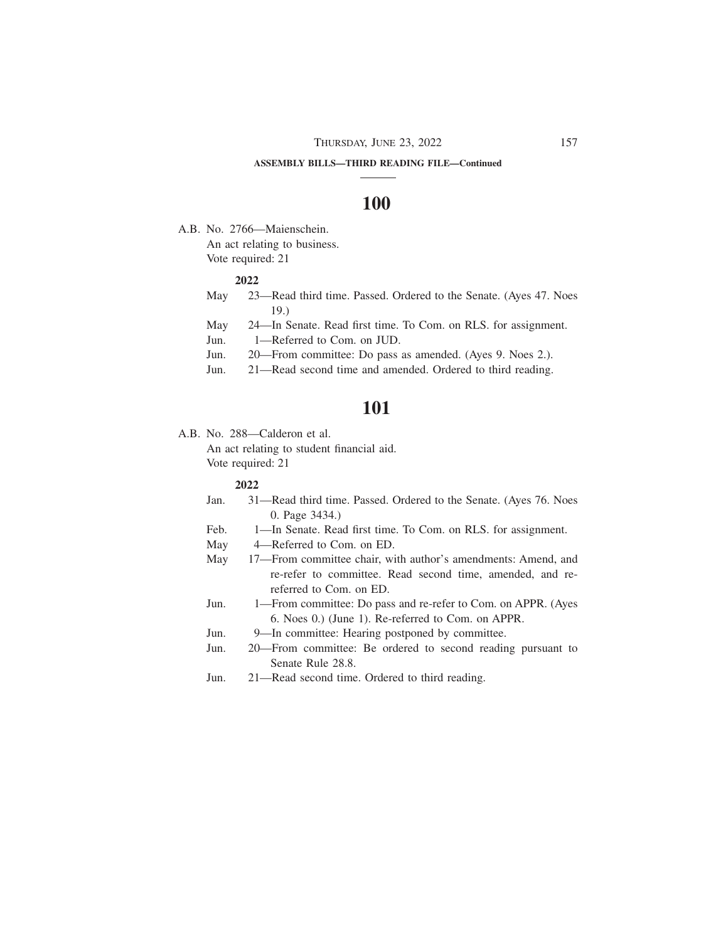# **100**

A.B. No. 2766— Maienschein. An act relating to business. Vote required: 21

### **2022**

| May | 23—Read third time. Passed. Ordered to the Senate. (Ayes 47. Noes |  |  |  |  |
|-----|-------------------------------------------------------------------|--|--|--|--|
|     | 19.)                                                              |  |  |  |  |
|     |                                                                   |  |  |  |  |

- May 24—In Senate. Read first time. To Com. on RLS. for assignment.
- Jun. 1—Referred to Com. on JUD.
- Jun. 20—From committee: Do pass as amended. (Ayes 9. Noes 2.).
- Jun. 21—Read second time and amended. Ordered to third reading.

### **101**

A.B. No. 288— Calderon et al.

An act relating to student financial aid. Vote required: 21

- Jan. 31—Read third time. Passed. Ordered to the Senate. (Ayes 76. Noes 0. Page 3434.)
- Feb. 1—In Senate. Read first time. To Com. on RLS. for assignment.
- May 4—Referred to Com. on ED.
- May 17—From committee chair, with author's amendments: Amend, and re-refer to committee. Read second time, amended, and rereferred to Com. on ED.
- Jun. 1—From committee: Do pass and re-refer to Com. on APPR. (Ayes 6. Noes 0.) (June 1). Re-referred to Com. on APPR.
- Jun. 9—In committee: Hearing postponed by committee.
- Jun. 20—From committee: Be ordered to second reading pursuant to Senate Rule 28.8.
- Jun. 21—Read second time. Ordered to third reading.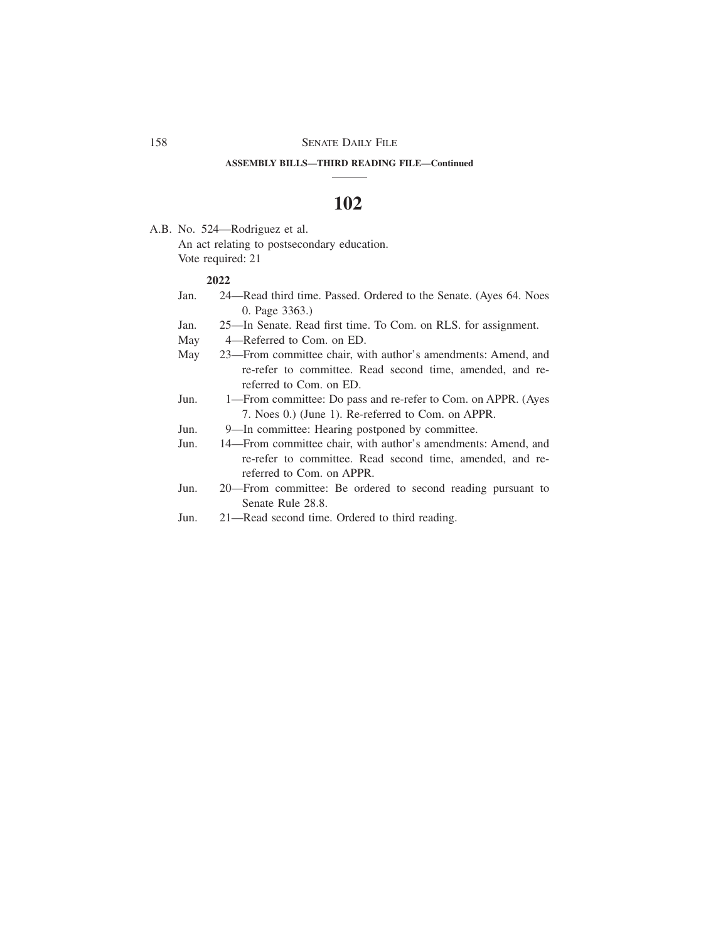# **102**

A.B. No. 524— Rodriguez et al.

An act relating to postsecondary education. Vote required: 21

- Jan. 24—Read third time. Passed. Ordered to the Senate. (Ayes 64. Noes 0. Page 3363.)
- Jan. 25—In Senate. Read first time. To Com. on RLS. for assignment.
- May 4—Referred to Com. on ED.
- May 23—From committee chair, with author's amendments: Amend, and re-refer to committee. Read second time, amended, and rereferred to Com. on ED.
- Jun. 1—From committee: Do pass and re-refer to Com. on APPR. (Ayes 7. Noes 0.) (June 1). Re-referred to Com. on APPR.
- Jun. 9—In committee: Hearing postponed by committee.
- Jun. 14—From committee chair, with author's amendments: Amend, and re-refer to committee. Read second time, amended, and rereferred to Com. on APPR.
- Jun. 20—From committee: Be ordered to second reading pursuant to Senate Rule 28.8.
- Jun. 21—Read second time. Ordered to third reading.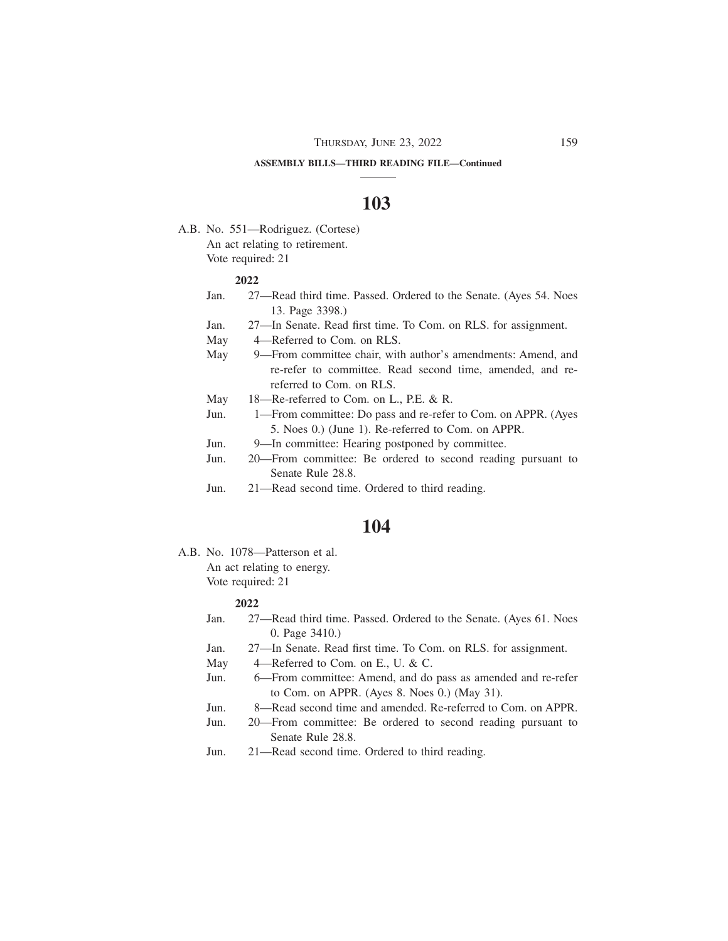# **103**

A.B. No. 551— Rodriguez. (Cortese) An act relating to retirement. Vote required: 21

### **2022**

- Jan. 27—Read third time. Passed. Ordered to the Senate. (Ayes 54. Noes 13. Page 3398.)
- Jan. 27—In Senate. Read first time. To Com. on RLS. for assignment.
- May 4—Referred to Com. on RLS.
- May 9—From committee chair, with author's amendments: Amend, and re-refer to committee. Read second time, amended, and rereferred to Com. on RLS.
- May 18—Re-referred to Com. on L., P.E. & R.
- Jun. 1—From committee: Do pass and re-refer to Com. on APPR. (Ayes 5. Noes 0.) (June 1). Re-referred to Com. on APPR.
- Jun. 9—In committee: Hearing postponed by committee.
- Jun. 20—From committee: Be ordered to second reading pursuant to Senate Rule 28.8.
- Jun. 21—Read second time. Ordered to third reading.

### **104**

A.B. No. 1078— Patterson et al. An act relating to energy. Vote required: 21

- Jan. 27—Read third time. Passed. Ordered to the Senate. (Ayes 61. Noes 0. Page 3410.)
- Jan. 27—In Senate. Read first time. To Com. on RLS. for assignment.
- May 4—Referred to Com. on E., U. & C.
- Jun. 6—From committee: Amend, and do pass as amended and re-refer to Com. on APPR. (Ayes 8. Noes 0.) (May 31).
- Jun. 8—Read second time and amended. Re-referred to Com. on APPR.
- Jun. 20—From committee: Be ordered to second reading pursuant to Senate Rule 28.8.
- Jun. 21—Read second time. Ordered to third reading.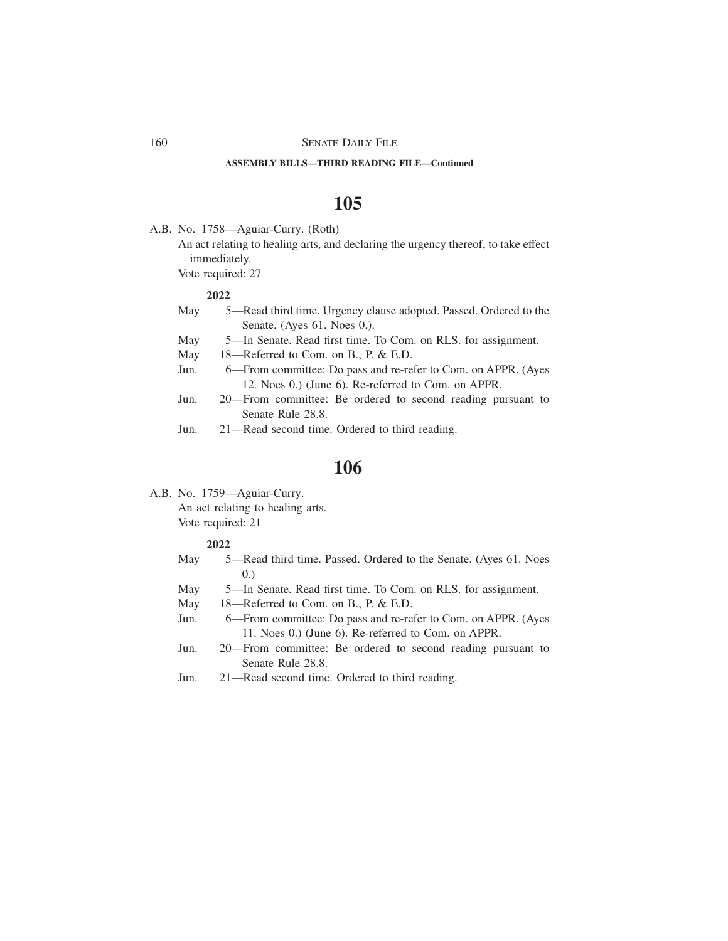# **105**

A.B. No. 1758— Aguiar-Curry. (Roth)

An act relating to healing arts, and declaring the urgency thereof, to take effect immediately.

Vote required: 27

### **2022**

- May 5—Read third time. Urgency clause adopted. Passed. Ordered to the Senate. (Ayes 61. Noes 0.).
- May 5—In Senate. Read first time. To Com. on RLS. for assignment.
- May 18—Referred to Com. on B., P. & E.D.
- Jun. 6—From committee: Do pass and re-refer to Com. on APPR. (Ayes 12. Noes 0.) (June 6). Re-referred to Com. on APPR.
- Jun. 20—From committee: Be ordered to second reading pursuant to Senate Rule 28.8.
- Jun. 21—Read second time. Ordered to third reading.

## **106**

A.B. No. 1759— Aguiar-Curry. An act relating to healing arts. Vote required: 21

- May 5—Read third time. Passed. Ordered to the Senate. (Ayes 61. Noes 0.)
- May 5—In Senate. Read first time. To Com. on RLS. for assignment.
- May 18—Referred to Com. on B., P. & E.D.
- Jun. 6—From committee: Do pass and re-refer to Com. on APPR. (Ayes 11. Noes 0.) (June 6). Re-referred to Com. on APPR.
- Jun. 20—From committee: Be ordered to second reading pursuant to Senate Rule 28.8.
- Jun. 21—Read second time. Ordered to third reading.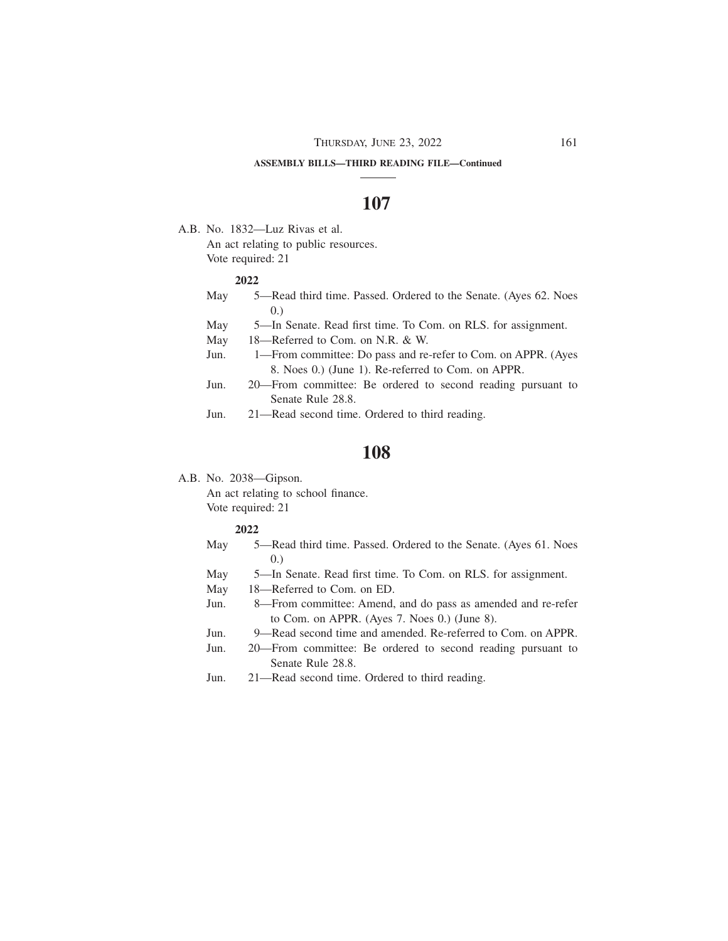## **107**

A.B. No. 1832— Luz Rivas et al. An act relating to public resources. Vote required: 21

### **2022**

| May | 5—Read third time. Passed. Ordered to the Senate. (Ayes 62. Noes |  |  |  |  |
|-----|------------------------------------------------------------------|--|--|--|--|
|     |                                                                  |  |  |  |  |

- May 5—In Senate. Read first time. To Com. on RLS. for assignment.
- May 18—Referred to Com. on N.R. & W.
- Jun. 1—From committee: Do pass and re-refer to Com. on APPR. (Ayes 8. Noes 0.) (June 1). Re-referred to Com. on APPR.
- Jun. 20—From committee: Be ordered to second reading pursuant to Senate Rule 28.8.
- Jun. 21—Read second time. Ordered to third reading.

### **108**

A.B. No. 2038— Gipson.

An act relating to school finance. Vote required: 21

- May 5—Read third time. Passed. Ordered to the Senate. (Ayes 61. Noes 0.)
- May 5—In Senate. Read first time. To Com. on RLS. for assignment.
- May 18—Referred to Com. on ED.
- Jun. 8—From committee: Amend, and do pass as amended and re-refer to Com. on APPR. (Ayes 7. Noes 0.) (June 8).
- Jun. 9—Read second time and amended. Re-referred to Com. on APPR.
- Jun. 20—From committee: Be ordered to second reading pursuant to Senate Rule 28.8.
- Jun. 21—Read second time. Ordered to third reading.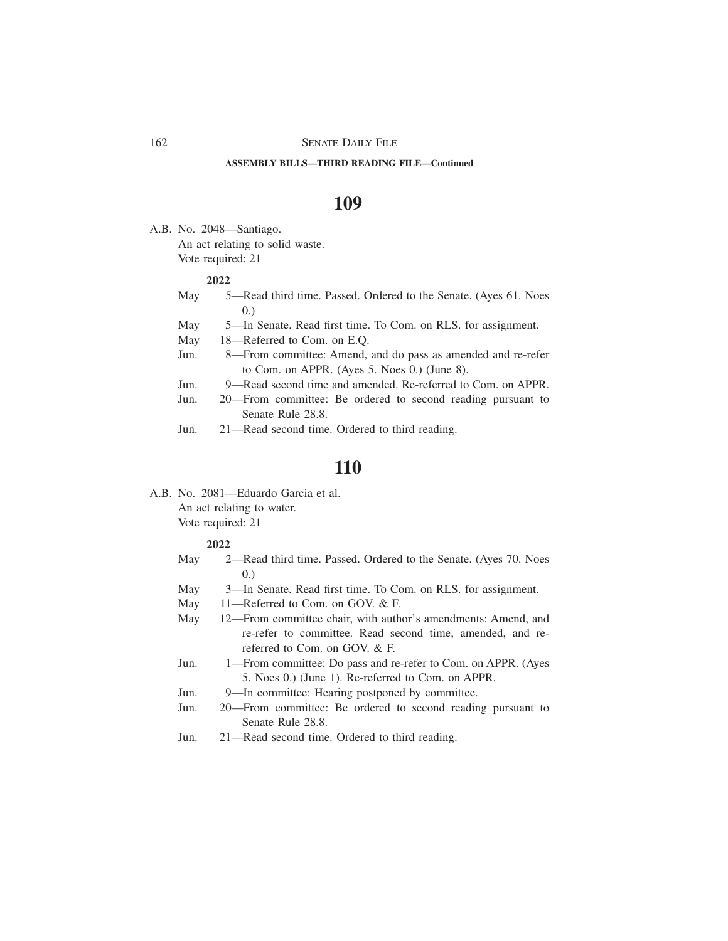# **109**

A.B. No. 2048— Santiago.

An act relating to solid waste. Vote required: 21

### **2022**

| May | 5—Read third time. Passed. Ordered to the Senate. (Ayes 61. Noes |  |  |  |  |
|-----|------------------------------------------------------------------|--|--|--|--|
|     |                                                                  |  |  |  |  |

- May 5—In Senate. Read first time. To Com. on RLS. for assignment.
- May 18—Referred to Com. on E.Q.
- Jun. 8—From committee: Amend, and do pass as amended and re-refer to Com. on APPR. (Ayes 5. Noes 0.) (June 8).
- Jun. 9—Read second time and amended. Re-referred to Com. on APPR.
- Jun. 20—From committee: Be ordered to second reading pursuant to Senate Rule 28.8.
- Jun. 21—Read second time. Ordered to third reading.

### **110**

A.B. No. 2081— Eduardo Garcia et al. An act relating to water. Vote required: 21

- May 2—Read third time. Passed. Ordered to the Senate. (Ayes 70. Noes 0.)
- May 3—In Senate. Read first time. To Com. on RLS. for assignment.
- May 11—Referred to Com. on GOV. & F.
- May 12—From committee chair, with author's amendments: Amend, and re-refer to committee. Read second time, amended, and rereferred to Com. on GOV. & F.
- Jun. 1—From committee: Do pass and re-refer to Com. on APPR. (Ayes 5. Noes 0.) (June 1). Re-referred to Com. on APPR.
- Jun. 9—In committee: Hearing postponed by committee.
- Jun. 20—From committee: Be ordered to second reading pursuant to Senate Rule 28.8.
- Jun. 21—Read second time. Ordered to third reading.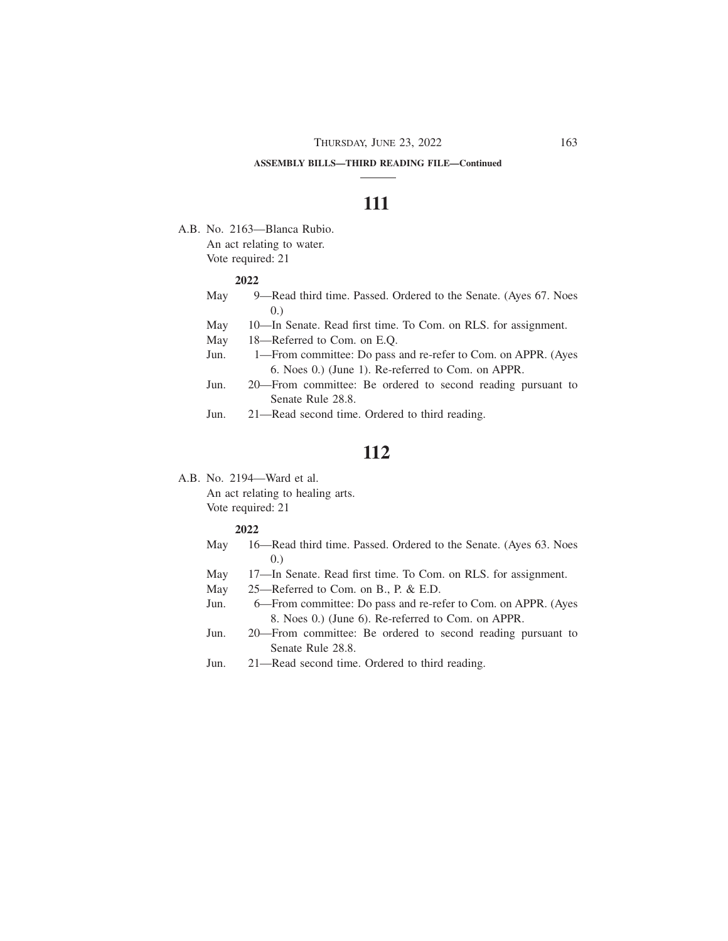# **111**

A.B. No. 2163— Blanca Rubio. An act relating to water. Vote required: 21

### **2022**

| May | 9—Read third time. Passed. Ordered to the Senate. (Ayes 67. Noes   |
|-----|--------------------------------------------------------------------|
|     | (1)                                                                |
|     | May 10—In Senate. Read first time. To Com. on RLS. for assignment. |

- May 18—Referred to Com. on E.Q.
- Jun. 1—From committee: Do pass and re-refer to Com. on APPR. (Ayes 6. Noes 0.) (June 1). Re-referred to Com. on APPR.
- Jun. 20—From committee: Be ordered to second reading pursuant to Senate Rule 28.8.
- Jun. 21—Read second time. Ordered to third reading.

### **112**

A.B. No. 2194— Ward et al. An act relating to healing arts. Vote required: 21

- May 16—Read third time. Passed. Ordered to the Senate. (Ayes 63. Noes 0.)
- May 17—In Senate. Read first time. To Com. on RLS. for assignment.
- May 25—Referred to Com. on B., P. & E.D.
- Jun. 6—From committee: Do pass and re-refer to Com. on APPR. (Ayes 8. Noes 0.) (June 6). Re-referred to Com. on APPR.
- Jun. 20—From committee: Be ordered to second reading pursuant to Senate Rule 28.8.
- Jun. 21—Read second time. Ordered to third reading.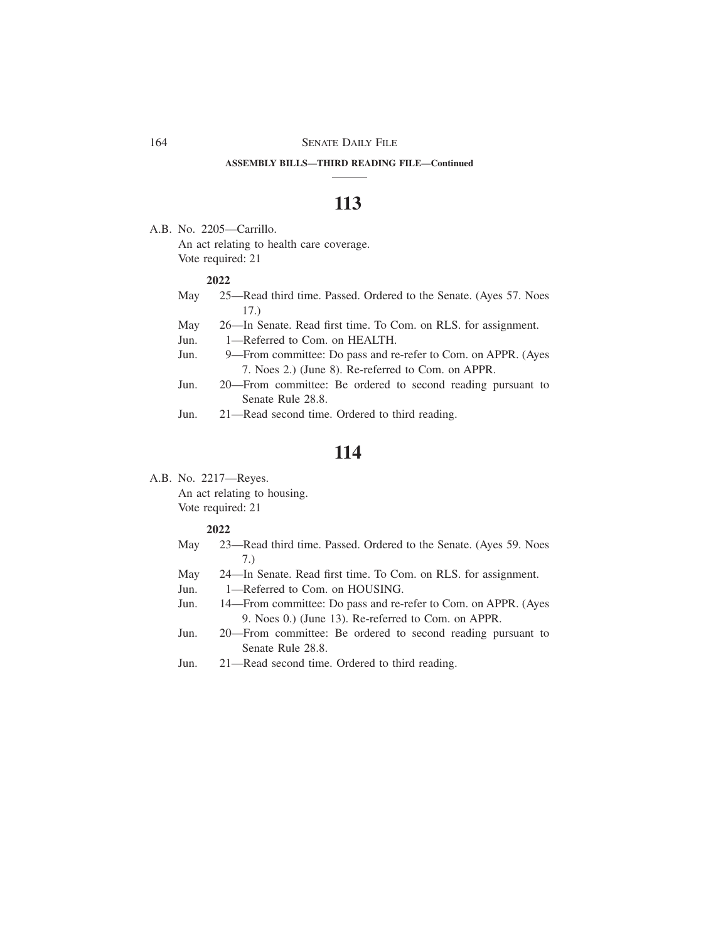# **113**

A.B. No. 2205— Carrillo.

An act relating to health care coverage. Vote required: 21

### **2022**

- May 25—Read third time. Passed. Ordered to the Senate. (Ayes 57. Noes 17.)
- May 26—In Senate. Read first time. To Com. on RLS. for assignment.
- Jun. 1—Referred to Com. on HEALTH.
- Jun. 9—From committee: Do pass and re-refer to Com. on APPR. (Ayes 7. Noes 2.) (June 8). Re-referred to Com. on APPR.
- Jun. 20—From committee: Be ordered to second reading pursuant to Senate Rule 28.8.
- Jun. 21—Read second time. Ordered to third reading.

### **114**

A.B. No. 2217— Reyes.

An act relating to housing.

### Vote required: 21

- May 23—Read third time. Passed. Ordered to the Senate. (Ayes 59. Noes 7.)
- May 24—In Senate. Read first time. To Com. on RLS. for assignment.
- Jun. 1—Referred to Com. on HOUSING.
- Jun. 14—From committee: Do pass and re-refer to Com. on APPR. (Ayes 9. Noes 0.) (June 13). Re-referred to Com. on APPR.
- Jun. 20—From committee: Be ordered to second reading pursuant to Senate Rule 28.8.
- Jun. 21—Read second time. Ordered to third reading.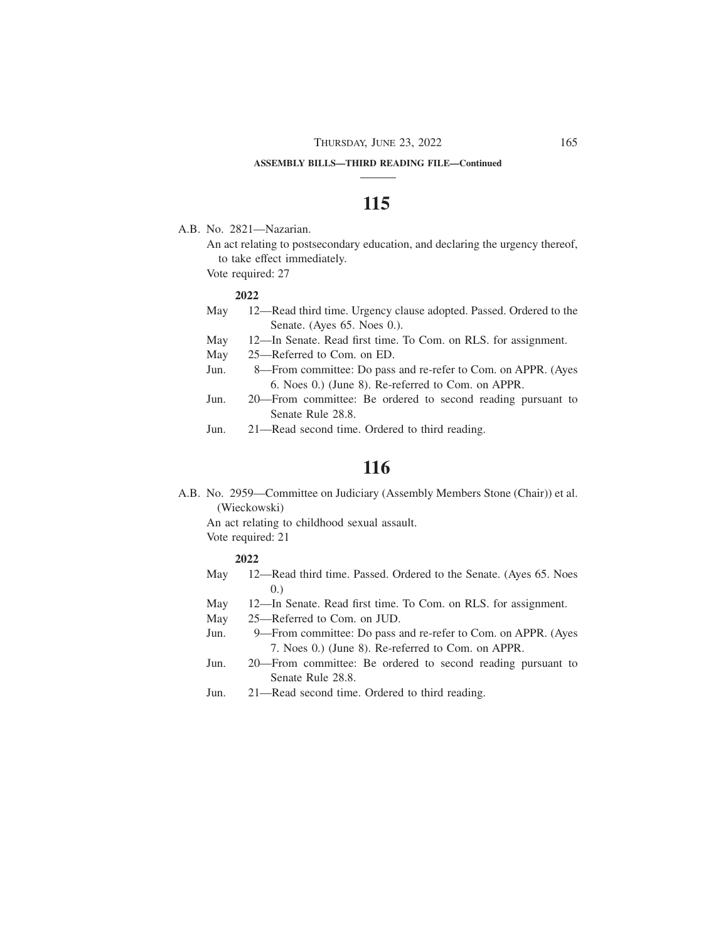# **115**

### A.B. No. 2821— Nazarian.

An act relating to postsecondary education, and declaring the urgency thereof, to take effect immediately.

Vote required: 27

### **2022**

- May 12—Read third time. Urgency clause adopted. Passed. Ordered to the Senate. (Ayes 65. Noes 0.).
- May 12—In Senate. Read first time. To Com. on RLS. for assignment.
- May 25—Referred to Com. on ED.
- Jun. 8—From committee: Do pass and re-refer to Com. on APPR. (Ayes 6. Noes 0.) (June 8). Re-referred to Com. on APPR.
- Jun. 20—From committee: Be ordered to second reading pursuant to Senate Rule 28.8.
- Jun. 21—Read second time. Ordered to third reading.

### **116**

A.B. No. 2959— Committee on Judiciary (Assembly Members Stone (Chair)) et al. (Wieckowski)

An act relating to childhood sexual assault. Vote required: 21

- May 12—Read third time. Passed. Ordered to the Senate. (Ayes 65. Noes 0.)
- May 12—In Senate. Read first time. To Com. on RLS. for assignment.
- May 25—Referred to Com. on JUD.
- Jun. 9—From committee: Do pass and re-refer to Com. on APPR. (Ayes 7. Noes 0.) (June 8). Re-referred to Com. on APPR.
- Jun. 20—From committee: Be ordered to second reading pursuant to Senate Rule 28.8.
- Jun. 21—Read second time. Ordered to third reading.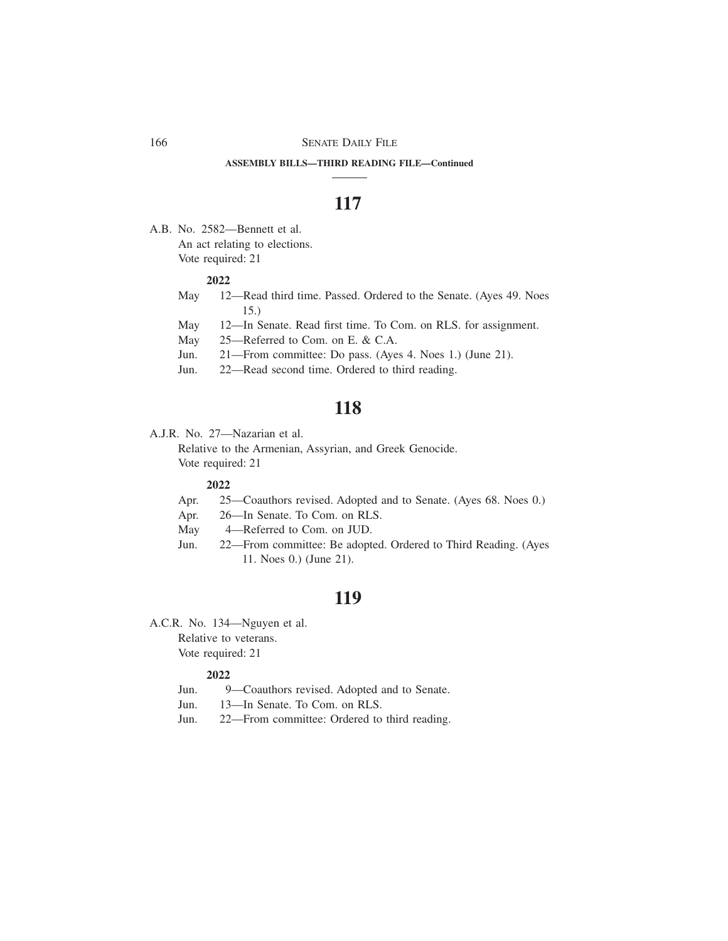### 166 SENATE DAILY FILE

#### **ASSEMBLY BILLS—THIRD READING FILE—Continued**

# **117**

A.B. No. 2582— Bennett et al.

An act relating to elections. Vote required: 21

### **2022**

- May 12—Read third time. Passed. Ordered to the Senate. (Ayes 49. Noes 15.)
- May 12—In Senate. Read first time. To Com. on RLS. for assignment.
- May 25—Referred to Com. on E. & C.A.
- Jun. 21—From committee: Do pass. (Ayes 4. Noes 1.) (June 21).
- Jun. 22—Read second time. Ordered to third reading.

### **118**

```
A.J.R. No. 27— Nazarian et al.
```
Relative to the Armenian, Assyrian, and Greek Genocide. Vote required: 21

### **2022**

- Apr. 25—Coauthors revised. Adopted and to Senate. (Ayes 68. Noes 0.)
- Apr. 26—In Senate. To Com. on RLS.
- May 4—Referred to Com. on JUD.
- Jun. 22—From committee: Be adopted. Ordered to Third Reading. (Ayes 11. Noes 0.) (June 21).

### **119**

A.C.R. No. 134— Nguyen et al. Relative to veterans.

Vote required: 21

- Jun. 9—Coauthors revised. Adopted and to Senate.
- Jun. 13—In Senate. To Com. on RLS.
- Jun. 22—From committee: Ordered to third reading.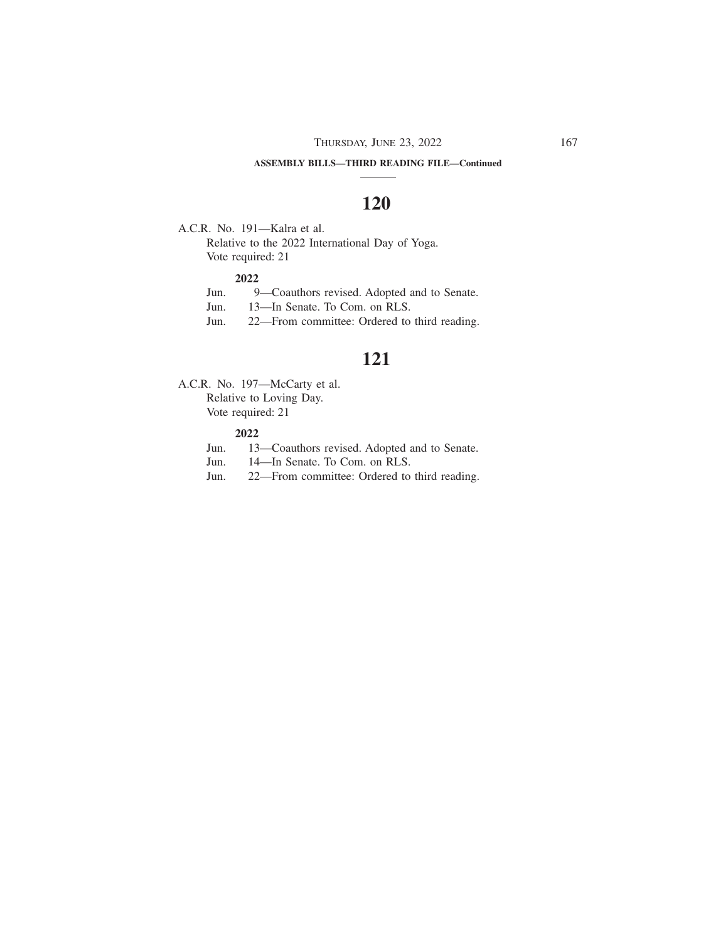# **120**

A.C.R. No. 191— Kalra et al.

Relative to the 2022 International Day of Yoga. Vote required: 21

### **2022**

- Jun. 9—Coauthors revised. Adopted and to Senate.
- Jun. 13—In Senate. To Com. on RLS.

Jun. 22—From committee: Ordered to third reading.

### **121**

A.C.R. No. 197— McCarty et al. Relative to Loving Day. Vote required: 21

- Jun. 13—Coauthors revised. Adopted and to Senate.
- Jun. 14—In Senate. To Com. on RLS.
- Jun. 22—From committee: Ordered to third reading.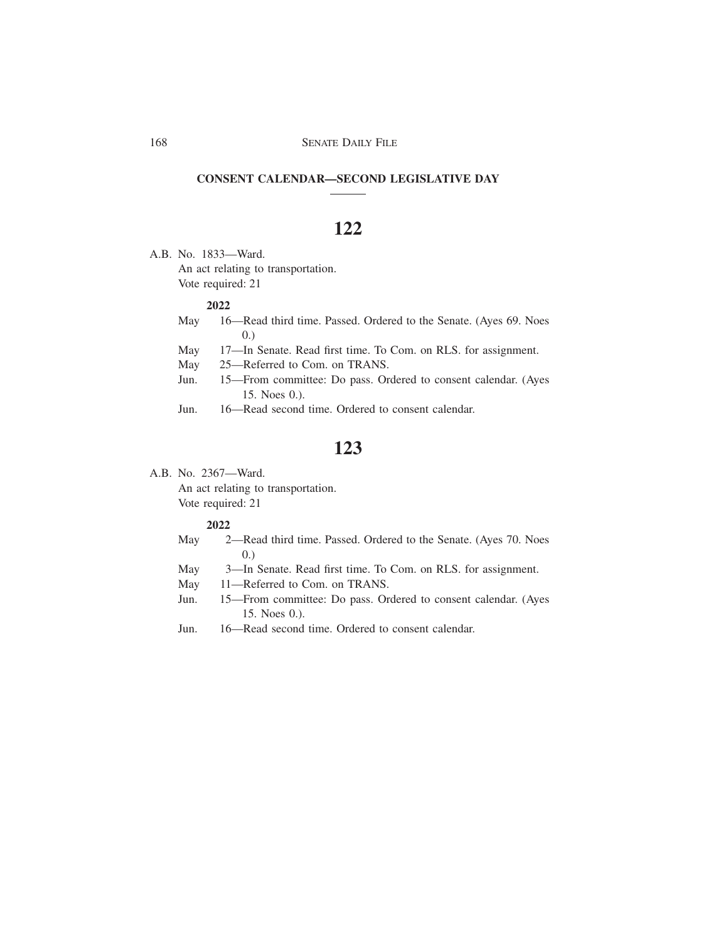### **CONSENT CALENDAR—SECOND LEGISLATIVE DAY**

### **122**

A.B. No. 1833— Ward. An act relating to transportation.

Vote required: 21

### **2022**

- May 16—Read third time. Passed. Ordered to the Senate. (Ayes 69. Noes 0.)
- May 17—In Senate. Read first time. To Com. on RLS. for assignment.
- May 25—Referred to Com. on TRANS.
- Jun. 15—From committee: Do pass. Ordered to consent calendar. (Ayes 15. Noes 0.).
- Jun. 16—Read second time. Ordered to consent calendar.

## **123**

A.B. No. 2367— Ward.

An act relating to transportation. Vote required: 21

- May 2—Read third time. Passed. Ordered to the Senate. (Ayes 70. Noes 0.)
- May 3—In Senate. Read first time. To Com. on RLS. for assignment.
- May 11—Referred to Com. on TRANS.
- Jun. 15—From committee: Do pass. Ordered to consent calendar. (Ayes 15. Noes 0.).
- Jun. 16—Read second time. Ordered to consent calendar.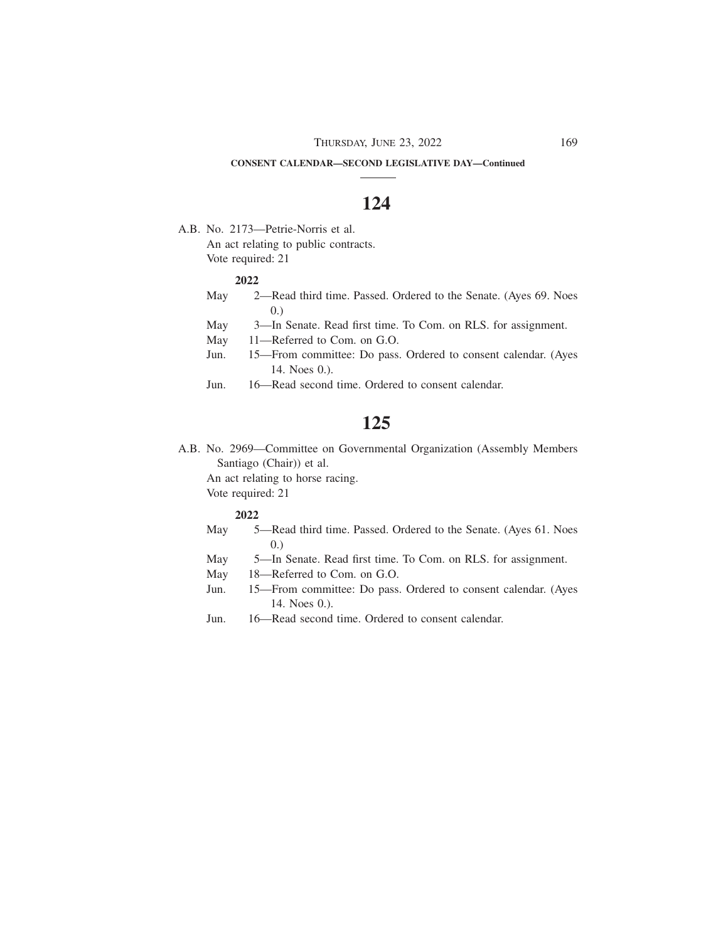## **124**

A.B. No. 2173— Petrie-Norris et al. An act relating to public contracts. Vote required: 21

### **2022**

- May 2—Read third time. Passed. Ordered to the Senate. (Ayes 69. Noes 0.)
- May 3—In Senate. Read first time. To Com. on RLS. for assignment.
- May 11—Referred to Com. on G.O.
- Jun. 15—From committee: Do pass. Ordered to consent calendar. (Ayes 14. Noes 0.).
- Jun. 16—Read second time. Ordered to consent calendar.

## **125**

A.B. No. 2969— Committee on Governmental Organization (Assembly Members Santiago (Chair)) et al.

An act relating to horse racing.

Vote required: 21

- May 5—Read third time. Passed. Ordered to the Senate. (Ayes 61. Noes 0.)
- May 5—In Senate. Read first time. To Com. on RLS. for assignment.
- May 18—Referred to Com. on G.O.
- Jun. 15—From committee: Do pass. Ordered to consent calendar. (Ayes 14. Noes 0.).
- Jun. 16—Read second time. Ordered to consent calendar.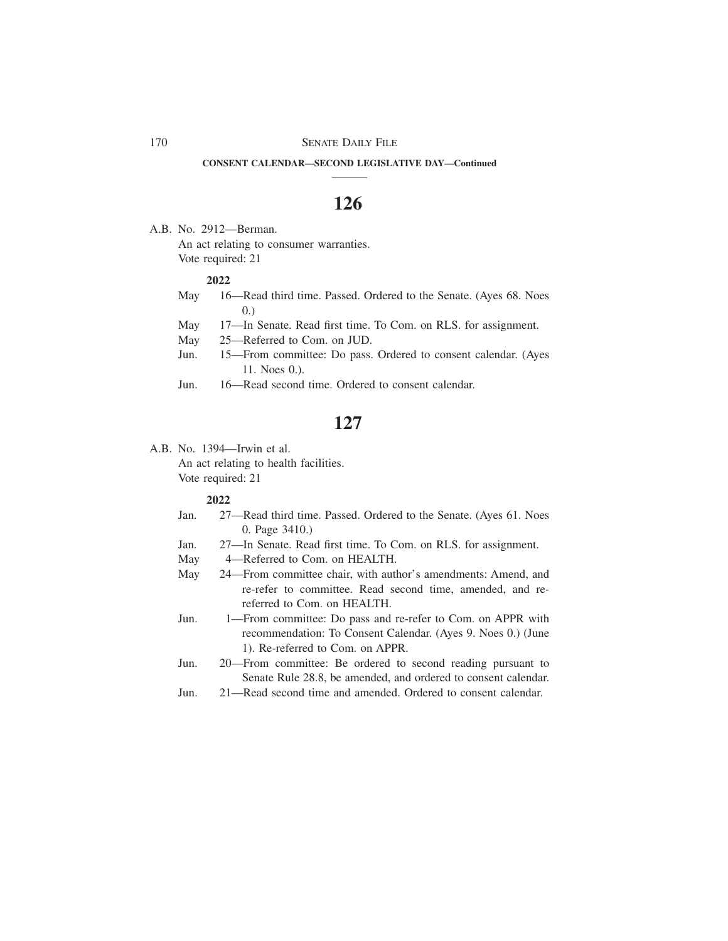# **126**

A.B. No. 2912— Berman.

An act relating to consumer warranties. Vote required: 21

### **2022**

- May 16—Read third time. Passed. Ordered to the Senate. (Ayes 68. Noes 0.)
- May 17—In Senate. Read first time. To Com. on RLS. for assignment.
- May 25—Referred to Com. on JUD.
- Jun. 15—From committee: Do pass. Ordered to consent calendar. (Ayes 11. Noes 0.).
- Jun. 16—Read second time. Ordered to consent calendar.

## **127**

A.B. No. 1394— Irwin et al. An act relating to health facilities. Vote required: 21

- Jan. 27—Read third time. Passed. Ordered to the Senate. (Ayes 61. Noes 0. Page 3410.)
- Jan. 27—In Senate. Read first time. To Com. on RLS. for assignment.
- May 4—Referred to Com. on HEALTH.
- May 24—From committee chair, with author's amendments: Amend, and re-refer to committee. Read second time, amended, and rereferred to Com. on HEALTH.
- Jun. 1—From committee: Do pass and re-refer to Com. on APPR with recommendation: To Consent Calendar. (Ayes 9. Noes 0.) (June 1). Re-referred to Com. on APPR.
- Jun. 20—From committee: Be ordered to second reading pursuant to Senate Rule 28.8, be amended, and ordered to consent calendar.
- Jun. 21—Read second time and amended. Ordered to consent calendar.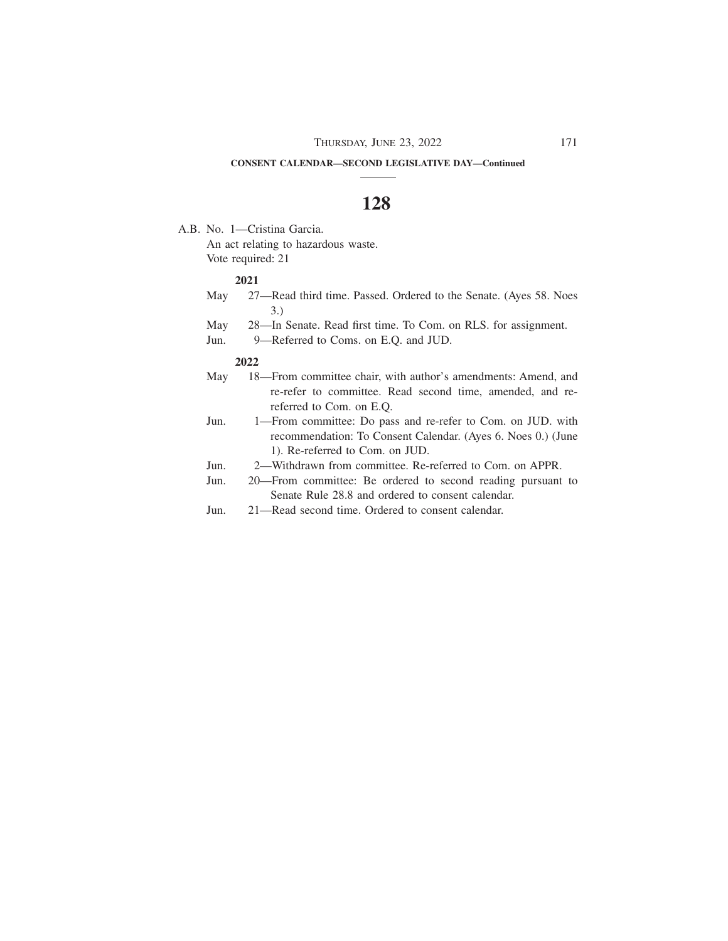## **128**

A.B. No. 1— Cristina Garcia.

An act relating to hazardous waste. Vote required: 21

### **2021**

- May 27—Read third time. Passed. Ordered to the Senate. (Ayes 58. Noes 3.)
- May 28—In Senate. Read first time. To Com. on RLS. for assignment.
- Jun. 9—Referred to Coms. on E.Q. and JUD.

- May 18—From committee chair, with author's amendments: Amend, and re-refer to committee. Read second time, amended, and rereferred to Com. on E.Q.
- Jun. 1—From committee: Do pass and re-refer to Com. on JUD. with recommendation: To Consent Calendar. (Ayes 6. Noes 0.) (June 1). Re-referred to Com. on JUD.
- Jun. 2—Withdrawn from committee. Re-referred to Com. on APPR.
- Jun. 20—From committee: Be ordered to second reading pursuant to Senate Rule 28.8 and ordered to consent calendar.
- Jun. 21—Read second time. Ordered to consent calendar.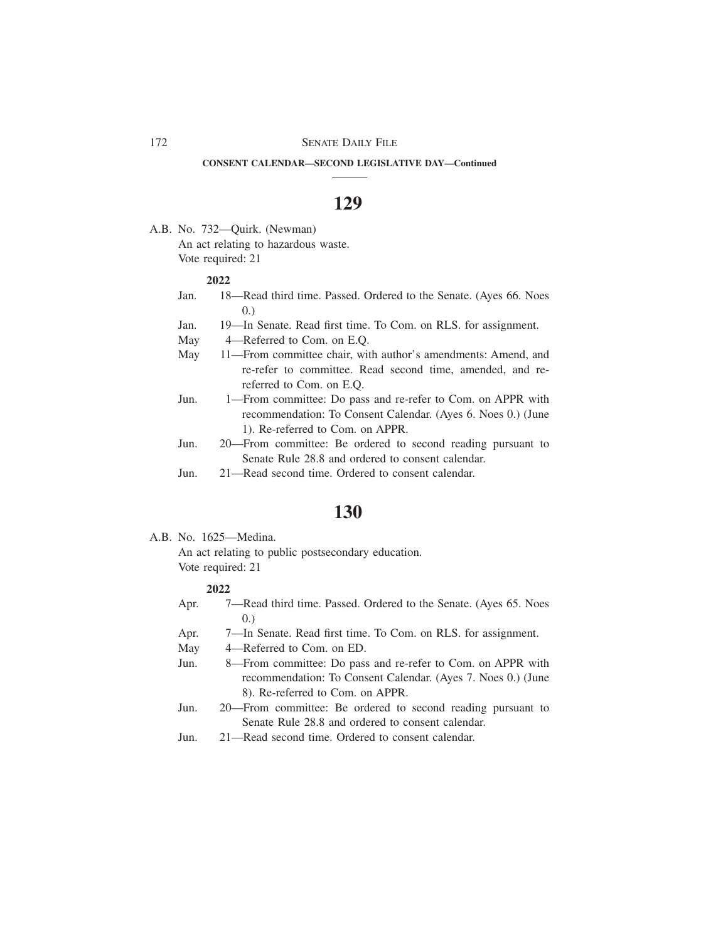# **129**

A.B. No. 732— Quirk. (Newman) An act relating to hazardous waste.

Vote required: 21

### **2022**

- Jan. 18—Read third time. Passed. Ordered to the Senate. (Ayes 66. Noes 0.)
- Jan. 19—In Senate. Read first time. To Com. on RLS. for assignment.
- May 4—Referred to Com. on E.Q.
- May 11—From committee chair, with author's amendments: Amend, and re-refer to committee. Read second time, amended, and rereferred to Com. on E.Q.
- Jun. 1—From committee: Do pass and re-refer to Com. on APPR with recommendation: To Consent Calendar. (Ayes 6. Noes 0.) (June 1). Re-referred to Com. on APPR.
- Jun. 20—From committee: Be ordered to second reading pursuant to Senate Rule 28.8 and ordered to consent calendar.

Jun. 21—Read second time. Ordered to consent calendar.

### **130**

A.B. No. 1625— Medina.

An act relating to public postsecondary education. Vote required: 21

| Apr. | 7—Read third time. Passed. Ordered to the Senate. (Ayes 65. Noes |
|------|------------------------------------------------------------------|
|      | (0, 0)                                                           |
| Apr. | 7—In Senate. Read first time. To Com. on RLS. for assignment.    |
| May  | 4—Referred to Com. on ED.                                        |
| Jun. | 8—From committee: Do pass and re-refer to Com. on APPR with      |
|      | recommendation: To Consent Calendar. (Ayes 7. Noes 0.) (June     |
|      | 8). Re-referred to Com. on APPR.                                 |
| Jun. | 20—From committee: Be ordered to second reading pursuant to      |
|      | Senate Rule 28.8 and ordered to consent calendar.                |
| Jun. | 21—Read second time. Ordered to consent calendar.                |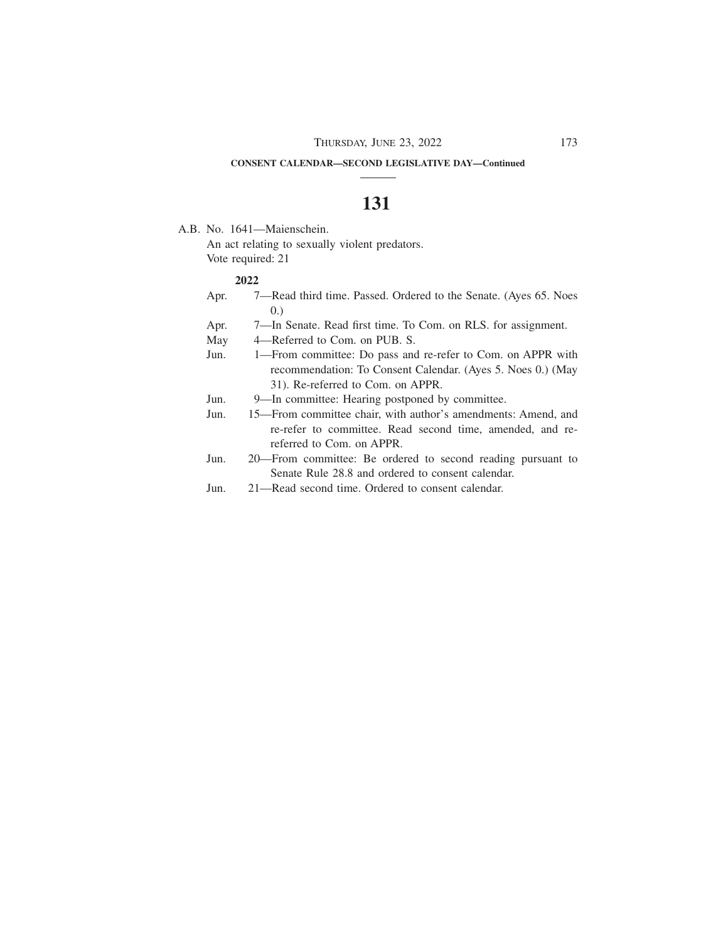# **131**

A.B. No. 1641— Maienschein.

An act relating to sexually violent predators. Vote required: 21

- Apr. 7—Read third time. Passed. Ordered to the Senate. (Ayes 65. Noes 0.)
- Apr.  $7$ —In Senate. Read first time. To Com. on RLS. for assignment.
- May 4—Referred to Com. on PUB. S.
- Jun. 1—From committee: Do pass and re-refer to Com. on APPR with recommendation: To Consent Calendar. (Ayes 5. Noes 0.) (May 31). Re-referred to Com. on APPR.
- Jun. 9—In committee: Hearing postponed by committee.
- Jun. 15—From committee chair, with author's amendments: Amend, and re-refer to committee. Read second time, amended, and rereferred to Com. on APPR.
- Jun. 20—From committee: Be ordered to second reading pursuant to Senate Rule 28.8 and ordered to consent calendar.
- Jun. 21—Read second time. Ordered to consent calendar.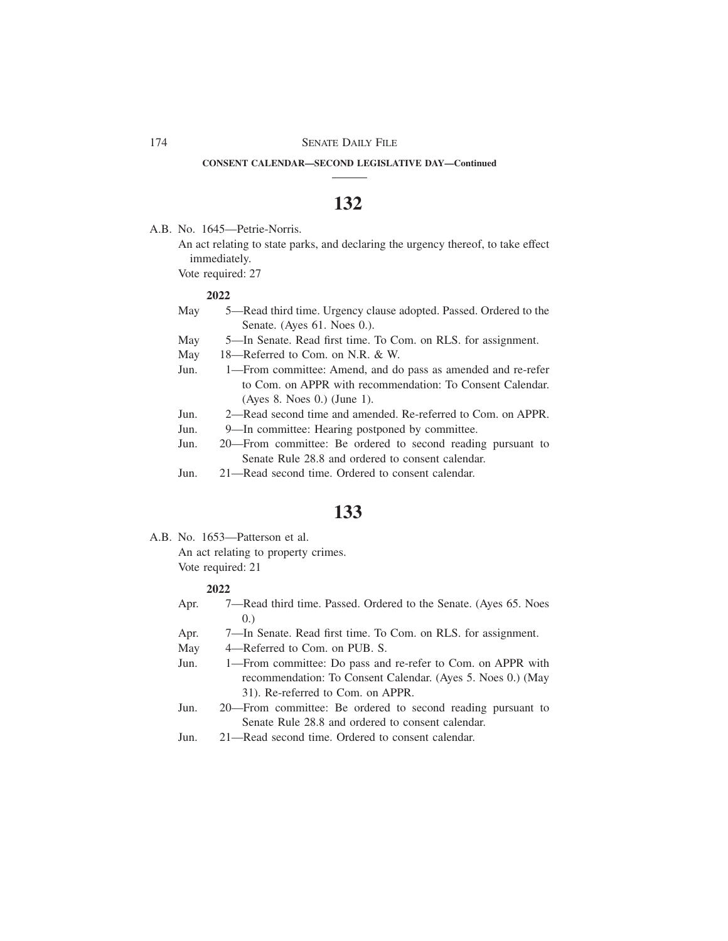# **132**

A.B. No. 1645— Petrie-Norris.

An act relating to state parks, and declaring the urgency thereof, to take effect immediately.

Vote required: 27

### **2022**

- May 5—Read third time. Urgency clause adopted. Passed. Ordered to the Senate. (Ayes 61. Noes 0.).
- May 5—In Senate. Read first time. To Com. on RLS. for assignment.
- May 18—Referred to Com. on N.R. & W.
- Jun. 1—From committee: Amend, and do pass as amended and re-refer to Com. on APPR with recommendation: To Consent Calendar. (Ayes 8. Noes 0.) (June 1).
- Jun. 2—Read second time and amended. Re-referred to Com. on APPR.
- Jun. 9—In committee: Hearing postponed by committee.
- Jun. 20—From committee: Be ordered to second reading pursuant to Senate Rule 28.8 and ordered to consent calendar.

Jun. 21—Read second time. Ordered to consent calendar.

### **133**

A.B. No. 1653— Patterson et al.

An act relating to property crimes. Vote required: 21

| Apr. | 7—Read third time. Passed. Ordered to the Senate. (Ayes 65. Noes |
|------|------------------------------------------------------------------|
|      | (0.)                                                             |
| Apr. | 7—In Senate. Read first time. To Com. on RLS. for assignment.    |
| May  | 4—Referred to Com. on PUB. S.                                    |
| Jun. | 1—From committee: Do pass and re-refer to Com. on APPR with      |
|      | recommendation: To Consent Calendar. (Ayes 5. Noes 0.) (May      |
|      | 31). Re-referred to Com. on APPR.                                |
| Jun. | 20—From committee: Be ordered to second reading pursuant to      |
|      | Senate Rule 28.8 and ordered to consent calendar.                |
| Jun. | 21—Read second time. Ordered to consent calendar.                |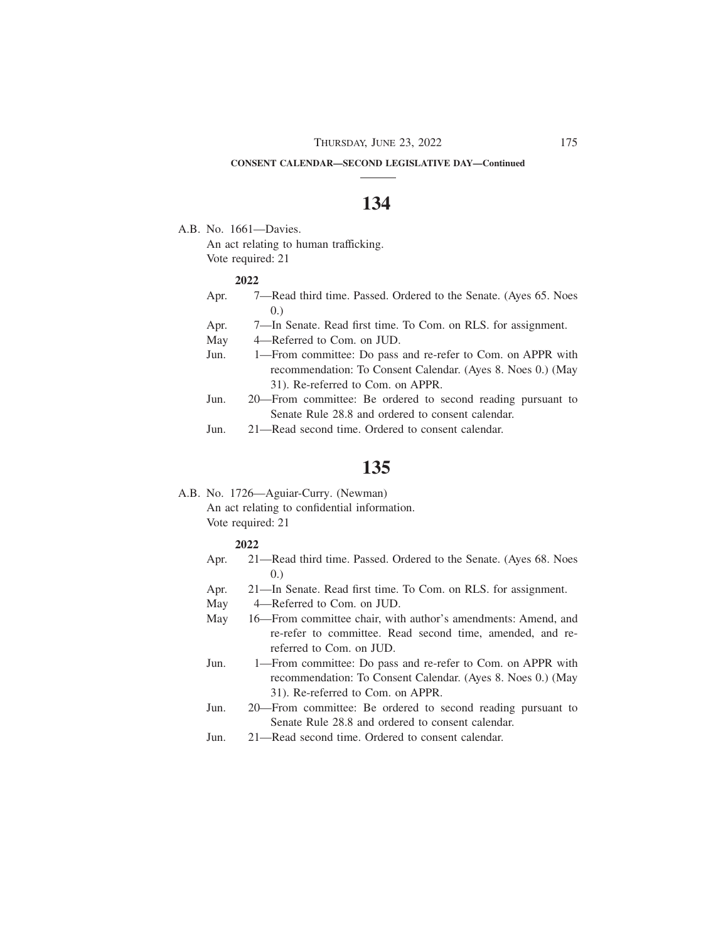## **134**

A.B. No. 1661— Davies.

An act relating to human trafficking. Vote required: 21

### **2022**

- Apr. 7—Read third time. Passed. Ordered to the Senate. (Ayes 65. Noes 0.)
- Apr.  $7$ —In Senate. Read first time. To Com. on RLS. for assignment.
- May 4—Referred to Com. on JUD.
- Jun. 1—From committee: Do pass and re-refer to Com. on APPR with recommendation: To Consent Calendar. (Ayes 8. Noes 0.) (May 31). Re-referred to Com. on APPR.
- Jun. 20—From committee: Be ordered to second reading pursuant to Senate Rule 28.8 and ordered to consent calendar.
- Jun. 21—Read second time. Ordered to consent calendar.

### **135**

A.B. No. 1726— Aguiar-Curry. (Newman) An act relating to confidential information. Vote required: 21

- Apr. 21—Read third time. Passed. Ordered to the Senate. (Ayes 68. Noes 0.)
- Apr. 21—In Senate. Read first time. To Com. on RLS. for assignment.
- May 4—Referred to Com. on JUD.
- May 16—From committee chair, with author's amendments: Amend, and re-refer to committee. Read second time, amended, and rereferred to Com. on JUD.
- Jun. 1—From committee: Do pass and re-refer to Com. on APPR with recommendation: To Consent Calendar. (Ayes 8. Noes 0.) (May 31). Re-referred to Com. on APPR.
- Jun. 20—From committee: Be ordered to second reading pursuant to Senate Rule 28.8 and ordered to consent calendar.
- Jun. 21—Read second time. Ordered to consent calendar.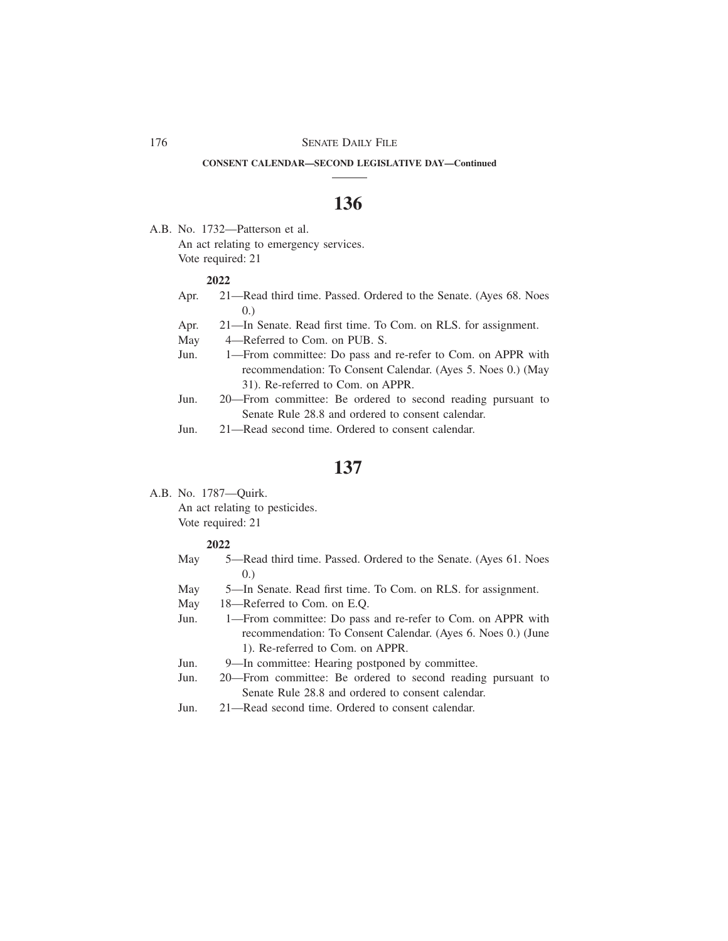# **136**

A.B. No. 1732— Patterson et al.

An act relating to emergency services. Vote required: 21

### **2022**

- Apr. 21—Read third time. Passed. Ordered to the Senate. (Ayes 68. Noes 0.)
- Apr. 21—In Senate. Read first time. To Com. on RLS. for assignment.
- May 4—Referred to Com. on PUB. S.
- Jun. 1—From committee: Do pass and re-refer to Com. on APPR with recommendation: To Consent Calendar. (Ayes 5. Noes 0.) (May 31). Re-referred to Com. on APPR.
- Jun. 20—From committee: Be ordered to second reading pursuant to Senate Rule 28.8 and ordered to consent calendar.
- Jun. 21—Read second time. Ordered to consent calendar.

### **137**

A.B. No. 1787— Quirk.

An act relating to pesticides. Vote required: 21

- May 5—Read third time. Passed. Ordered to the Senate. (Ayes 61. Noes 0.)
- May 5—In Senate. Read first time. To Com. on RLS. for assignment.
- May 18—Referred to Com. on E.O.
- Jun. 1—From committee: Do pass and re-refer to Com. on APPR with recommendation: To Consent Calendar. (Ayes 6. Noes 0.) (June 1). Re-referred to Com. on APPR.
- Jun. 9—In committee: Hearing postponed by committee.
- Jun. 20—From committee: Be ordered to second reading pursuant to Senate Rule 28.8 and ordered to consent calendar.
- Jun. 21—Read second time. Ordered to consent calendar.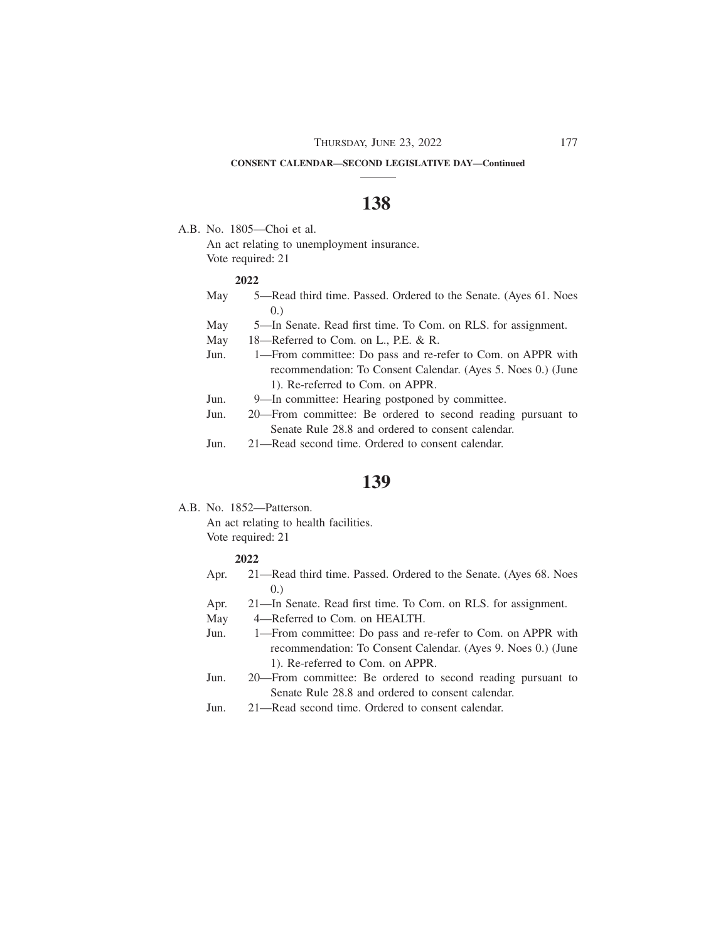## **138**

### A.B. No. 1805— Choi et al.

An act relating to unemployment insurance. Vote required: 21

### **2022**

- May 5—Read third time. Passed. Ordered to the Senate. (Ayes 61. Noes 0.)
- May 5—In Senate. Read first time. To Com. on RLS. for assignment.
- May 18—Referred to Com. on L., P.E. & R.
- Jun. 1—From committee: Do pass and re-refer to Com. on APPR with recommendation: To Consent Calendar. (Ayes 5. Noes 0.) (June 1). Re-referred to Com. on APPR.
- Jun. 9—In committee: Hearing postponed by committee.
- Jun. 20—From committee: Be ordered to second reading pursuant to Senate Rule 28.8 and ordered to consent calendar.
- Jun. 21—Read second time. Ordered to consent calendar.

### **139**

A.B. No. 1852— Patterson.

An act relating to health facilities. Vote required: 21

- Apr. 21—Read third time. Passed. Ordered to the Senate. (Ayes 68. Noes 0.)
- Apr. 21—In Senate. Read first time. To Com. on RLS. for assignment.
- May 4—Referred to Com. on HEALTH.
- Jun. 1—From committee: Do pass and re-refer to Com. on APPR with recommendation: To Consent Calendar. (Ayes 9. Noes 0.) (June 1). Re-referred to Com. on APPR.
- Jun. 20—From committee: Be ordered to second reading pursuant to Senate Rule 28.8 and ordered to consent calendar.
- Jun. 21—Read second time. Ordered to consent calendar.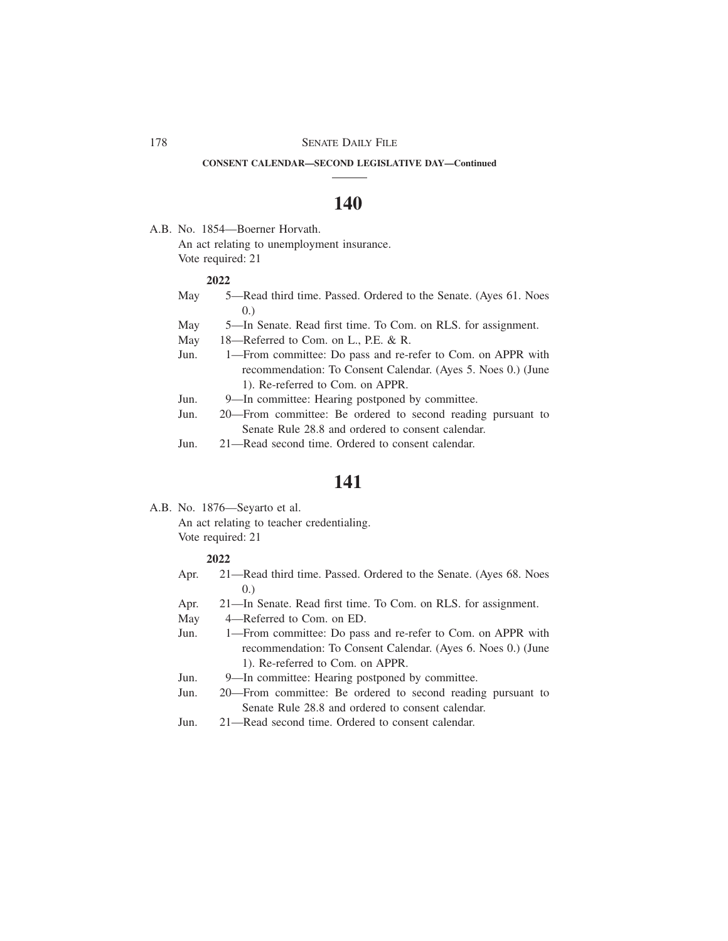# **140**

A.B. No. 1854— Boerner Horvath.

An act relating to unemployment insurance. Vote required: 21

### **2022**

- May 5—Read third time. Passed. Ordered to the Senate. (Ayes 61. Noes 0.)
- May 5—In Senate. Read first time. To Com. on RLS. for assignment.
- May 18—Referred to Com. on L., P.E. & R.
- Jun. 1—From committee: Do pass and re-refer to Com. on APPR with recommendation: To Consent Calendar. (Ayes 5. Noes 0.) (June 1). Re-referred to Com. on APPR.
- Jun. 9—In committee: Hearing postponed by committee.
- Jun. 20—From committee: Be ordered to second reading pursuant to Senate Rule 28.8 and ordered to consent calendar.
- Jun. 21—Read second time. Ordered to consent calendar.

## **141**

A.B. No. 1876— Seyarto et al. An act relating to teacher credentialing. Vote required: 21

- Apr. 21—Read third time. Passed. Ordered to the Senate. (Ayes 68. Noes 0.)
- Apr. 21—In Senate. Read first time. To Com. on RLS. for assignment.
- May 4—Referred to Com. on ED.
- Jun. 1—From committee: Do pass and re-refer to Com. on APPR with recommendation: To Consent Calendar. (Ayes 6. Noes 0.) (June 1). Re-referred to Com. on APPR.
- Jun. 9—In committee: Hearing postponed by committee.
- Jun. 20—From committee: Be ordered to second reading pursuant to Senate Rule 28.8 and ordered to consent calendar.
- Jun. 21—Read second time. Ordered to consent calendar.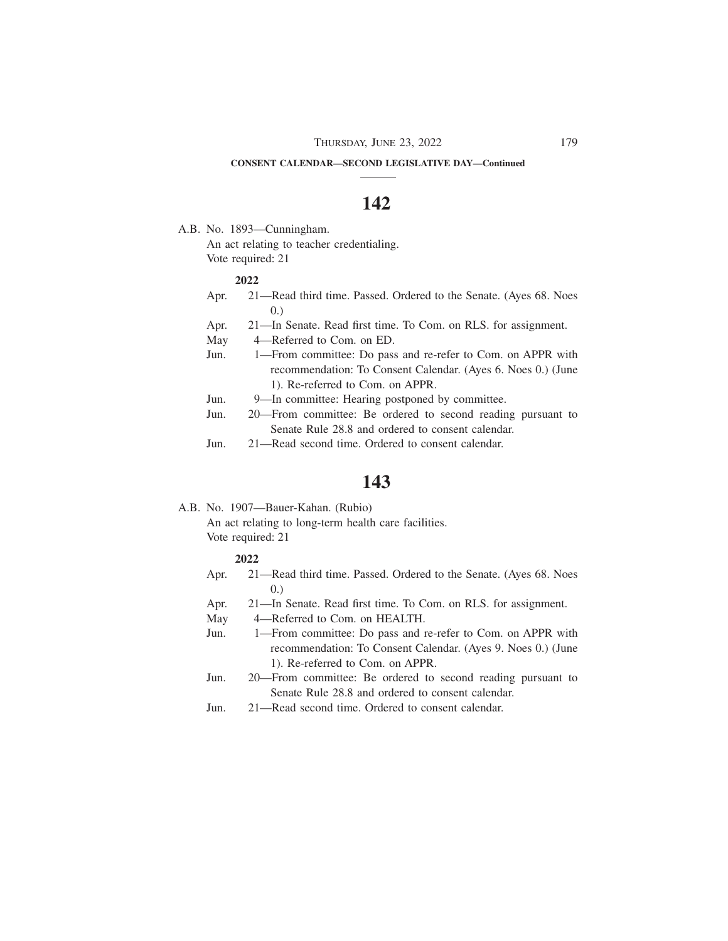## **142**

A.B. No. 1893— Cunningham.

An act relating to teacher credentialing. Vote required: 21

### **2022**

- Apr. 21—Read third time. Passed. Ordered to the Senate. (Ayes 68. Noes 0.)
- Apr. 21—In Senate. Read first time. To Com. on RLS. for assignment.
- May 4—Referred to Com. on ED.
- Jun. 1—From committee: Do pass and re-refer to Com. on APPR with recommendation: To Consent Calendar. (Ayes 6. Noes 0.) (June 1). Re-referred to Com. on APPR.
- Jun. 9—In committee: Hearing postponed by committee.
- Jun. 20—From committee: Be ordered to second reading pursuant to Senate Rule 28.8 and ordered to consent calendar.
- Jun. 21—Read second time. Ordered to consent calendar.

### **143**

A.B. No. 1907— Bauer-Kahan. (Rubio) An act relating to long-term health care facilities. Vote required: 21

- Apr. 21—Read third time. Passed. Ordered to the Senate. (Ayes 68. Noes 0.)
- Apr. 21—In Senate. Read first time. To Com. on RLS. for assignment.
- May 4—Referred to Com. on HEALTH.
- Jun. 1—From committee: Do pass and re-refer to Com. on APPR with recommendation: To Consent Calendar. (Ayes 9. Noes 0.) (June 1). Re-referred to Com. on APPR.
- Jun. 20—From committee: Be ordered to second reading pursuant to Senate Rule 28.8 and ordered to consent calendar.
- Jun. 21—Read second time. Ordered to consent calendar.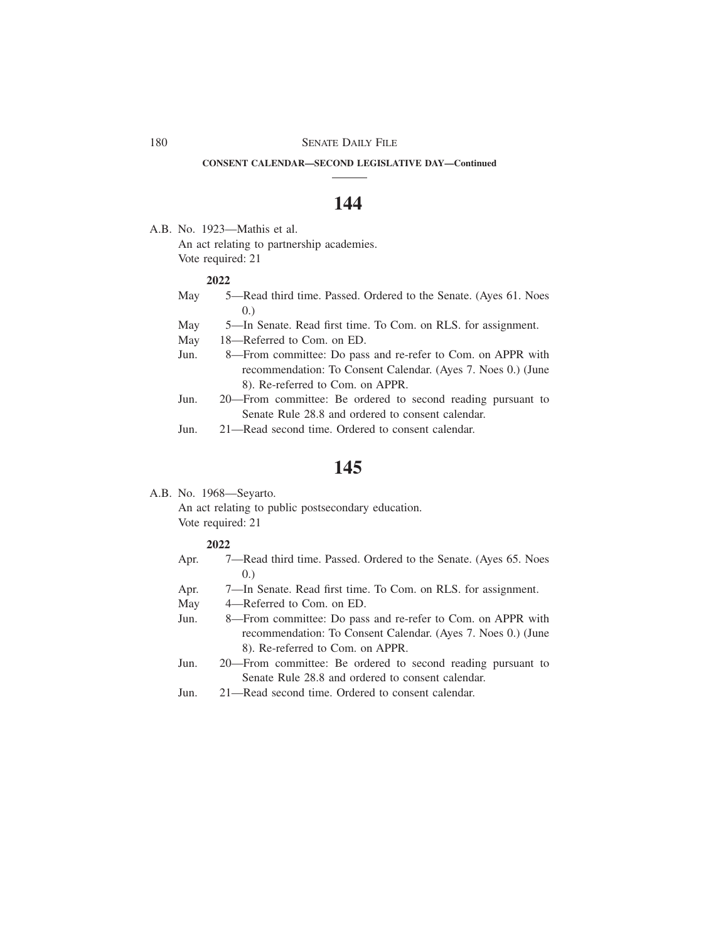# **144**

A.B. No. 1923— Mathis et al.

An act relating to partnership academies. Vote required: 21

### **2022**

- May 5—Read third time. Passed. Ordered to the Senate. (Ayes 61. Noes 0.)
- May 5—In Senate. Read first time. To Com. on RLS. for assignment.
- May 18—Referred to Com. on ED.
- Jun. 8—From committee: Do pass and re-refer to Com. on APPR with recommendation: To Consent Calendar. (Ayes 7. Noes 0.) (June 8). Re-referred to Com. on APPR.
- Jun. 20—From committee: Be ordered to second reading pursuant to Senate Rule 28.8 and ordered to consent calendar.
- Jun. 21—Read second time. Ordered to consent calendar.

### **145**

A.B. No. 1968— Seyarto.

An act relating to public postsecondary education. Vote required: 21

- Apr. 7—Read third time. Passed. Ordered to the Senate. (Ayes 65. Noes 0.)
- Apr. 7—In Senate. Read first time. To Com. on RLS. for assignment.
- May 4—Referred to Com. on ED.
- Jun. 8—From committee: Do pass and re-refer to Com. on APPR with recommendation: To Consent Calendar. (Ayes 7. Noes 0.) (June 8). Re-referred to Com. on APPR.
- Jun. 20—From committee: Be ordered to second reading pursuant to Senate Rule 28.8 and ordered to consent calendar.
- Jun. 21—Read second time. Ordered to consent calendar.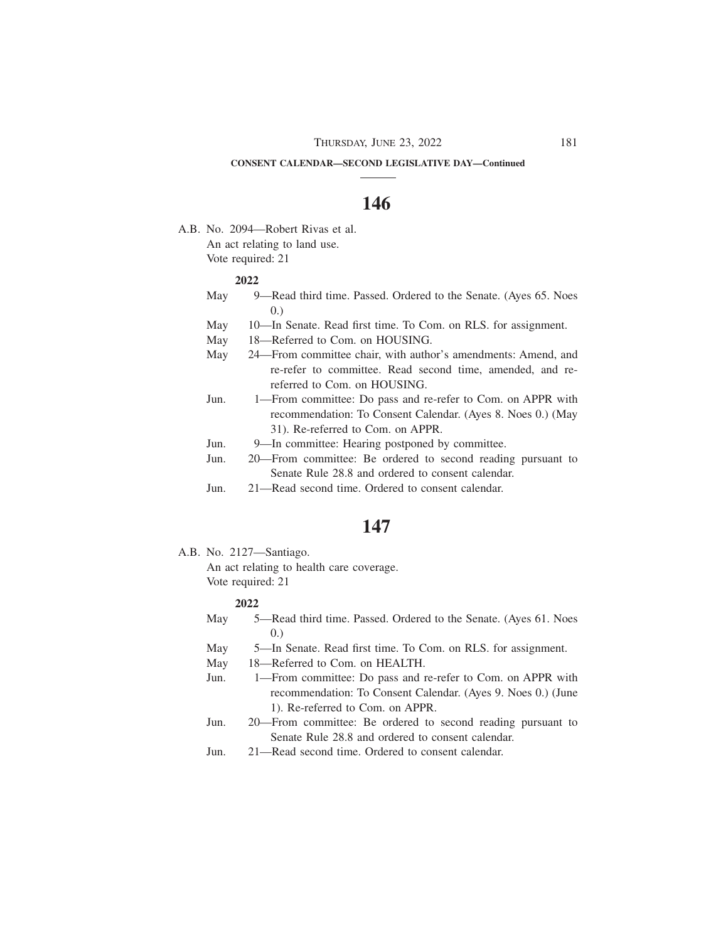#### **CONSENT CALENDAR—SECOND LEGISLATIVE DAY—Continued**

# **146**

A.B. No. 2094— Robert Rivas et al. An act relating to land use. Vote required: 21

#### **2022**

- May 9—Read third time. Passed. Ordered to the Senate. (Ayes 65. Noes 0.)
- May 10—In Senate. Read first time. To Com. on RLS. for assignment.
- May 18—Referred to Com. on HOUSING.
- May 24—From committee chair, with author's amendments: Amend, and re-refer to committee. Read second time, amended, and rereferred to Com. on HOUSING.
- Jun. 1—From committee: Do pass and re-refer to Com. on APPR with recommendation: To Consent Calendar. (Ayes 8. Noes 0.) (May 31). Re-referred to Com. on APPR.
- Jun. 9—In committee: Hearing postponed by committee.
- Jun. 20—From committee: Be ordered to second reading pursuant to Senate Rule 28.8 and ordered to consent calendar.
- Jun. 21—Read second time. Ordered to consent calendar.

# **147**

A.B. No. 2127— Santiago. An act relating to health care coverage. Vote required: 21

#### **2022**

- May 5—Read third time. Passed. Ordered to the Senate. (Ayes 61. Noes 0.)
- May 5—In Senate. Read first time. To Com. on RLS. for assignment.
- May 18—Referred to Com. on HEALTH.
- Jun. 1—From committee: Do pass and re-refer to Com. on APPR with recommendation: To Consent Calendar. (Ayes 9. Noes 0.) (June 1). Re-referred to Com. on APPR.
- Jun. 20—From committee: Be ordered to second reading pursuant to Senate Rule 28.8 and ordered to consent calendar.
- Jun. 21—Read second time. Ordered to consent calendar.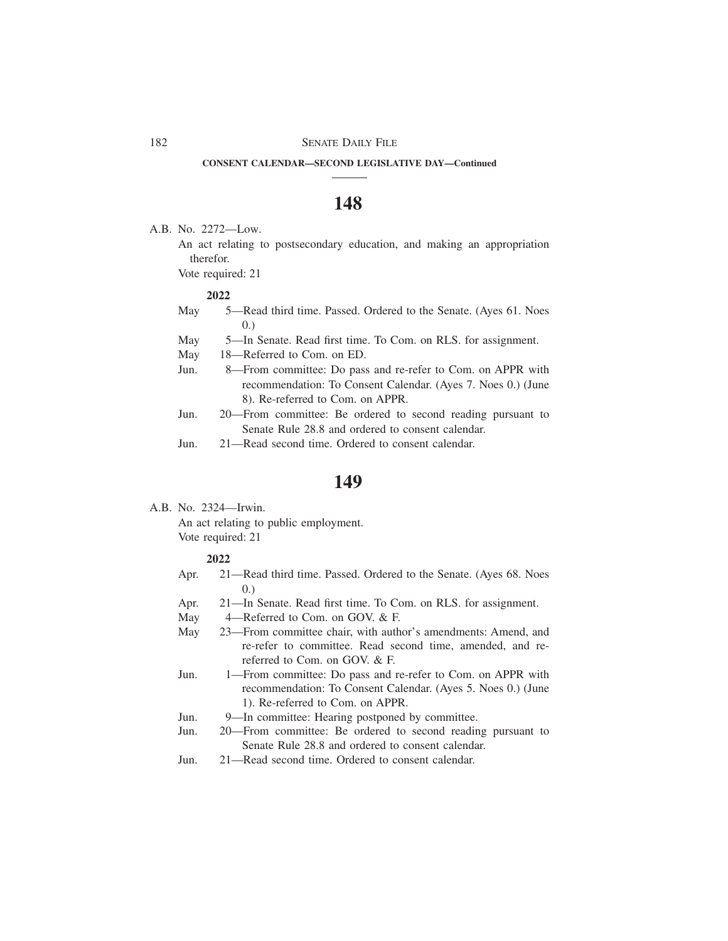#### **CONSENT CALENDAR—SECOND LEGISLATIVE DAY—Continued**

# **148**

A.B. No. 2272— Low.

An act relating to postsecondary education, and making an appropriation therefor.

Vote required: 21

#### **2022**

- May 5—Read third time. Passed. Ordered to the Senate. (Ayes 61. Noes 0.)
- May 5—In Senate. Read first time. To Com. on RLS. for assignment.

May 18—Referred to Com. on ED.

- Jun. 8—From committee: Do pass and re-refer to Com. on APPR with recommendation: To Consent Calendar. (Ayes 7. Noes 0.) (June 8). Re-referred to Com. on APPR.
- Jun. 20—From committee: Be ordered to second reading pursuant to Senate Rule 28.8 and ordered to consent calendar.
- Jun. 21—Read second time. Ordered to consent calendar.

# **149**

A.B. No. 2324— Irwin.

An act relating to public employment. Vote required: 21

#### **2022**

- Apr. 21—Read third time. Passed. Ordered to the Senate. (Ayes 68. Noes  $( )$
- Apr. 21—In Senate. Read first time. To Com. on RLS. for assignment.
- May 4—Referred to Com. on GOV. & F.
- May 23—From committee chair, with author's amendments: Amend, and re-refer to committee. Read second time, amended, and rereferred to Com. on GOV. & F.
- Jun. 1—From committee: Do pass and re-refer to Com. on APPR with recommendation: To Consent Calendar. (Ayes 5. Noes 0.) (June 1). Re-referred to Com. on APPR.
- Jun. 9—In committee: Hearing postponed by committee.
- Jun. 20—From committee: Be ordered to second reading pursuant to Senate Rule 28.8 and ordered to consent calendar.
- Jun. 21—Read second time. Ordered to consent calendar.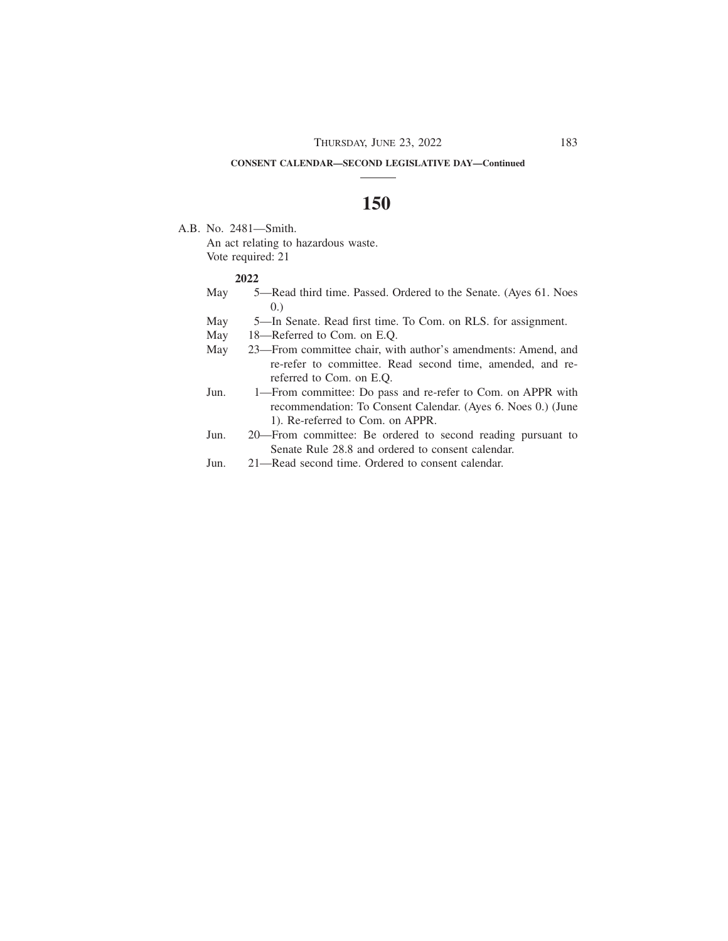#### **CONSENT CALENDAR—SECOND LEGISLATIVE DAY—Continued**

# **150**

#### A.B. No. 2481— Smith.

An act relating to hazardous waste. Vote required: 21

#### **2022**

- May 5—Read third time. Passed. Ordered to the Senate. (Ayes 61. Noes 0.)
- May 5—In Senate. Read first time. To Com. on RLS. for assignment.
- May 18—Referred to Com. on E.Q.
- May 23—From committee chair, with author's amendments: Amend, and re-refer to committee. Read second time, amended, and rereferred to Com. on E.Q.
- Jun. 1—From committee: Do pass and re-refer to Com. on APPR with recommendation: To Consent Calendar. (Ayes 6. Noes 0.) (June 1). Re-referred to Com. on APPR.
- Jun. 20—From committee: Be ordered to second reading pursuant to Senate Rule 28.8 and ordered to consent calendar.
- Jun. 21—Read second time. Ordered to consent calendar.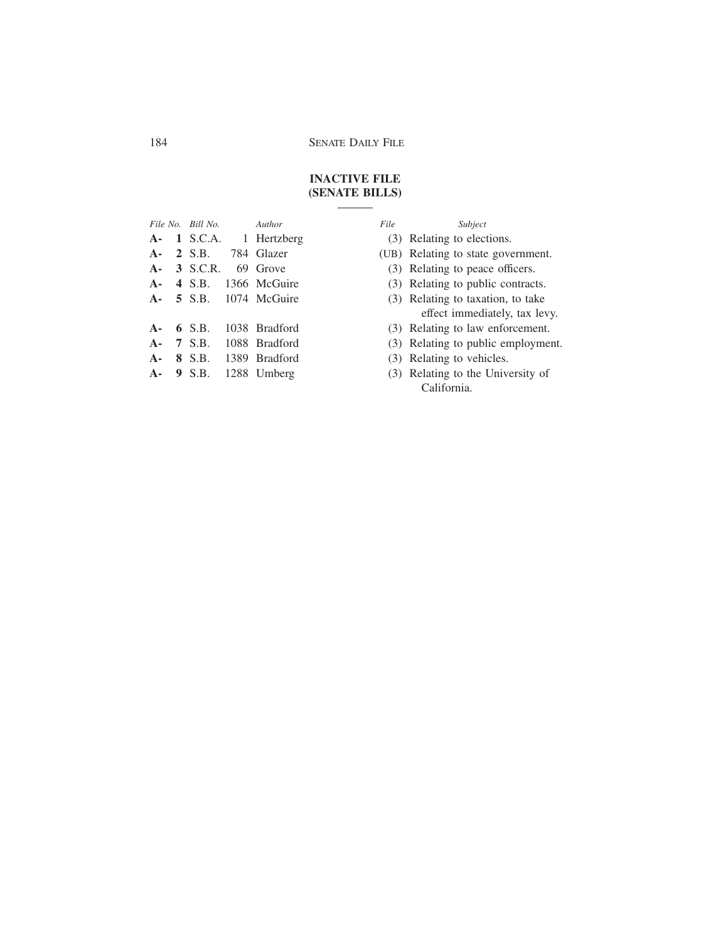# **INACTIVE FILE (SENATE BILLS)**

|  | File No. Bill No. Author |                               | File | Subject                |
|--|--------------------------|-------------------------------|------|------------------------|
|  |                          | A- 1 S.C.A. 1 Hertzberg       |      | (3) Relating to elec   |
|  |                          | A- 2 S.B. 784 Glazer          |      | (UB) Relating to state |
|  | A- 3 S.C.R. 69 Grove     |                               |      | (3) Relating to pead   |
|  |                          | <b>A-</b> 4 S.B. 1366 McGuire |      | (3) Relating to pub    |
|  |                          | A- 5 S.B. 1074 McGuire        |      | (3) Relating to taxa   |
|  |                          |                               |      | effect immed           |
|  |                          | A- 6 S.B. 1038 Bradford       |      | (3) Relating to law    |
|  |                          | A- 7 S.B. 1088 Bradford       |      | (3) Relating to pub    |
|  |                          | A- 8 S.B. 1389 Bradford       |      | (3) Relating to vehi   |
|  |                          | A- 9 S.B. 1288 Umberg         |      | (3) Relating to the    |
|  |                          |                               |      | California.            |

- (3) Relating to elections.
- (UB) Relating to state government.
	- (3) Relating to peace officers.
	- (3) Relating to public contracts.
	- (3) Relating to taxation, to take effect immediately, tax levy.
	- (3) Relating to law enforcement.
	- (3) Relating to public employment.
	- (3) Relating to vehicles.
	- (3) Relating to the University of California.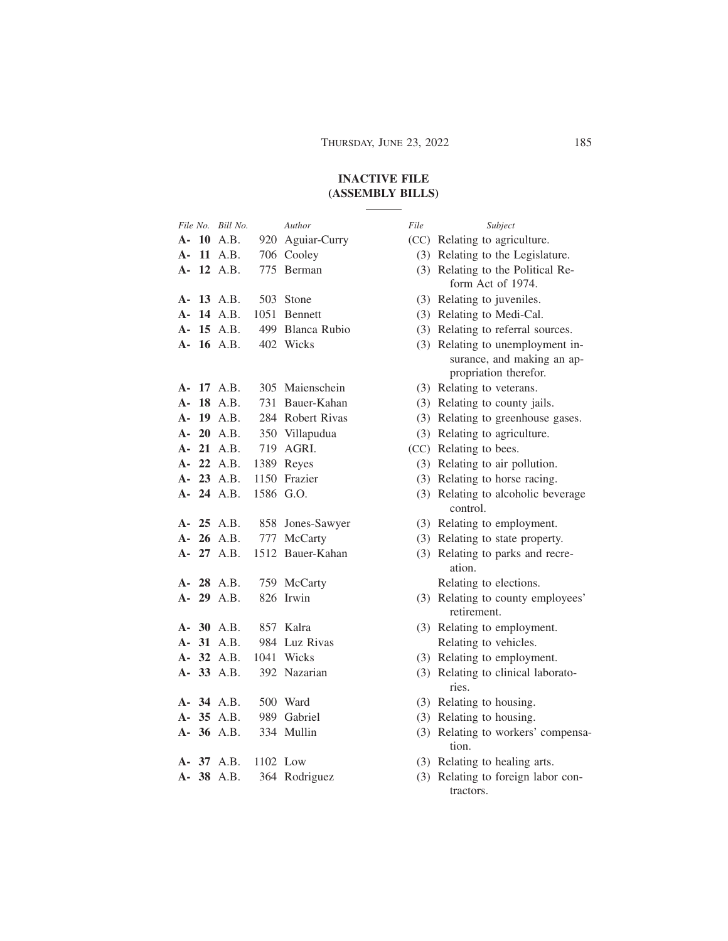### **INACTIVE FILE (ASSEMBLY BILLS)**

|                | File No. | Bill No.   |          | Author           | File | Subject                 |
|----------------|----------|------------|----------|------------------|------|-------------------------|
|                |          | A- 10 A.B. |          | 920 Aguiar-Curry |      | (CC) Relating to agri   |
| $A -$          |          | 11 A.B.    |          | 706 Cooley       |      | (3) Relating to the     |
|                |          | A- 12 A.B. |          | 775 Berman       |      | (3) Relating to the     |
|                |          |            |          |                  |      | form Act of 1           |
| A-             |          | 13 A.B.    |          | 503 Stone        |      | (3) Relating to juve    |
| A-             |          | 14 A.B.    | 1051     | <b>Bennett</b>   |      | (3) Relating to Med     |
| А-             |          | 15 A.B.    |          | 499 Blanca Rubio |      | (3) Relating to refe    |
|                |          | A- 16 A.B. |          | 402 Wicks        |      | (3) Relating to uner    |
|                |          |            |          |                  |      | surance, and            |
|                |          |            |          |                  |      | propriation th          |
| $A -$          |          | 17 A.B.    |          | 305 Maienschein  |      | (3) Relating to vete    |
| $A -$          | 18       | A.B.       | 731      | Bauer-Kahan      |      | (3) Relating to cour    |
| $\mathbf{A}$ - |          | 19 A.B.    |          | 284 Robert Rivas |      | (3) Relating to gree    |
| А-             |          | 20 A.B.    |          | 350 Villapudua   |      | (3) Relating to agri    |
| А-             | 21       | A.B.       | 719      | AGRI.            |      | (CC) Relating to bees   |
| А-             | 22       | A.B.       |          | 1389 Reyes       |      | $(3)$ Relating to air 1 |
|                |          | A- 23 A.B. |          | 1150 Frazier     |      | (3) Relating to hors    |
|                |          | A- 24 A.B. |          | 1586 G.O.        |      | (3) Relating to alco    |
|                |          |            |          |                  |      | control.                |
|                |          | A- 25 A.B. |          | 858 Jones-Sawyer |      | (3) Relating to emp     |
|                |          | A- 26 A.B. |          | 777 McCarty      |      | (3) Relating to state   |
|                |          | A- 27 A.B. |          | 1512 Bauer-Kahan |      | (3) Relating to park    |
|                |          |            |          |                  |      | ation.                  |
|                |          | A- 28 A.B. |          | 759 McCarty      |      | Relating to elec        |
|                |          | A- 29 A.B. |          | 826 Irwin        |      | (3) Relating to cour    |
|                |          |            |          |                  |      | retirement.             |
| A-             |          | 30 A.B.    |          | 857 Kalra        |      | (3) Relating to emp     |
|                |          | A- 31 A.B. |          | 984 Luz Rivas    |      | Relating to vehi        |
|                |          | A- 32 A.B. |          | 1041 Wicks       |      | (3) Relating to emp     |
|                |          | A- 33 A.B. |          | 392 Nazarian     |      | (3) Relating to clin    |
|                |          |            |          |                  |      | ries.                   |
|                |          | A- 34 A.B. |          | 500 Ward         |      | (3) Relating to hou     |
|                |          | A- 35 A.B. |          | 989 Gabriel      |      | (3) Relating to hou     |
|                |          | A- 36 A.B. |          | 334 Mullin       |      | (3) Relating to wor     |
|                |          |            |          |                  |      | tion.                   |
| <b>A-</b>      |          | 37 A.B.    | 1102 Low |                  |      | (3) Relating to heal    |
|                |          | A- 38 A.B. |          | 364 Rodriguez    |      | (3) Relating to fore    |

- **(CC)** Relating to agriculture.
	- (3) Relating to the Legislature.
	- (3) Relating to the Political Reform Act of 1974.
	- (3) Relating to juveniles.
	- (3) Relating to Medi-Cal.
	- (3) Relating to referral sources.
	- (3) Relating to unemployment insurance, and making an appropriation therefor.
	- (3) Relating to veterans.
	- (3) Relating to county jails.
	- (3) Relating to greenhouse gases.
	- (3) Relating to agriculture.
- (CC) Relating to bees.
	- (3) Relating to air pollution.
	- (3) Relating to horse racing.
	- (3) Relating to alcoholic beverage control.
	- (3) Relating to employment.
	- (3) Relating to state property.
	- (3) Relating to parks and recreation.

Relating to elections.

- (3) Relating to county employees' retirement.
- (3) Relating to employment. Relating to vehicles.
- (3) Relating to employment.
- (3) Relating to clinical laboratories.
- (3) Relating to housing.
- (3) Relating to housing.
- (3) Relating to workers' compensation.
- (3) Relating to healing arts.
- (3) Relating to foreign labor contractors.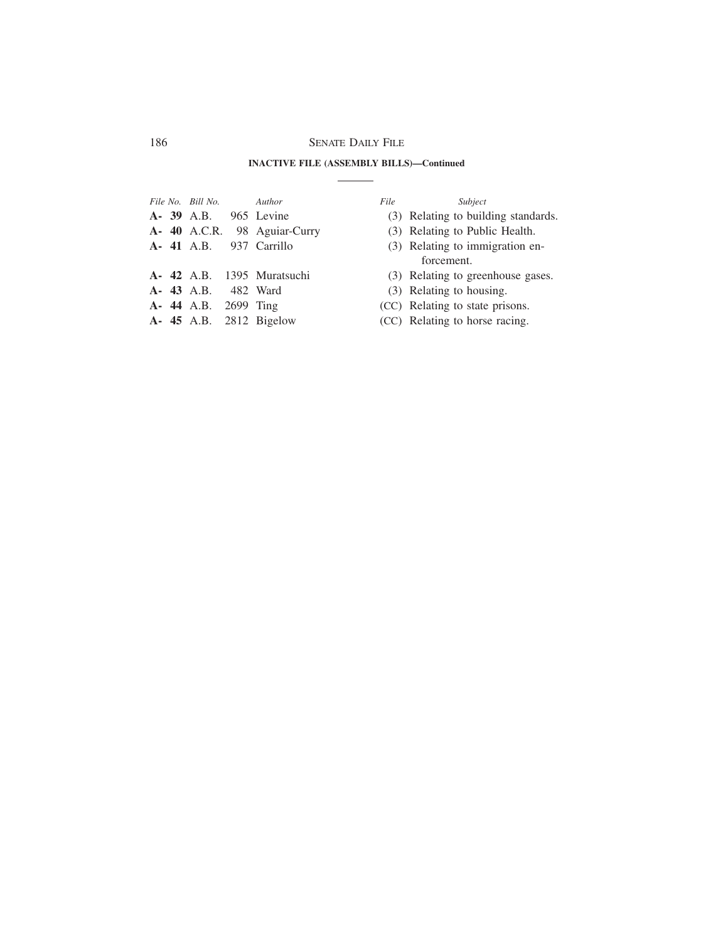#### **INACTIVE FILE (ASSEMBLY BILLS)—Continued**

|  | File No. Bill No. Author     |                                | File | Subject                  |
|--|------------------------------|--------------------------------|------|--------------------------|
|  |                              | <b>A- 39</b> A.B. 965 Levine   |      | (3) Relating to buil     |
|  |                              | A- 40 A.C.R. 98 Aguiar-Curry   |      | (3) Relating to Pub      |
|  |                              | <b>A- 41</b> A.B. 937 Carrillo |      | (3) Relating to imm      |
|  |                              |                                |      | forcement.               |
|  |                              | A- 42 A.B. 1395 Muratsuchi     |      | (3) Relating to gree     |
|  | <b>A- 43</b> A.B. 482 Ward   |                                |      | (3) Relating to hou      |
|  | $A = AA \land B = 2600$ Ting |                                |      | $(CC)$ Polating to state |

- (3) Relating to building standards.
- (3) Relating to Public Health.
- (3) Relating to immigration enforcement.
- (3) Relating to greenhouse gases.
- (3) Relating to housing.
- **A- 44** A.B. 2699 Ting (CC) Relating to state prisons.
- **A- 45** A.B. 2812 Bigelow (CC) Relating to horse racing.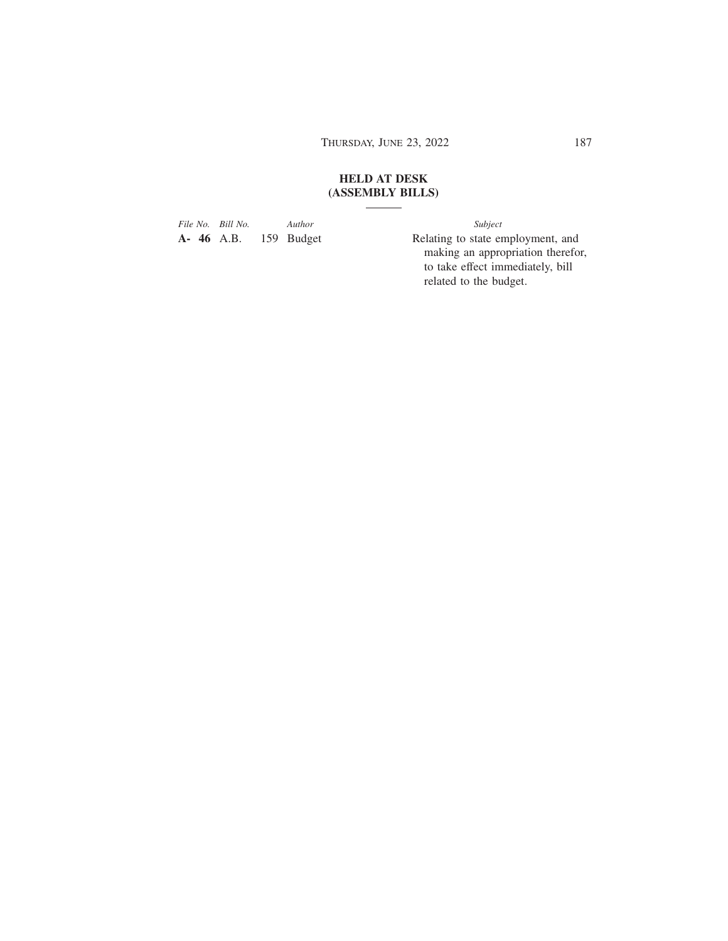# **HELD AT DESK (ASSEMBLY BILLS)**

L.

÷

| File No. Bill No. | Author                       | Subject                           |
|-------------------|------------------------------|-----------------------------------|
|                   | <b>A- 46</b> A.B. 159 Budget | Relating to state employment, and |
|                   |                              | making an appropriation therefor, |
|                   |                              | to take effect immediately, bill  |
|                   |                              | related to the budget.            |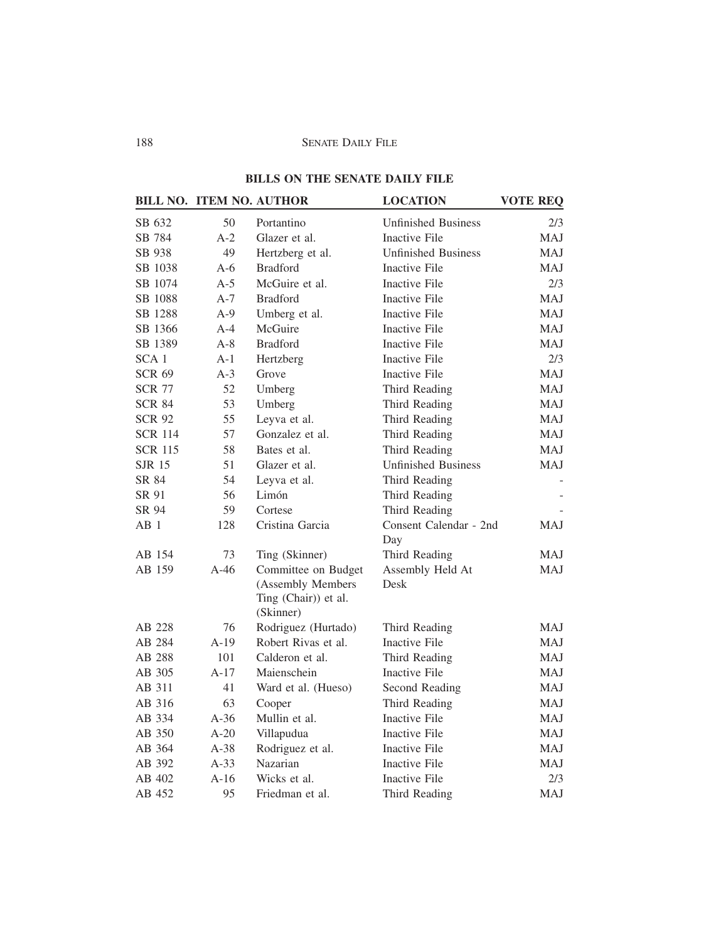|                | BILL NO. ITEM NO. AUTHOR |                                                                               | <b>LOCATION</b>               | <b>VOTE REQ</b> |
|----------------|--------------------------|-------------------------------------------------------------------------------|-------------------------------|-----------------|
| SB 632         | 50                       | Portantino                                                                    | <b>Unfinished Business</b>    | 2/3             |
| SB 784         | $A-2$                    | Glazer et al.                                                                 | <b>Inactive File</b>          | MAJ             |
| SB 938         | 49                       | Hertzberg et al.                                                              | <b>Unfinished Business</b>    | MAJ             |
| SB 1038        | A-6                      | <b>Bradford</b>                                                               | <b>Inactive File</b>          | MAJ             |
| SB 1074        | $A-5$                    | McGuire et al.                                                                | Inactive File                 | 2/3             |
| SB 1088        | $A-7$                    | <b>Bradford</b>                                                               | <b>Inactive File</b>          | <b>MAJ</b>      |
| SB 1288        | $A-9$                    | Umberg et al.                                                                 | Inactive File                 | MAJ             |
| SB 1366        | $A-4$                    | McGuire                                                                       | <b>Inactive File</b>          | MAJ             |
| SB 1389        | A-8                      | <b>Bradford</b>                                                               | <b>Inactive File</b>          | <b>MAJ</b>      |
| SCA 1          | A-1                      | Hertzberg                                                                     | <b>Inactive File</b>          | 2/3             |
| <b>SCR 69</b>  | $A-3$                    | Grove                                                                         | <b>Inactive File</b>          | MAJ             |
| <b>SCR 77</b>  | 52                       | Umberg                                                                        | Third Reading                 | <b>MAJ</b>      |
| <b>SCR 84</b>  | 53                       | Umberg                                                                        | Third Reading                 | MAJ             |
| <b>SCR 92</b>  | 55                       | Leyva et al.                                                                  | Third Reading                 | <b>MAJ</b>      |
| <b>SCR 114</b> | 57                       | Gonzalez et al.                                                               | Third Reading                 | MAJ             |
| SCR 115        | 58                       | Bates et al.                                                                  | Third Reading                 | MAJ             |
| <b>SJR 15</b>  | 51                       | Glazer et al.                                                                 | <b>Unfinished Business</b>    | MAJ             |
| SR 84          | 54                       | Leyva et al.                                                                  | Third Reading                 |                 |
| SR 91          | 56                       | Limón                                                                         | Third Reading                 |                 |
| SR 94          | 59                       | Cortese                                                                       | Third Reading                 |                 |
| AB 1           | 128                      | Cristina Garcia                                                               | Consent Calendar - 2nd<br>Day | MAJ             |
| AB 154         | 73                       | Ting (Skinner)                                                                | Third Reading                 | MAJ             |
| AB 159         | A-46                     | Committee on Budget<br>(Assembly Members<br>Ting (Chair)) et al.<br>(Skinner) | Assembly Held At<br>Desk      | <b>MAJ</b>      |
| AB 228         | 76                       | Rodriguez (Hurtado)                                                           | Third Reading                 | MAJ             |
| AB 284         | A-19                     | Robert Rivas et al.                                                           | <b>Inactive File</b>          | <b>MAJ</b>      |
| AB 288         | 101                      | Calderon et al.                                                               | Third Reading                 | <b>MAJ</b>      |
| AB 305         | A-17                     | Maienschein                                                                   | <b>Inactive File</b>          | MAJ             |
| AB 311         | 41                       | Ward et al. (Hueso)                                                           | Second Reading                | <b>MAJ</b>      |
| AB 316         | 63                       | Cooper                                                                        | Third Reading                 | MAJ             |
| AB 334         | $A-36$                   | Mullin et al.                                                                 | <b>Inactive File</b>          | MAJ             |
| AB 350         | A-20                     | Villapudua                                                                    | <b>Inactive File</b>          | MAJ             |
| AB 364         | $A-38$                   | Rodriguez et al.                                                              | Inactive File                 | <b>MAJ</b>      |
| AB 392         | $A-33$                   | Nazarian                                                                      | <b>Inactive File</b>          | <b>MAJ</b>      |
| AB 402         | A-16                     | Wicks et al.                                                                  | <b>Inactive File</b>          | 2/3             |
| AB 452         | 95                       | Friedman et al.                                                               | Third Reading                 | MAJ             |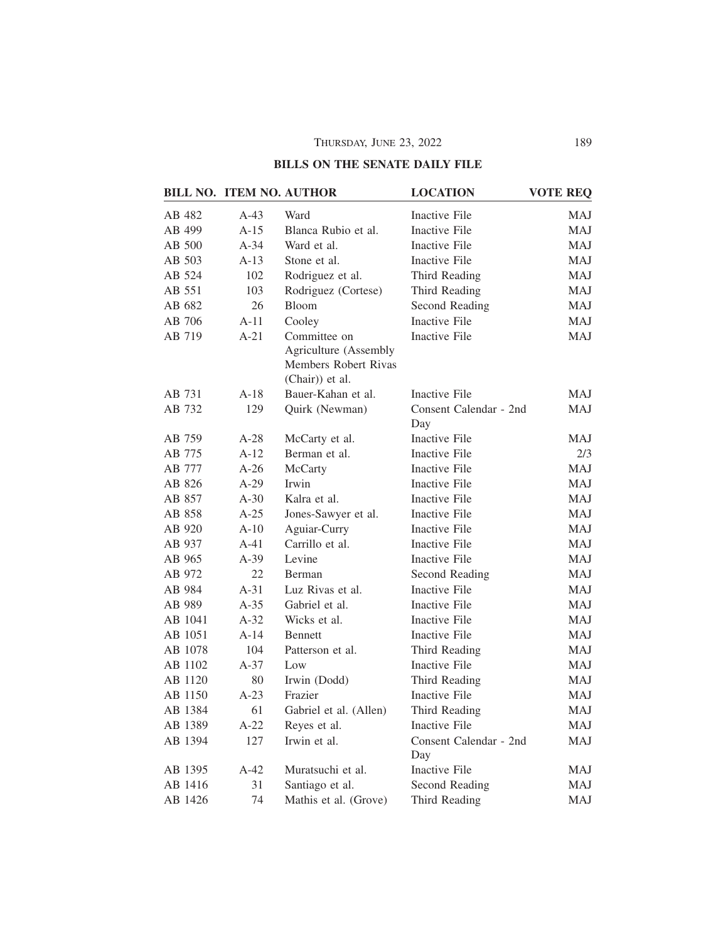# THURSDAY, JUNE 23, 2022 189

|         | <b>BILL NO. ITEM NO. AUTHOR</b> |                                                                                  | <b>LOCATION</b>               | <b>VOTE REQ</b> |
|---------|---------------------------------|----------------------------------------------------------------------------------|-------------------------------|-----------------|
| AB 482  | $A-43$                          | Ward                                                                             | <b>Inactive File</b>          | <b>MAJ</b>      |
| AB 499  | $A-15$                          | Blanca Rubio et al.                                                              | <b>Inactive File</b>          | <b>MAJ</b>      |
| AB 500  | $A-34$                          | Ward et al.                                                                      | <b>Inactive File</b>          | <b>MAJ</b>      |
| AB 503  | $A-13$                          | Stone et al.                                                                     | <b>Inactive File</b>          | <b>MAJ</b>      |
| AB 524  | 102                             | Rodriguez et al.                                                                 | Third Reading                 | <b>MAJ</b>      |
| AB 551  | 103                             | Rodriguez (Cortese)                                                              | Third Reading                 | <b>MAJ</b>      |
| AB 682  | 26                              | Bloom                                                                            | <b>Second Reading</b>         | <b>MAJ</b>      |
| AB 706  | $A-11$                          | Cooley                                                                           | <b>Inactive File</b>          | <b>MAJ</b>      |
| AB 719  | $A-21$                          | Committee on<br>Agriculture (Assembly<br>Members Robert Rivas<br>(Chair)) et al. | <b>Inactive File</b>          | MAJ             |
| AB 731  | $A-18$                          | Bauer-Kahan et al.                                                               | Inactive File                 | <b>MAJ</b>      |
| AB 732  | 129                             | Quirk (Newman)                                                                   | Consent Calendar - 2nd<br>Day | MAJ             |
| AB 759  | $A-28$                          | McCarty et al.                                                                   | <b>Inactive File</b>          | <b>MAJ</b>      |
| AB 775  | $A-12$                          | Berman et al.                                                                    | <b>Inactive File</b>          | 2/3             |
| AB 777  | $A-26$                          | McCarty                                                                          | <b>Inactive File</b>          | MAJ             |
| AB 826  | $A-29$                          | Irwin                                                                            | <b>Inactive File</b>          | MAJ             |
| AB 857  | $A-30$                          | Kalra et al.                                                                     | <b>Inactive File</b>          | <b>MAJ</b>      |
| AB 858  | $A-25$                          | Jones-Sawyer et al.                                                              | Inactive File                 | <b>MAJ</b>      |
| AB 920  | $A-10$                          | Aguiar-Curry                                                                     | <b>Inactive File</b>          | <b>MAJ</b>      |
| AB 937  | $A-41$                          | Carrillo et al.                                                                  | <b>Inactive File</b>          | <b>MAJ</b>      |
| AB 965  | $A-39$                          | Levine                                                                           | Inactive File                 | <b>MAJ</b>      |
| AB 972  | 22                              | Berman                                                                           | Second Reading                | MAJ             |
| AB 984  | $A-31$                          | Luz Rivas et al.                                                                 | <b>Inactive File</b>          | MAJ             |
| AB 989  | $A-35$                          | Gabriel et al.                                                                   | <b>Inactive File</b>          | <b>MAJ</b>      |
| AB 1041 | $A-32$                          | Wicks et al.                                                                     | <b>Inactive File</b>          | <b>MAJ</b>      |
| AB 1051 | $A-14$                          | <b>Bennett</b>                                                                   | <b>Inactive File</b>          | <b>MAJ</b>      |
| AB 1078 | 104                             | Patterson et al.                                                                 | Third Reading                 | <b>MAJ</b>      |
| AB 1102 | $A-37$                          | Low                                                                              | <b>Inactive File</b>          | <b>MAJ</b>      |
| AB 1120 | 80                              | Irwin (Dodd)                                                                     | Third Reading                 | <b>MAJ</b>      |
| AB 1150 | $A-23$                          | Frazier                                                                          | <b>Inactive File</b>          | <b>MAJ</b>      |
| AB 1384 | 61                              | Gabriel et al. (Allen)                                                           | Third Reading                 | <b>MAJ</b>      |
| AB 1389 | $A-22$                          | Reyes et al.                                                                     | <b>Inactive File</b>          | <b>MAJ</b>      |
| AB 1394 | 127                             | Irwin et al.                                                                     | Consent Calendar - 2nd<br>Day | MAJ             |
| AB 1395 | $A-42$                          | Muratsuchi et al.                                                                | Inactive File                 | <b>MAJ</b>      |
| AB 1416 | 31                              | Santiago et al.                                                                  | Second Reading                | MAJ             |
| AB 1426 | 74                              | Mathis et al. (Grove)                                                            | Third Reading                 | MAJ             |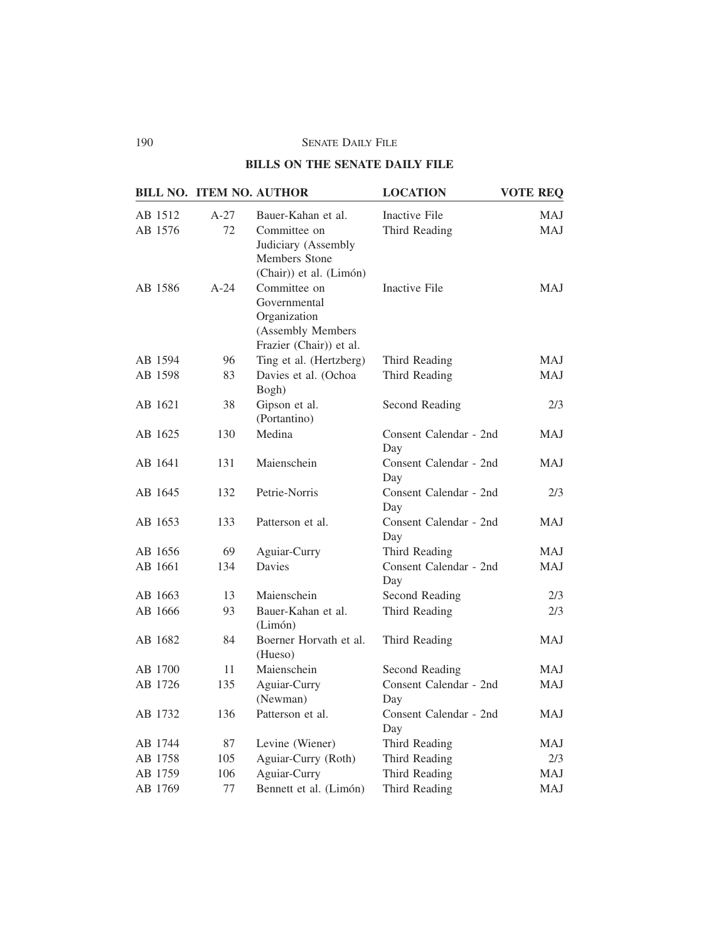|         | <b>BILL NO. ITEM NO. AUTHOR</b> |                               | <b>LOCATION</b>        | <b>VOTE REQ</b> |
|---------|---------------------------------|-------------------------------|------------------------|-----------------|
| AB 1512 | $A-27$                          | Bauer-Kahan et al.            | Inactive File          | <b>MAJ</b>      |
| AB 1576 | 72                              | Committee on                  | Third Reading          | <b>MAJ</b>      |
|         |                                 | Judiciary (Assembly           |                        |                 |
|         |                                 | Members Stone                 |                        |                 |
|         |                                 | (Chair)) et al. (Limón)       |                        |                 |
| AB 1586 | $A-24$                          | Committee on                  | <b>Inactive File</b>   | <b>MAJ</b>      |
|         |                                 | Governmental                  |                        |                 |
|         |                                 | Organization                  |                        |                 |
|         |                                 | (Assembly Members             |                        |                 |
|         |                                 | Frazier (Chair)) et al.       |                        |                 |
| AB 1594 | 96                              | Ting et al. (Hertzberg)       | Third Reading          | <b>MAJ</b>      |
| AB 1598 | 83                              | Davies et al. (Ochoa<br>Bogh) | Third Reading          | MAJ             |
| AB 1621 | 38                              | Gipson et al.<br>(Portantino) | Second Reading         | 2/3             |
| AB 1625 | 130                             | Medina                        | Consent Calendar - 2nd | <b>MAJ</b>      |
|         |                                 |                               | Day                    |                 |
| AB 1641 | 131                             | Maienschein                   | Consent Calendar - 2nd | <b>MAJ</b>      |
|         |                                 |                               | Day                    |                 |
| AB 1645 | 132                             | Petrie-Norris                 | Consent Calendar - 2nd | 2/3             |
|         |                                 |                               | Day                    |                 |
| AB 1653 | 133                             | Patterson et al.              | Consent Calendar - 2nd | <b>MAJ</b>      |
|         |                                 |                               | Day                    |                 |
| AB 1656 | 69                              | Aguiar-Curry                  | Third Reading          | <b>MAJ</b>      |
| AB 1661 | 134                             | <b>Davies</b>                 | Consent Calendar - 2nd | <b>MAJ</b>      |
|         |                                 |                               | Day                    |                 |
| AB 1663 | 13                              | Maienschein                   | Second Reading         | 2/3             |
| AB 1666 | 93                              | Bauer-Kahan et al.            | Third Reading          | 2/3             |
|         |                                 | (Limón)                       |                        |                 |
| AB 1682 | 84                              | Boerner Horvath et al.        | Third Reading          | <b>MAJ</b>      |
|         |                                 | (Hueso)                       |                        |                 |
| AB 1700 | 11                              | Maienschein                   | Second Reading         | <b>MAJ</b>      |
| AB 1726 | 135                             | Aguiar-Curry                  | Consent Calendar - 2nd | MAJ             |
|         |                                 | (Newman)                      | Day                    |                 |
| AB 1732 | 136                             | Patterson et al.              | Consent Calendar - 2nd | <b>MAJ</b>      |
|         |                                 |                               | Day                    |                 |
| AB 1744 | 87                              | Levine (Wiener)               | Third Reading          | <b>MAJ</b>      |
| AB 1758 | 105                             | Aguiar-Curry (Roth)           | Third Reading          | 2/3             |
| AB 1759 | 106                             | Aguiar-Curry                  | Third Reading          | MAJ             |
| AB 1769 | 77                              | Bennett et al. (Limón)        | Third Reading          | MAJ             |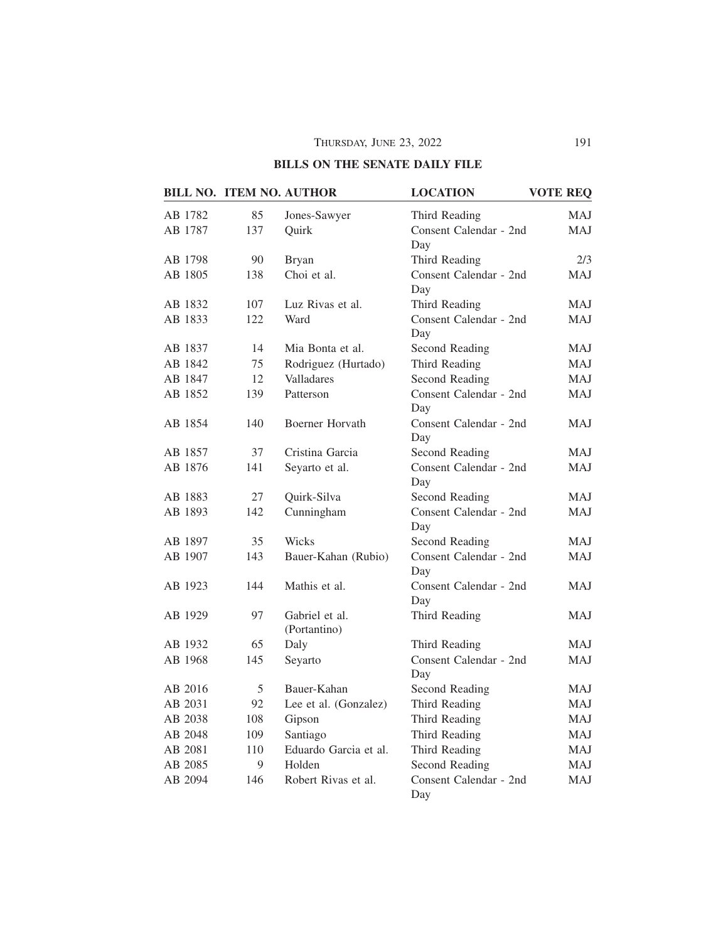# THURSDAY, JUNE 23, 2022 191

|         | BILL NO. ITEM NO. AUTHOR |                       | <b>LOCATION</b>               | <b>VOTE REQ</b> |
|---------|--------------------------|-----------------------|-------------------------------|-----------------|
| AB 1782 | 85                       | Jones-Sawyer          | Third Reading                 | <b>MAJ</b>      |
| AB 1787 | 137                      | Quirk                 | Consent Calendar - 2nd        | <b>MAJ</b>      |
|         |                          |                       | Day                           |                 |
| AB 1798 | 90                       | <b>Bryan</b>          | Third Reading                 | 2/3             |
| AB 1805 | 138                      | Choi et al.           | Consent Calendar - 2nd        | <b>MAJ</b>      |
|         |                          |                       | Day                           |                 |
| AB 1832 | 107                      | Luz Rivas et al.      | Third Reading                 | <b>MAJ</b>      |
| AB 1833 | 122                      | Ward                  | Consent Calendar - 2nd        | <b>MAJ</b>      |
|         |                          |                       | Day                           |                 |
| AB 1837 | 14                       | Mia Bonta et al.      | <b>Second Reading</b>         | MAJ             |
| AB 1842 | 75                       | Rodriguez (Hurtado)   | Third Reading                 | MAJ             |
| AB 1847 | 12                       | Valladares            | Second Reading                | <b>MAJ</b>      |
| AB 1852 | 139                      | Patterson             | Consent Calendar - 2nd<br>Day | MAJ             |
| AB 1854 | 140                      | Boerner Horvath       | Consent Calendar - 2nd        | MAJ             |
|         |                          |                       | Day                           |                 |
| AB 1857 | 37                       | Cristina Garcia       | <b>Second Reading</b>         | MAJ             |
| AB 1876 | 141                      | Seyarto et al.        | Consent Calendar - 2nd<br>Day | <b>MAJ</b>      |
| AB 1883 | 27                       | Quirk-Silva           | <b>Second Reading</b>         | MAJ             |
| AB 1893 | 142                      | Cunningham            | Consent Calendar - 2nd        | MAJ             |
|         |                          |                       | Day                           |                 |
| AB 1897 | 35                       | <b>Wicks</b>          | <b>Second Reading</b>         | <b>MAJ</b>      |
| AB 1907 | 143                      | Bauer-Kahan (Rubio)   | Consent Calendar - 2nd<br>Day | MAJ             |
| AB 1923 | 144                      | Mathis et al.         | Consent Calendar - 2nd<br>Day | <b>MAJ</b>      |
| AB 1929 | 97                       | Gabriel et al.        | Third Reading                 | <b>MAJ</b>      |
|         |                          | (Portantino)          |                               |                 |
| AB 1932 | 65                       | Daly                  | Third Reading                 | MAJ             |
| AB 1968 | 145                      | Seyarto               | Consent Calendar - 2nd<br>Day | <b>MAJ</b>      |
| AB 2016 | 5                        | Bauer-Kahan           | <b>Second Reading</b>         | <b>MAJ</b>      |
| AB 2031 | 92                       | Lee et al. (Gonzalez) | Third Reading                 | <b>MAJ</b>      |
| AB 2038 | 108                      | Gipson                | Third Reading                 | <b>MAJ</b>      |
| AB 2048 | 109                      | Santiago              | Third Reading                 | <b>MAJ</b>      |
| AB 2081 | 110                      | Eduardo Garcia et al. | Third Reading                 | <b>MAJ</b>      |
| AB 2085 | 9                        | Holden                | Second Reading                | <b>MAJ</b>      |
| AB 2094 | 146                      | Robert Rivas et al.   | Consent Calendar - 2nd<br>Day | MAJ             |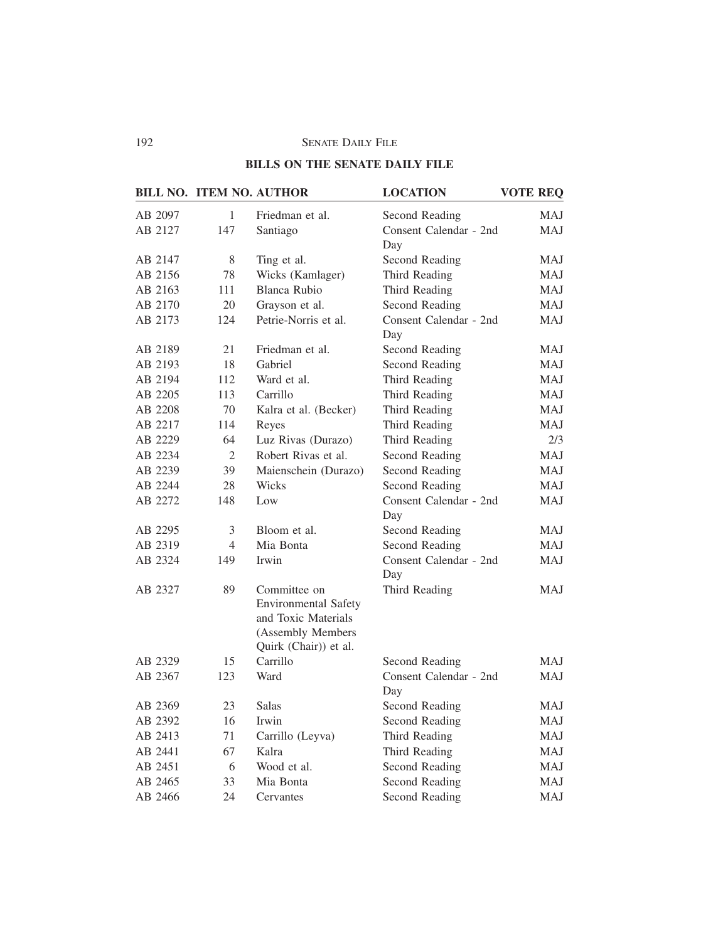| <b>BILL NO.</b> | <b>ITEM NO. AUTHOR</b> |                                                                                                                  | <b>LOCATION</b>               | <b>VOTE REQ</b> |
|-----------------|------------------------|------------------------------------------------------------------------------------------------------------------|-------------------------------|-----------------|
| AB 2097         | 1                      | Friedman et al.                                                                                                  | <b>Second Reading</b>         | MAJ             |
| AB 2127         | 147                    | Santiago                                                                                                         | Consent Calendar - 2nd        | <b>MAJ</b>      |
|                 |                        |                                                                                                                  | Day                           |                 |
| AB 2147         | 8                      | Ting et al.                                                                                                      | Second Reading                | <b>MAJ</b>      |
| AB 2156         | 78                     | Wicks (Kamlager)                                                                                                 | Third Reading                 | <b>MAJ</b>      |
| AB 2163         | 111                    | <b>Blanca Rubio</b>                                                                                              | Third Reading                 | <b>MAJ</b>      |
| AB 2170         | 20                     | Grayson et al.                                                                                                   | Second Reading                | MAJ             |
| AB 2173         | 124                    | Petrie-Norris et al.                                                                                             | Consent Calendar - 2nd<br>Day | <b>MAJ</b>      |
| AB 2189         | 21                     | Friedman et al.                                                                                                  | Second Reading                | <b>MAJ</b>      |
| AB 2193         | 18                     | Gabriel                                                                                                          | Second Reading                | MAJ             |
| AB 2194         | 112                    | Ward et al.                                                                                                      | Third Reading                 | <b>MAJ</b>      |
| AB 2205         | 113                    | Carrillo                                                                                                         | Third Reading                 | <b>MAJ</b>      |
| AB 2208         | 70                     | Kalra et al. (Becker)                                                                                            | Third Reading                 | <b>MAJ</b>      |
| AB 2217         | 114                    | Reyes                                                                                                            | Third Reading                 | MAJ             |
| AB 2229         | 64                     | Luz Rivas (Durazo)                                                                                               | Third Reading                 | 2/3             |
| AB 2234         | 2                      | Robert Rivas et al.                                                                                              | <b>Second Reading</b>         | <b>MAJ</b>      |
| AB 2239         | 39                     | Maienschein (Durazo)                                                                                             | Second Reading                | <b>MAJ</b>      |
| AB 2244         | 28                     | Wicks                                                                                                            | Second Reading                | MAJ             |
| AB 2272         | 148                    | Low                                                                                                              | Consent Calendar - 2nd<br>Day | MAJ             |
| AB 2295         | 3                      | Bloom et al.                                                                                                     | Second Reading                | MAJ             |
| AB 2319         | $\overline{4}$         | Mia Bonta                                                                                                        | Second Reading                | MAJ             |
| AB 2324         | 149                    | Irwin                                                                                                            | Consent Calendar - 2nd<br>Day | <b>MAJ</b>      |
| AB 2327         | 89                     | Committee on<br><b>Environmental Safety</b><br>and Toxic Materials<br>(Assembly Members<br>Quirk (Chair)) et al. | Third Reading                 | <b>MAJ</b>      |
| AB 2329         | 15                     | Carrillo                                                                                                         | Second Reading                | <b>MAJ</b>      |
| AB 2367         | 123                    | Ward                                                                                                             | Consent Calendar - 2nd<br>Day | <b>MAJ</b>      |
| AB 2369         | 23                     | <b>Salas</b>                                                                                                     | Second Reading                | <b>MAJ</b>      |
| AB 2392         | 16                     | Irwin                                                                                                            | <b>Second Reading</b>         | <b>MAJ</b>      |
| AB 2413         | 71                     | Carrillo (Leyva)                                                                                                 | Third Reading                 | <b>MAJ</b>      |
| AB 2441         | 67                     | Kalra                                                                                                            | Third Reading                 | <b>MAJ</b>      |
| AB 2451         | 6                      | Wood et al.                                                                                                      | <b>Second Reading</b>         | MAJ             |
| AB 2465         | 33                     | Mia Bonta                                                                                                        | Second Reading                | <b>MAJ</b>      |
| AB 2466         | 24                     | Cervantes                                                                                                        | Second Reading                | MAJ             |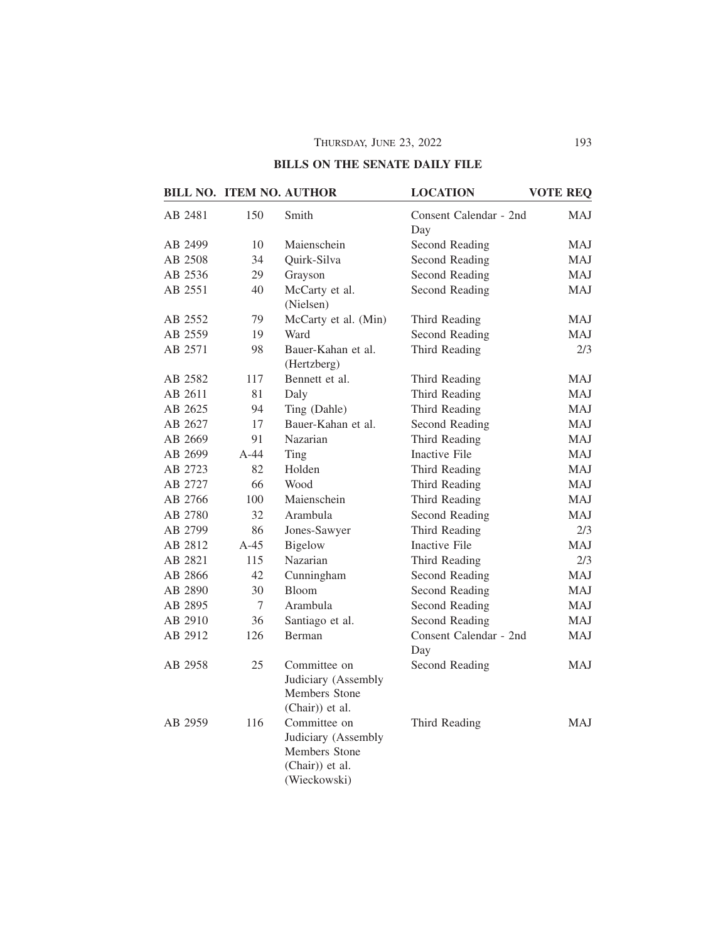# THURSDAY, JUNE 23, 2022 193

|         | <b>BILL NO. ITEM NO. AUTHOR</b> |                                                                                         | <b>LOCATION</b>               | <b>VOTE REQ</b> |
|---------|---------------------------------|-----------------------------------------------------------------------------------------|-------------------------------|-----------------|
| AB 2481 | 150                             | Smith                                                                                   | Consent Calendar - 2nd<br>Day | <b>MAJ</b>      |
| AB 2499 | 10                              | Maienschein                                                                             | Second Reading                | MAJ             |
| AB 2508 | 34                              | Quirk-Silva                                                                             | Second Reading                | <b>MAJ</b>      |
| AB 2536 | 29                              | Grayson                                                                                 | Second Reading                | MAJ             |
| AB 2551 | 40                              | McCarty et al.<br>(Nielsen)                                                             | Second Reading                | <b>MAJ</b>      |
| AB 2552 | 79                              | McCarty et al. (Min)                                                                    | Third Reading                 | <b>MAJ</b>      |
| AB 2559 | 19                              | Ward                                                                                    | <b>Second Reading</b>         | <b>MAJ</b>      |
| AB 2571 | 98                              | Bauer-Kahan et al.<br>(Hertzberg)                                                       | Third Reading                 | 2/3             |
| AB 2582 | 117                             | Bennett et al.                                                                          | Third Reading                 | <b>MAJ</b>      |
| AB 2611 | 81                              | Daly                                                                                    | Third Reading                 | <b>MAJ</b>      |
| AB 2625 | 94                              | Ting (Dahle)                                                                            | Third Reading                 | <b>MAJ</b>      |
| AB 2627 | 17                              | Bauer-Kahan et al.                                                                      | Second Reading                | <b>MAJ</b>      |
| AB 2669 | 91                              | Nazarian                                                                                | Third Reading                 | <b>MAJ</b>      |
| AB 2699 | $A-44$                          | Ting                                                                                    | <b>Inactive File</b>          | <b>MAJ</b>      |
| AB 2723 | 82                              | Holden                                                                                  | Third Reading                 | <b>MAJ</b>      |
| AB 2727 | 66                              | Wood                                                                                    | Third Reading                 | <b>MAJ</b>      |
| AB 2766 | 100                             | Maienschein                                                                             | Third Reading                 | <b>MAJ</b>      |
| AB 2780 | 32                              | Arambula                                                                                | Second Reading                | <b>MAJ</b>      |
| AB 2799 | 86                              | Jones-Sawyer                                                                            | Third Reading                 | 2/3             |
| AB 2812 | $A-45$                          | <b>Bigelow</b>                                                                          | <b>Inactive File</b>          | <b>MAJ</b>      |
| AB 2821 | 115                             | Nazarian                                                                                | Third Reading                 | 2/3             |
| AB 2866 | 42                              | Cunningham                                                                              | Second Reading                | <b>MAJ</b>      |
| AB 2890 | 30                              | Bloom                                                                                   | Second Reading                | <b>MAJ</b>      |
| AB 2895 | 7                               | Arambula                                                                                | <b>Second Reading</b>         | <b>MAJ</b>      |
| AB 2910 | 36                              | Santiago et al.                                                                         | <b>Second Reading</b>         | MAJ             |
| AB 2912 | 126                             | Berman                                                                                  | Consent Calendar - 2nd<br>Day | <b>MAJ</b>      |
| AB 2958 | 25                              | Committee on<br>Judiciary (Assembly<br><b>Members Stone</b><br>(Chair)) et al.          | <b>Second Reading</b>         | <b>MAJ</b>      |
| AB 2959 | 116                             | Committee on<br>Judiciary (Assembly<br>Members Stone<br>(Chair)) et al.<br>(Wieckowski) | Third Reading                 | <b>MAJ</b>      |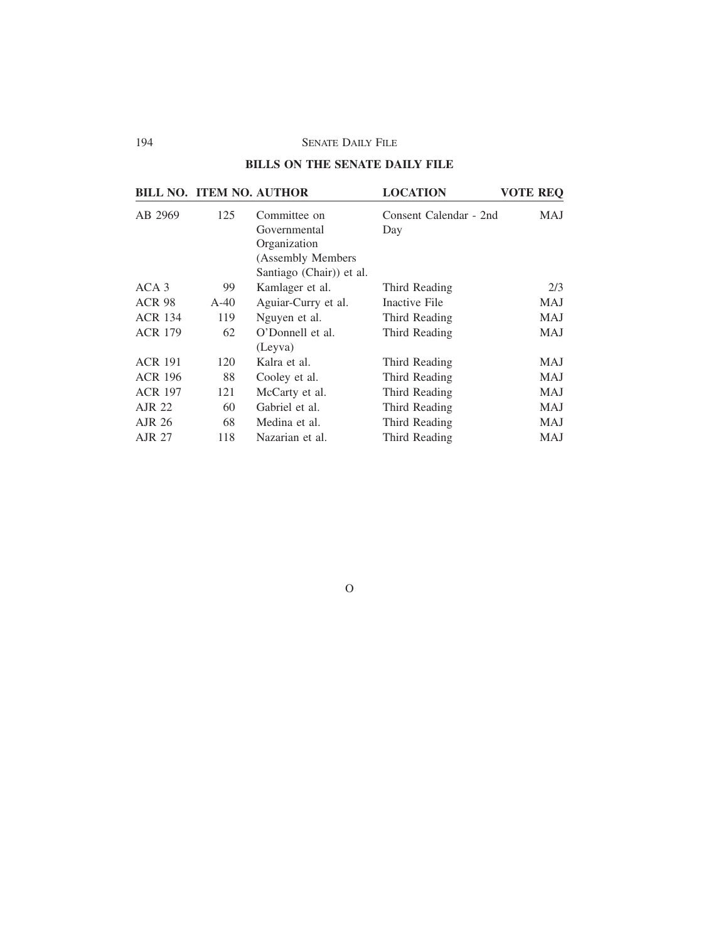|                | <b>BILL NO. ITEM NO. AUTHOR</b> |                                                                                               | <b>LOCATION</b>               | <b>VOTE REQ</b> |
|----------------|---------------------------------|-----------------------------------------------------------------------------------------------|-------------------------------|-----------------|
| AB 2969        | 125                             | Committee on<br>Governmental<br>Organization<br>(Assembly Members<br>Santiago (Chair)) et al. | Consent Calendar - 2nd<br>Day | MAJ             |
| ACA 3          | 99                              | Kamlager et al.                                                                               | Third Reading                 | 2/3             |
| <b>ACR 98</b>  | $A-40$                          | Aguiar-Curry et al.                                                                           | Inactive File                 | <b>MAJ</b>      |
| <b>ACR 134</b> | 119                             | Nguyen et al.                                                                                 | Third Reading                 | <b>MAJ</b>      |
| <b>ACR 179</b> | 62                              | O'Donnell et al.<br>(Leyva)                                                                   | Third Reading                 | <b>MAJ</b>      |
| <b>ACR 191</b> | 120                             | Kalra et al.                                                                                  | Third Reading                 | MAJ             |
| <b>ACR 196</b> | 88                              | Cooley et al.                                                                                 | Third Reading                 | <b>MAJ</b>      |
| <b>ACR 197</b> | 121                             | McCarty et al.                                                                                | Third Reading                 | <b>MAJ</b>      |
| AJR 22         | 60                              | Gabriel et al.                                                                                | Third Reading                 | <b>MAJ</b>      |
| AJR 26         | 68                              | Medina et al.                                                                                 | Third Reading                 | <b>MAJ</b>      |
| AJR 27         | 118                             | Nazarian et al.                                                                               | Third Reading                 | <b>MAJ</b>      |